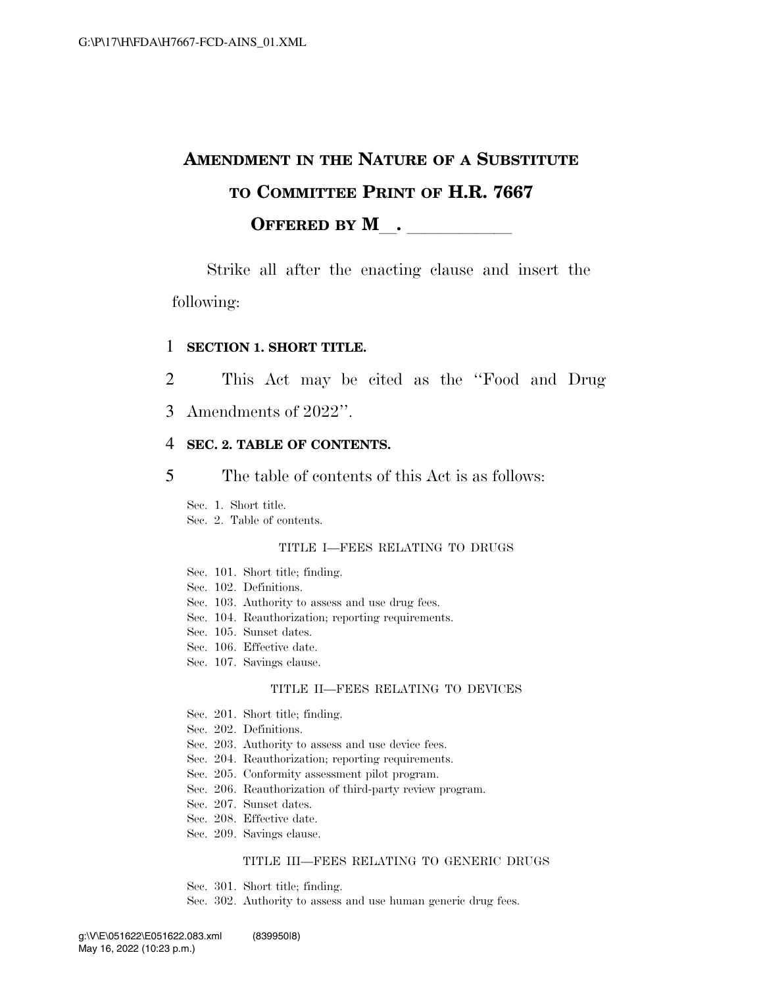# **AMENDMENT IN THE NATURE OF A SUBSTITUTE TO COMMITTEE PRINT OF H.R. 7667**  OFFERED BY M<sub>\_\_</sub>. \_\_\_\_\_\_\_\_\_\_\_

Strike all after the enacting clause and insert the following:

### 1 **SECTION 1. SHORT TITLE.**

2 This Act may be cited as the ''Food and Drug

3 Amendments of 2022''.

## 4 **SEC. 2. TABLE OF CONTENTS.**

5 The table of contents of this Act is as follows:

Sec. 1. Short title.

Sec. 2. Table of contents.

### TITLE I—FEES RELATING TO DRUGS

- Sec. 101. Short title; finding.
- Sec. 102. Definitions.
- Sec. 103. Authority to assess and use drug fees.
- Sec. 104. Reauthorization; reporting requirements.
- Sec. 105. Sunset dates.
- Sec. 106. Effective date.
- Sec. 107. Savings clause.

#### TITLE II—FEES RELATING TO DEVICES

- Sec. 201. Short title; finding.
- Sec. 202. Definitions.
- Sec. 203. Authority to assess and use device fees.
- Sec. 204. Reauthorization; reporting requirements.
- Sec. 205. Conformity assessment pilot program.
- Sec. 206. Reauthorization of third-party review program.
- Sec. 207. Sunset dates.
- Sec. 208. Effective date.
- Sec. 209. Savings clause.

#### TITLE III—FEES RELATING TO GENERIC DRUGS

- Sec. 301. Short title; finding.
- Sec. 302. Authority to assess and use human generic drug fees.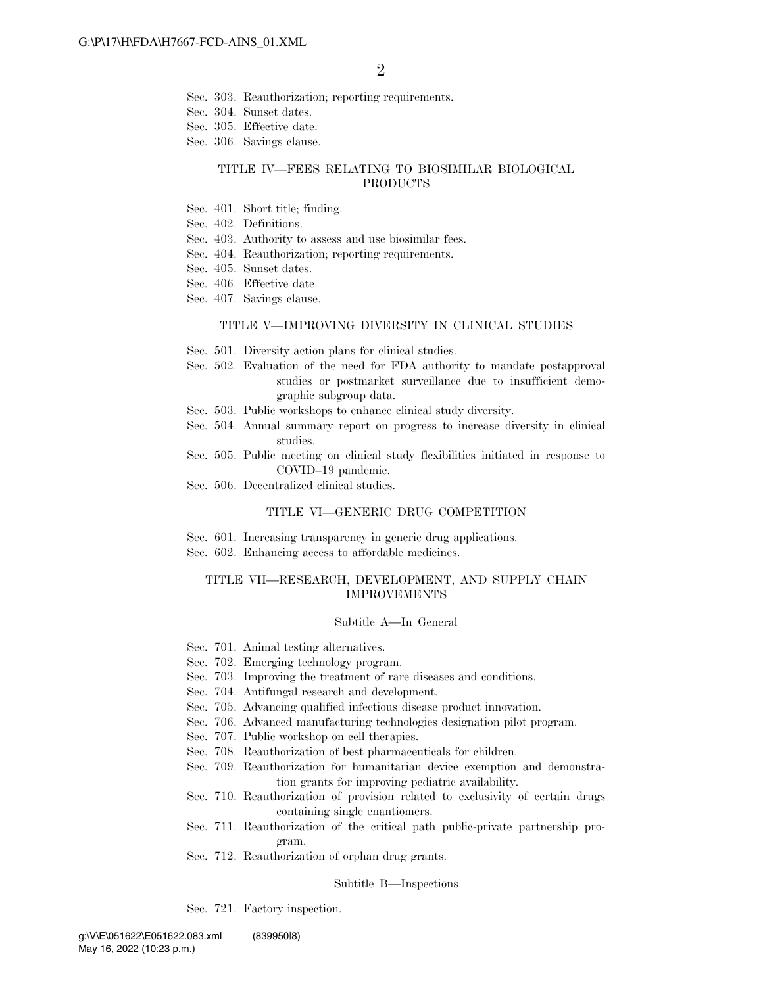- Sec. 303. Reauthorization; reporting requirements.
- Sec. 304. Sunset dates.
- Sec. 305. Effective date.
- Sec. 306. Savings clause.

#### TITLE IV—FEES RELATING TO BIOSIMILAR BIOLOGICAL PRODUCTS

- Sec. 401. Short title; finding.
- Sec. 402. Definitions.
- Sec. 403. Authority to assess and use biosimilar fees.
- Sec. 404. Reauthorization; reporting requirements.
- Sec. 405. Sunset dates.
- Sec. 406. Effective date.
- Sec. 407. Savings clause.

#### TITLE V—IMPROVING DIVERSITY IN CLINICAL STUDIES

- Sec. 501. Diversity action plans for clinical studies.
- Sec. 502. Evaluation of the need for FDA authority to mandate postapproval studies or postmarket surveillance due to insufficient demographic subgroup data.
- Sec. 503. Public workshops to enhance clinical study diversity.
- Sec. 504. Annual summary report on progress to increase diversity in clinical studies.
- Sec. 505. Public meeting on clinical study flexibilities initiated in response to COVID–19 pandemic.
- Sec. 506. Decentralized clinical studies.

#### TITLE VI—GENERIC DRUG COMPETITION

- Sec. 601. Increasing transparency in generic drug applications.
- Sec. 602. Enhancing access to affordable medicines.

#### TITLE VII—RESEARCH, DEVELOPMENT, AND SUPPLY CHAIN IMPROVEMENTS

#### Subtitle A—In General

- Sec. 701. Animal testing alternatives.
- Sec. 702. Emerging technology program.
- Sec. 703. Improving the treatment of rare diseases and conditions.
- Sec. 704. Antifungal research and development.
- Sec. 705. Advancing qualified infectious disease product innovation.
- Sec. 706. Advanced manufacturing technologies designation pilot program.
- Sec. 707. Public workshop on cell therapies.
- Sec. 708. Reauthorization of best pharmaceuticals for children.
- Sec. 709. Reauthorization for humanitarian device exemption and demonstration grants for improving pediatric availability.
- Sec. 710. Reauthorization of provision related to exclusivity of certain drugs containing single enantiomers.
- Sec. 711. Reauthorization of the critical path public-private partnership program.
- Sec. 712. Reauthorization of orphan drug grants.

#### Subtitle B—Inspections

Sec. 721. Factory inspection.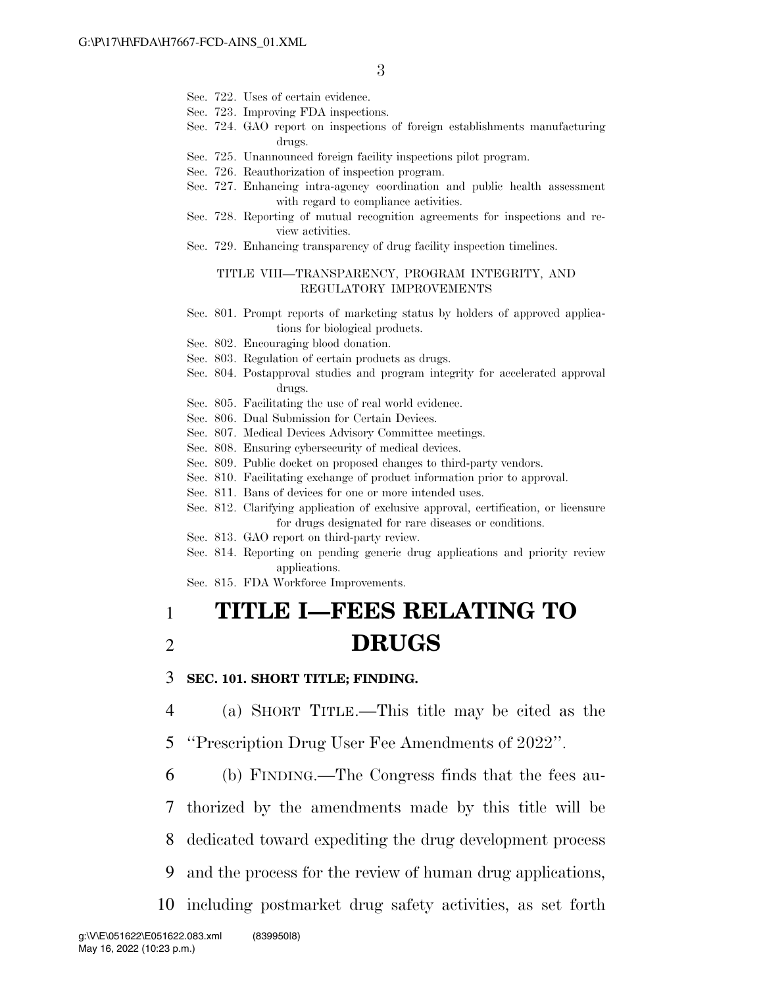- Sec. 722. Uses of certain evidence.
- Sec. 723. Improving FDA inspections.
- Sec. 724. GAO report on inspections of foreign establishments manufacturing drugs.
- Sec. 725. Unannounced foreign facility inspections pilot program.
- Sec. 726. Reauthorization of inspection program.
- Sec. 727. Enhancing intra-agency coordination and public health assessment with regard to compliance activities.
- Sec. 728. Reporting of mutual recognition agreements for inspections and review activities.
- Sec. 729. Enhancing transparency of drug facility inspection timelines.

### TITLE VIII—TRANSPARENCY, PROGRAM INTEGRITY, AND REGULATORY IMPROVEMENTS

- Sec. 801. Prompt reports of marketing status by holders of approved applications for biological products.
- Sec. 802. Encouraging blood donation.
- Sec. 803. Regulation of certain products as drugs.
- Sec. 804. Postapproval studies and program integrity for accelerated approval drugs.
- Sec. 805. Facilitating the use of real world evidence.
- Sec. 806. Dual Submission for Certain Devices.
- Sec. 807. Medical Devices Advisory Committee meetings.
- Sec. 808. Ensuring cybersecurity of medical devices.
- Sec. 809. Public docket on proposed changes to third-party vendors.
- Sec. 810. Facilitating exchange of product information prior to approval.
- Sec. 811. Bans of devices for one or more intended uses.
- Sec. 812. Clarifying application of exclusive approval, certification, or licensure for drugs designated for rare diseases or conditions.
- Sec. 813. GAO report on third-party review.
- Sec. 814. Reporting on pending generic drug applications and priority review applications.
- Sec. 815. FDA Workforce Improvements.

# 1 **TITLE I—FEES RELATING TO**  2 **DRUGS**

3 **SEC. 101. SHORT TITLE; FINDING.** 

4 (a) SHORT TITLE.—This title may be cited as the

5 ''Prescription Drug User Fee Amendments of 2022''.

6 (b) FINDING.—The Congress finds that the fees au-

7 thorized by the amendments made by this title will be

8 dedicated toward expediting the drug development process

- 9 and the process for the review of human drug applications,
- 10 including postmarket drug safety activities, as set forth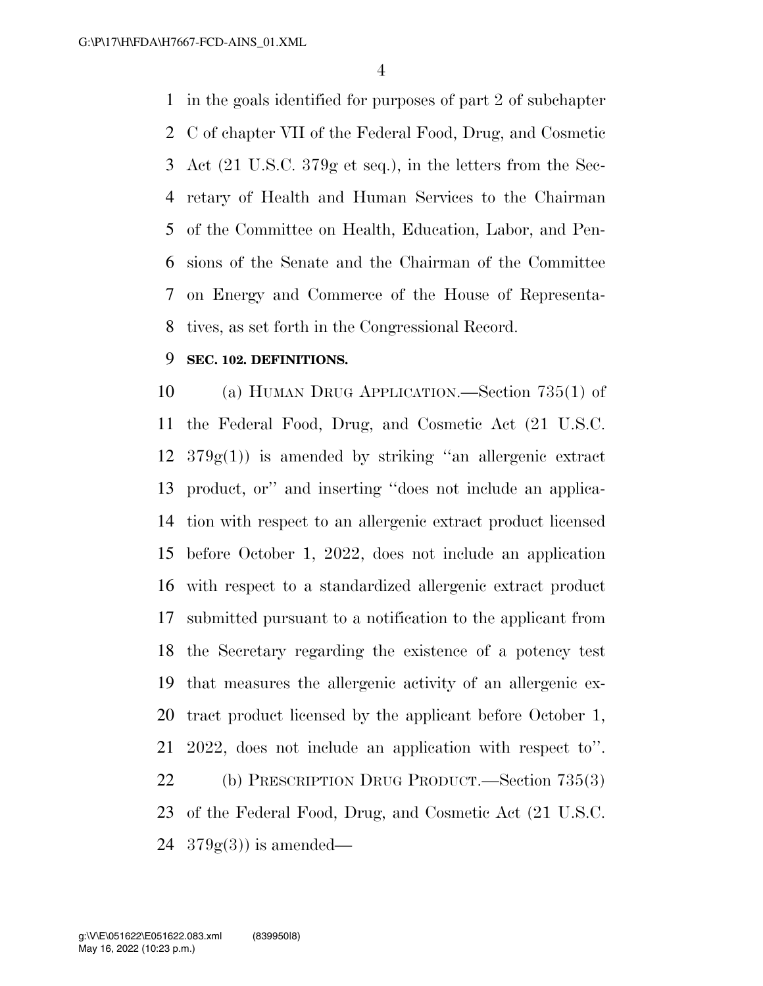in the goals identified for purposes of part 2 of subchapter C of chapter VII of the Federal Food, Drug, and Cosmetic Act (21 U.S.C. 379g et seq.), in the letters from the Sec- retary of Health and Human Services to the Chairman of the Committee on Health, Education, Labor, and Pen- sions of the Senate and the Chairman of the Committee on Energy and Commerce of the House of Representa-tives, as set forth in the Congressional Record.

# **SEC. 102. DEFINITIONS.**

 (a) HUMAN DRUG APPLICATION.—Section 735(1) of the Federal Food, Drug, and Cosmetic Act (21 U.S.C.  $12 \quad 379g(1)$  is amended by striking "an allergenic extract product, or'' and inserting ''does not include an applica- tion with respect to an allergenic extract product licensed before October 1, 2022, does not include an application with respect to a standardized allergenic extract product submitted pursuant to a notification to the applicant from the Secretary regarding the existence of a potency test that measures the allergenic activity of an allergenic ex- tract product licensed by the applicant before October 1, 2022, does not include an application with respect to''. (b) PRESCRIPTION DRUG PRODUCT.—Section 735(3) of the Federal Food, Drug, and Cosmetic Act (21 U.S.C.  $24 \quad 379g(3)$  is amended—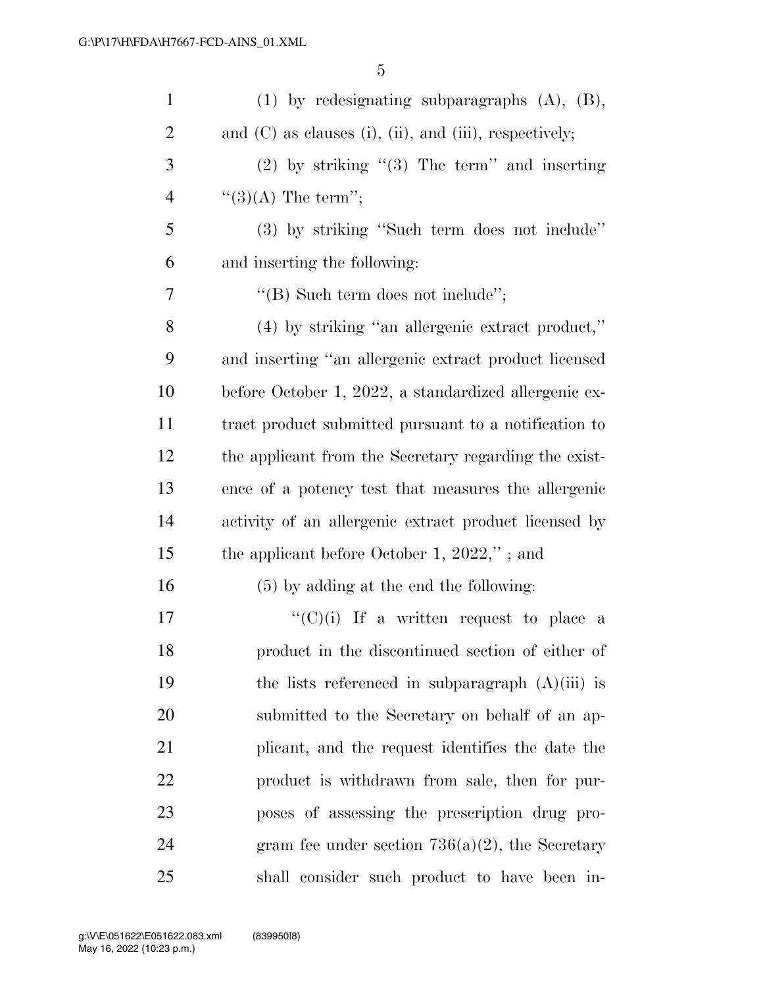| $\mathbf{1}$   | $(1)$ by redesignating subparagraphs $(A)$ , $(B)$ ,              |
|----------------|-------------------------------------------------------------------|
| $\overline{2}$ | and $(C)$ as clauses $(i)$ , $(ii)$ , and $(iii)$ , respectively; |
| 3              | $(2)$ by striking " $(3)$ The term" and inserting                 |
| $\overline{4}$ | $\lq(3)(A)$ The term'';                                           |
| 5              | (3) by striking "Such term does not include"                      |
| 6              | and inserting the following:                                      |
| 7              | "(B) Such term does not include";                                 |
| 8              | $(4)$ by striking "an allergenic extract product,"                |
| 9              | and inserting "an allergenic extract product licensed             |
| 10             | before October 1, 2022, a standardized allergenic ex-             |
| 11             | tract product submitted pursuant to a notification to             |
| 12             | the applicant from the Secretary regarding the exist-             |
| 13             | ence of a potency test that measures the allergenic               |
| 14             | activity of an allergenic extract product licensed by             |
| 15             | the applicant before October 1, $2022$ ,"; and                    |
| 16             | $(5)$ by adding at the end the following:                         |
| 17             | "(C)(i) If a written request to place a                           |
| 18             | product in the discontinued section of either of                  |
| 19             | the lists referenced in subparagraph $(A)(iii)$ is                |
| 20             | submitted to the Secretary on behalf of an ap-                    |
| 21             | plicant, and the request identifies the date the                  |
| 22             | product is withdrawn from sale, then for pur-                     |
| 23             | poses of assessing the prescription drug pro-                     |
| 24             | gram fee under section $736(a)(2)$ , the Secretary                |
| 25             | shall consider such product to have been in-                      |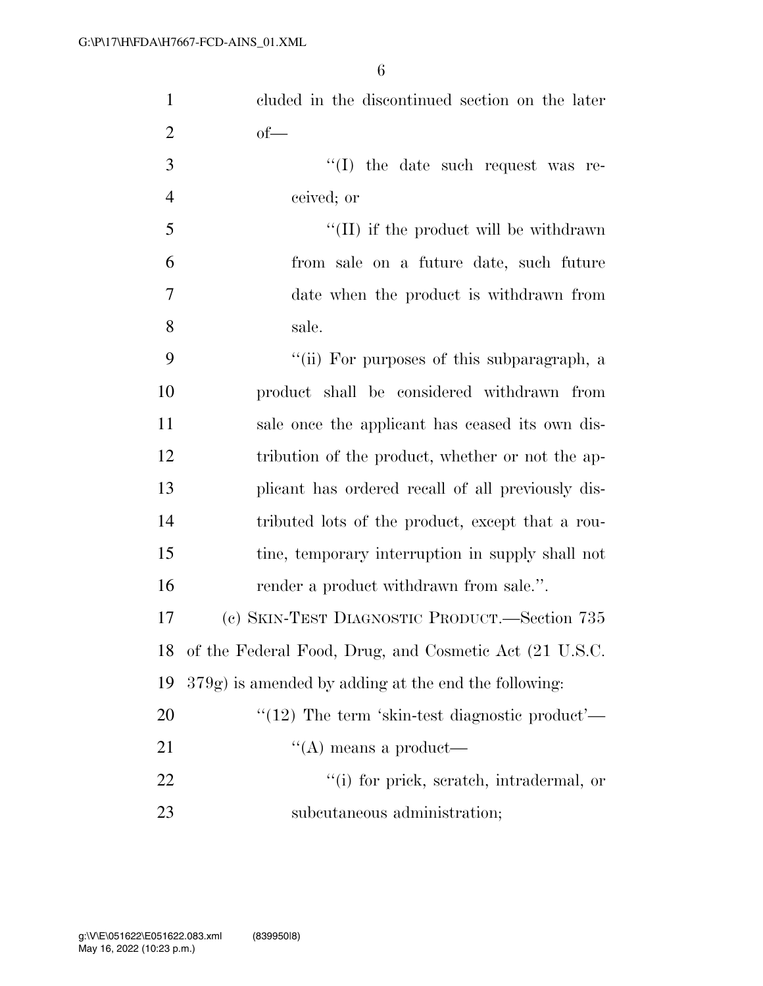| $\mathbf{1}$   | cluded in the discontinued section on the later         |
|----------------|---------------------------------------------------------|
| $\overline{2}$ | $of$ —                                                  |
| 3              | "(I) the date such request was re-                      |
| $\overline{4}$ | ceived; or                                              |
| 5              | $\lq\lq$ (II) if the product will be withdrawn          |
| 6              | from sale on a future date, such future                 |
| 7              | date when the product is withdrawn from                 |
| 8              | sale.                                                   |
| 9              | "(ii) For purposes of this subparagraph, a              |
| 10             | product shall be considered withdrawn from              |
| 11             | sale once the applicant has ceased its own dis-         |
| 12             | tribution of the product, whether or not the ap-        |
| 13             | plicant has ordered recall of all previously dis-       |
| 14             | tributed lots of the product, except that a rou-        |
| 15             | tine, temporary interruption in supply shall not        |
| 16             | render a product withdrawn from sale.".                 |
| 17             | (c) SKIN-TEST DIAGNOSTIC PRODUCT.—Section 735           |
| 18             | of the Federal Food, Drug, and Cosmetic Act (21 U.S.C.  |
| 19             | $379g$ ) is amended by adding at the end the following: |
| 20             | " $(12)$ The term 'skin-test diagnostic product'—       |
| 21             | $\lq\lq$ means a product—                               |
| 22             | "(i) for prick, scratch, intradermal, or                |
| 23             | subcutaneous administration;                            |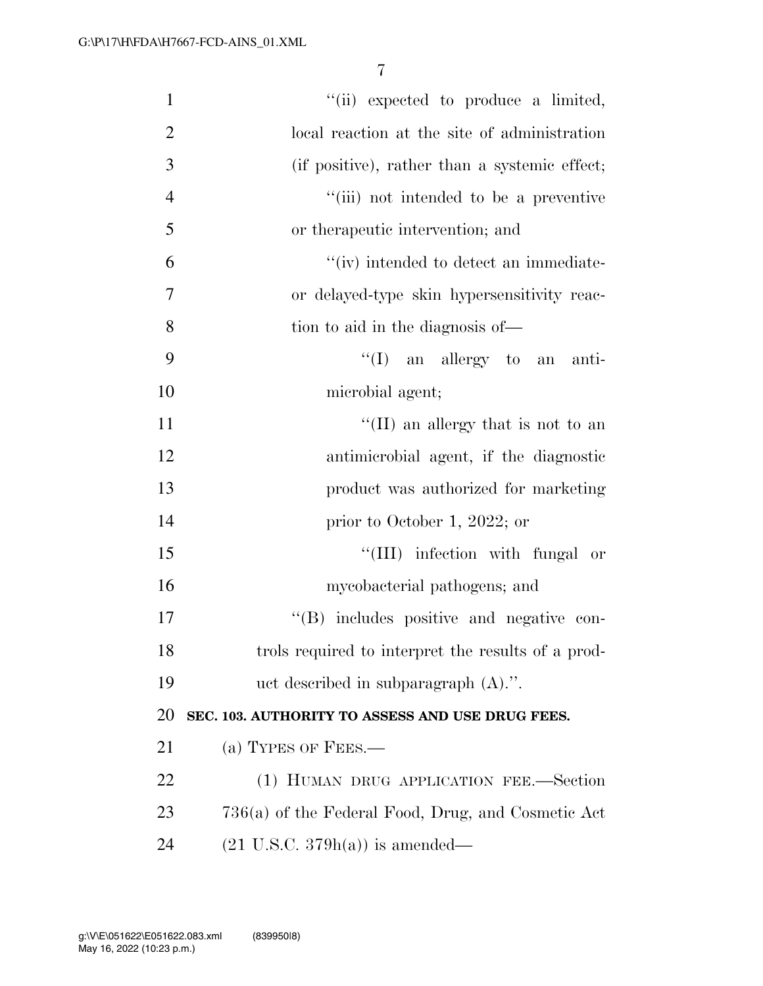| $\mathbf{1}$   | "(ii) expected to produce a limited,               |
|----------------|----------------------------------------------------|
| $\overline{2}$ | local reaction at the site of administration       |
| 3              | (if positive), rather than a systemic effect;      |
| $\overline{4}$ | "(iii) not intended to be a preventive             |
| 5              | or therapeutic intervention; and                   |
| 6              | "(iv) intended to detect an immediate-             |
| 7              | or delayed-type skin hypersensitivity reac-        |
| 8              | tion to aid in the diagnosis of—                   |
| 9              | $\lq\lq$ (I) an allergy to an anti-                |
| 10             | microbial agent;                                   |
| 11             | "(II) an allergy that is not to an                 |
| 12             | antimicrobial agent, if the diagnostic             |
| 13             | product was authorized for marketing               |
| 14             | prior to October 1, 2022; or                       |
| 15             | "(III) infection with fungal or                    |
| 16             | mycobacterial pathogens; and                       |
| 17             | "(B) includes positive and negative con-           |
| 18             | trols required to interpret the results of a prod- |
| 19             | uct described in subparagraph $(A)$ .".            |
| <b>20</b>      | SEC. 103. AUTHORITY TO ASSESS AND USE DRUG FEES.   |
| 21             | (a) TYPES OF FEES.—                                |
| <u>22</u>      | (1) HUMAN DRUG APPLICATION FEE.—Section            |
| 23             | 736(a) of the Federal Food, Drug, and Cosmetic Act |
| 24             | $(21 \text{ U.S.C. } 379h(a))$ is amended—         |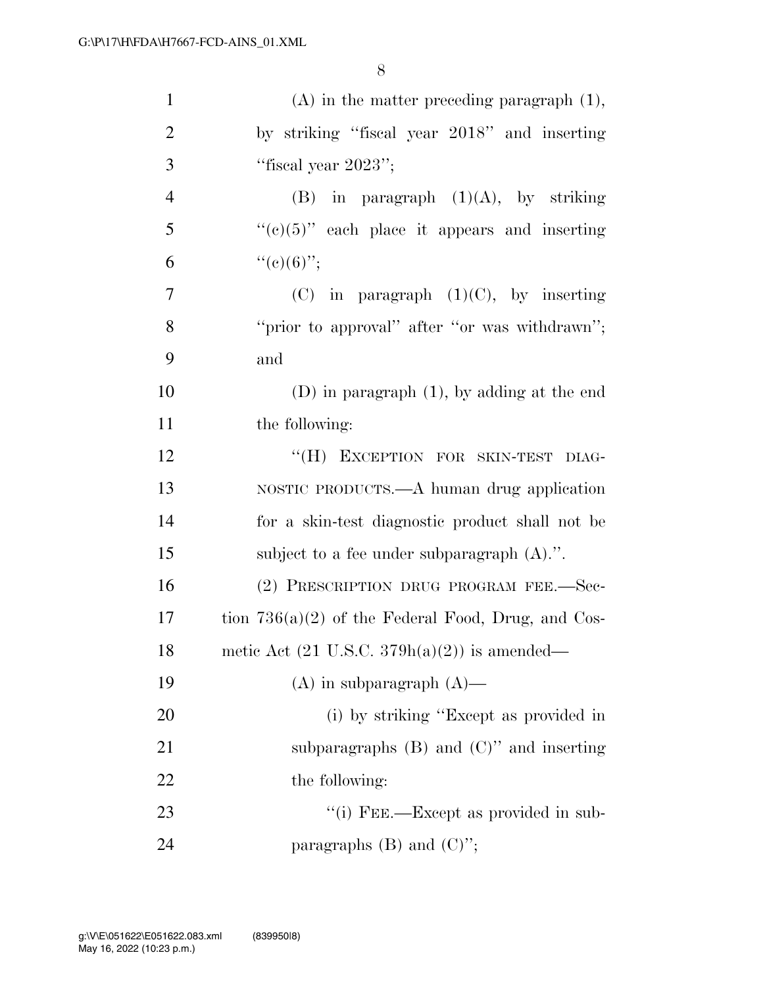| $\mathbf{1}$   | $(A)$ in the matter preceding paragraph $(1)$ ,         |
|----------------|---------------------------------------------------------|
| $\overline{2}$ | by striking "fiscal year 2018" and inserting            |
| 3              | "fiscal year $2023"$ ;                                  |
| $\overline{4}$ | $(B)$ in paragraph $(1)(A)$ , by striking               |
| 5              | " $(e)(5)$ " each place it appears and inserting        |
| 6              | ``(e)(6)"                                               |
| $\tau$         | $(C)$ in paragraph $(1)(C)$ , by inserting              |
| 8              | "prior to approval" after "or was withdrawn";           |
| 9              | and                                                     |
| 10             | $(D)$ in paragraph $(1)$ , by adding at the end         |
| 11             | the following:                                          |
| 12             | "(H) EXCEPTION FOR SKIN-TEST DIAG-                      |
| 13             | NOSTIC PRODUCTS.—A human drug application               |
| 14             | for a skin-test diagnostic product shall not be         |
| 15             | subject to a fee under subparagraph $(A)$ .".           |
| 16             | (2) PRESCRIPTION DRUG PROGRAM FEE.-Sec-                 |
| 17             | tion $736(a)(2)$ of the Federal Food, Drug, and Cos-    |
| 18             | metic Act $(21 \text{ U.S.C. } 379h(a)(2))$ is amended— |
| 19             | $(A)$ in subparagraph $(A)$ —                           |
| 20             | (i) by striking "Except as provided in                  |
| 21             | subparagraphs $(B)$ and $(C)$ " and inserting           |
| 22             | the following:                                          |
| 23             | "(i) FEE.—Except as provided in sub-                    |
| 24             | paragraphs $(B)$ and $(C)$ ";                           |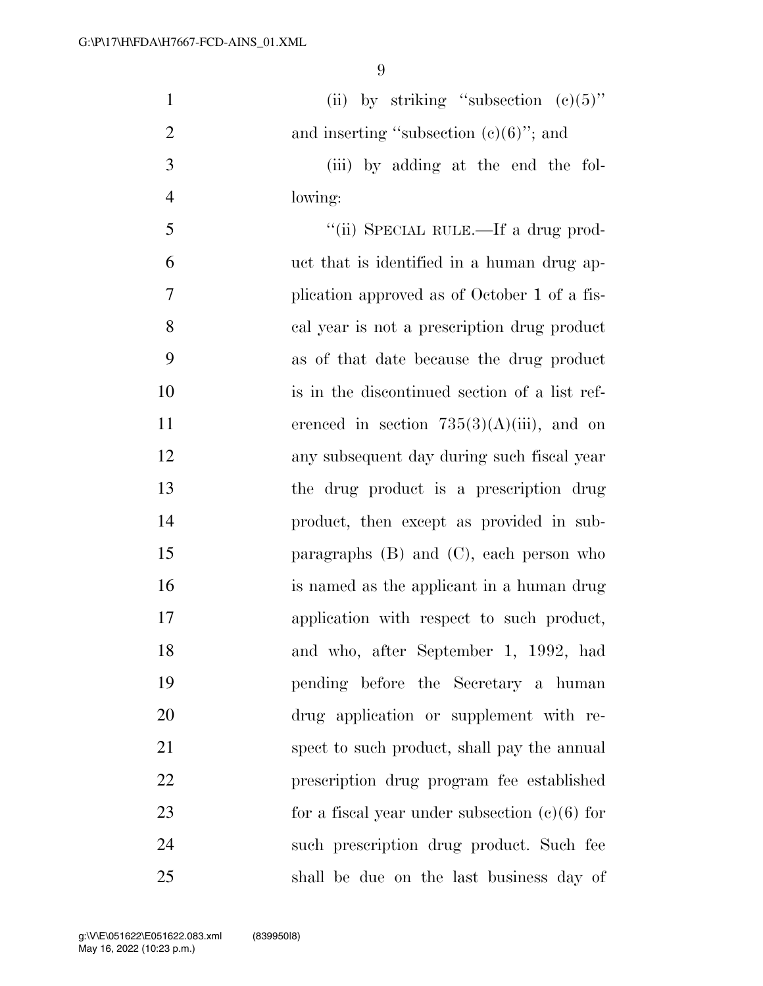| $\mathbf{1}$   | (ii) by striking "subsection $(c)(5)$ "         |
|----------------|-------------------------------------------------|
| $\overline{2}$ | and inserting "subsection $(c)(6)$ "; and       |
| $\mathfrak{Z}$ | (iii) by adding at the end the fol-             |
| $\overline{4}$ | lowing:                                         |
| 5              | "(ii) SPECIAL RULE.—If a drug prod-             |
| 6              | uct that is identified in a human drug ap-      |
| 7              | plication approved as of October 1 of a fis-    |
| 8              | cal year is not a prescription drug product     |
| 9              | as of that date because the drug product        |
| 10             | is in the discontinued section of a list ref-   |
| 11             | erenced in section $735(3)(A)(iii)$ , and on    |
| 12             | any subsequent day during such fiscal year      |
| 13             | the drug product is a prescription drug         |
| 14             | product, then except as provided in sub-        |
| 15             | paragraphs $(B)$ and $(C)$ , each person who    |
| 16             | is named as the applicant in a human drug       |
| 17             | application with respect to such product,       |
| 18             | and who, after September 1, 1992, had           |
| 19             | pending before the Secretary a human            |
| 20             | drug application or supplement with re-         |
| 21             | spect to such product, shall pay the annual     |
| 22             | prescription drug program fee established       |
| 23             | for a fiscal year under subsection $(c)(6)$ for |
| 24             | such prescription drug product. Such fee        |
| 25             | shall be due on the last business day of        |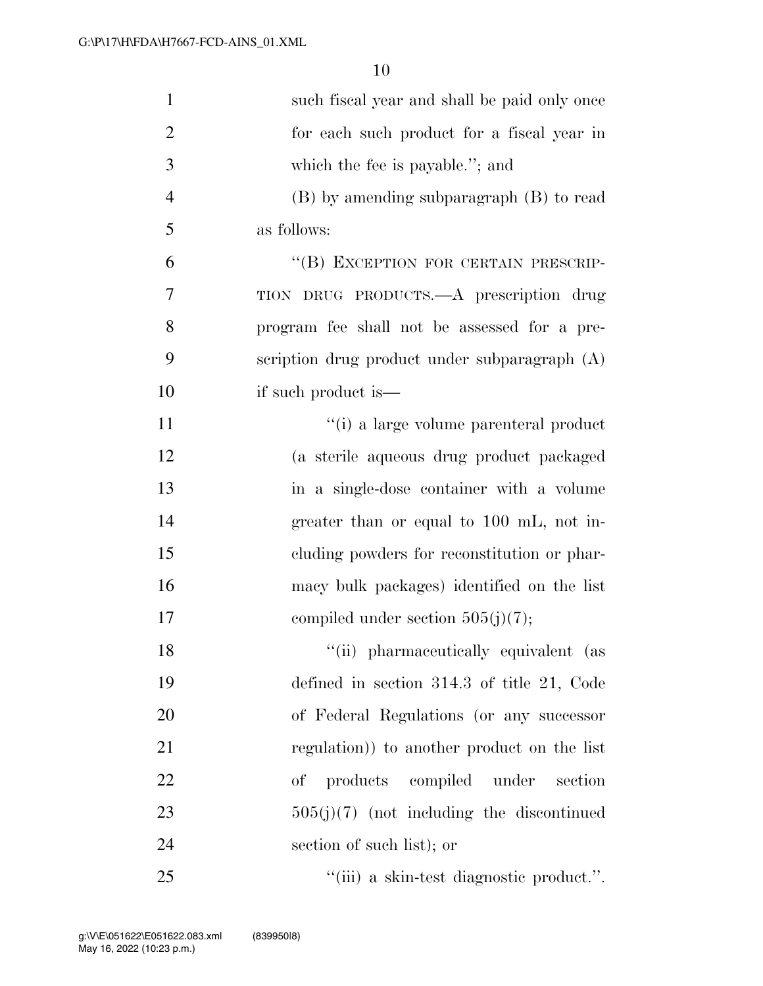| $\mathbf{1}$   | such fiscal year and shall be paid only once    |
|----------------|-------------------------------------------------|
| $\overline{2}$ | for each such product for a fiscal year in      |
| 3              | which the fee is payable."; and                 |
| $\overline{4}$ | (B) by amending subparagraph (B) to read        |
| 5              | as follows:                                     |
| 6              | "(B) EXCEPTION FOR CERTAIN PRESCRIP-            |
| 7              | TION DRUG PRODUCTS.—A prescription drug         |
| 8              | program fee shall not be assessed for a pre-    |
| 9              | scription drug product under subparagraph $(A)$ |
| 10             | if such product is—                             |
| 11             | "(i) a large volume parenteral product          |
| 12             | (a sterile aqueous drug product packaged        |
| 13             | in a single-dose container with a volume        |
| 14             | greater than or equal to 100 mL, not in-        |
| 15             | eluding powders for reconstitution or phar-     |
| 16             | macy bulk packages) identified on the list      |
| 17             | compiled under section $505(j)(7)$ ;            |
| 18             | "(ii) pharmaceutically equivalent (as           |
| 19             | defined in section $314.3$ of title 21, Code    |
| 20             | of Federal Regulations (or any successor        |
| 21             | regulation) to another product on the list      |
| 22             | products compiled under<br>of<br>section        |
| 23             | $505(j)(7)$ (not including the discontinued     |
| 24             | section of such list); or                       |
| 25             | "(iii) a skin-test diagnostic product.".        |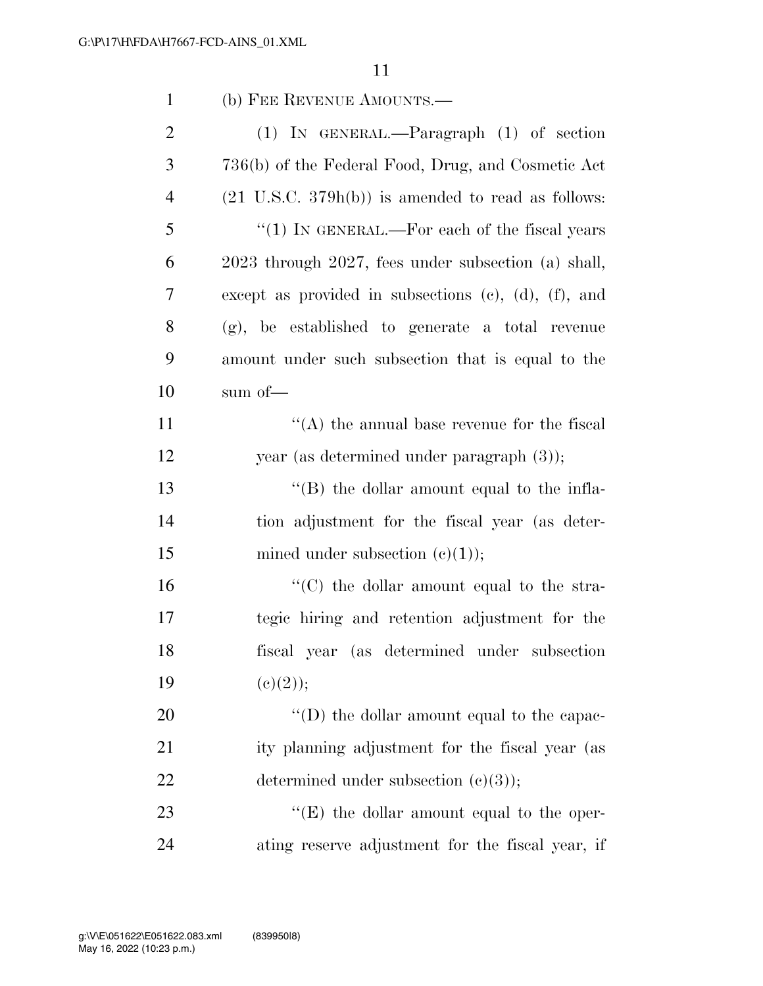| $\mathbf{1}$   | (b) FEE REVENUE AMOUNTS.—                                     |
|----------------|---------------------------------------------------------------|
| $\overline{2}$ | $(1)$ IN GENERAL.—Paragraph $(1)$ of section                  |
| 3              | 736(b) of the Federal Food, Drug, and Cosmetic Act            |
| $\overline{4}$ | $(21 \text{ U.S.C. } 379h(b))$ is amended to read as follows: |
| 5              | " $(1)$ IN GENERAL.—For each of the fiscal years              |
| 6              | 2023 through 2027, fees under subsection (a) shall,           |
| 7              | except as provided in subsections $(c)$ , $(d)$ , $(f)$ , and |
| 8              | (g), be established to generate a total revenue               |
| 9              | amount under such subsection that is equal to the             |
| 10             | sum of $-$                                                    |
| 11             | $\lq\lq$ the annual base revenue for the fiscal               |
| 12             | year (as determined under paragraph $(3)$ );                  |
| 13             | "(B) the dollar amount equal to the infla-                    |
| 14             | tion adjustment for the fiscal year (as deter-                |
| 15             | mined under subsection $(c)(1)$ ;                             |
| 16             | "(C) the dollar amount equal to the stra-                     |
| 17             | tegic hiring and retention adjustment for the                 |
| 18             | fiscal year (as determined under subsection                   |
| 19             | (c)(2));                                                      |
| 20             | "(D) the dollar amount equal to the capac-                    |
| 21             | ity planning adjustment for the fiscal year (as               |
| 22             | determined under subsection $(c)(3)$ ;                        |
| 23             | " $(E)$ the dollar amount equal to the oper-                  |
| 24             | ating reserve adjustment for the fiscal year, if              |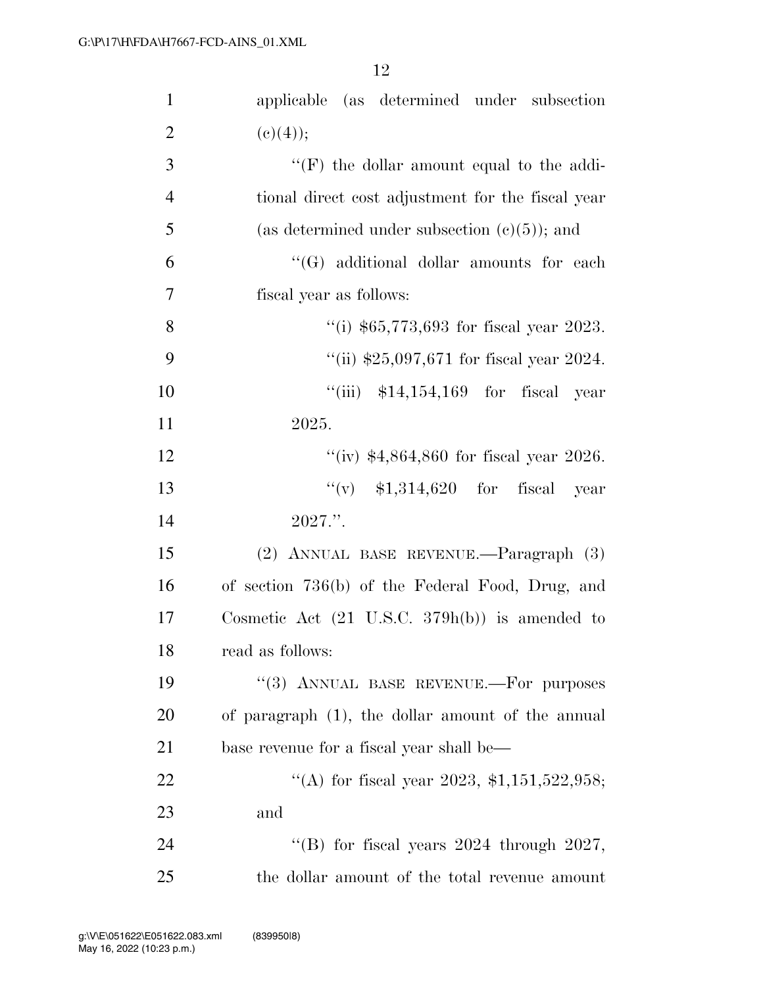| $\mathbf{1}$   | applicable (as determined under subsection                |
|----------------|-----------------------------------------------------------|
| $\overline{2}$ | (c)(4));                                                  |
| 3              | $\lq\lq(F)$ the dollar amount equal to the addi-          |
| $\overline{4}$ | tional direct cost adjustment for the fiscal year         |
| 5              | (as determined under subsection $(e)(5)$ ); and           |
| 6              | "(G) additional dollar amounts for each                   |
| $\overline{7}$ | fiscal year as follows:                                   |
| 8              | "(i) $$65,773,693$ for fiscal year 2023.                  |
| 9              | "(ii) $$25,097,671$ for fiscal year 2024.                 |
| 10             | "(iii) $$14,154,169$ for fiscal year                      |
| 11             | 2025.                                                     |
| 12             | "(iv) $$4,864,860$ for fiscal year 2026.                  |
| 13             | $``(v)$ \$1,314,620 for fiscal<br>year                    |
| 14             | $2027$ .".                                                |
| 15             | (2) ANNUAL BASE REVENUE.—Paragraph (3)                    |
| 16             | of section 736(b) of the Federal Food, Drug, and          |
| 17             | Cosmetic Act $(21 \text{ U.S.C. } 379h(b))$ is amended to |
| 18             | read as follows:                                          |
| 19             | "(3) ANNUAL BASE REVENUE.-- For purposes                  |
| 20             | of paragraph (1), the dollar amount of the annual         |
| 21             | base revenue for a fiscal year shall be—                  |
| 22             | "(A) for fiscal year 2023, $\text{\$1,151,522,958};$      |
| 23             | and                                                       |
| 24             | "(B) for fiscal years $2024$ through $2027$ ,             |
| 25             | the dollar amount of the total revenue amount             |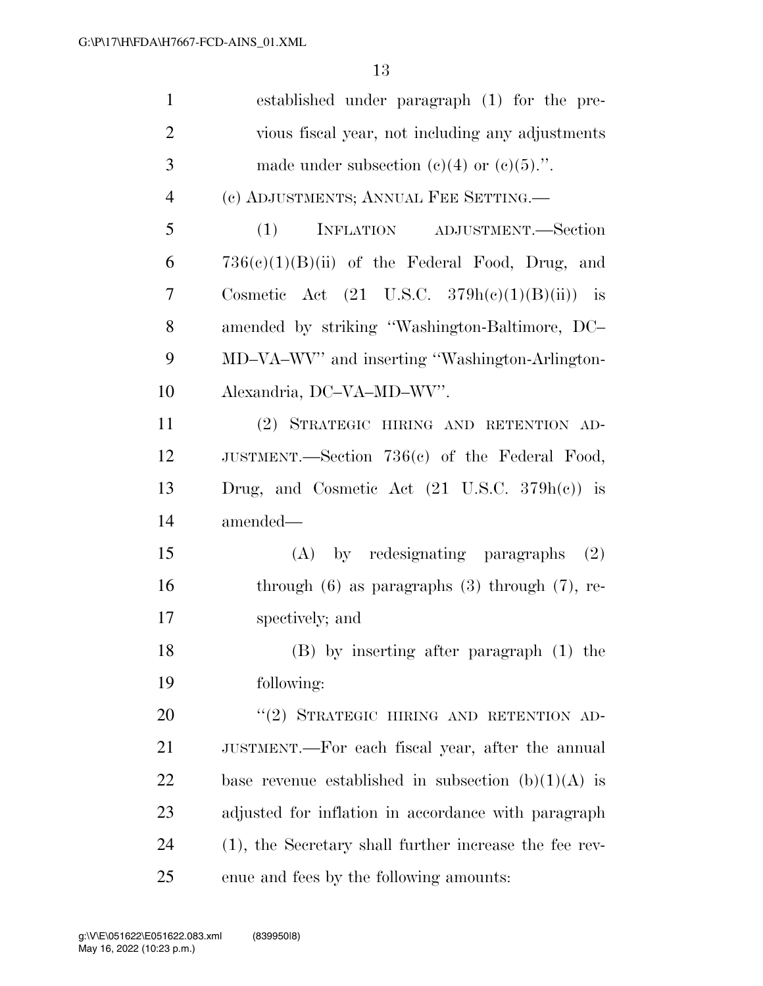| $\mathbf{1}$   | established under paragraph (1) for the pre-             |
|----------------|----------------------------------------------------------|
| $\overline{2}$ | vious fiscal year, not including any adjustments         |
| 3              | made under subsection (c)(4) or (c)(5).".                |
| $\overline{4}$ | (c) ADJUSTMENTS; ANNUAL FEE SETTING.                     |
| 5              | (1)<br>INFLATION ADJUSTMENT.—Section                     |
| 6              | $736(e)(1)(B)(ii)$ of the Federal Food, Drug, and        |
| 7              | Cosmetic Act $(21 \text{ U.S.C. } 379h(e)(1)(B)(ii))$ is |
| 8              | amended by striking "Washington-Baltimore, DC-           |
| 9              | MD-VA-WV" and inserting "Washington-Arlington-           |
| 10             | Alexandria, DC-VA-MD-WV".                                |
| 11             | (2) STRATEGIC HIRING AND RETENTION AD-                   |
| 12             | JUSTMENT.—Section 736(c) of the Federal Food,            |
| 13             | Drug, and Cosmetic Act $(21 \text{ U.S.C. } 379h(e))$ is |
| 14             | amended—                                                 |
| 15             | (A) by redesignating paragraphs<br>(2)                   |
| 16             | through $(6)$ as paragraphs $(3)$ through $(7)$ , re-    |
| 17             | spectively; and                                          |
| 18             | (B) by inserting after paragraph (1) the                 |
| 19             | following:                                               |
| 20             | "(2) STRATEGIC HIRING AND RETENTION AD-                  |
| 21             | JUSTMENT.—For each fiscal year, after the annual         |
| <u>22</u>      | base revenue established in subsection $(b)(1)(A)$ is    |
| 23             | adjusted for inflation in accordance with paragraph      |
| 24             | (1), the Secretary shall further increase the fee rev-   |
| 25             | enue and fees by the following amounts:                  |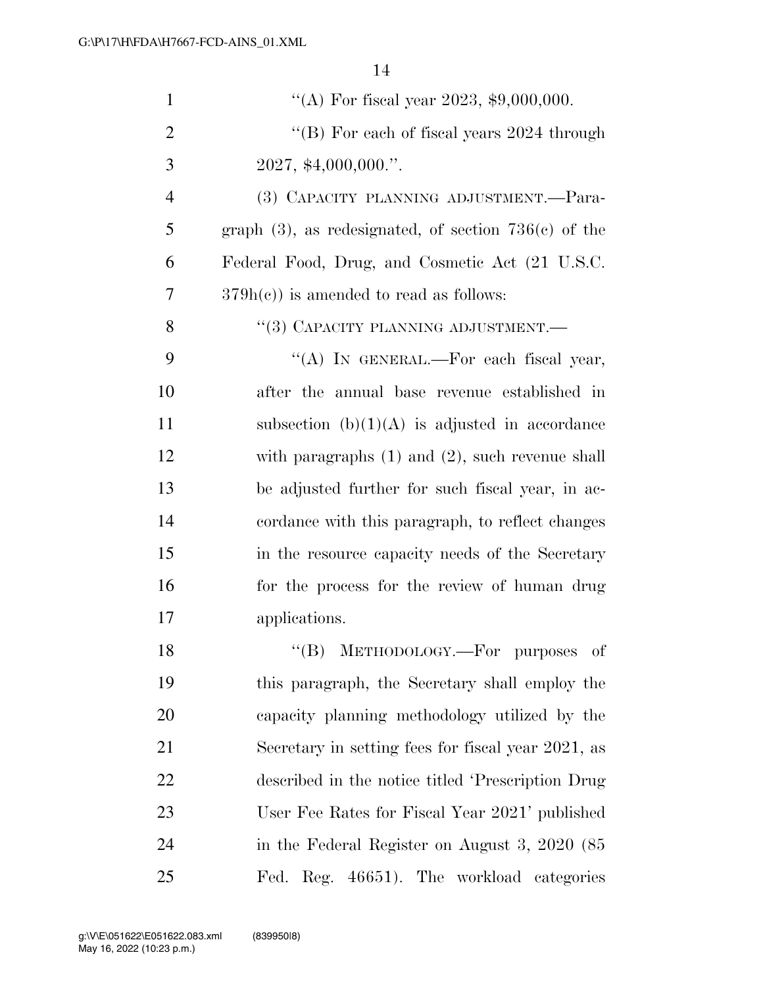| $\mathbf{1}$   | "(A) For fiscal year 2023, $$9,000,000$ .                  |
|----------------|------------------------------------------------------------|
| $\overline{2}$ | "(B) For each of fiscal years $2024$ through               |
| 3              | $2027,$ \$4,000,000."                                      |
| $\overline{4}$ | (3) CAPACITY PLANNING ADJUSTMENT.—Para-                    |
| 5              | graph $(3)$ , as redesignated, of section 736 $(c)$ of the |
| 6              | Federal Food, Drug, and Cosmetic Act (21 U.S.C.            |
| 7              | $379h(c)$ is amended to read as follows:                   |
| 8              | "(3) CAPACITY PLANNING ADJUSTMENT.—                        |
| 9              | "(A) IN GENERAL.—For each fiscal year,                     |
| 10             | after the annual base revenue established in               |
| 11             | subsection $(b)(1)(A)$ is adjusted in accordance           |
| 12             | with paragraphs $(1)$ and $(2)$ , such revenue shall       |
| 13             | be adjusted further for such fiscal year, in ac-           |
| 14             | cordance with this paragraph, to reflect changes           |
| 15             | in the resource capacity needs of the Secretary            |
| 16             | for the process for the review of human drug               |
| 17             | applications.                                              |
| 18             | METHODOLOGY.—For purposes of<br>$\lq\lq (B)$               |
| 19             | this paragraph, the Secretary shall employ the             |
| 20             | capacity planning methodology utilized by the              |
| 21             | Secretary in setting fees for fiscal year 2021, as         |
| 22             | described in the notice titled 'Prescription Drug          |
| 23             | User Fee Rates for Fiscal Year 2021' published             |
| 24             | in the Federal Register on August 3, 2020 (85              |
| 25             | Fed. Reg. 46651). The workload categories                  |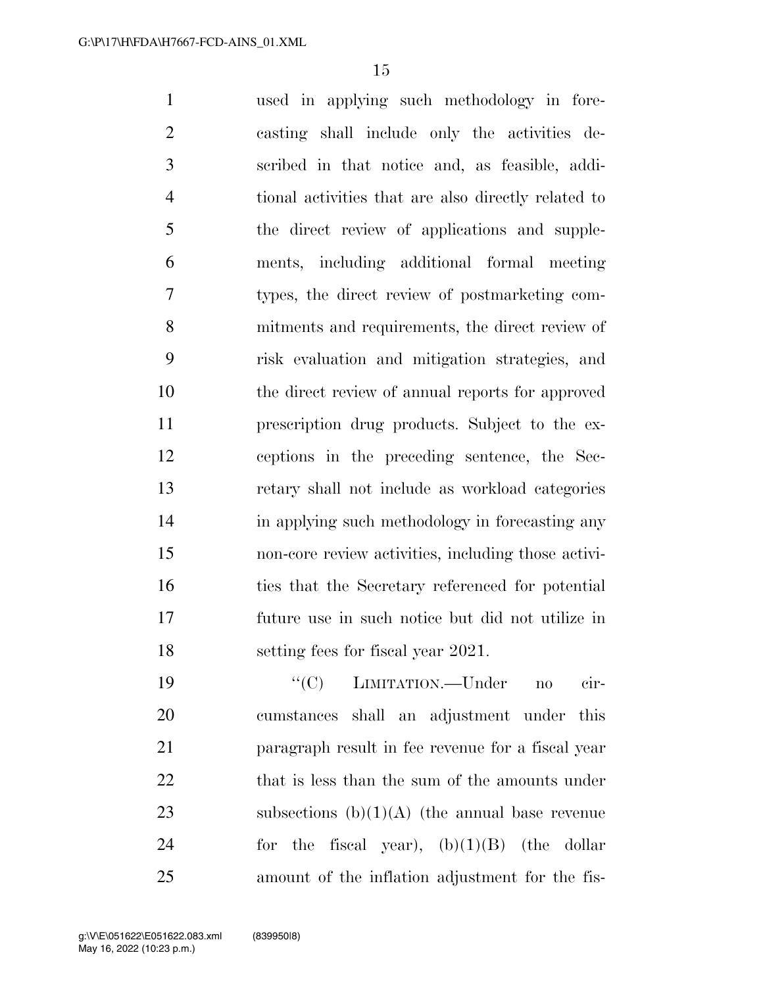used in applying such methodology in fore- casting shall include only the activities de- scribed in that notice and, as feasible, addi- tional activities that are also directly related to the direct review of applications and supple- ments, including additional formal meeting types, the direct review of postmarketing com- mitments and requirements, the direct review of risk evaluation and mitigation strategies, and the direct review of annual reports for approved prescription drug products. Subject to the ex- ceptions in the preceding sentence, the Sec- retary shall not include as workload categories 14 in applying such methodology in forecasting any non-core review activities, including those activi-16 ties that the Secretary referenced for potential future use in such notice but did not utilize in 18 setting fees for fiscal year 2021.

19  $``(C)$  LIMITATION.—Under no cir- cumstances shall an adjustment under this paragraph result in fee revenue for a fiscal year 22 that is less than the sum of the amounts under 23 subsections  $(b)(1)(A)$  (the annual base revenue 24 for the fiscal year),  $(b)(1)(B)$  (the dollar amount of the inflation adjustment for the fis-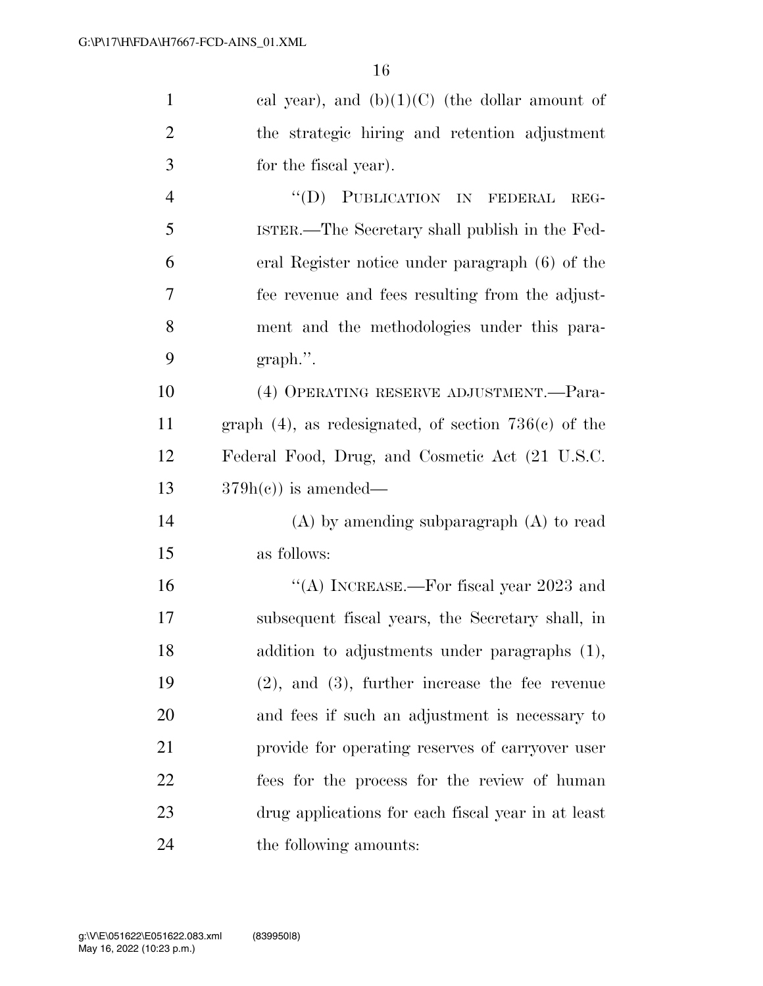| $\mathbf{1}$   | cal year), and $(b)(1)(C)$ (the dollar amount of           |
|----------------|------------------------------------------------------------|
| $\overline{2}$ | the strategic hiring and retention adjustment              |
| 3              | for the fiscal year).                                      |
| $\overline{4}$ | "(D) PUBLICATION IN FEDERAL<br>REG-                        |
| 5              | ISTER.—The Secretary shall publish in the Fed-             |
| 6              | eral Register notice under paragraph (6) of the            |
| 7              | fee revenue and fees resulting from the adjust-            |
| 8              | ment and the methodologies under this para-                |
| 9              | $graph$ .".                                                |
| 10             | (4) OPERATING RESERVE ADJUSTMENT.-Para-                    |
| 11             | graph $(4)$ , as redesignated, of section 736 $(c)$ of the |
| 12             | Federal Food, Drug, and Cosmetic Act (21 U.S.C.            |
| 13             | $379h(c)$ is amended—                                      |
| 14             | $(A)$ by amending subparagraph $(A)$ to read               |
| 15             | as follows:                                                |
| 16             | "(A) INCREASE.—For fiscal year $2023$ and                  |
| 17             | subsequent fiscal years, the Secretary shall, in           |
| 18             | addition to adjustments under paragraphs (1),              |
| 19             | $(2)$ , and $(3)$ , further increase the fee revenue       |
| 20             | and fees if such an adjustment is necessary to             |
| 21             | provide for operating reserves of carryover user           |
| 22             | fees for the process for the review of human               |
| 23             | drug applications for each fiscal year in at least         |
| 24             | the following amounts:                                     |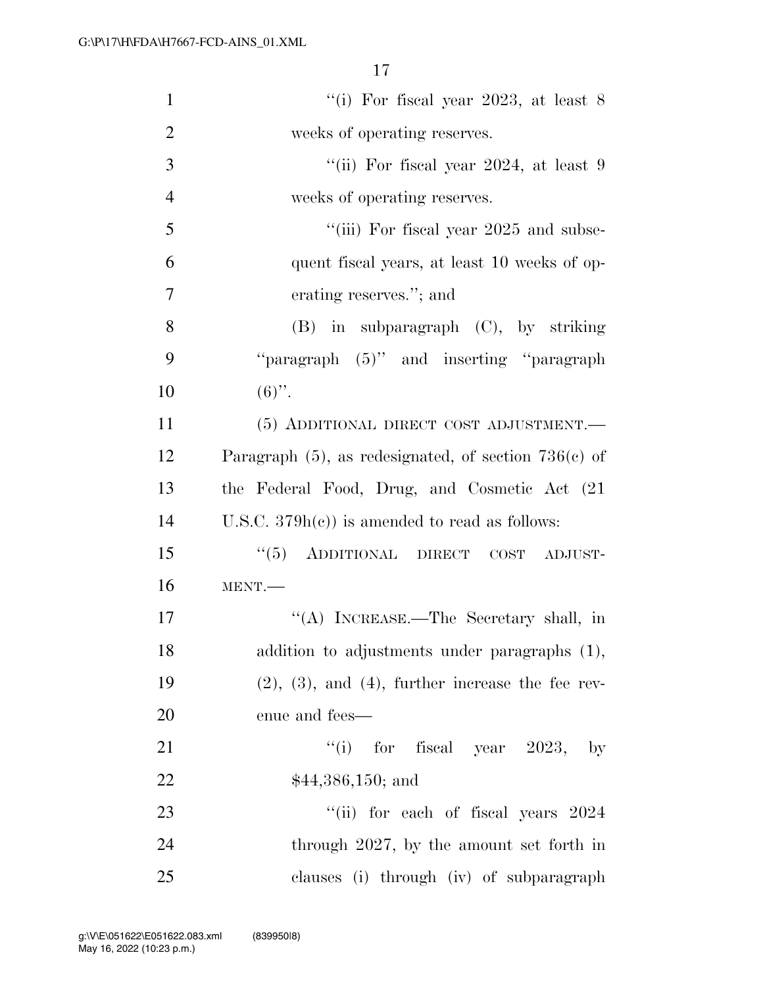| $\mathbf{1}$   | "(i) For fiscal year 2023, at least $8$                    |
|----------------|------------------------------------------------------------|
| $\overline{2}$ | weeks of operating reserves.                               |
| 3              | "(ii) For fiscal year 2024, at least $9$                   |
| $\overline{4}$ | weeks of operating reserves.                               |
| 5              | "(iii) For fiscal year 2025 and subse-                     |
| 6              | quent fiscal years, at least 10 weeks of op-               |
| $\overline{7}$ | erating reserves."; and                                    |
| 8              | $(B)$ in subparagraph $(C)$ , by striking                  |
| 9              | "paragraph (5)" and inserting "paragraph"                  |
| 10             | $(6)$ ".                                                   |
| 11             | (5) ADDITIONAL DIRECT COST ADJUSTMENT.                     |
| 12             | Paragraph $(5)$ , as redesignated, of section 736 $(e)$ of |
| 13             | the Federal Food, Drug, and Cosmetic Act (21)              |
| 14             | U.S.C. $379h(c)$ is amended to read as follows:            |
| 15             | (6(5)<br>ADDITIONAL DIRECT<br>$\cos$<br>ADJUST-            |
| 16             | MENT.                                                      |
| 17             | "(A) INCREASE.—The Secretary shall, in                     |
| 18             | addition to adjustments under paragraphs (1),              |
| 19             | $(2), (3),$ and $(4),$ further increase the fee rev-       |
| 20             | enue and fees—                                             |
| 21             | "(i) for fiscal year $2023$ , by                           |
| 22             | $$44,386,150;$ and                                         |
| 23             | "(ii) for each of fiscal years $2024$                      |
| 24             | through 2027, by the amount set forth in                   |
| 25             | clauses (i) through (iv) of subparagraph                   |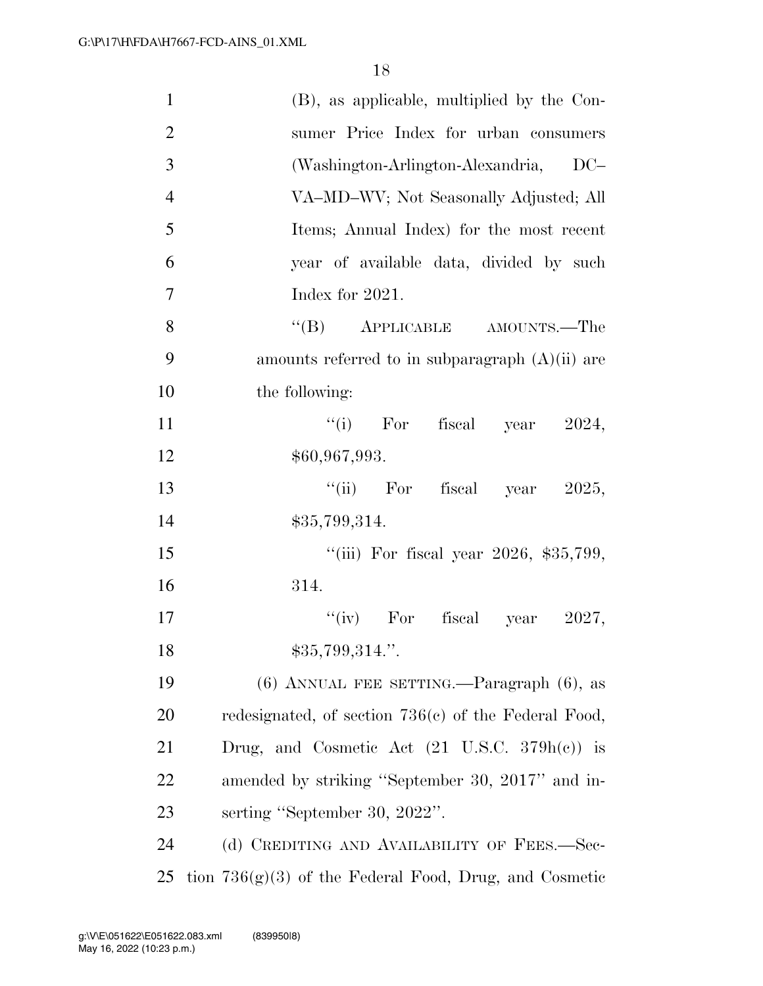| $\mathbf{1}$   | (B), as applicable, multiplied by the Con-               |
|----------------|----------------------------------------------------------|
| $\overline{2}$ | sumer Price Index for urban consumers                    |
| 3              | (Washington-Arlington-Alexandria, DC-                    |
| $\overline{4}$ | VA-MD-WV; Not Seasonally Adjusted; All                   |
| 5              | Items; Annual Index) for the most recent                 |
| 6              | year of available data, divided by such                  |
| $\tau$         | Index for 2021.                                          |
| 8              | "(B) APPLICABLE AMOUNTS.—The                             |
| 9              | amounts referred to in subparagraph $(A)(ii)$ are        |
| 10             | the following:                                           |
| 11             | "(i) For fiscal year<br>2024,                            |
| 12             | \$60,967,993.                                            |
| 13             | "(ii) For fiscal year $2025$ ,                           |
| 14             | \$35,799,314.                                            |
| 15             | "(iii) For fiscal year $2026$ , \$35,799,                |
| 16             | 314.                                                     |
| 17             | "(iv) For fiscal year<br>2027,                           |
| 18             | \$35,799,314."                                           |
| 19             | $(6)$ ANNUAL FEE SETTING.—Paragraph $(6)$ , as           |
| 20             | redesignated, of section 736(c) of the Federal Food,     |
| 21             | Drug, and Cosmetic Act $(21 \text{ U.S.C. } 379h(e))$ is |
| 22             | amended by striking "September 30, 2017" and in-         |
| 23             | serting "September 30, 2022".                            |
| 24             | (d) CREDITING AND AVAILABILITY OF FEES.—Sec-             |
| 25             | tion $736(g)(3)$ of the Federal Food, Drug, and Cosmetic |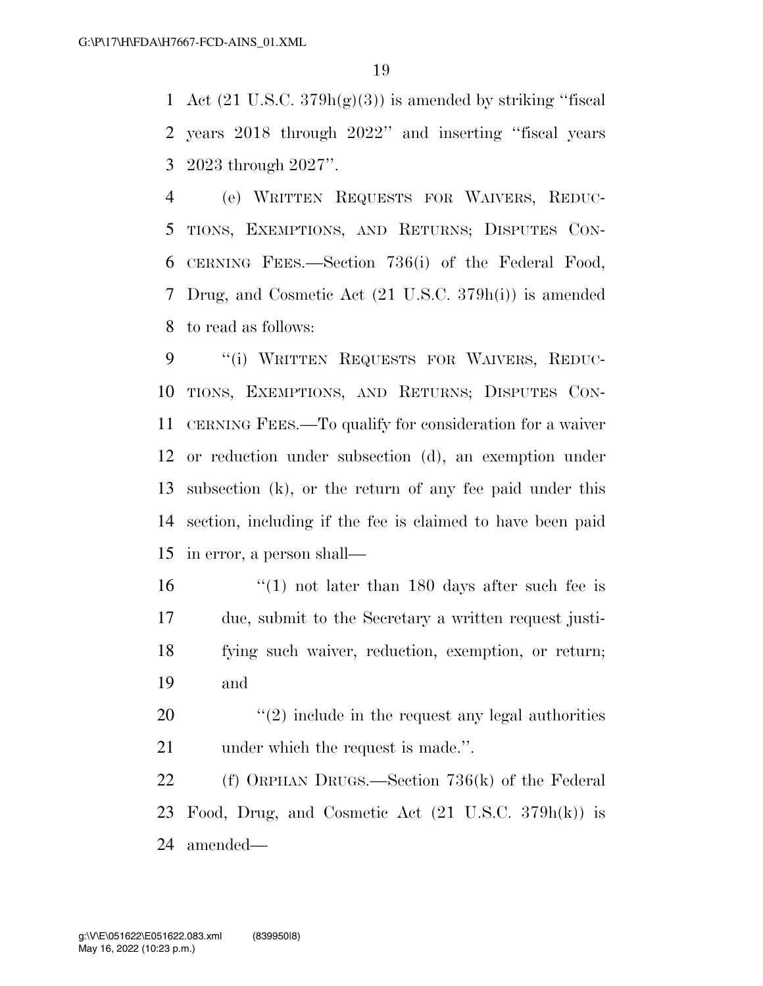1 Act  $(21 \text{ U.S.C. } 379h(g)(3))$  is amended by striking "fiscal years 2018 through 2022'' and inserting ''fiscal years 2023 through 2027''.

 (e) WRITTEN REQUESTS FOR WAIVERS, REDUC- TIONS, EXEMPTIONS, AND RETURNS; DISPUTES CON- CERNING FEES.—Section 736(i) of the Federal Food, Drug, and Cosmetic Act (21 U.S.C. 379h(i)) is amended to read as follows:

 ''(i) WRITTEN REQUESTS FOR WAIVERS, REDUC- TIONS, EXEMPTIONS, AND RETURNS; DISPUTES CON- CERNING FEES.—To qualify for consideration for a waiver or reduction under subsection (d), an exemption under subsection (k), or the return of any fee paid under this section, including if the fee is claimed to have been paid in error, a person shall—

- ''(1) not later than 180 days after such fee is due, submit to the Secretary a written request justi- fying such waiver, reduction, exemption, or return; and
- ''(2) include in the request any legal authorities 21 under which the request is made.".

 (f) ORPHAN DRUGS.—Section 736(k) of the Federal Food, Drug, and Cosmetic Act (21 U.S.C. 379h(k)) is amended—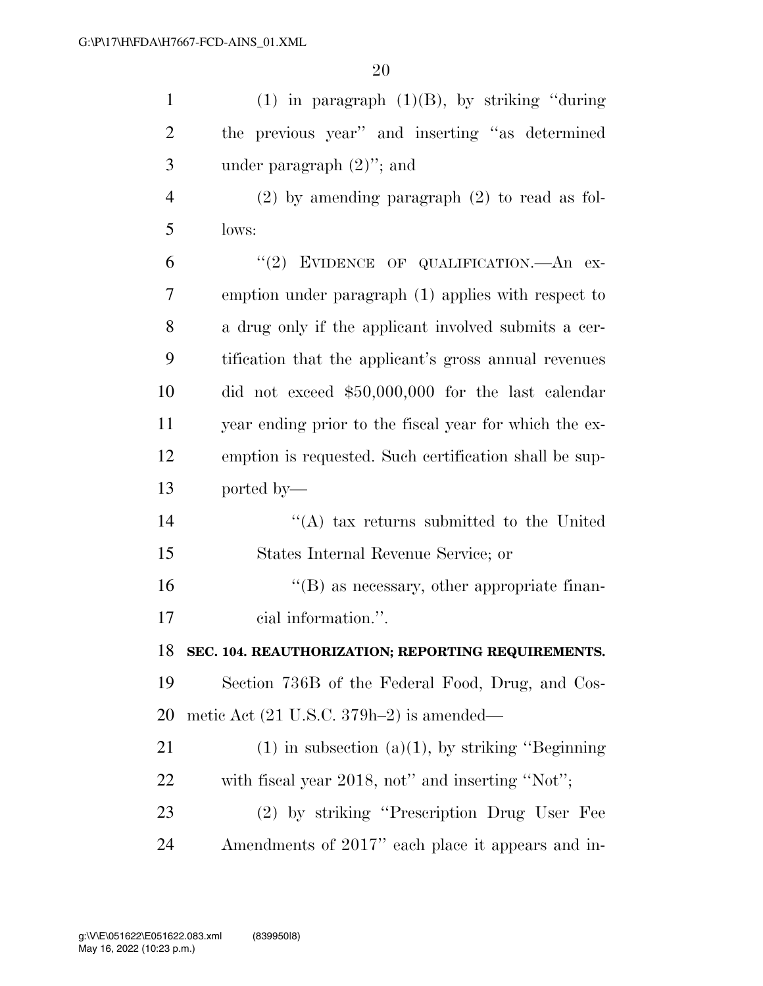| $\mathbf{1}$   | (1) in paragraph $(1)(B)$ , by striking "during"       |
|----------------|--------------------------------------------------------|
| $\overline{2}$ | the previous year" and inserting "as determined        |
| 3              | under paragraph $(2)$ "; and                           |
| $\overline{4}$ | $(2)$ by amending paragraph $(2)$ to read as fol-      |
| 5              | lows:                                                  |
| 6              | "(2) EVIDENCE OF QUALIFICATION. An ex-                 |
| 7              | emption under paragraph (1) applies with respect to    |
| 8              | a drug only if the applicant involved submits a cer-   |
| 9              | tification that the applicant's gross annual revenues  |
| 10             | did not exceed $$50,000,000$ for the last calendar     |
| 11             | year ending prior to the fiscal year for which the ex- |
| 12             | emption is requested. Such certification shall be sup- |
| 13             | ported by—                                             |
| 14             | $\lq\lq$ tax returns submitted to the United           |
| 15             | States Internal Revenue Service; or                    |
| 16             | $\lq\lq (B)$ as necessary, other appropriate finan-    |
| 17             | cial information.".                                    |
| 18             | SEC. 104. REAUTHORIZATION; REPORTING REQUIREMENTS.     |
| 19             | Section 736B of the Federal Food, Drug, and Cos-       |
| 20             | metic Act (21 U.S.C. 379h-2) is amended—               |
| 21             | $(1)$ in subsection $(a)(1)$ , by striking "Beginning" |
| 22             | with fiscal year 2018, not" and inserting "Not";       |
| 23             | (2) by striking "Prescription Drug User Fee            |
| 24             | Amendments of 2017" each place it appears and in-      |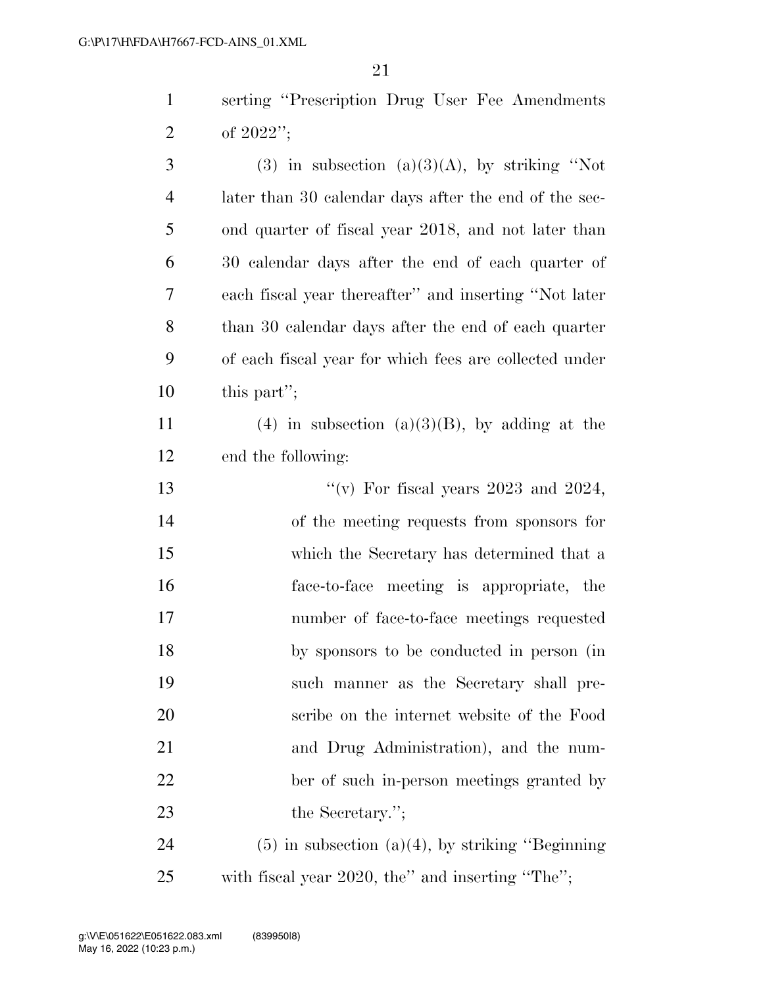serting ''Prescription Drug User Fee Amendments of 2022'';

| 3              | $(3)$ in subsection $(a)(3)(A)$ , by striking "Not     |
|----------------|--------------------------------------------------------|
| $\overline{4}$ | later than 30 calendar days after the end of the sec-  |
| 5              | ond quarter of fiscal year 2018, and not later than    |
| 6              | 30 calendar days after the end of each quarter of      |
| 7              | each fiscal year thereafter" and inserting "Not later  |
| 8              | than 30 calendar days after the end of each quarter    |
| 9              | of each fiscal year for which fees are collected under |
| 10             | this part";                                            |
| 11             | (4) in subsection (a)(3)(B), by adding at the          |
| 12             | end the following:                                     |
| 13             | "(v) For fiscal years $2023$ and $2024$ ,              |
| 14             | of the meeting requests from sponsors for              |
| 15             | which the Secretary has determined that a              |
| 16             | face-to-face meeting is appropriate, the               |
| 17             | number of face-to-face meetings requested              |
| 18             | by sponsors to be conducted in person (in              |
| 19             | such manner as the Secretary shall pre-                |
| 20             | scribe on the internet website of the Food             |
| 21             | and Drug Administration), and the num-                 |
| 22             | ber of such in-person meetings granted by              |
| 23             | the Secretary.";                                       |
| 24             | $(5)$ in subsection $(a)(4)$ , by striking "Beginning" |
|                |                                                        |

with fiscal year 2020, the'' and inserting ''The'';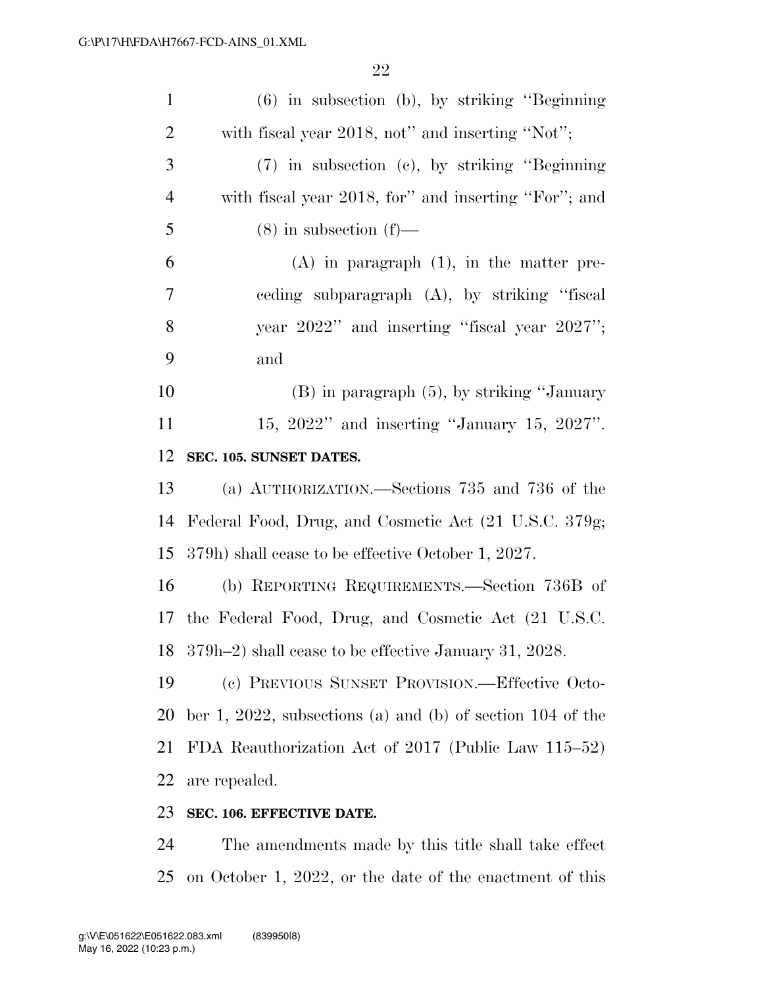| $\mathbf{1}$   | $(6)$ in subsection (b), by striking "Beginning"             |
|----------------|--------------------------------------------------------------|
| $\overline{2}$ | with fiscal year 2018, not" and inserting "Not";             |
| 3              | $(7)$ in subsection (c), by striking "Beginning"             |
| $\overline{4}$ | with fiscal year 2018, for" and inserting "For"; and         |
| 5              | $(8)$ in subsection $(f)$ —                                  |
| 6              | $(A)$ in paragraph $(1)$ , in the matter pre-                |
| 7              | eeding subparagraph (A), by striking "fiscal                 |
| 8              | year 2022" and inserting "fiscal year 2027";                 |
| 9              | and                                                          |
| 10             | $(B)$ in paragraph $(5)$ , by striking "January"             |
| 11             | 15, $2022"$ and inserting "January 15, $2027"$ .             |
| 12             | SEC. 105. SUNSET DATES.                                      |
| 13             | (a) AUTHORIZATION.—Sections 735 and 736 of the               |
| 14             | Federal Food, Drug, and Cosmetic Act (21 U.S.C. 379g;        |
| 15             | 379h) shall cease to be effective October 1, 2027.           |
| 16             | (b) REPORTING REQUIREMENTS.—Section 736B of                  |
|                | 17 the Federal Food, Drug, and Cosmetic Act (21 U.S.C.       |
|                | 18 379h-2) shall cease to be effective January 31, 2028.     |
| 19             | (c) PREVIOUS SUNSET PROVISION.—Effective Octo-               |
| 20             | ber 1, 2022, subsections (a) and (b) of section $104$ of the |
| 21             | FDA Reauthorization Act of 2017 (Public Law 115–52)          |
| 22             | are repealed.                                                |
| 23             | SEC. 106. EFFECTIVE DATE.                                    |

 The amendments made by this title shall take effect on October 1, 2022, or the date of the enactment of this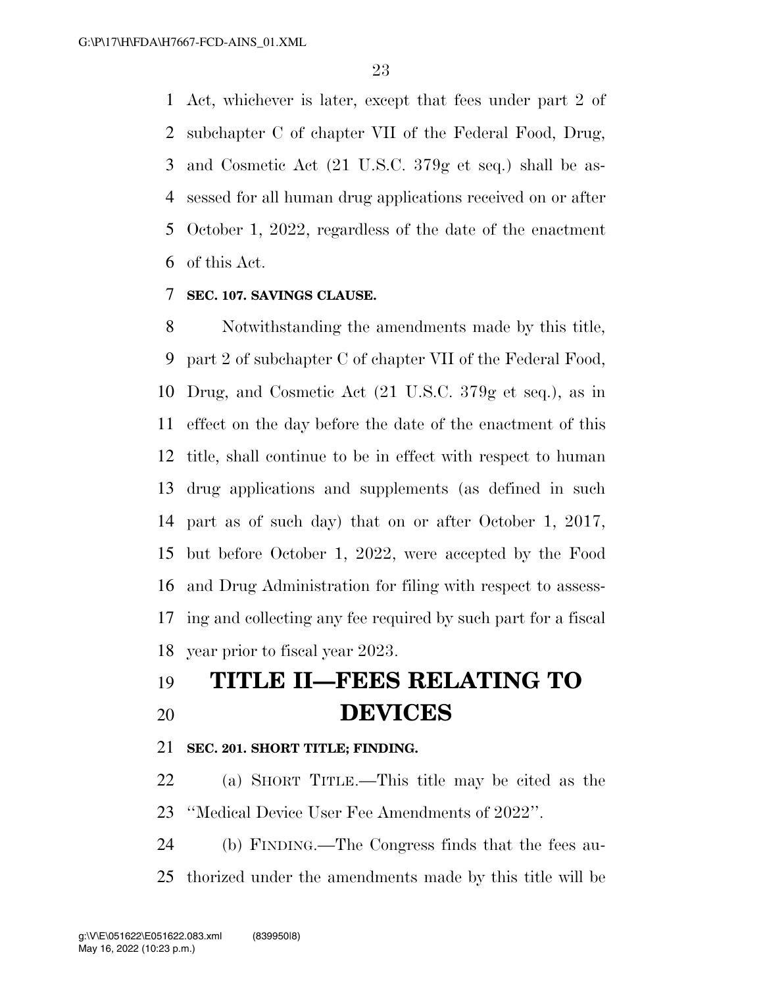Act, whichever is later, except that fees under part 2 of subchapter C of chapter VII of the Federal Food, Drug, and Cosmetic Act (21 U.S.C. 379g et seq.) shall be as- sessed for all human drug applications received on or after October 1, 2022, regardless of the date of the enactment of this Act.

# **SEC. 107. SAVINGS CLAUSE.**

 Notwithstanding the amendments made by this title, part 2 of subchapter C of chapter VII of the Federal Food, Drug, and Cosmetic Act (21 U.S.C. 379g et seq.), as in effect on the day before the date of the enactment of this title, shall continue to be in effect with respect to human drug applications and supplements (as defined in such part as of such day) that on or after October 1, 2017, but before October 1, 2022, were accepted by the Food and Drug Administration for filing with respect to assess- ing and collecting any fee required by such part for a fiscal year prior to fiscal year 2023.

# **TITLE II—FEES RELATING TO DEVICES**

# **SEC. 201. SHORT TITLE; FINDING.**

 (a) SHORT TITLE.—This title may be cited as the ''Medical Device User Fee Amendments of 2022''.

 (b) FINDING.—The Congress finds that the fees au-thorized under the amendments made by this title will be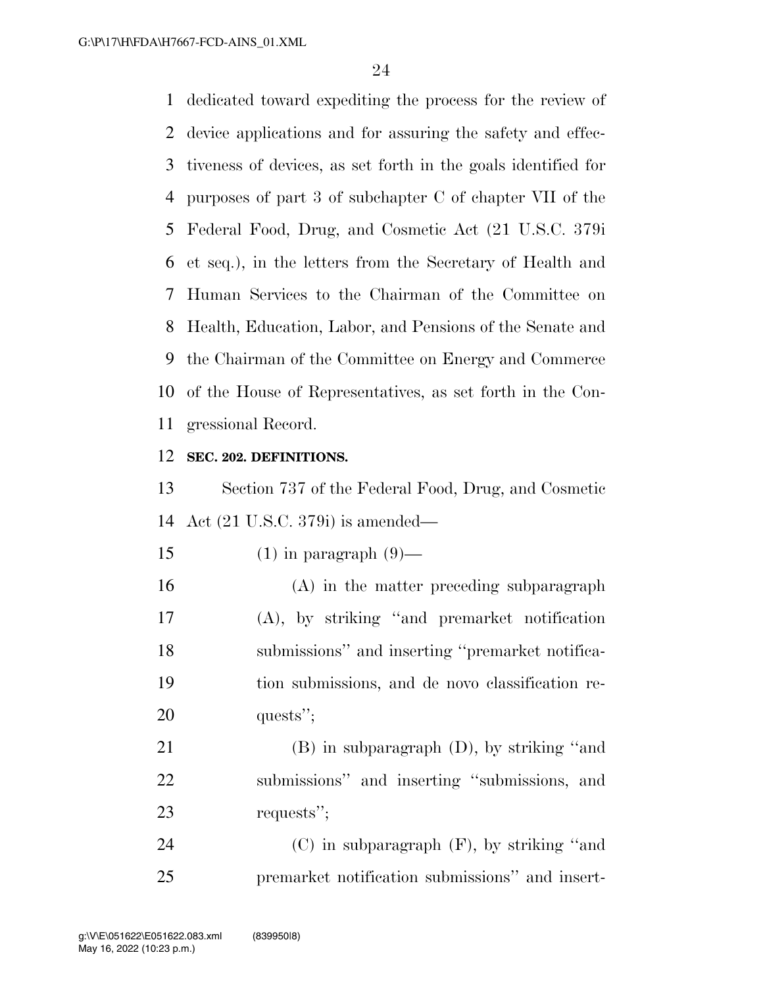dedicated toward expediting the process for the review of device applications and for assuring the safety and effec- tiveness of devices, as set forth in the goals identified for purposes of part 3 of subchapter C of chapter VII of the Federal Food, Drug, and Cosmetic Act (21 U.S.C. 379i et seq.), in the letters from the Secretary of Health and Human Services to the Chairman of the Committee on Health, Education, Labor, and Pensions of the Senate and the Chairman of the Committee on Energy and Commerce of the House of Representatives, as set forth in the Con-gressional Record.

# **SEC. 202. DEFINITIONS.**

 Section 737 of the Federal Food, Drug, and Cosmetic Act (21 U.S.C. 379i) is amended—

15 (1) in paragraph  $(9)$ —

 (A) in the matter preceding subparagraph (A), by striking ''and premarket notification submissions'' and inserting ''premarket notifica- tion submissions, and de novo classification re-20 quests";

 (B) in subparagraph (D), by striking ''and submissions'' and inserting ''submissions, and requests'';

 (C) in subparagraph (F), by striking ''and premarket notification submissions'' and insert-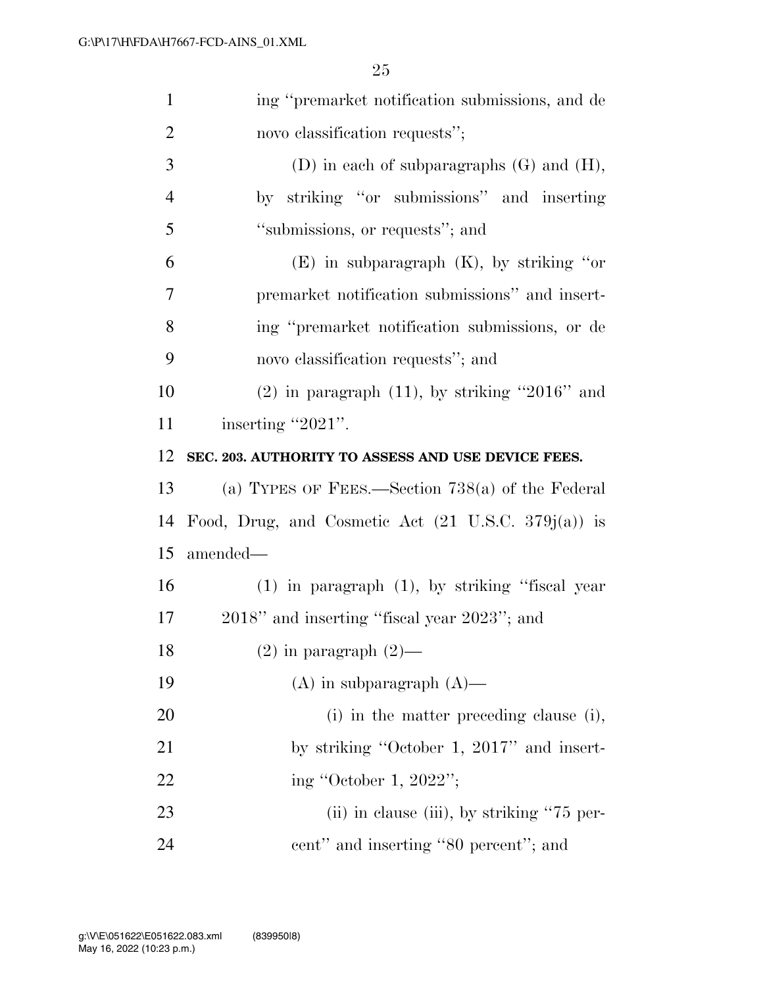| $\mathbf{1}$   | ing "premarket notification submissions, and de                |
|----------------|----------------------------------------------------------------|
| $\overline{2}$ | novo classification requests";                                 |
| 3              | (D) in each of subparagraphs $(G)$ and $(H)$ ,                 |
| $\overline{4}$ | by striking "or submissions" and inserting                     |
| 5              | "submissions, or requests"; and                                |
| 6              | $(E)$ in subparagraph $(K)$ , by striking "or                  |
| $\tau$         | premarket notification submissions" and insert-                |
| 8              | ing "premarket notification submissions, or de                 |
| 9              | novo classification requests"; and                             |
| 10             | $(2)$ in paragraph $(11)$ , by striking "2016" and             |
| 11             | inserting "2021".                                              |
| 12             | SEC. 203. AUTHORITY TO ASSESS AND USE DEVICE FEES.             |
|                |                                                                |
|                | (a) TYPES OF FEES.—Section $738(a)$ of the Federal             |
| 13<br>14       | Food, Drug, and Cosmetic Act $(21 \text{ U.S.C. } 379j(a))$ is |
|                | amended—                                                       |
| 15<br>16       | $(1)$ in paragraph $(1)$ , by striking "fiscal year            |
| 17             | 2018" and inserting "fiscal year 2023"; and                    |
| 18             | $(2)$ in paragraph $(2)$ —                                     |
| 19             | $(A)$ in subparagraph $(A)$ —                                  |
| <b>20</b>      | (i) in the matter preceding clause (i),                        |
| 21             | by striking "October 1, 2017" and insert-                      |
| 22             | ing "October 1, 2022";                                         |
| 23             | (ii) in clause (iii), by striking "75 per-                     |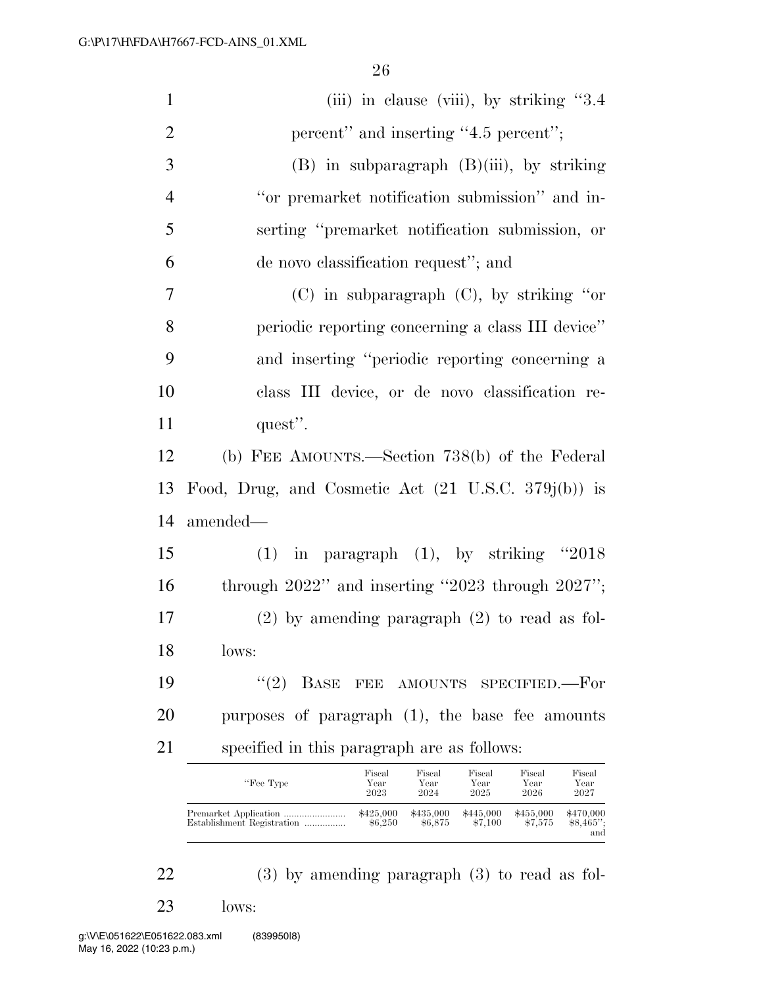| $\mathbf{1}$   | (iii) in clause (viii), by striking $"3.4"$                                                                                              |
|----------------|------------------------------------------------------------------------------------------------------------------------------------------|
| $\overline{2}$ | percent" and inserting "4.5 percent";                                                                                                    |
| 3              | (B) in subparagraph (B)(iii), by striking                                                                                                |
| $\overline{4}$ | "or premarket notification submission" and in-                                                                                           |
| 5              | serting "premarket notification submission, or                                                                                           |
| 6              | de novo classification request"; and                                                                                                     |
| $\overline{7}$ | $(C)$ in subparagraph $(C)$ , by striking "or                                                                                            |
| 8              | periodic reporting concerning a class III device"                                                                                        |
| 9              | and inserting "periodic reporting concerning a                                                                                           |
| 10             | class III device, or de novo classification re-                                                                                          |
| 11             | quest".                                                                                                                                  |
| 12             | (b) FEE AMOUNTS.—Section 738(b) of the Federal                                                                                           |
| 13             | Food, Drug, and Cosmetic Act $(21 \text{ U.S.C. } 379j(b))$ is                                                                           |
| 14             | amended—                                                                                                                                 |
| 15             | in paragraph $(1)$ , by striking "2018<br>(1)                                                                                            |
| 16             | through $2022"$ and inserting "2023 through $2027"$ ;                                                                                    |
| 17             | $(2)$ by amending paragraph $(2)$ to read as fol-                                                                                        |
| 18             | lows:                                                                                                                                    |
| 19             | (2)<br><b>BASE</b><br>FEE AMOUNTS<br>SPECIFIED.—For                                                                                      |
| 20             | purposes of paragraph (1), the base fee amounts                                                                                          |
| 21             | specified in this paragraph are as follows:                                                                                              |
|                | Fiscal<br>Fiscal<br>Fiscal<br>Fiscal<br>Fiscal<br>"Fee Type<br>Year<br>Year<br>Year<br>Year<br>Year<br>ററാ<br>റവ 4<br>อกจะ<br>ററാ<br>ററാ |

| "Fee Type                  | Year                 | Year                 | Year                 | Year                 | Year                            |
|----------------------------|----------------------|----------------------|----------------------|----------------------|---------------------------------|
|                            | 2023                 | 2024                 | 2025                 | 2026                 | 2027                            |
| Establishment Registration | \$425,000<br>\$6.250 | \$435,000<br>\$6.875 | \$445,000<br>\$7.100 | \$455,000<br>\$7.575 | \$470,000<br>$$8,465$ ":<br>and |

22 (3) by amending paragraph (3) to read as fol-

23 lows: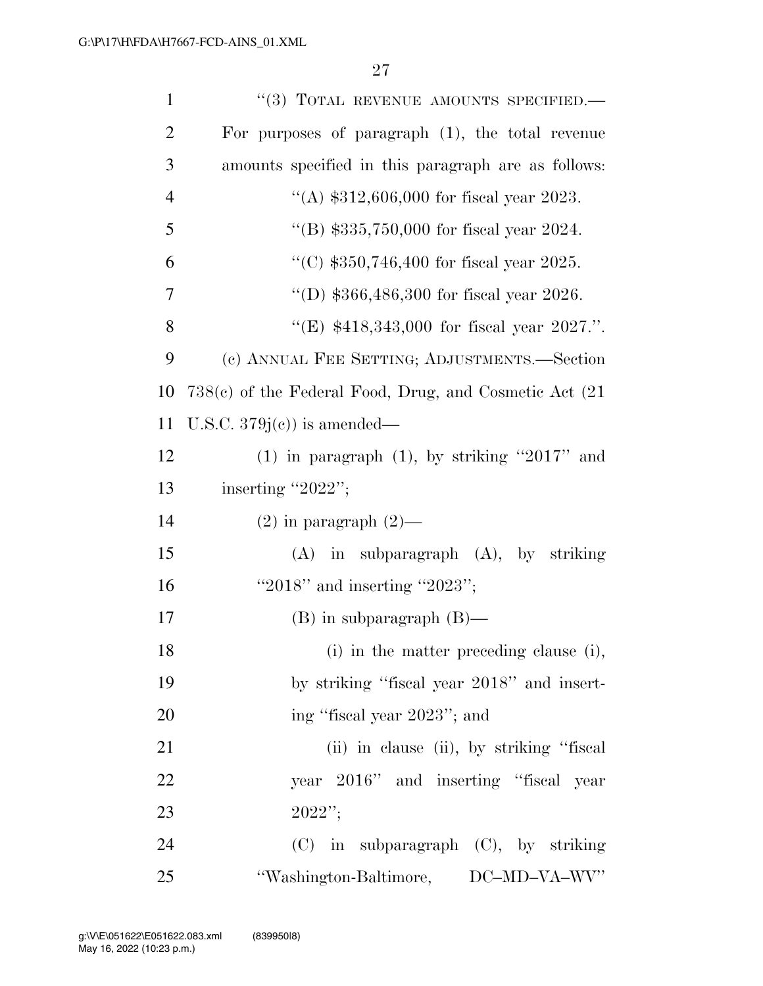| $\mathbf{1}$   | "(3) TOTAL REVENUE AMOUNTS SPECIFIED.-                      |
|----------------|-------------------------------------------------------------|
| $\overline{2}$ | For purposes of paragraph $(1)$ , the total revenue         |
| 3              | amounts specified in this paragraph are as follows:         |
| $\overline{4}$ | "(A) $$312,606,000$ for fiscal year 2023.                   |
| 5              | "(B) $$335,750,000$ for fiscal year 2024.                   |
| 6              | "(C) $$350,746,400$ for fiscal year 2025.                   |
| 7              | "(D) $$366,486,300$ for fiscal year 2026.                   |
| 8              | "(E) \$418,343,000 for fiscal year 2027.".                  |
| 9              | (c) ANNUAL FEE SETTING; ADJUSTMENTS.—Section                |
| 10             | $738(e)$ of the Federal Food, Drug, and Cosmetic Act $(21)$ |
| 11             | U.S.C. $379j(c)$ is amended—                                |
| 12             | (1) in paragraph (1), by striking "2017" and                |
| 13             | inserting "2022";                                           |
| 14             | $(2)$ in paragraph $(2)$ —                                  |
| 15             | $(A)$ in subparagraph $(A)$ , by striking                   |
| 16             | "2018" and inserting "2023";                                |
| 17             | $(B)$ in subparagraph $(B)$ —                               |
| 18             |                                                             |
|                | (i) in the matter preceding clause (i),                     |
| 19             | by striking "fiscal year 2018" and insert-                  |
| 20             | ing "fiscal year 2023"; and                                 |
| 21             | (ii) in clause (ii), by striking "fiscal                    |
| 22             | year 2016" and inserting "fiscal year                       |
| 23             | 2022";                                                      |
| 24             | (C) in subparagraph (C), by striking                        |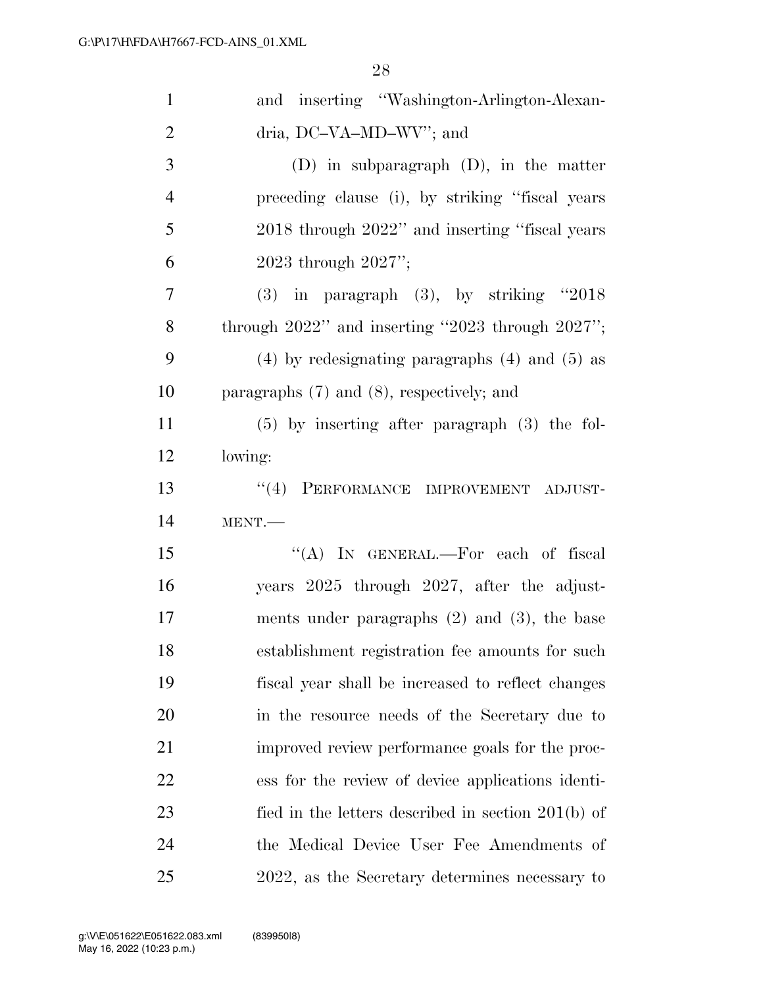| $\mathbf{1}$   | and inserting "Washington-Arlington-Alexan-           |
|----------------|-------------------------------------------------------|
| $\overline{c}$ | dria, DC-VA-MD-WV"; and                               |
| 3              | $(D)$ in subparagraph $(D)$ , in the matter           |
| $\overline{4}$ | preceding clause (i), by striking "fiscal years       |
| 5              | 2018 through 2022" and inserting "fiscal years"       |
| 6              | 2023 through $2027$ ";                                |
| 7              | $(3)$ in paragraph $(3)$ , by striking "2018          |
| 8              | through $2022"$ and inserting "2023 through $2027"$ ; |
| 9              | $(4)$ by redesignating paragraphs $(4)$ and $(5)$ as  |
| 10             | paragraphs $(7)$ and $(8)$ , respectively; and        |
| 11             | $(5)$ by inserting after paragraph $(3)$ the fol-     |
| 12             | lowing:                                               |
| 13             | ``(4)<br>PERFORMANCE IMPROVEMENT ADJUST-              |
| 14             | MENT.                                                 |
| 15             | "(A) IN GENERAL.—For each of fiscal                   |
| 16             | years 2025 through 2027, after the adjust-            |
| 17             | ments under paragraphs $(2)$ and $(3)$ , the base     |
| 18             | establishment registration fee amounts for such       |
| 19             | fiscal year shall be increased to reflect changes     |
| 20             | in the resource needs of the Secretary due to         |
| 21             | improved review performance goals for the proc-       |
| 22             | ess for the review of device applications identi-     |
| 23             | fied in the letters described in section $201(b)$ of  |
| 24             | the Medical Device User Fee Amendments of             |
| 25             | 2022, as the Secretary determines necessary to        |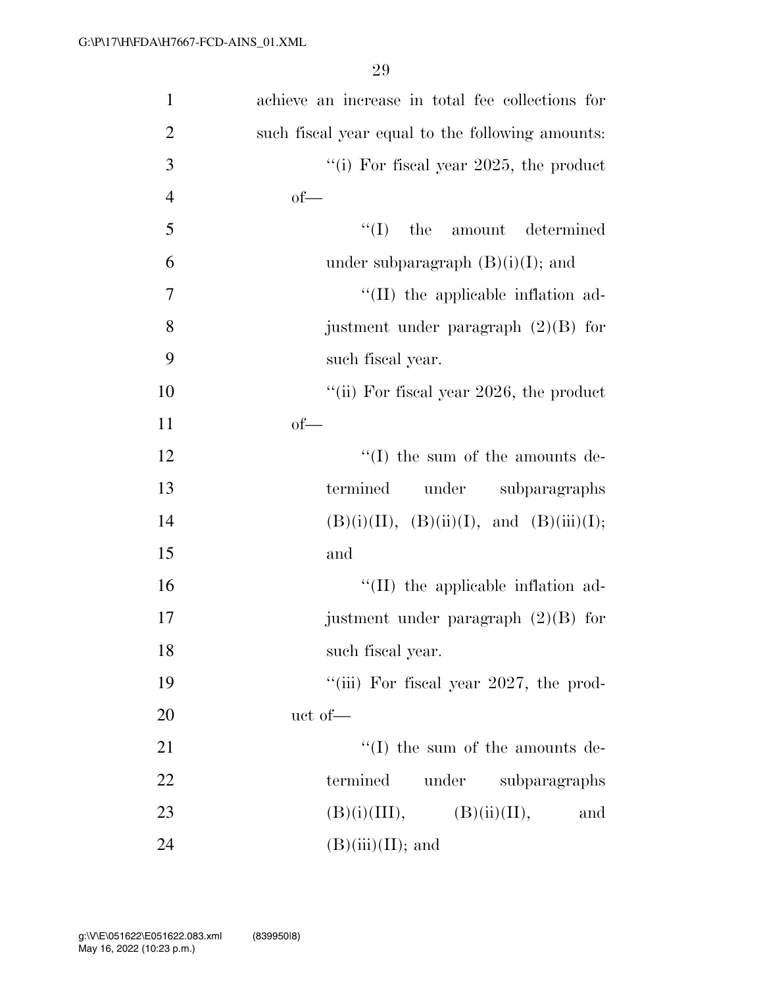| $\mathbf{1}$   | achieve an increase in total fee collections for |
|----------------|--------------------------------------------------|
| $\overline{2}$ | such fiscal year equal to the following amounts: |
| 3              | "(i) For fiscal year $2025$ , the product        |
| $\overline{4}$ | $of$ —                                           |
| 5              | $f'(I)$ the amount determined                    |
| 6              | under subparagraph $(B)(i)(I)$ ; and             |
| 7              | $\lq\lq$ (II) the applicable inflation ad-       |
| 8              | justment under paragraph $(2)(B)$ for            |
| 9              | such fiscal year.                                |
| 10             | "(ii) For fiscal year $2026$ , the product       |
| 11             | $of$ —                                           |
| 12             | $\lq\lq$ (I) the sum of the amounts de-          |
| 13             | termined<br>under subparagraphs                  |
| 14             | $(B)(i)(II), (B)(ii)(I), and (B)(iii)(I);$       |
| 15             | and                                              |
| 16             | $\lq\lq$ (II) the applicable inflation ad-       |
| 17             | justment under paragraph $(2)(B)$ for            |
| 18             | such fiscal year.                                |
| 19             | "(iii) For fiscal year 2027, the prod-           |
| 20             | uct of-                                          |
| 21             | $\lq\lq$ (I) the sum of the amounts de-          |
| 22             | termined<br>under<br>subparagraphs               |
| 23             | $(B)(i)(III), \qquad (B)(ii)(II),$<br>and        |
| 24             | $(B)(iii)(II);$ and                              |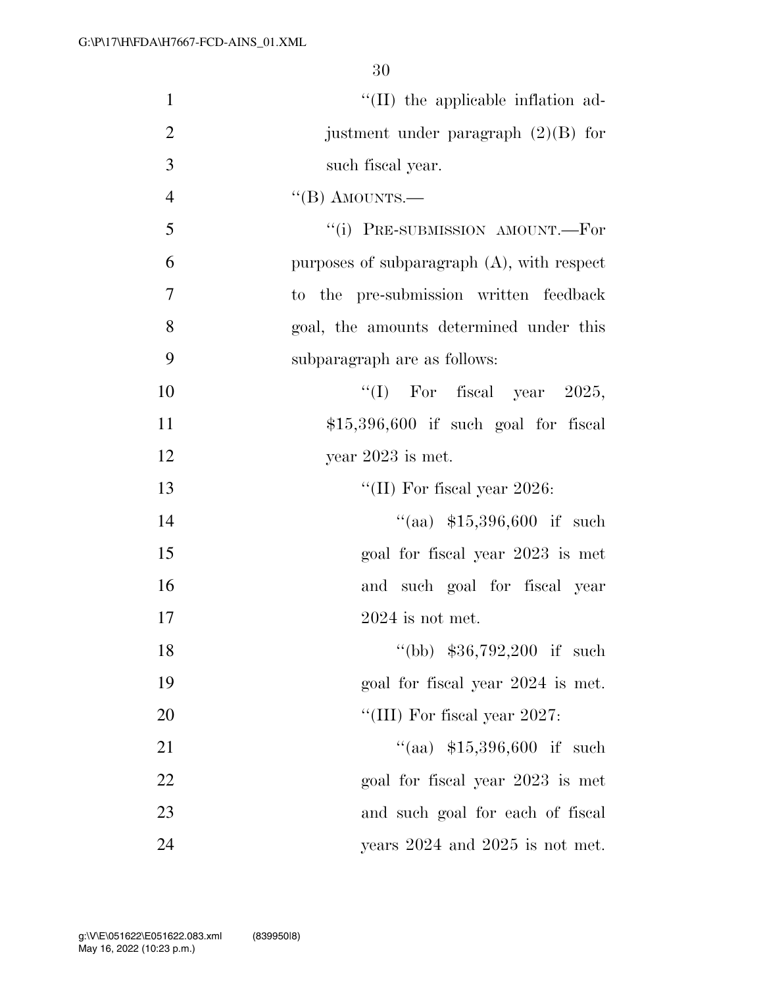| $\mathbf{1}$   | $\lq$ (II) the applicable inflation ad-       |
|----------------|-----------------------------------------------|
| $\overline{2}$ | justment under paragraph $(2)(B)$ for         |
| 3              | such fiscal year.                             |
| $\overline{4}$ | $\lq$ (B) AMOUNTS.—                           |
| 5              | "(i) PRE-SUBMISSION AMOUNT.-For               |
| 6              | purposes of subparagraph $(A)$ , with respect |
| 7              | to the pre-submission written feedback        |
| 8              | goal, the amounts determined under this       |
| 9              | subparagraph are as follows:                  |
| 10             | "(I) For fiscal year $2025$ ,                 |
| 11             | $$15,396,600$ if such goal for fiscal         |
| 12             | year $2023$ is met.                           |
| 13             | "(II) For fiscal year 2026:                   |
| 14             | "(aa) $$15,396,600$ if such                   |
| 15             | goal for fiscal year 2023 is met              |
| 16             | and such goal for fiscal year                 |
| 17             | $2024$ is not met.                            |
| 18             | $\degree$ (bb) \$36,792,200 if such           |
| 19             | goal for fiscal year 2024 is met.             |
| 20             | "(III) For fiscal year 2027:                  |
| 21             | $``(aa)$ \$15,396,600 if such                 |
| 22             | goal for fiscal year 2023 is met              |
| 23             | and such goal for each of fiscal              |
| 24             | years $2024$ and $2025$ is not met.           |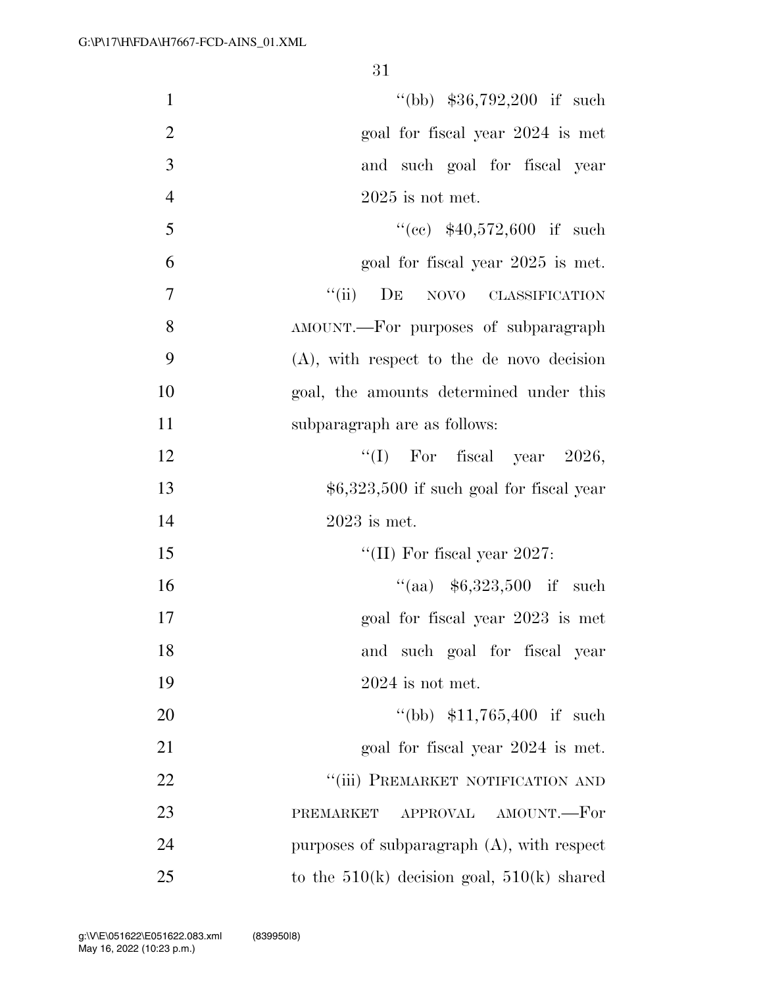| $\mathbf{1}$   | "(bb) $$36,792,200$ if such                    |
|----------------|------------------------------------------------|
| $\overline{2}$ | goal for fiscal year 2024 is met               |
| 3              | and such goal for fiscal year                  |
| $\overline{4}$ | $2025$ is not met.                             |
| 5              | $((ce)$ \$40,572,600 if such                   |
| 6              | goal for fiscal year 2025 is met.              |
| $\tau$         | ``(ii)<br>DE NOVO CLASSIFICATION               |
| 8              | AMOUNT.—For purposes of subparagraph           |
| 9              | $(A)$ , with respect to the de novo decision   |
| 10             | goal, the amounts determined under this        |
| 11             | subparagraph are as follows:                   |
| 12             | "(I) For fiscal year $2026$ ,                  |
| 13             | $$6,323,500$ if such goal for fiscal year      |
| 14             | $2023$ is met.                                 |
| 15             | "(II) For fiscal year 2027:                    |
| 16             | $``(aa)$ \$6,323,500 if such                   |
| 17             | goal for fiscal year 2023 is met               |
| 18             | and such goal for fiscal year                  |
| 19             | $2024$ is not met.                             |
| 20             | "(bb) $$11,765,400$ if such                    |
| 21             | goal for fiscal year 2024 is met.              |
| 22             | "(iii) PREMARKET NOTIFICATION AND              |
| 23             | APPROVAL AMOUNT.-For<br>PREMARKET              |
| 24             | purposes of subparagraph $(A)$ , with respect  |
| 25             | to the $510(k)$ decision goal, $510(k)$ shared |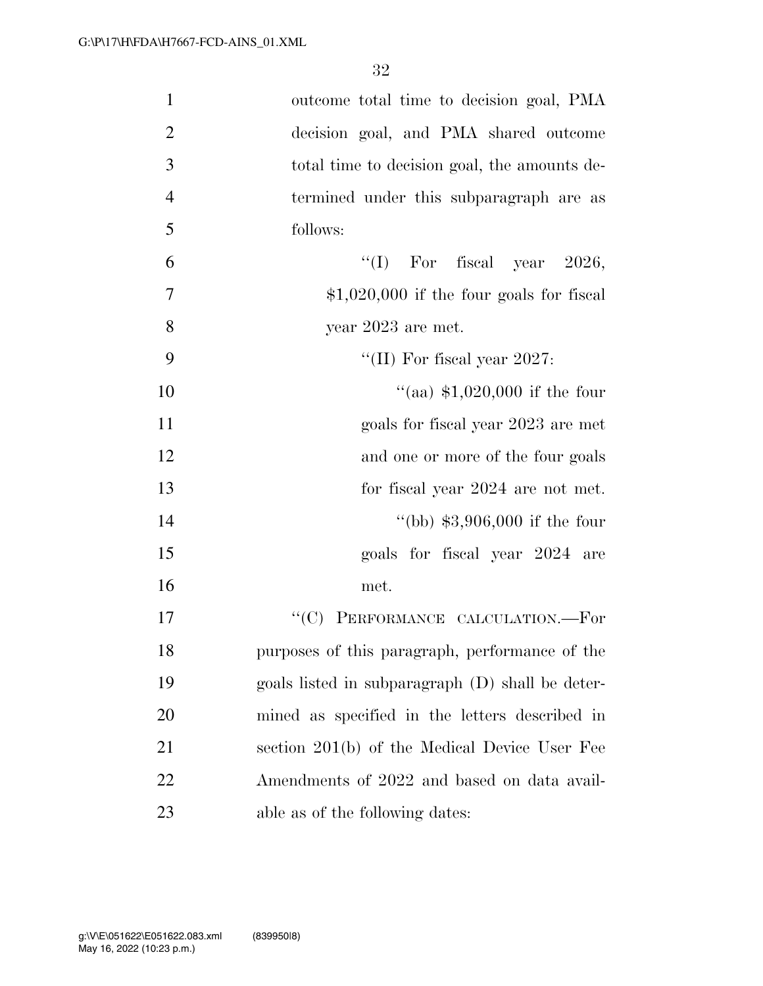| $\mathbf{1}$   | outcome total time to decision goal, PMA         |
|----------------|--------------------------------------------------|
| $\overline{2}$ | decision goal, and PMA shared outcome            |
| 3              | total time to decision goal, the amounts de-     |
| $\overline{4}$ | termined under this subparagraph are as          |
| 5              | follows:                                         |
| 6              | "(I) For fiscal year $2026$ ,                    |
| $\tau$         | $$1,020,000$ if the four goals for fiscal        |
| 8              | year $2023$ are met.                             |
| 9              | "(II) For fiscal year $2027$ :                   |
| 10             | "(aa) $$1,020,000$ if the four                   |
| 11             | goals for fiscal year 2023 are met               |
| 12             | and one or more of the four goals                |
| 13             | for fiscal year 2024 are not met.                |
| 14             | "(bb) $$3,906,000$ if the four                   |
| 15             | goals for fiscal year 2024 are                   |
| 16             | met.                                             |
| 17             | "(C) PERFORMANCE CALCULATION.-For                |
| 18             | purposes of this paragraph, performance of the   |
| 19             | goals listed in subparagraph (D) shall be deter- |
| 20             | mined as specified in the letters described in   |
| 21             | section 201(b) of the Medical Device User Fee    |
| 22             | Amendments of 2022 and based on data avail-      |
| 23             | able as of the following dates:                  |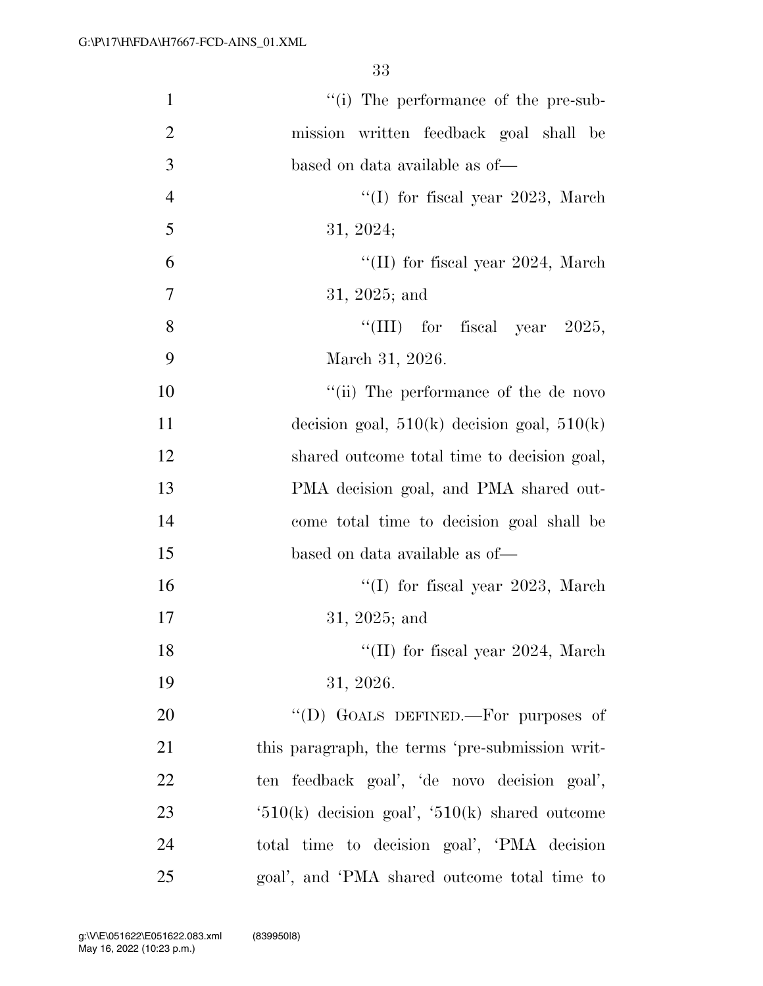| $\mathbf{1}$   | "(i) The performance of the pre-sub-               |
|----------------|----------------------------------------------------|
| $\overline{2}$ | mission written feedback goal shall be             |
| 3              | based on data available as of—                     |
| $\overline{4}$ | "(I) for fiscal year $2023$ , March                |
| 5              | 31, 2024;                                          |
| 6              | "(II) for fiscal year 2024, March                  |
| 7              | $31, 2025$ ; and                                   |
| 8              | "(III) for fiscal year $2025$ ,                    |
| 9              | March 31, 2026.                                    |
| 10             | "(ii) The performance of the de novo               |
| 11             | decision goal, $510(k)$ decision goal, $510(k)$    |
| 12             | shared outcome total time to decision goal,        |
| 13             | PMA decision goal, and PMA shared out-             |
| 14             | come total time to decision goal shall be          |
| 15             | based on data available as of—                     |
| 16             | $\lq(1)$ for fiscal year 2023, March               |
| 17             | $31, 2025;$ and                                    |
| 18             | "(II) for fiscal year $2024$ , March               |
| 19             | 31, 2026.                                          |
| 20             | "(D) GOALS DEFINED.—For purposes of                |
| 21             | this paragraph, the terms 'pre-submission writ-    |
| 22             | ten feedback goal', 'de novo decision goal',       |
| 23             | $(510(k)$ decision goal', $(510(k)$ shared outcome |
| 24             | total time to decision goal', 'PMA decision        |
| 25             | goal', and 'PMA shared outcome total time to       |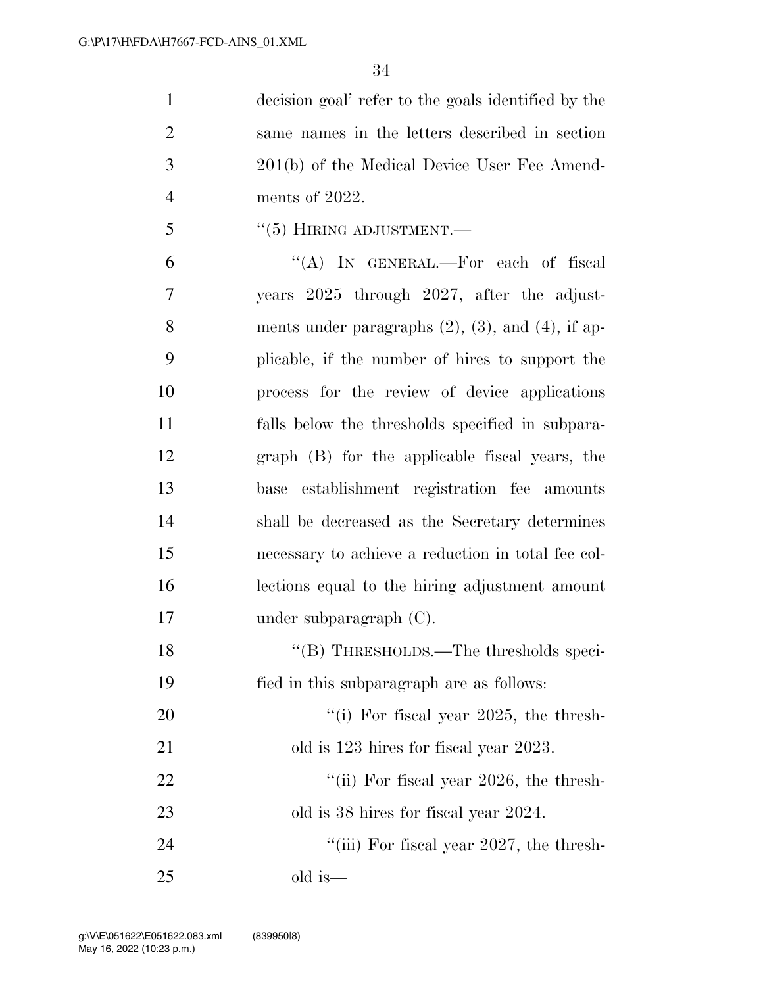decision goal' refer to the goals identified by the same names in the letters described in section 201(b) of the Medical Device User Fee Amend- ments of 2022. 5 "(5) HIRING ADJUSTMENT.

 ''(A) IN GENERAL.—For each of fiscal years 2025 through 2027, after the adjust- ments under paragraphs (2), (3), and (4), if ap- plicable, if the number of hires to support the process for the review of device applications falls below the thresholds specified in subpara- graph (B) for the applicable fiscal years, the base establishment registration fee amounts shall be decreased as the Secretary determines necessary to achieve a reduction in total fee col- lections equal to the hiring adjustment amount under subparagraph (C). 18 "(B) THRESHOLDS.—The thresholds speci-fied in this subparagraph are as follows:

20  $\frac{1}{20}$  Tor fiscal year 2025, the thresh-21 old is 123 hires for fiscal year 2023. 22 ''(ii) For fiscal year 2026, the thresh-23 old is 38 hires for fiscal year 2024.

24 ''(iii) For fiscal year 2027, the thresh-old is—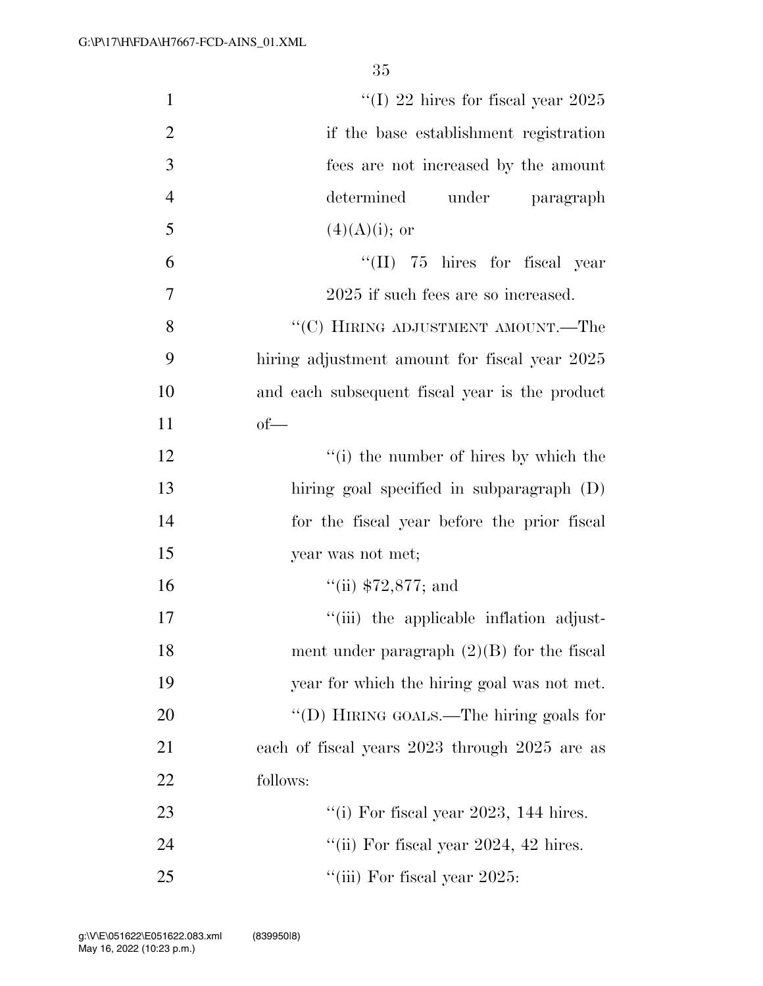| $\mathbf{1}$   | "(I) 22 hires for fiscal year $2025$           |
|----------------|------------------------------------------------|
| $\overline{2}$ | if the base establishment registration         |
| 3              | fees are not increased by the amount           |
| $\overline{4}$ | determined<br>under paragraph                  |
| 5              | $(4)(A)(i);$ or                                |
| 6              | $\lq\lq$ (II) 75 hires for fiscal year         |
| 7              | 2025 if such fees are so increased.            |
| 8              | "(C) HIRING ADJUSTMENT AMOUNT.—The             |
| 9              | hiring adjustment amount for fiscal year 2025  |
| 10             | and each subsequent fiscal year is the product |
| 11             | $of$ —                                         |
| 12             | "(i) the number of hires by which the          |
| 13             | hiring goal specified in subparagraph (D)      |
| 14             | for the fiscal year before the prior fiscal    |
| 15             | year was not met;                              |
| 16             | "(ii) $$72,877;$ and                           |
| 17             | "(iii) the applicable inflation adjust-        |
| 18             | ment under paragraph $(2)(B)$ for the fiscal   |
| 19             | year for which the hiring goal was not met.    |
| 20             | "(D) HIRING GOALS.—The hiring goals for        |
| 21             | each of fiscal years 2023 through 2025 are as  |
| 22             | follows:                                       |
| 23             | "(i) For fiscal year 2023, 144 hires.          |
| 24             | "(ii) For fiscal year $2024$ , $42$ hires.     |
| 25             | "(iii) For fiscal year $2025$ :                |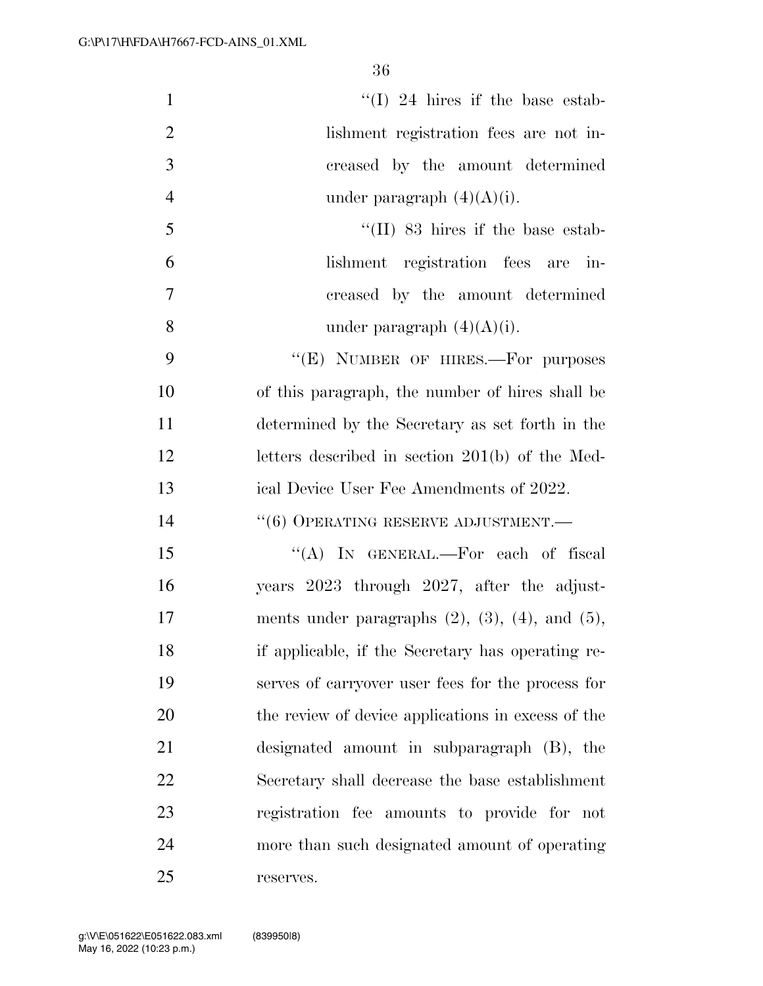| $\mathbf{1}$   | "(I) 24 hires if the base estab-                           |
|----------------|------------------------------------------------------------|
| $\overline{2}$ | lishment registration fees are not in-                     |
| 3              | creased by the amount determined                           |
| $\overline{4}$ | under paragraph $(4)(A)(i)$ .                              |
| 5              | $\lq\lq$ (II) 83 hires if the base estab-                  |
| 6              | lishment registration fees are in-                         |
| $\overline{7}$ | creased by the amount determined                           |
| 8              | under paragraph $(4)(A)(i)$ .                              |
| 9              | "(E) NUMBER OF HIRES.—For purposes                         |
| 10             | of this paragraph, the number of hires shall be            |
| 11             | determined by the Secretary as set forth in the            |
| 12             | letters described in section 201(b) of the Med-            |
| 13             | ical Device User Fee Amendments of 2022.                   |
| 14             | $``(6)$ OPERATING RESERVE ADJUSTMENT.—                     |
| 15             | "(A) IN GENERAL.—For each of fiscal                        |
| 16             | years 2023 through 2027, after the adjust-                 |
| 17             | ments under paragraphs $(2)$ , $(3)$ , $(4)$ , and $(5)$ , |
| 18             | if applicable, if the Secretary has operating re-          |
| 19             | serves of carryover user fees for the process for          |
| 20             | the review of device applications in excess of the         |
| 21             | designated amount in subparagraph (B), the                 |
| 22             | Secretary shall decrease the base establishment            |
| 23             | registration fee amounts to provide for not                |
| 24             | more than such designated amount of operating              |
| 25             | reserves.                                                  |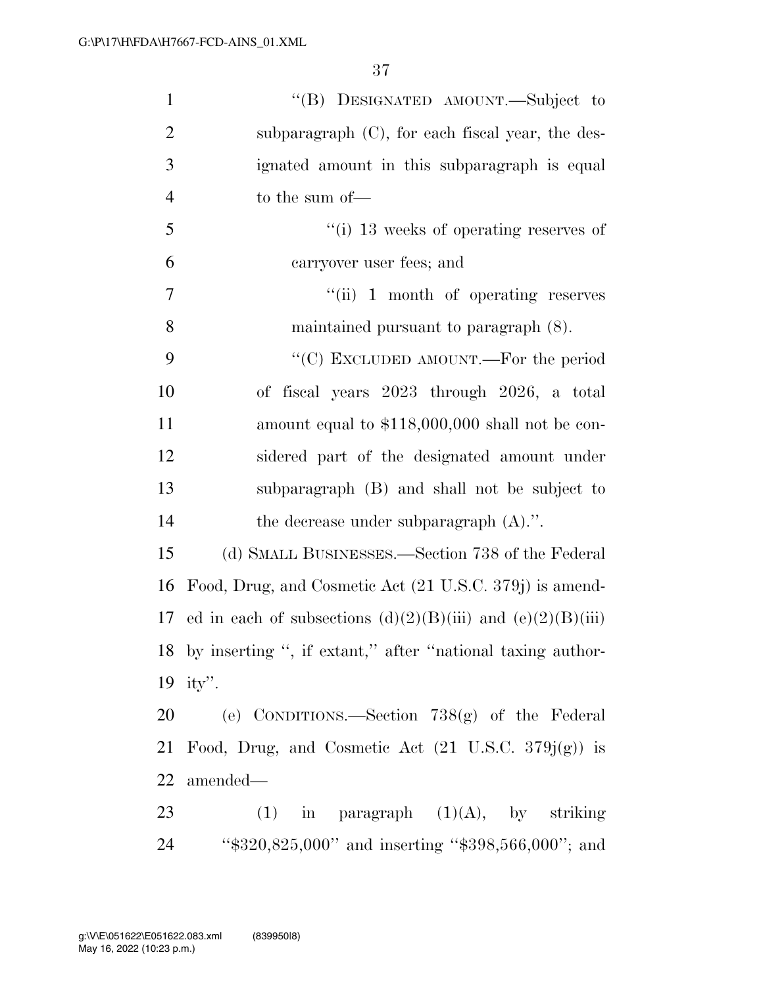| $\mathbf{1}$   | "(B) DESIGNATED AMOUNT.—Subject to                              |
|----------------|-----------------------------------------------------------------|
| $\overline{2}$ | subparagraph $(C)$ , for each fiscal year, the des-             |
| 3              | ignated amount in this subparagraph is equal                    |
| $\overline{4}$ | to the sum of-                                                  |
| 5              | $\lq\lq$ (i) 13 weeks of operating reserves of                  |
| 6              | carryover user fees; and                                        |
| $\overline{7}$ | $``(ii)$ 1 month of operating reserves                          |
| 8              | maintained pursuant to paragraph (8).                           |
| 9              | "(C) EXCLUDED AMOUNT.—For the period                            |
| 10             | of fiscal years 2023 through 2026, a total                      |
| 11             | amount equal to \$118,000,000 shall not be con-                 |
| 12             | sidered part of the designated amount under                     |
| 13             | subparagraph (B) and shall not be subject to                    |
| 14             | the decrease under subparagraph $(A)$ .".                       |
| 15             | (d) SMALL BUSINESSES.—Section 738 of the Federal                |
| 16             | Food, Drug, and Cosmetic Act (21 U.S.C. 379j) is amend-         |
| 17             | ed in each of subsections $(d)(2)(B)(iii)$ and $(e)(2)(B)(iii)$ |
|                | 18 by inserting ", if extant," after "national taxing author-   |
|                | 19 ity".                                                        |
| 20             | (e) CONDITIONS.—Section $738(g)$ of the Federal                 |
| 21             | Food, Drug, and Cosmetic Act $(21 \text{ U.S.C. } 379j(g))$ is  |
| 22             | amended—                                                        |
| 23             | $(1)$ in paragraph $(1)(A)$ , by striking                       |
| 24             | " $\$320,825,000"$ and inserting " $\$398,566,000"$ ; and       |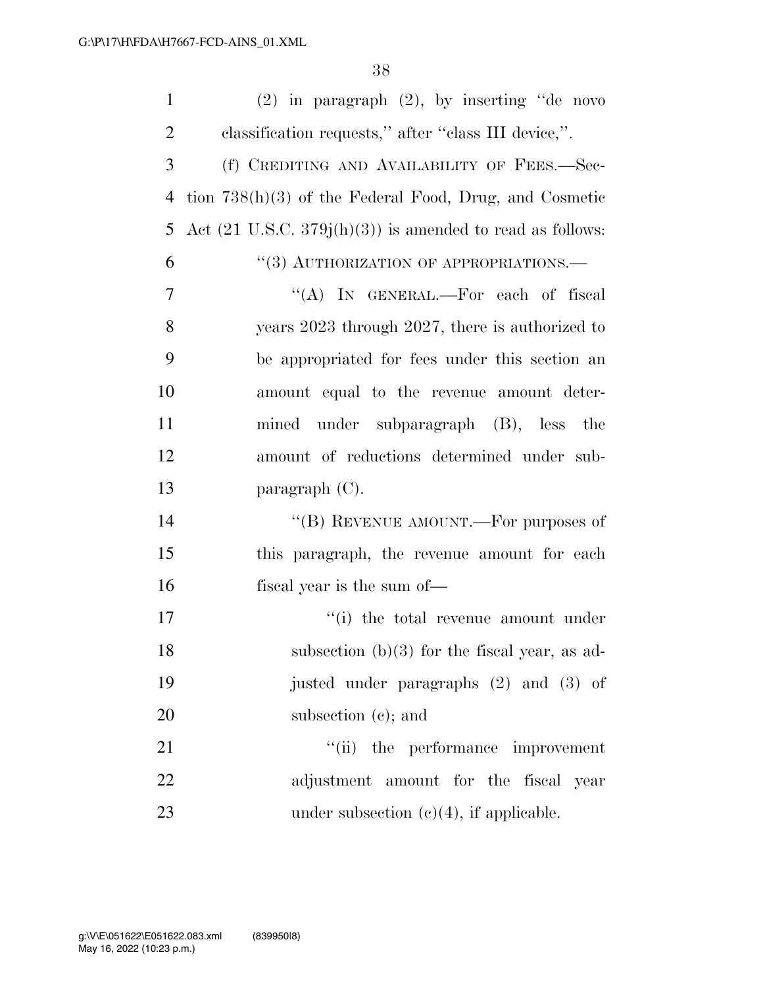| $\mathbf{1}$   | $(2)$ in paragraph $(2)$ , by inserting "de novo                     |
|----------------|----------------------------------------------------------------------|
| $\overline{2}$ | classification requests," after "class III device,".                 |
| 3              | (f) CREDITING AND AVAILABILITY OF FEES.-Sec-                         |
| $\overline{4}$ | tion $738(h)(3)$ of the Federal Food, Drug, and Cosmetic             |
| 5              | Act $(21 \text{ U.S.C. } 379j(h)(3))$ is amended to read as follows: |
| 6              | "(3) AUTHORIZATION OF APPROPRIATIONS.—                               |
| $\overline{7}$ | "(A) IN GENERAL.—For each of fiscal                                  |
| 8              | years 2023 through 2027, there is authorized to                      |
| 9              | be appropriated for fees under this section an                       |
| 10             | amount equal to the revenue amount deter-                            |
| 11             | mined under subparagraph (B), less the                               |
| 12             | amount of reductions determined under sub-                           |
| 13             | paragraph $(C)$ .                                                    |
| 14             | "(B) REVENUE AMOUNT.—For purposes of                                 |
| 15             | this paragraph, the revenue amount for each                          |
| 16             | fiscal year is the sum of—                                           |
| 17             | "(i) the total revenue amount under                                  |
| 18             | subsection $(b)(3)$ for the fiscal year, as ad-                      |
| 19             | justed under paragraphs (2) and (3) of                               |
| 20             | subsection $(e)$ ; and                                               |
| 21             | "(ii) the performance improvement                                    |
| 22             | adjustment amount for the fiscal year                                |
| 23             | under subsection $(e)(4)$ , if applicable.                           |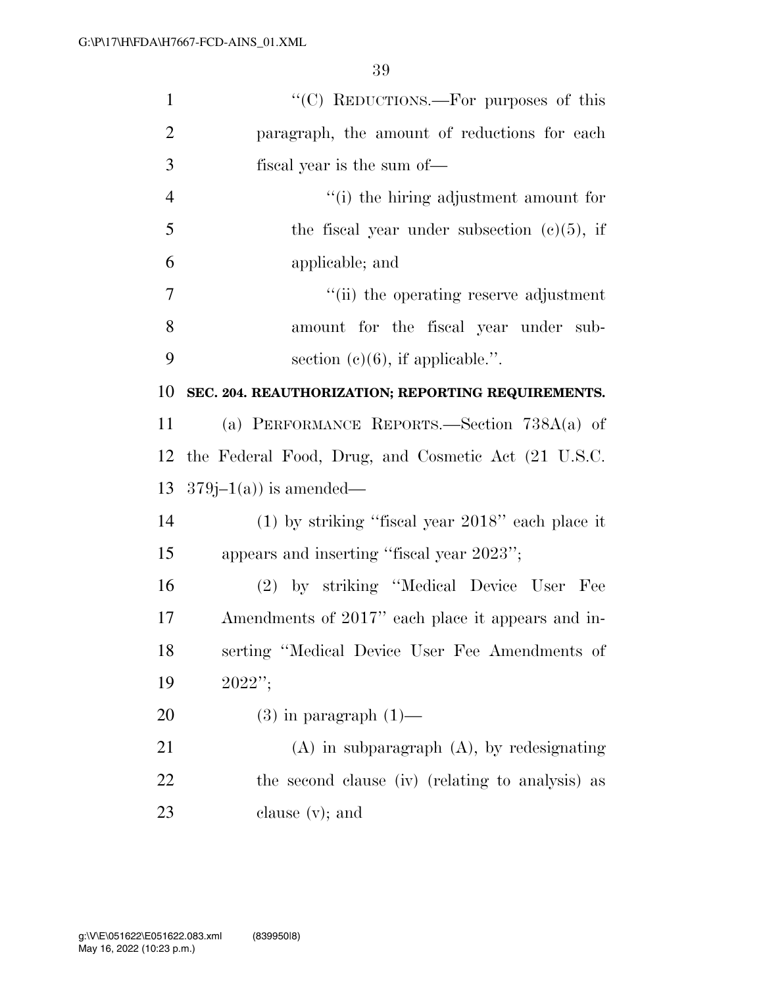| $\mathbf{1}$   | "(C) REDUCTIONS.—For purposes of this               |
|----------------|-----------------------------------------------------|
| $\overline{2}$ | paragraph, the amount of reductions for each        |
| 3              | fiscal year is the sum of—                          |
| $\overline{4}$ | "(i) the hiring adjustment amount for               |
| 5              | the fiscal year under subsection $(c)(5)$ , if      |
| 6              | applicable; and                                     |
| 7              | "(ii) the operating reserve adjustment              |
| 8              | amount for the fiscal year under sub-               |
| 9              | section $(c)(6)$ , if applicable.".                 |
| 10             | SEC. 204. REAUTHORIZATION; REPORTING REQUIREMENTS.  |
| 11             | (a) PERFORMANCE REPORTS.—Section $738A(a)$ of       |
| 12             | the Federal Food, Drug, and Cosmetic Act (21 U.S.C. |
| 13             | $379j-1(a)$ is amended—                             |
| 14             | $(1)$ by striking "fiscal year 2018" each place it  |
| 15             | appears and inserting "fiscal year 2023";           |
| 16             | (2) by striking "Medical Device User Fee            |
| 17             | Amendments of 2017" each place it appears and in-   |
| 18             | serting "Medical Device User Fee Amendments of      |
| 19             | 2022";                                              |
| 20             | $(3)$ in paragraph $(1)$ —                          |
| 21             | $(A)$ in subparagraph $(A)$ , by redesignating      |
| 22             | the second clause (iv) (relating to analysis) as    |
| 23             | clause $(v)$ ; and                                  |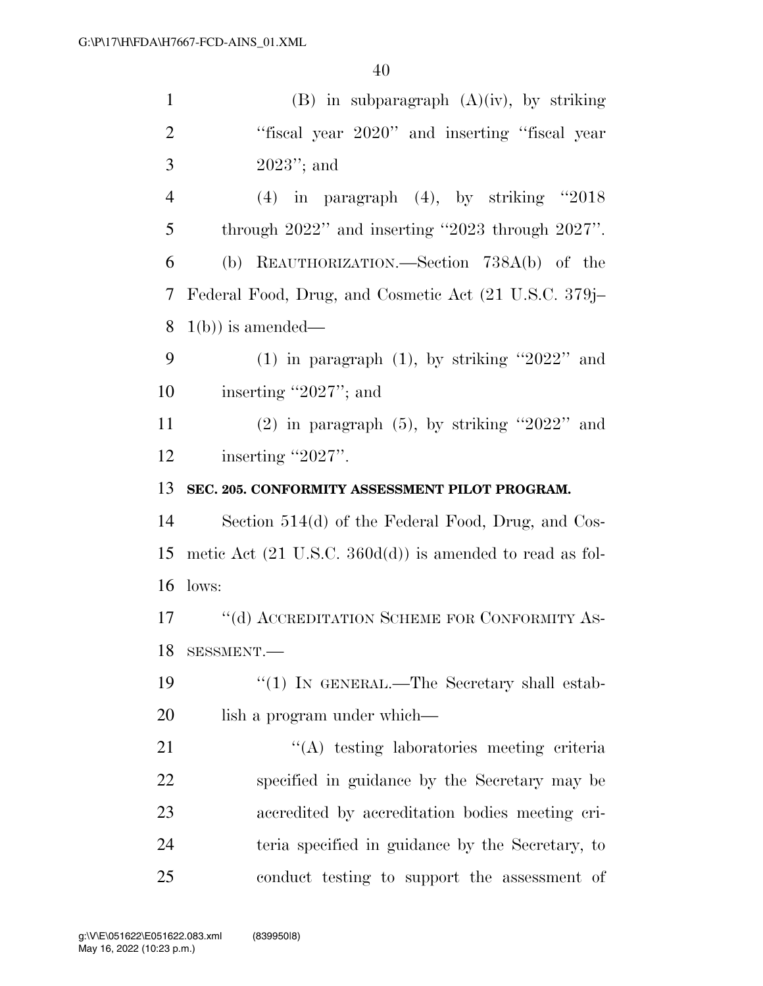| $\mathbf{1}$   | $(B)$ in subparagraph $(A)(iv)$ , by striking                       |
|----------------|---------------------------------------------------------------------|
| $\overline{2}$ | "fiscal year 2020" and inserting "fiscal year                       |
| 3              | $2023$ "; and                                                       |
| $\overline{4}$ | $(4)$ in paragraph $(4)$ , by striking "2018                        |
| 5              | through $2022$ " and inserting "2023 through $2027$ ".              |
| 6              | (b) REAUTHORIZATION.—Section 738A(b) of the                         |
| 7              | Federal Food, Drug, and Cosmetic Act (21 U.S.C. 379j–               |
| 8              | $1(b)$ ) is amended—                                                |
| 9              | $(1)$ in paragraph $(1)$ , by striking "2022" and                   |
| 10             | inserting "2027"; and                                               |
| 11             | $(2)$ in paragraph $(5)$ , by striking "2022" and                   |
| 12             | inserting "2027".                                                   |
| 13             | SEC. 205. CONFORMITY ASSESSMENT PILOT PROGRAM.                      |
| 14             | Section 514(d) of the Federal Food, Drug, and Cos-                  |
| 15             | metic Act $(21 \text{ U.S.C. } 360d(d))$ is amended to read as fol- |
| 16             | lows:                                                               |
| 17             | "(d) ACCREDITATION SCHEME FOR CONFORMITY AS-                        |
| 18             | SESSMENT.                                                           |
| 19             | " $(1)$ IN GENERAL.—The Secretary shall estab-                      |
| 20             | lish a program under which—                                         |
| 21             | "(A) testing laboratories meeting criteria                          |
| 22             | specified in guidance by the Secretary may be                       |
| 23             | accredited by accreditation bodies meeting cri-                     |
| 24             | teria specified in guidance by the Secretary, to                    |
| 25             | conduct testing to support the assessment of                        |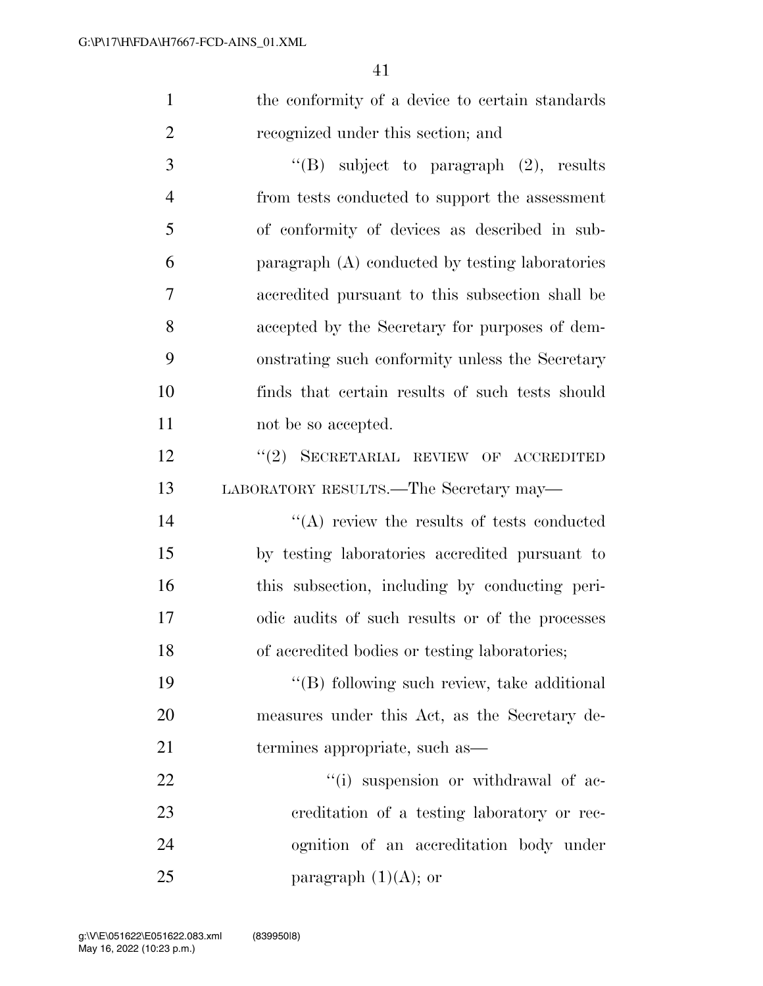1 the conformity of a device to certain standards recognized under this section; and

 ''(B) subject to paragraph (2), results from tests conducted to support the assessment of conformity of devices as described in sub- paragraph (A) conducted by testing laboratories accredited pursuant to this subsection shall be accepted by the Secretary for purposes of dem- onstrating such conformity unless the Secretary finds that certain results of such tests should 11 not be so accepted.

12 "(2) SECRETARIAL REVIEW OF ACCREDITED LABORATORY RESULTS.—The Secretary may—

14 ''(A) review the results of tests conducted by testing laboratories accredited pursuant to this subsection, including by conducting peri- odic audits of such results or of the processes of accredited bodies or testing laboratories;

19 ''(B) following such review, take additional measures under this Act, as the Secretary de-termines appropriate, such as—

 $\frac{1}{2}$   $\frac{1}{2}$  suspension or withdrawal of ac- creditation of a testing laboratory or rec- ognition of an accreditation body under 25 paragraph  $(1)(A)$ ; or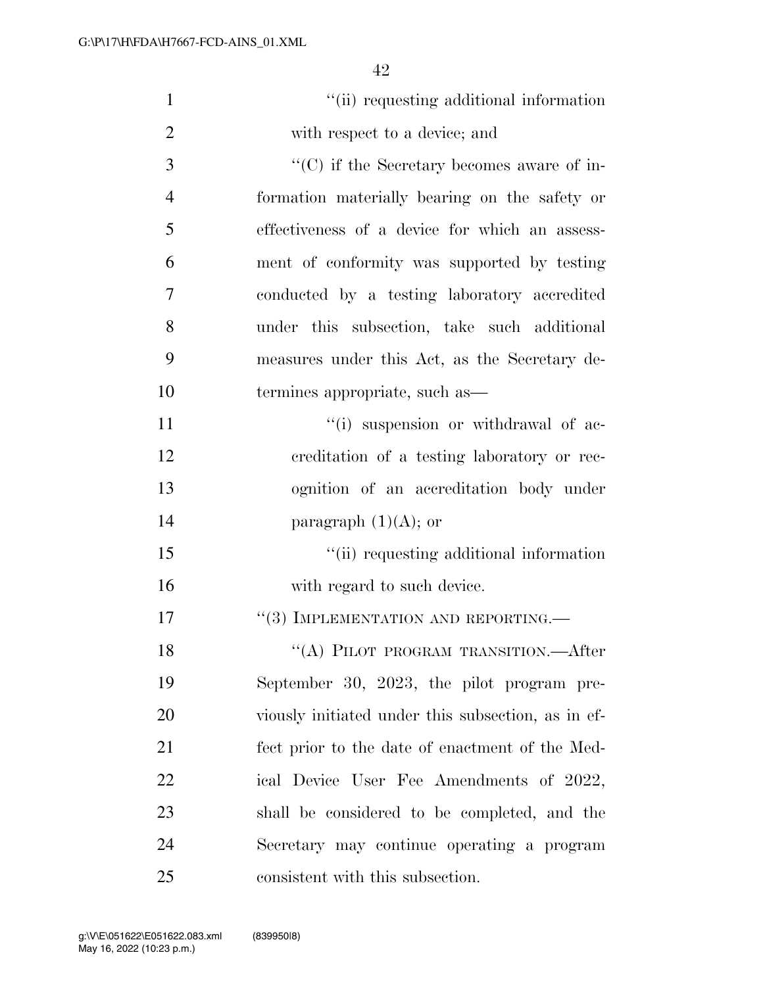| $\mathbf{1}$   | "(ii) requesting additional information            |
|----------------|----------------------------------------------------|
| $\overline{2}$ | with respect to a device; and                      |
| 3              | $\lq\lq$ (C) if the Secretary becomes aware of in- |
| $\overline{4}$ | formation materially bearing on the safety or      |
| 5              | effectiveness of a device for which an assess-     |
| 6              | ment of conformity was supported by testing        |
| 7              | conducted by a testing laboratory accredited       |
| 8              | under this subsection, take such additional        |
| 9              | measures under this Act, as the Secretary de-      |
| 10             | termines appropriate, such as—                     |
| 11             | "(i) suspension or withdrawal of ac-               |
| 12             | creditation of a testing laboratory or rec-        |
| 13             | ognition of an accreditation body under            |
| 14             | paragraph $(1)(A)$ ; or                            |
| 15             | "(ii) requesting additional information            |
| 16             | with regard to such device.                        |
| 17             | $``(3)$ IMPLEMENTATION AND REPORTING.—             |
| 18             | "(A) PILOT PROGRAM TRANSITION.—After               |
| 19             | September 30, 2023, the pilot program pre-         |
| 20             | viously initiated under this subsection, as in ef- |
| 21             | fect prior to the date of enactment of the Med-    |
| 22             | ical Device User Fee Amendments of 2022,           |
| 23             | shall be considered to be completed, and the       |
| 24             | Secretary may continue operating a program         |
| 25             | consistent with this subsection.                   |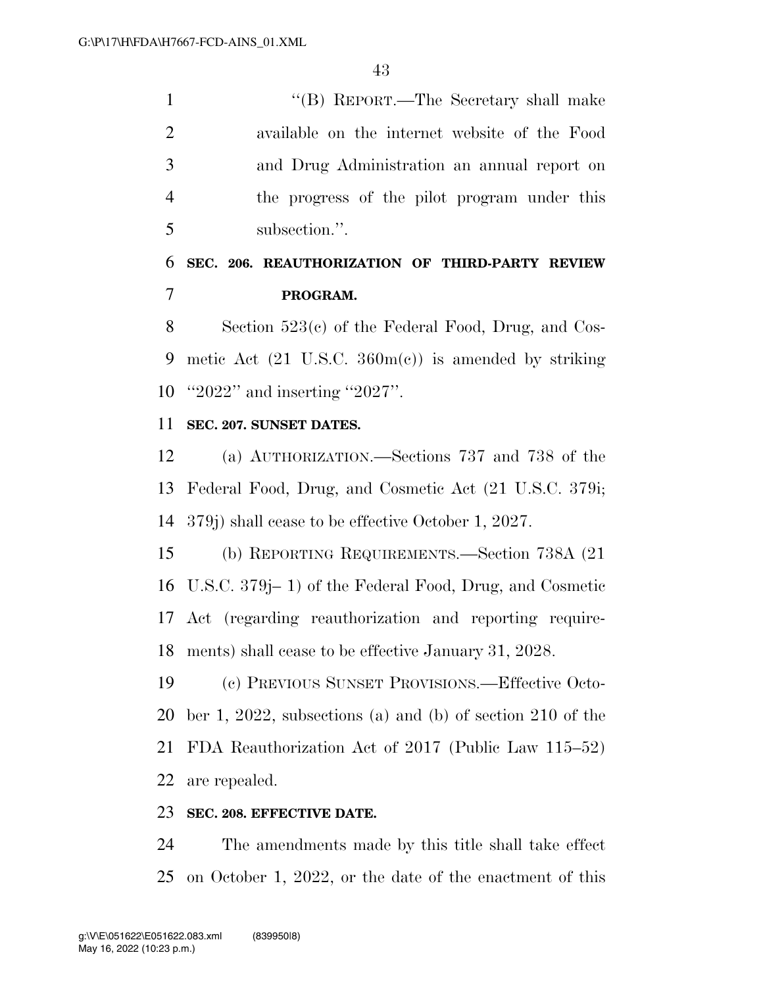''(B) REPORT.—The Secretary shall make available on the internet website of the Food and Drug Administration an annual report on the progress of the pilot program under this subsection.''.

### **SEC. 206. REAUTHORIZATION OF THIRD-PARTY REVIEW PROGRAM.**

 Section 523(c) of the Federal Food, Drug, and Cos- metic Act (21 U.S.C. 360m(c)) is amended by striking ''2022'' and inserting ''2027''.

### **SEC. 207. SUNSET DATES.**

 (a) AUTHORIZATION.—Sections 737 and 738 of the Federal Food, Drug, and Cosmetic Act (21 U.S.C. 379i; 379j) shall cease to be effective October 1, 2027.

 (b) REPORTING REQUIREMENTS.—Section 738A (21 U.S.C. 379j– 1) of the Federal Food, Drug, and Cosmetic Act (regarding reauthorization and reporting require-ments) shall cease to be effective January 31, 2028.

 (c) PREVIOUS SUNSET PROVISIONS.—Effective Octo- ber 1, 2022, subsections (a) and (b) of section 210 of the FDA Reauthorization Act of 2017 (Public Law 115–52) are repealed.

### **SEC. 208. EFFECTIVE DATE.**

 The amendments made by this title shall take effect on October 1, 2022, or the date of the enactment of this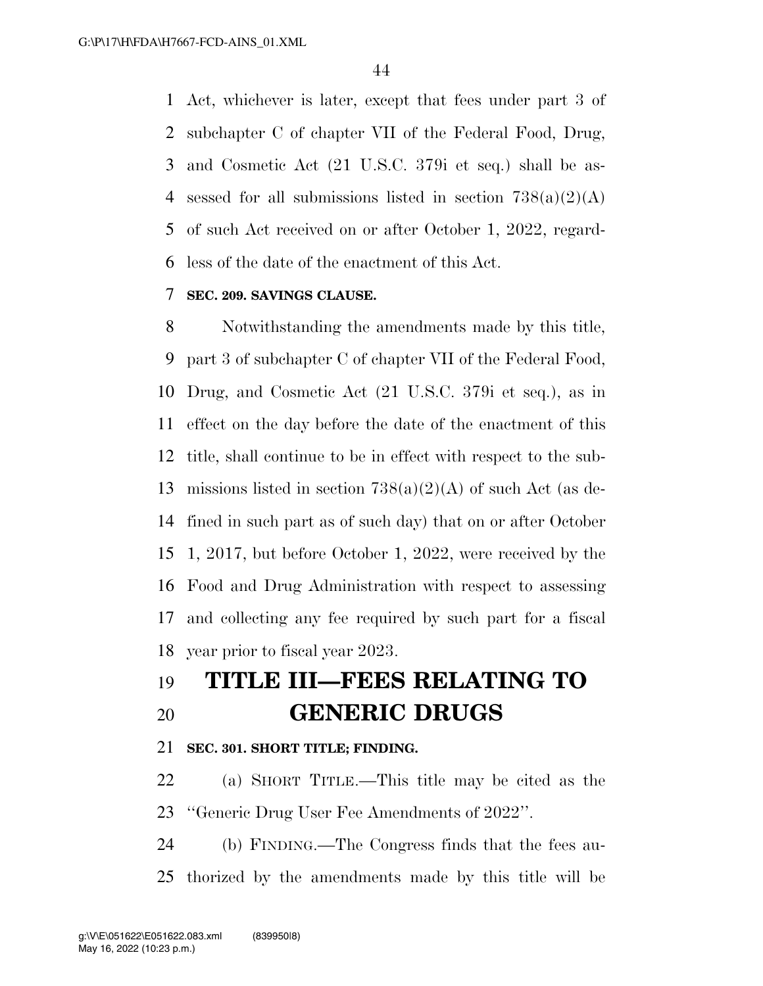Act, whichever is later, except that fees under part 3 of subchapter C of chapter VII of the Federal Food, Drug, and Cosmetic Act (21 U.S.C. 379i et seq.) shall be as-4 sessed for all submissions listed in section  $738(a)(2)(A)$  of such Act received on or after October 1, 2022, regard-less of the date of the enactment of this Act.

### **SEC. 209. SAVINGS CLAUSE.**

 Notwithstanding the amendments made by this title, part 3 of subchapter C of chapter VII of the Federal Food, Drug, and Cosmetic Act (21 U.S.C. 379i et seq.), as in effect on the day before the date of the enactment of this title, shall continue to be in effect with respect to the sub- missions listed in section 738(a)(2)(A) of such Act (as de- fined in such part as of such day) that on or after October 1, 2017, but before October 1, 2022, were received by the Food and Drug Administration with respect to assessing and collecting any fee required by such part for a fiscal year prior to fiscal year 2023.

## **TITLE III—FEES RELATING TO GENERIC DRUGS**

### **SEC. 301. SHORT TITLE; FINDING.**

 (a) SHORT TITLE.—This title may be cited as the ''Generic Drug User Fee Amendments of 2022''.

 (b) FINDING.—The Congress finds that the fees au-thorized by the amendments made by this title will be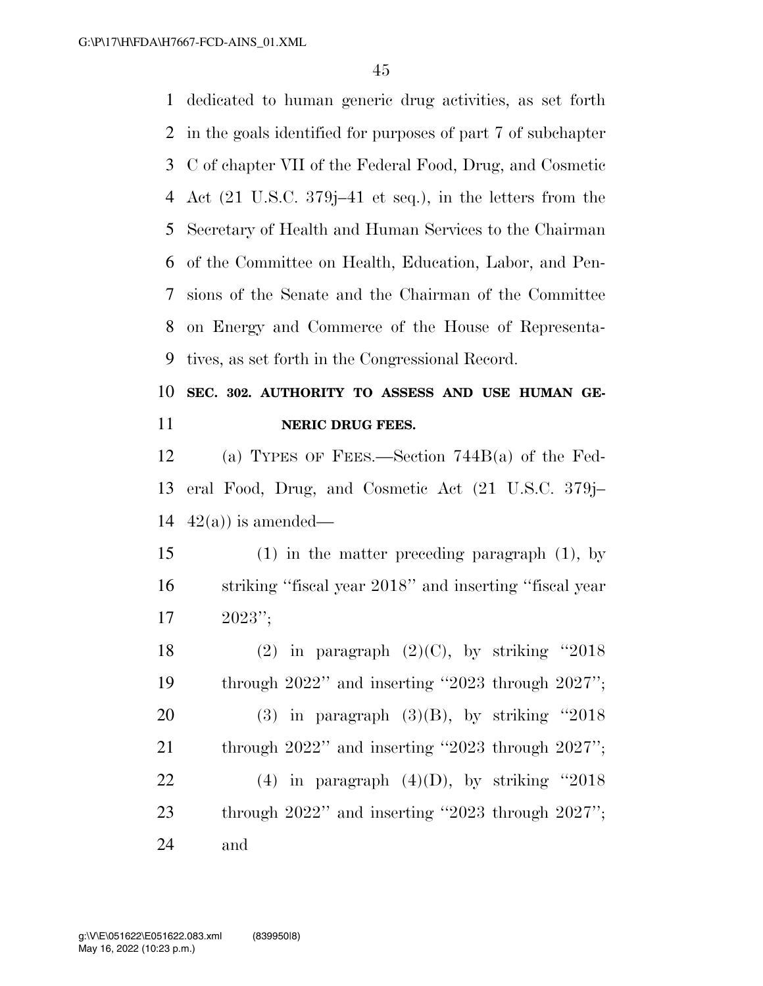dedicated to human generic drug activities, as set forth in the goals identified for purposes of part 7 of subchapter C of chapter VII of the Federal Food, Drug, and Cosmetic Act (21 U.S.C. 379j–41 et seq.), in the letters from the Secretary of Health and Human Services to the Chairman of the Committee on Health, Education, Labor, and Pen- sions of the Senate and the Chairman of the Committee on Energy and Commerce of the House of Representa-tives, as set forth in the Congressional Record.

### **SEC. 302. AUTHORITY TO ASSESS AND USE HUMAN GE-NERIC DRUG FEES.**

 (a) TYPES OF FEES.—Section 744B(a) of the Fed- eral Food, Drug, and Cosmetic Act (21 U.S.C. 379j– 14  $42(a)$  is amended—

 (1) in the matter preceding paragraph (1), by striking ''fiscal year 2018'' and inserting ''fiscal year 2023'';

18 (2) in paragraph  $(2)(C)$ , by striking "2018 through 2022'' and inserting ''2023 through 2027''; 20 (3) in paragraph  $(3)(B)$ , by striking "2018 21 through 2022" and inserting "2023 through 2027"; 22 (4) in paragraph  $(4)(D)$ , by striking "2018 through 2022'' and inserting ''2023 through 2027''; and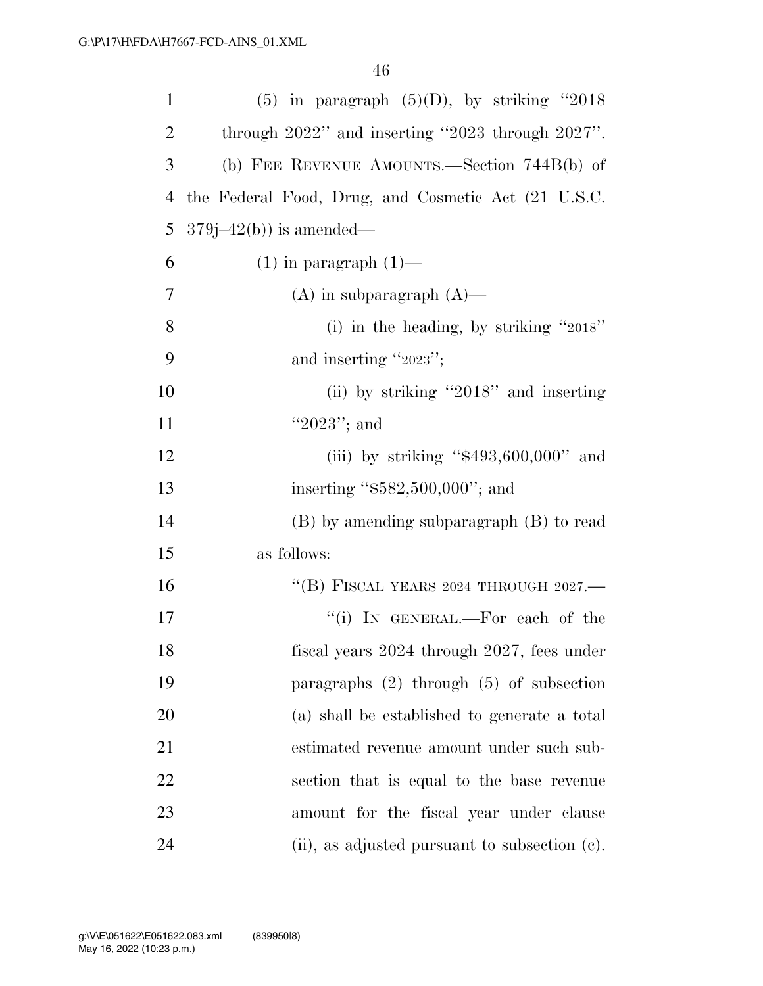| $\mathbf{1}$   | (5) in paragraph $(5)(D)$ , by striking "2018          |
|----------------|--------------------------------------------------------|
| $\overline{2}$ | through $2022$ " and inserting "2023 through $2027$ ". |
| 3              | (b) FEE REVENUE AMOUNTS.—Section $744B(b)$ of          |
| 4              | the Federal Food, Drug, and Cosmetic Act (21 U.S.C.    |
| 5              | $379j - 42(b)$ is amended—                             |
| 6              | $(1)$ in paragraph $(1)$ —                             |
| $\overline{7}$ | $(A)$ in subparagraph $(A)$ —                          |
| 8              | (i) in the heading, by striking " $2018$ "             |
| 9              | and inserting " $2023$ ";                              |
| 10             | (ii) by striking "2018" and inserting                  |
| 11             | " $2023$ "; and                                        |
| 12             | (iii) by striking " $$493,600,000"$ and                |
| 13             | inserting " $$582,500,000$ "; and                      |
| 14             | $(B)$ by amending subparagraph $(B)$ to read           |
| 15             | as follows:                                            |
| 16             | "(B) FISCAL YEARS 2024 THROUGH 2027.—                  |
| 17             | "(i) IN GENERAL.—For each of the                       |
| 18             | fiscal years 2024 through 2027, fees under             |
| 19             | paragraphs $(2)$ through $(5)$ of subsection           |
| 20             | (a) shall be established to generate a total           |
| 21             | estimated revenue amount under such sub-               |
| 22             | section that is equal to the base revenue              |
| 23             | amount for the fiscal year under clause                |
| 24             | $(ii)$ , as adjusted pursuant to subsection $(c)$ .    |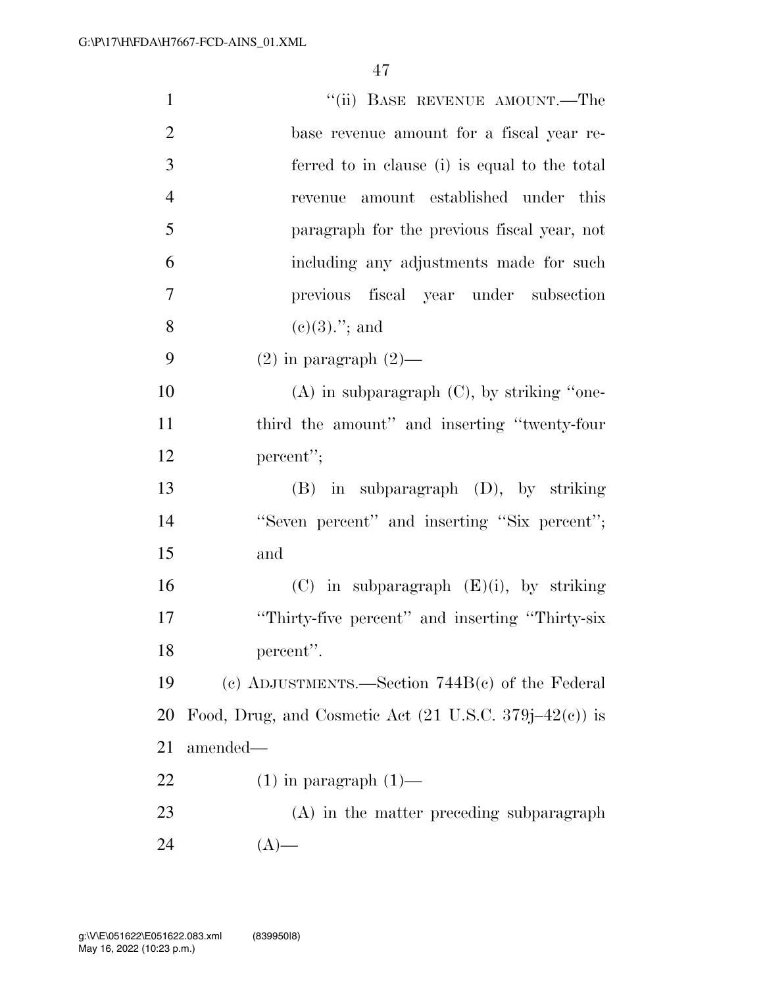| $\mathbf{1}$   | "(ii) BASE REVENUE AMOUNT.—The                                    |
|----------------|-------------------------------------------------------------------|
| $\overline{2}$ | base revenue amount for a fiscal year re-                         |
| 3              | ferred to in clause (i) is equal to the total                     |
| $\overline{4}$ | revenue amount established under this                             |
| 5              | paragraph for the previous fiscal year, not                       |
| 6              | including any adjustments made for such                           |
| 7              | previous fiscal year under subsection                             |
| 8              | $(e)(3)$ ."; and                                                  |
| 9              | $(2)$ in paragraph $(2)$ —                                        |
| 10             | $(A)$ in subparagraph $(C)$ , by striking "one-                   |
| 11             | third the amount" and inserting "twenty-four                      |
| 12             | percent";                                                         |
| 13             | $(B)$ in subparagraph $(D)$ , by striking                         |
| 14             | "Seven percent" and inserting "Six percent";                      |
| 15             | and                                                               |
| 16             | $(C)$ in subparagraph $(E)(i)$ , by striking                      |
| 17             | "Thirty-five percent" and inserting "Thirty-six"                  |
| 18             | percent".                                                         |
| 19             | (c) ADJUSTMENTS.—Section $744B(c)$ of the Federal                 |
| 20             | Food, Drug, and Cosmetic Act $(21 \text{ U.S.C. } 379j-42(c))$ is |
| 21             | amended—                                                          |
| <u>22</u>      | $(1)$ in paragraph $(1)$ —                                        |
| 23             | (A) in the matter preceding subparagraph                          |
| 24             | $(A)$ —                                                           |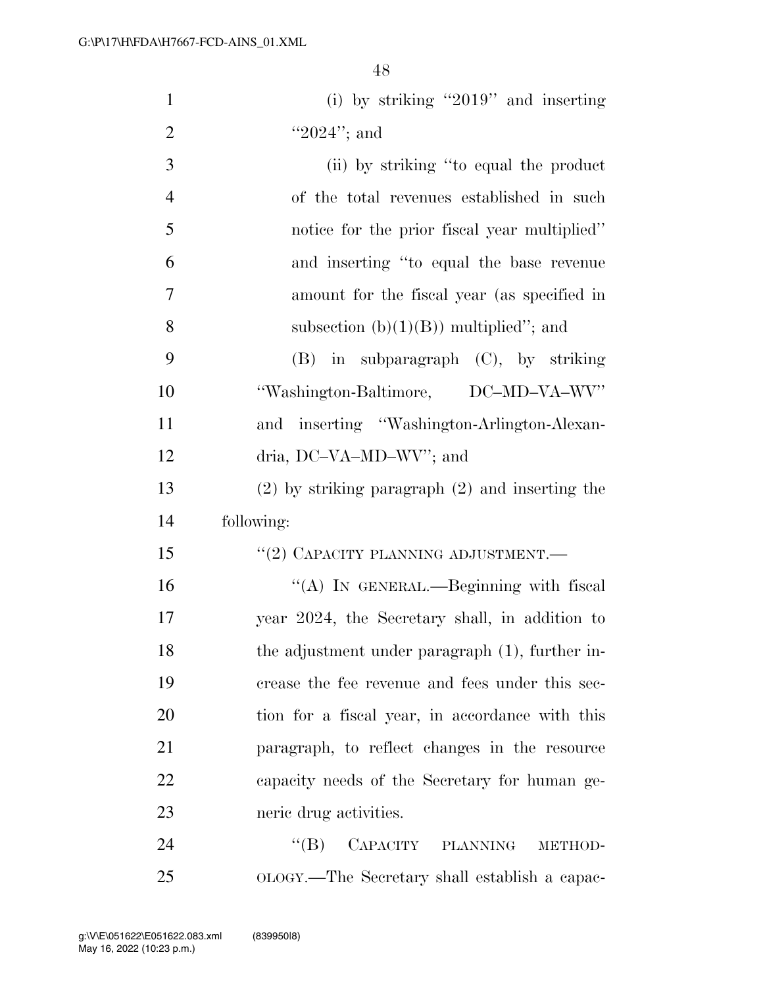| $\mathbf{1}$   | (i) by striking "2019" and inserting                |
|----------------|-----------------------------------------------------|
| $\overline{2}$ | " $2024$ "; and                                     |
| 3              | (ii) by striking "to equal the product              |
| $\overline{4}$ | of the total revenues established in such           |
| 5              | notice for the prior fiscal year multiplied"        |
| 6              | and inserting "to equal the base revenue            |
| $\tau$         | amount for the fiscal year (as specified in         |
| 8              | subsection $(b)(1)(B)$ multiplied"; and             |
| 9              | in subparagraph (C), by striking<br>(B)             |
| 10             | "Washington-Baltimore, DC-MD-VA-WV"                 |
| 11             | and inserting "Washington-Arlington-Alexan-         |
| 12             | dria, DC-VA-MD-WV"; and                             |
| 13             | $(2)$ by striking paragraph $(2)$ and inserting the |
| 14             | following:                                          |
| 15             | "(2) CAPACITY PLANNING ADJUSTMENT.-                 |
| 16             | "(A) IN GENERAL.—Beginning with fiscal              |
| $17\,$         | year 2024, the Secretary shall, in addition to      |
| 18             | the adjustment under paragraph (1), further in-     |
| 19             | crease the fee revenue and fees under this sec-     |
| 20             | tion for a fiscal year, in accordance with this     |
| 21             | paragraph, to reflect changes in the resource       |
| 22             | capacity needs of the Secretary for human ge-       |
| 23             | neric drug activities.                              |
| 24             | CAPACITY PLANNING<br>$\lq\lq (B)$<br>METHOD-        |
| 25             | OLOGY.—The Secretary shall establish a capac-       |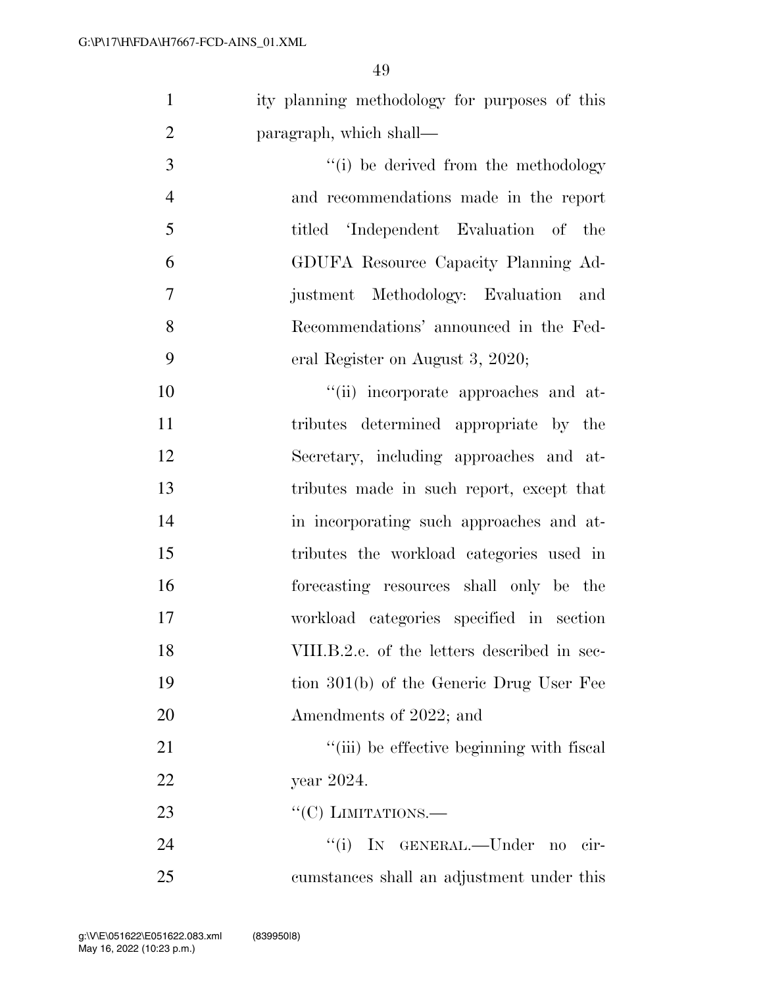| $\mathbf{1}$   | ity planning methodology for purposes of this |
|----------------|-----------------------------------------------|
| $\overline{2}$ | paragraph, which shall—                       |
| 3              | "(i) be derived from the methodology          |
| $\overline{4}$ | and recommendations made in the report        |
| 5              | titled 'Independent Evaluation of the         |
| 6              | GDUFA Resource Capacity Planning Ad-          |
| $\overline{7}$ | justment Methodology: Evaluation and          |
| 8              | Recommendations' announced in the Fed-        |
| 9              | eral Register on August 3, 2020;              |
| 10             | "(ii) incorporate approaches and at-          |
| 11             | tributes determined appropriate by the        |
| 12             | Secretary, including approaches and at-       |
| 13             | tributes made in such report, except that     |
| 14             | in incorporating such approaches and at-      |
| 15             | tributes the workload categories used in      |
| 16             | forecasting resources shall only be the       |
| 17             | workload categories specified in section      |
| 18             | VIII.B.2.e. of the letters described in sec-  |
| 19             | tion 301(b) of the Generic Drug User Fee      |

 Amendments of 2022; and 21 ''(iii) be effective beginning with fiscal year 2024.  $C(C)$  LIMITATIONS.

24 ''(i) IN GENERAL.—Under no cir-cumstances shall an adjustment under this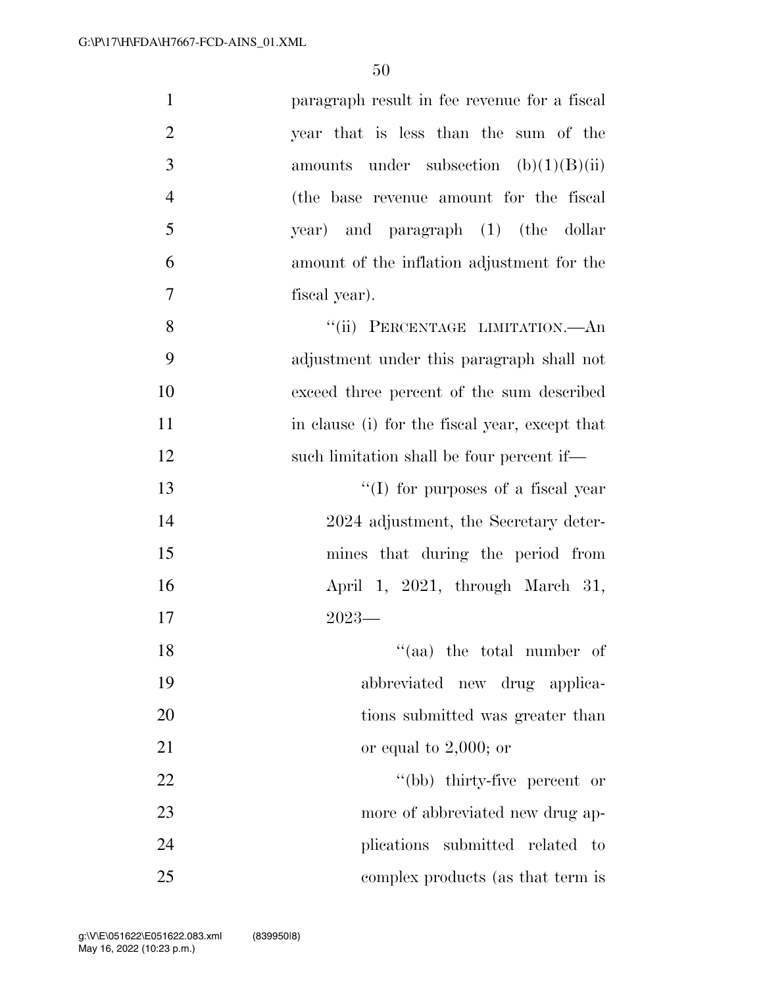| $\mathbf{1}$   | paragraph result in fee revenue for a fiscal   |
|----------------|------------------------------------------------|
| $\overline{2}$ | year that is less than the sum of the          |
| 3              | amounts under subsection $(b)(1)(B)(ii)$       |
| $\overline{4}$ | (the base revenue amount for the fiscal        |
| 5              | year) and paragraph (1) (the dollar            |
| 6              | amount of the inflation adjustment for the     |
| 7              | fiscal year).                                  |
| 8              | "(ii) PERCENTAGE LIMITATION.—An                |
| 9              | adjustment under this paragraph shall not      |
| 10             | exceed three percent of the sum described      |
| 11             | in clause (i) for the fiscal year, except that |
| 12             | such limitation shall be four percent if—      |
| 13             | $\lq\lq$ (I) for purposes of a fiscal year     |
| 14             | 2024 adjustment, the Secretary deter-          |
| 15             | mines that during the period from              |
| 16             | April 1, 2021, through March 31,               |
| 17             | $2023-$                                        |
| 18             | $\cdot$ (aa) the total number of               |
| 19             | abbreviated new drug applica-                  |
| 20             | tions submitted was greater than               |
| 21             | or equal to $2,000$ ; or                       |
| 22             | "(bb) thirty-five percent or                   |
| 23             | more of abbreviated new drug ap-               |
| 24             | plications submitted related<br>$\mathbf{t}$   |
| 25             | complex products (as that term is              |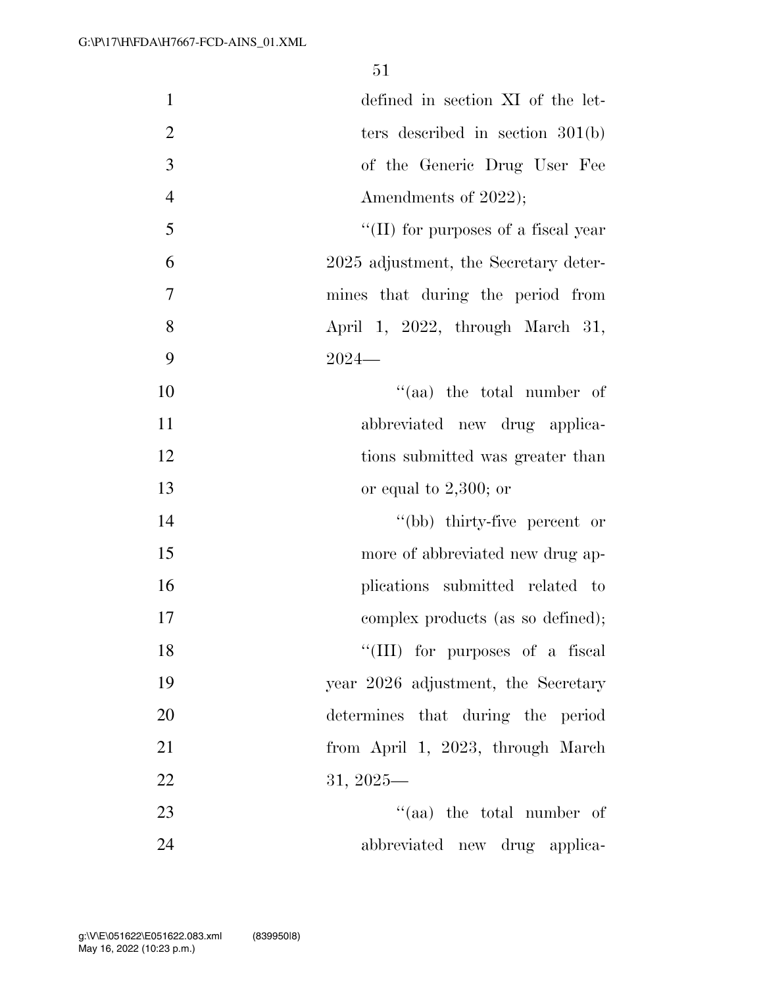| $\mathbf{1}$   | defined in section XI of the let-           |
|----------------|---------------------------------------------|
| $\overline{2}$ | ters described in section $301(b)$          |
| 3              | of the Generic Drug User Fee                |
| $\overline{4}$ | Amendments of 2022);                        |
| 5              | $\lq\lq$ (II) for purposes of a fiscal year |
| 6              | 2025 adjustment, the Secretary deter-       |
| $\overline{7}$ | mines that during the period from           |
| 8              | April 1, 2022, through March 31,            |
| 9              | $2024-$                                     |
| 10             | $(4)$ the total number of                   |
| 11             | abbreviated new drug applica-               |
| 12             | tions submitted was greater than            |
| 13             | or equal to $2,300$ ; or                    |
| 14             | "(bb) thirty-five percent or                |
| 15             | more of abbreviated new drug ap-            |
| 16             | plications submitted related to             |
| 17             | complex products (as so defined);           |
| 18             | "(III) for purposes of a fiscal             |
| 19             | year 2026 adjustment, the Secretary         |
| 20             | determines that during the period           |
| 21             | from April 1, 2023, through March           |
| 22             | $31, 2025$ —                                |
| 23             | $\cdot$ (aa) the total number of            |
| 24             | abbreviated new drug applica-               |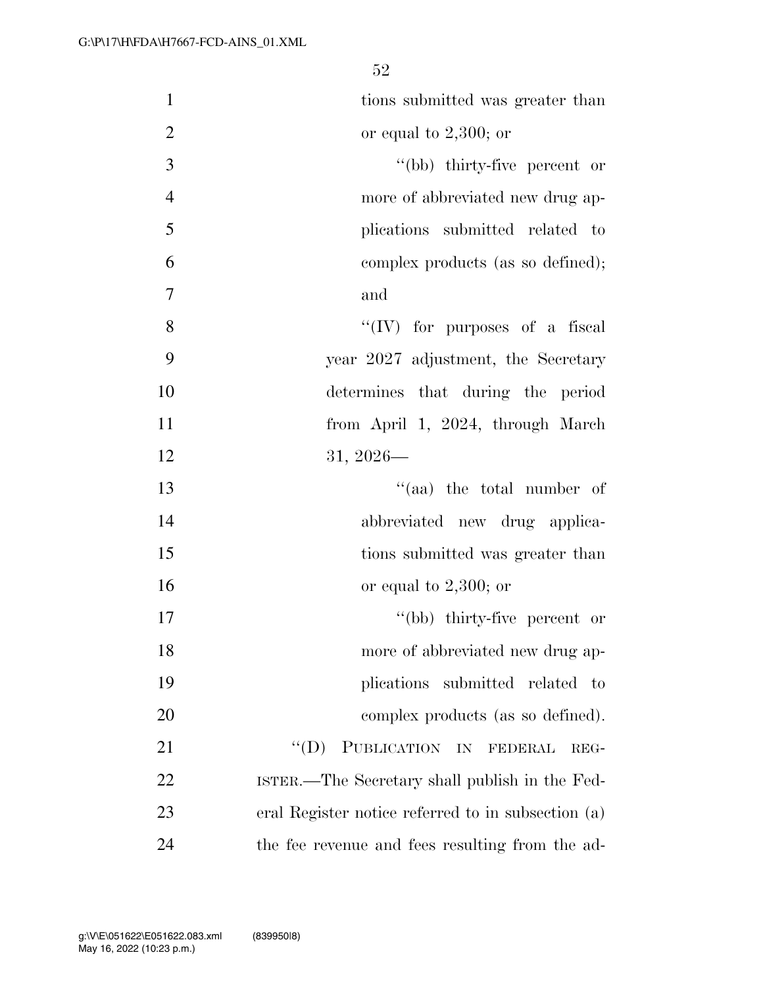| $\mathbf{1}$     | tions submitted was greater than                   |
|------------------|----------------------------------------------------|
| $\overline{2}$   | or equal to $2,300$ ; or                           |
| $\overline{3}$   | "(bb) thirty-five percent or                       |
| $\overline{4}$   | more of abbreviated new drug ap-                   |
| 5                | plications submitted related to                    |
| 6                | complex products (as so defined);                  |
| $\boldsymbol{7}$ | and                                                |
| $8\,$            | $\lq\lq$ (IV) for purposes of a fiscal             |
| 9                | year 2027 adjustment, the Secretary                |
| 10               | determines that during the period                  |
| 11               | from April 1, 2024, through March                  |
| 12               | $31, 2026$ —                                       |
| 13               | $(4)$ the total number of                          |
| 14               | abbreviated new drug applica-                      |
| 15               | tions submitted was greater than                   |
| 16               | or equal to $2,300$ ; or                           |
| 17               | "(bb) thirty-five percent or                       |
| 18               | more of abbreviated new drug ap-                   |
| 19               | plications submitted related to                    |
| 20               | complex products (as so defined).                  |
| 21               | PUBLICATION IN FEDERAL<br>$\lq\lq (D)$<br>REG-     |
| 22               | ISTER.—The Secretary shall publish in the Fed-     |
| 23               | eral Register notice referred to in subsection (a) |
| 24               | the fee revenue and fees resulting from the ad-    |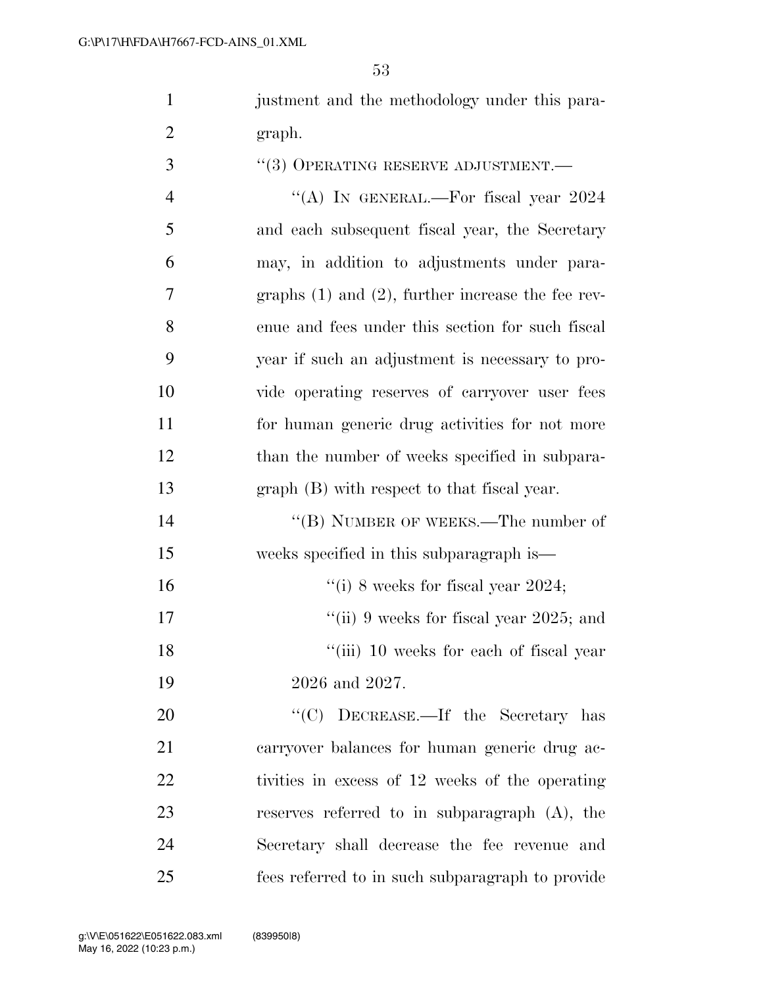justment and the methodology under this para-graph.

3 <sup>"(3)</sup> OPERATING RESERVE ADJUSTMENT.—  $\text{``(A)}$  In GENERAL.—For fiscal year 2024 and each subsequent fiscal year, the Secretary may, in addition to adjustments under para- graphs (1) and (2), further increase the fee rev- enue and fees under this section for such fiscal year if such an adjustment is necessary to pro- vide operating reserves of carryover user fees for human generic drug activities for not more 12 than the number of weeks specified in subpara- graph (B) with respect to that fiscal year. 14 "(B) NUMBER OF WEEKS.—The number of weeks specified in this subparagraph is—  $\frac{1}{10}$  8 weeks for fiscal year 2024; 17 ''(ii) 9 weeks for fiscal year 2025; and 18 ''(iii) 10 weeks for each of fiscal year 2026 and 2027. 20 "'(C) DECREASE.—If the Secretary has carryover balances for human generic drug ac- tivities in excess of 12 weeks of the operating reserves referred to in subparagraph (A), the Secretary shall decrease the fee revenue and

fees referred to in such subparagraph to provide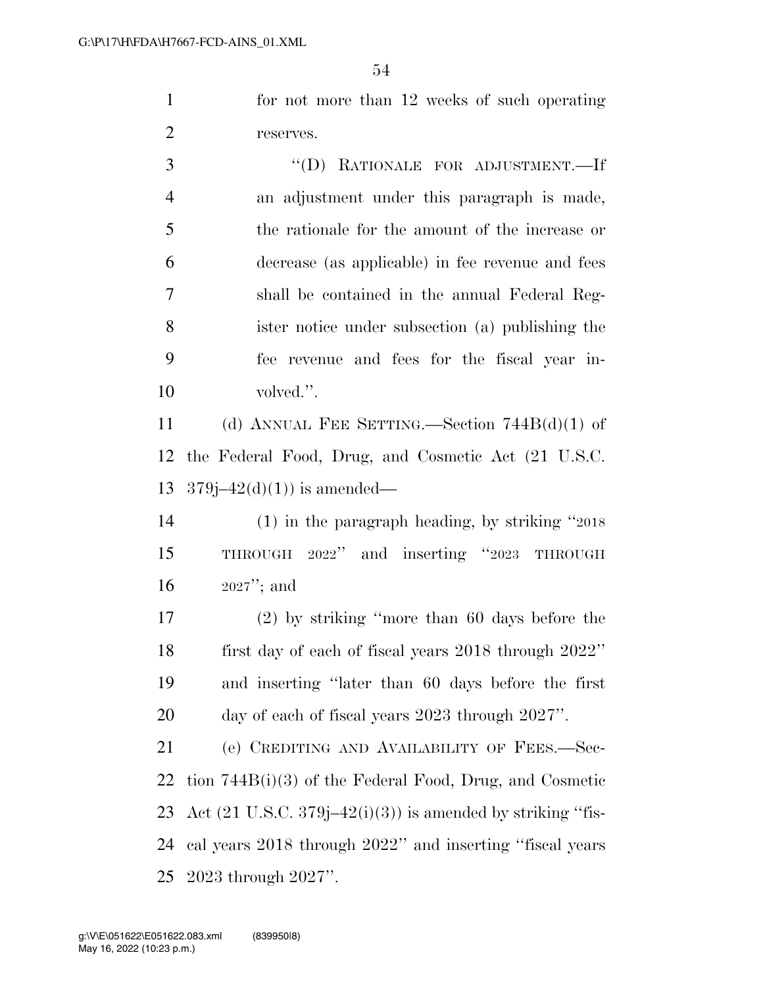for not more than 12 weeks of such operating reserves.

 ''(D) RATIONALE FOR ADJUSTMENT.—If an adjustment under this paragraph is made, the rationale for the amount of the increase or decrease (as applicable) in fee revenue and fees shall be contained in the annual Federal Reg- ister notice under subsection (a) publishing the fee revenue and fees for the fiscal year in-10 volved.".

 (d) ANNUAL FEE SETTING.—Section 744B(d)(1) of the Federal Food, Drug, and Cosmetic Act (21 U.S.C. 13  $379j-42(d)(1)$  is amended—

 (1) in the paragraph heading, by striking ''2018 THROUGH 2022'' and inserting ''2023 THROUGH 2027''; and

 (2) by striking ''more than 60 days before the first day of each of fiscal years 2018 through 2022'' and inserting ''later than 60 days before the first day of each of fiscal years 2023 through 2027''.

 (e) CREDITING AND AVAILABILITY OF FEES.—Sec- tion 744B(i)(3) of the Federal Food, Drug, and Cosmetic 23 Act  $(21 \text{ U.S.C. } 379j-42(i)(3))$  is amended by striking "fis- cal years 2018 through 2022'' and inserting ''fiscal years 2023 through 2027''.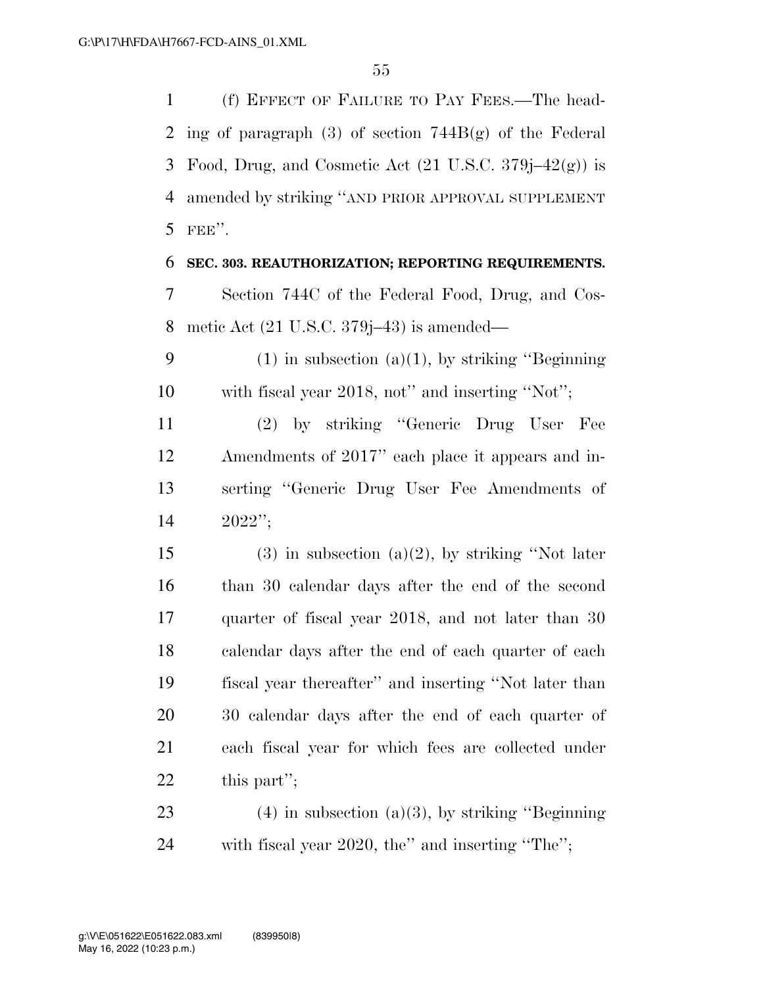(f) EFFECT OF FAILURE TO PAY FEES.—The head- ing of paragraph (3) of section 744B(g) of the Federal 3 Food, Drug, and Cosmetic Act  $(21 \text{ U.S.C. } 379j-42(g))$  is amended by striking ''AND PRIOR APPROVAL SUPPLEMENT FEE''.

**SEC. 303. REAUTHORIZATION; REPORTING REQUIREMENTS.** 

 Section 744C of the Federal Food, Drug, and Cos-metic Act (21 U.S.C. 379j–43) is amended—

9 (1) in subsection (a)(1), by striking "Beginning" with fiscal year 2018, not'' and inserting ''Not'';

 (2) by striking ''Generic Drug User Fee Amendments of 2017'' each place it appears and in- serting ''Generic Drug User Fee Amendments of 2022'';

15 (3) in subsection (a)(2), by striking "Not later than 30 calendar days after the end of the second quarter of fiscal year 2018, and not later than 30 calendar days after the end of each quarter of each fiscal year thereafter'' and inserting ''Not later than 30 calendar days after the end of each quarter of each fiscal year for which fees are collected under this part'';

23 (4) in subsection (a)(3), by striking "Beginning" with fiscal year 2020, the'' and inserting ''The'';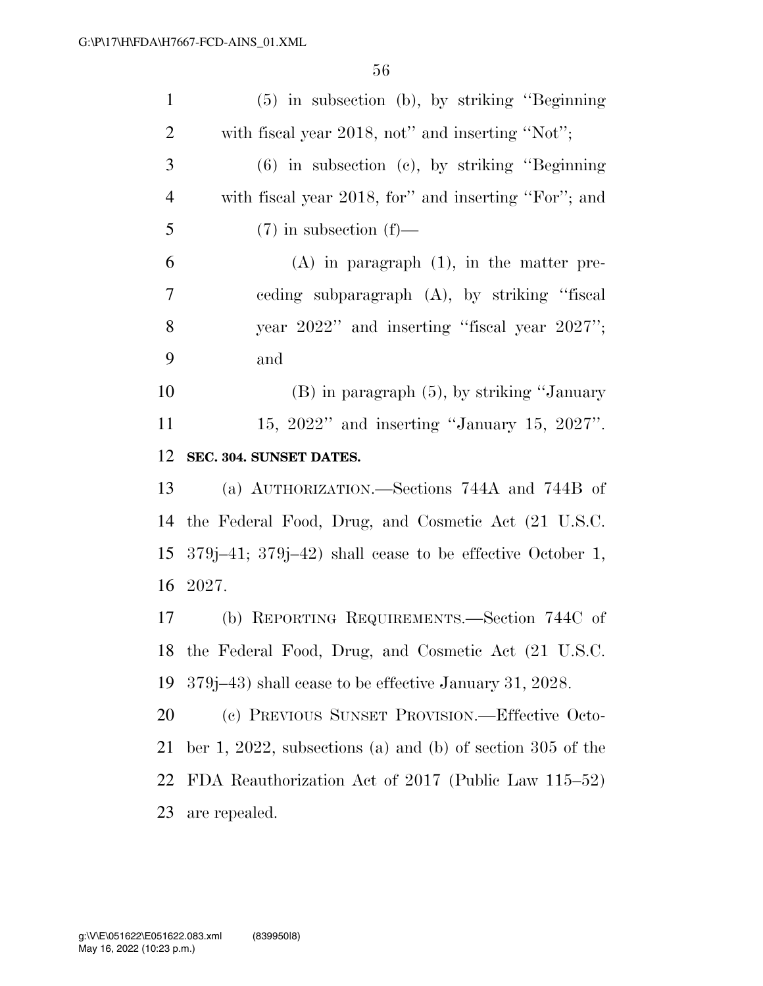| $\mathbf{1}$   | $(5)$ in subsection (b), by striking "Beginning"               |
|----------------|----------------------------------------------------------------|
| $\overline{2}$ | with fiscal year 2018, not" and inserting "Not";               |
| 3              | $(6)$ in subsection $(e)$ , by striking "Beginning"            |
| $\overline{4}$ | with fiscal year 2018, for" and inserting "For"; and           |
| 5              | $(7)$ in subsection $(f)$ —                                    |
| 6              | $(A)$ in paragraph $(1)$ , in the matter pre-                  |
| $\tau$         | eeding subparagraph (A), by striking "fiscal                   |
| 8              | year 2022" and inserting "fiscal year 2027";                   |
| 9              | and                                                            |
| 10             | $(B)$ in paragraph $(5)$ , by striking "January"               |
| 11             | 15, 2022" and inserting "January 15, 2027".                    |
| 12             | SEC. 304. SUNSET DATES.                                        |
| 13             | (a) AUTHORIZATION.—Sections 744A and 744B of                   |
| 14             | the Federal Food, Drug, and Cosmetic Act (21 U.S.C.            |
| 15             | $379j-41$ ; $379j-42$ ) shall cease to be effective October 1, |
| 16             | 2027.                                                          |
| 17             | (b) REPORTING REQUIREMENTS.—Section 744C of                    |
|                | 18 the Federal Food, Drug, and Cosmetic Act (21 U.S.C.         |
| 19             | 379 (379–43) shall cease to be effective January 31, 2028.     |
| 20             | (c) PREVIOUS SUNSET PROVISION.—Effective Octo-                 |
| 21             | ber 1, 2022, subsections (a) and (b) of section 305 of the     |
| 22             | FDA Reauthorization Act of 2017 (Public Law 115–52)            |
| 23             | are repealed.                                                  |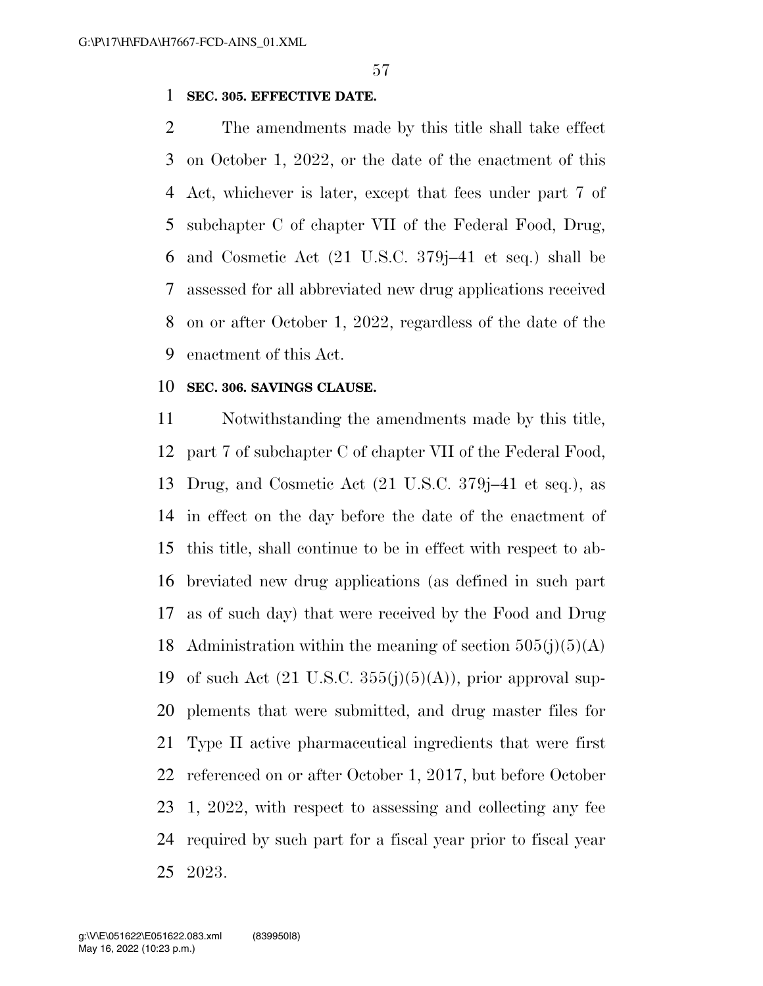### **SEC. 305. EFFECTIVE DATE.**

 The amendments made by this title shall take effect on October 1, 2022, or the date of the enactment of this Act, whichever is later, except that fees under part 7 of subchapter C of chapter VII of the Federal Food, Drug, and Cosmetic Act (21 U.S.C. 379j–41 et seq.) shall be assessed for all abbreviated new drug applications received on or after October 1, 2022, regardless of the date of the enactment of this Act.

#### **SEC. 306. SAVINGS CLAUSE.**

 Notwithstanding the amendments made by this title, part 7 of subchapter C of chapter VII of the Federal Food, Drug, and Cosmetic Act (21 U.S.C. 379j–41 et seq.), as in effect on the day before the date of the enactment of this title, shall continue to be in effect with respect to ab- breviated new drug applications (as defined in such part as of such day) that were received by the Food and Drug 18 Administration within the meaning of section  $505(j)(5)(A)$ 19 of such Act  $(21 \text{ U.S.C. } 355(j)(5)(\text{A}))$ , prior approval sup- plements that were submitted, and drug master files for Type II active pharmaceutical ingredients that were first referenced on or after October 1, 2017, but before October 1, 2022, with respect to assessing and collecting any fee required by such part for a fiscal year prior to fiscal year 2023.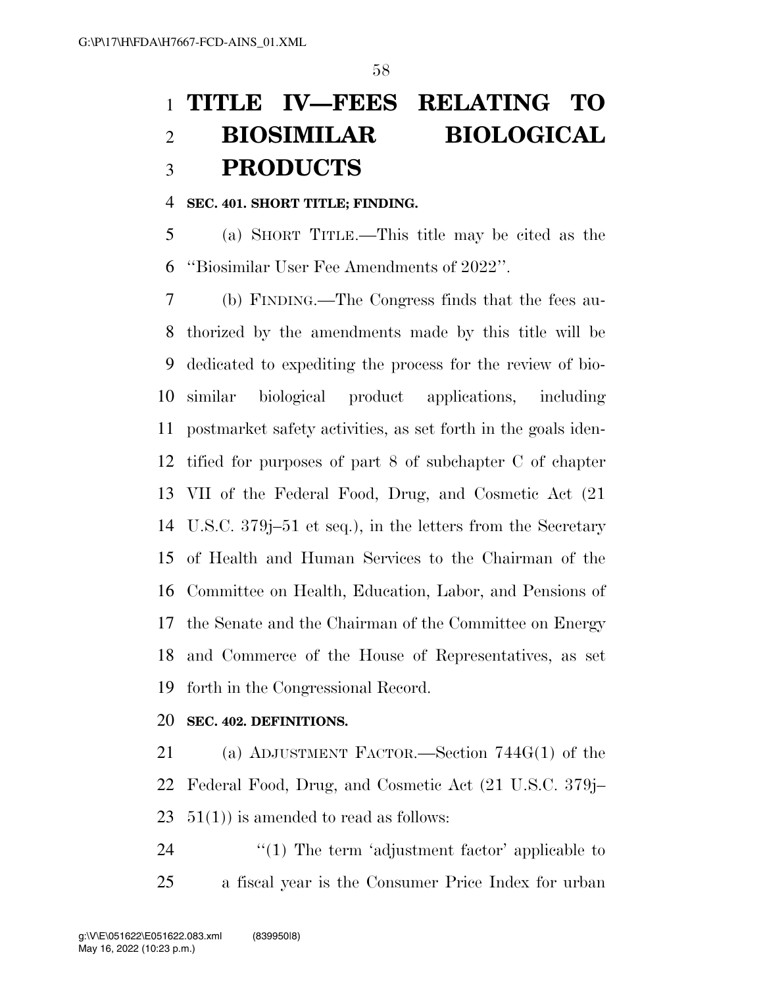# **TITLE IV—FEES RELATING TO BIOSIMILAR BIOLOGICAL PRODUCTS**

### **SEC. 401. SHORT TITLE; FINDING.**

 (a) SHORT TITLE.—This title may be cited as the ''Biosimilar User Fee Amendments of 2022''.

 (b) FINDING.—The Congress finds that the fees au- thorized by the amendments made by this title will be dedicated to expediting the process for the review of bio- similar biological product applications, including postmarket safety activities, as set forth in the goals iden- tified for purposes of part 8 of subchapter C of chapter VII of the Federal Food, Drug, and Cosmetic Act (21 U.S.C. 379j–51 et seq.), in the letters from the Secretary of Health and Human Services to the Chairman of the Committee on Health, Education, Labor, and Pensions of the Senate and the Chairman of the Committee on Energy and Commerce of the House of Representatives, as set forth in the Congressional Record.

### **SEC. 402. DEFINITIONS.**

 (a) ADJUSTMENT FACTOR.—Section 744G(1) of the Federal Food, Drug, and Cosmetic Act (21 U.S.C. 379j– 23  $51(1)$  is amended to read as follows:

24  $\frac{1}{2}$  The term 'adjustment factor' applicable to a fiscal year is the Consumer Price Index for urban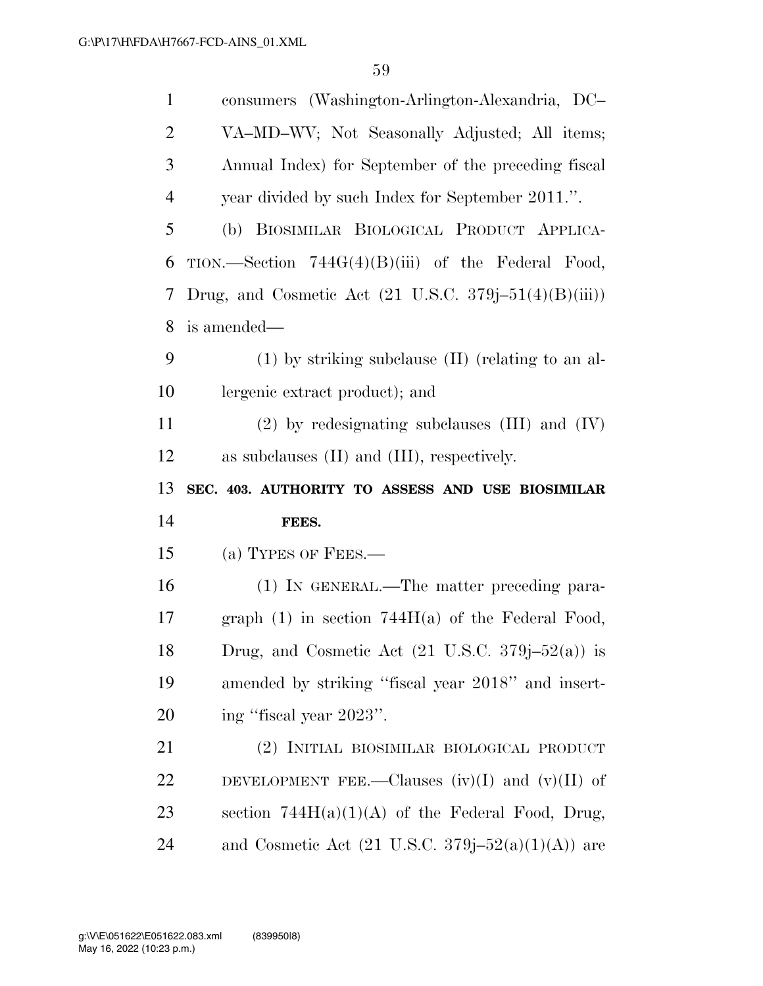| $\mathbf{1}$   | consumers (Washington-Arlington-Alexandria, DC-                                       |
|----------------|---------------------------------------------------------------------------------------|
| $\overline{2}$ | VA-MD-WV; Not Seasonally Adjusted; All items;                                         |
| 3              | Annual Index) for September of the preceding fiscal                                   |
| $\overline{4}$ | year divided by such Index for September 2011.".                                      |
| 5              | (b) BIOSIMILAR BIOLOGICAL PRODUCT APPLICA-                                            |
| 6              | TION.—Section $744G(4)(B)(iii)$ of the Federal Food,                                  |
| 7              | Drug, and Cosmetic Act $(21 \text{ U.S.C. } 379\text{j}-51(4)(\text{B})(\text{iii}))$ |
| 8              | is amended—                                                                           |
| 9              | $(1)$ by striking subclause $(II)$ (relating to an al-                                |
| 10             | lergenic extract product); and                                                        |
| 11             | $(2)$ by redesignating subclauses $(III)$ and $(IV)$                                  |
| 12             | as subclauses $(II)$ and $(III)$ , respectively.                                      |
|                |                                                                                       |
| 13             | SEC. 403. AUTHORITY TO ASSESS AND USE BIOSIMILAR                                      |
| 14             | FEES.                                                                                 |
| 15             | (a) TYPES OF FEES.—                                                                   |
| 16             | (1) IN GENERAL.—The matter preceding para-                                            |
| 17             | graph $(1)$ in section 744 $H(a)$ of the Federal Food,                                |
| 18             | Drug, and Cosmetic Act $(21 \text{ U.S.C. } 379j-52(a))$ is                           |
| 19             | amended by striking "fiscal year 2018" and insert-                                    |
| 20             | ing "fiscal year 2023".                                                               |
| 21             | (2) INITIAL BIOSIMILAR BIOLOGICAL PRODUCT                                             |
| 22             | DEVELOPMENT FEE.—Clauses $(iv)(I)$ and $(v)(II)$ of                                   |
| 23             | section $744H(a)(1)(A)$ of the Federal Food, Drug,                                    |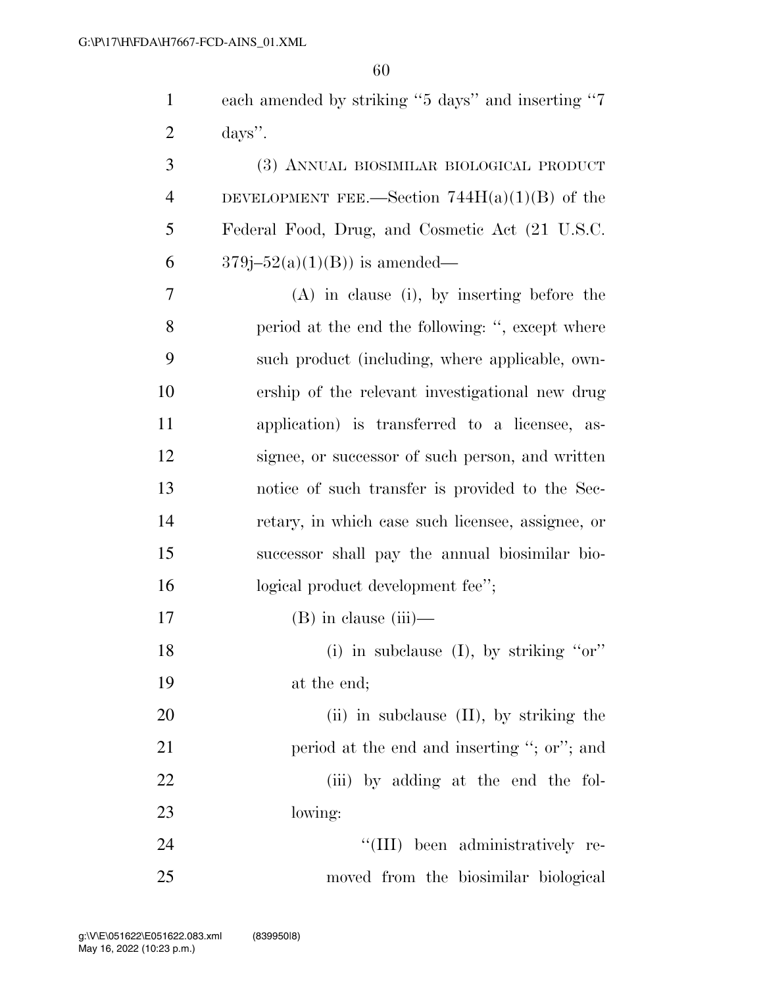| $\mathbf{1}$   | each amended by striking "5 days" and inserting "7 |
|----------------|----------------------------------------------------|
| $\overline{2}$ | days".                                             |
| 3              | (3) ANNUAL BIOSIMILAR BIOLOGICAL PRODUCT           |
| $\overline{4}$ | DEVELOPMENT FEE.—Section $744H(a)(1)(B)$ of the    |
| 5              | Federal Food, Drug, and Cosmetic Act (21 U.S.C.    |
| 6              | $379j - 52(a)(1)(B)$ is amended—                   |
| 7              | $(A)$ in clause (i), by inserting before the       |
| 8              | period at the end the following: ", except where   |
| 9              | such product (including, where applicable, own-    |
| 10             | ership of the relevant investigational new drug    |
| 11             | application) is transferred to a licensee, as-     |
| 12             | signee, or successor of such person, and written   |
| 13             | notice of such transfer is provided to the Sec-    |
| 14             | retary, in which case such licensee, assignee, or  |
| 15             | successor shall pay the annual biosimilar bio-     |
| 16             | logical product development fee";                  |
| 17             | $(B)$ in clause $(iii)$ —                          |
| 18             | (i) in subclause (I), by striking " $or$ "         |
| 19             | at the end;                                        |
| 20             | $(ii)$ in subclause $(II)$ , by striking the       |
| 21             | period at the end and inserting "; or"; and        |
| 22             | (iii) by adding at the end the fol-                |
| 23             | lowing:                                            |
| 24             | "(III) been administratively re-                   |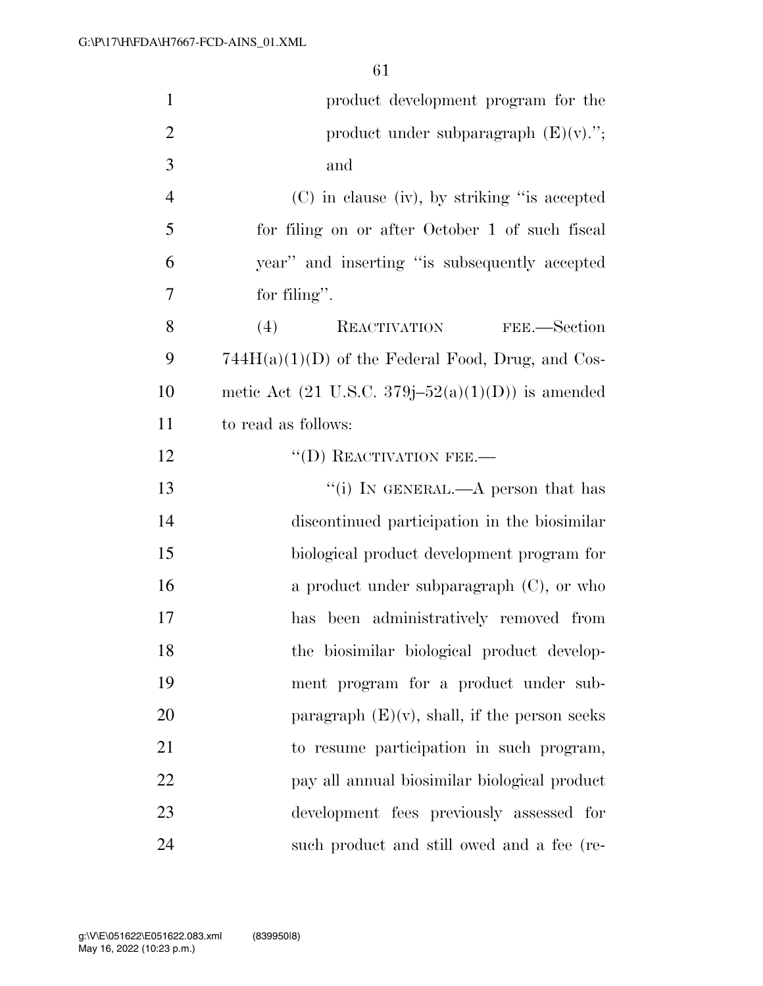| $\mathbf{1}$   | product development program for the                            |
|----------------|----------------------------------------------------------------|
| $\overline{2}$ | product under subparagraph $(E)(v)$ .";                        |
| 3              | and                                                            |
| $\overline{4}$ | (C) in clause (iv), by striking "is accepted                   |
| 5              | for filing on or after October 1 of such fiscal                |
| 6              | year" and inserting "is subsequently accepted                  |
| 7              | for filing".                                                   |
| 8              | (4)<br>REACTIVATION<br>FEE.—Section                            |
| 9              | $744H(a)(1)(D)$ of the Federal Food, Drug, and Cos-            |
| 10             | metic Act $(21 \text{ U.S.C. } 379j - 52(a)(1)(D))$ is amended |
| 11             | to read as follows:                                            |
| 12             | $\lq\lq$ (D) REACTIVATION FEE.—                                |
| 13             | "(i) IN GENERAL.— $A$ person that has                          |
| 14             | discontinued participation in the biosimilar                   |
| 15             | biological product development program for                     |
| 16             | a product under subparagraph $(C)$ , or who                    |
| 17             | been administratively removed from<br>has                      |
| 18             | the biosimilar biological product develop-                     |
| 19             | ment program for a product under sub-                          |
| 20             | paragraph $(E)(v)$ , shall, if the person seeks                |
| 21             | to resume participation in such program,                       |
| 22             | pay all annual biosimilar biological product                   |
| 23             | development fees previously assessed for                       |
| 24             | such product and still owed and a fee (re-                     |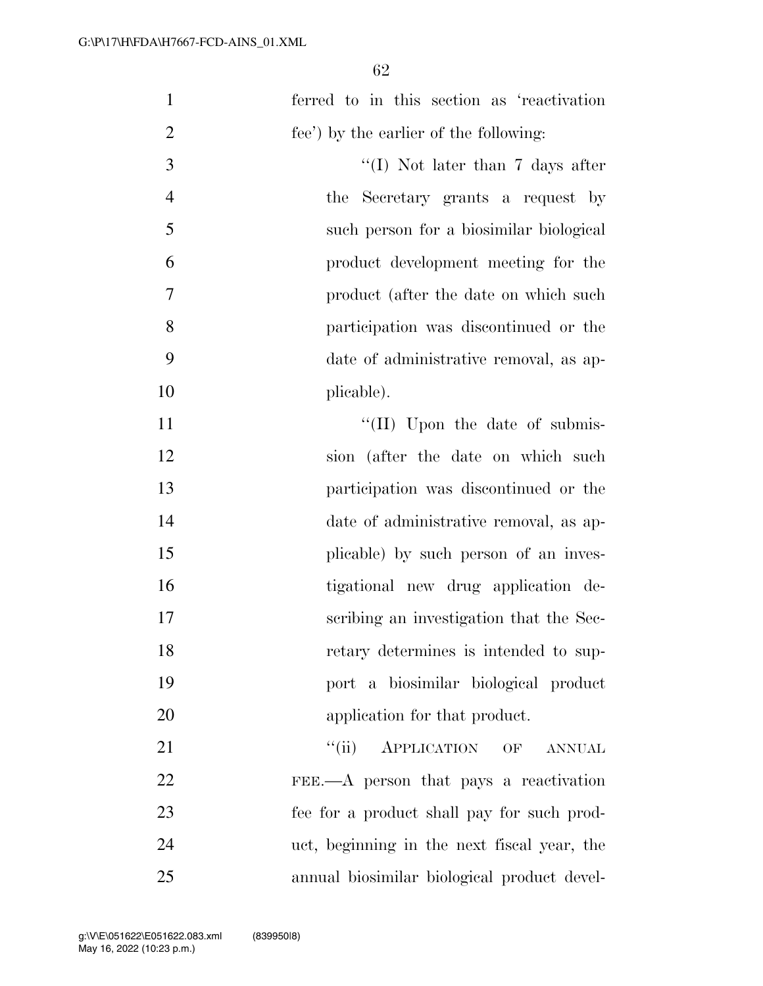| $\mathbf{1}$   | ferred to in this section as 'reactivation  |
|----------------|---------------------------------------------|
| $\overline{2}$ | fee') by the earlier of the following:      |
| 3              | "(I) Not later than $7$ days after          |
| $\overline{4}$ | the Secretary grants a request by           |
| 5              | such person for a biosimilar biological     |
| 6              | product development meeting for the         |
| $\tau$         | product (after the date on which such       |
| 8              | participation was discontinued or the       |
| 9              | date of administrative removal, as ap-      |
| 10             | plicable).                                  |
| 11             | "(II) Upon the date of submis-              |
| 12             | sion (after the date on which such          |
| 13             | participation was discontinued or the       |
| 14             | date of administrative removal, as ap-      |
| 15             | plicable) by such person of an inves-       |
| 16             | tigational new drug application de-         |
| 17             | scribing an investigation that the Sec-     |
| 18             | retary determines is intended to sup-       |
| 19             | port a biosimilar biological product        |
| 20             | application for that product.               |
| 21             | ``(ii)<br>APPLICATION OF<br><b>ANNUAL</b>   |
| 22             | FEE.—A person that pays a reactivation      |
| 23             | fee for a product shall pay for such prod-  |
| 24             | uct, beginning in the next fiscal year, the |
| 25             | annual biosimilar biological product devel- |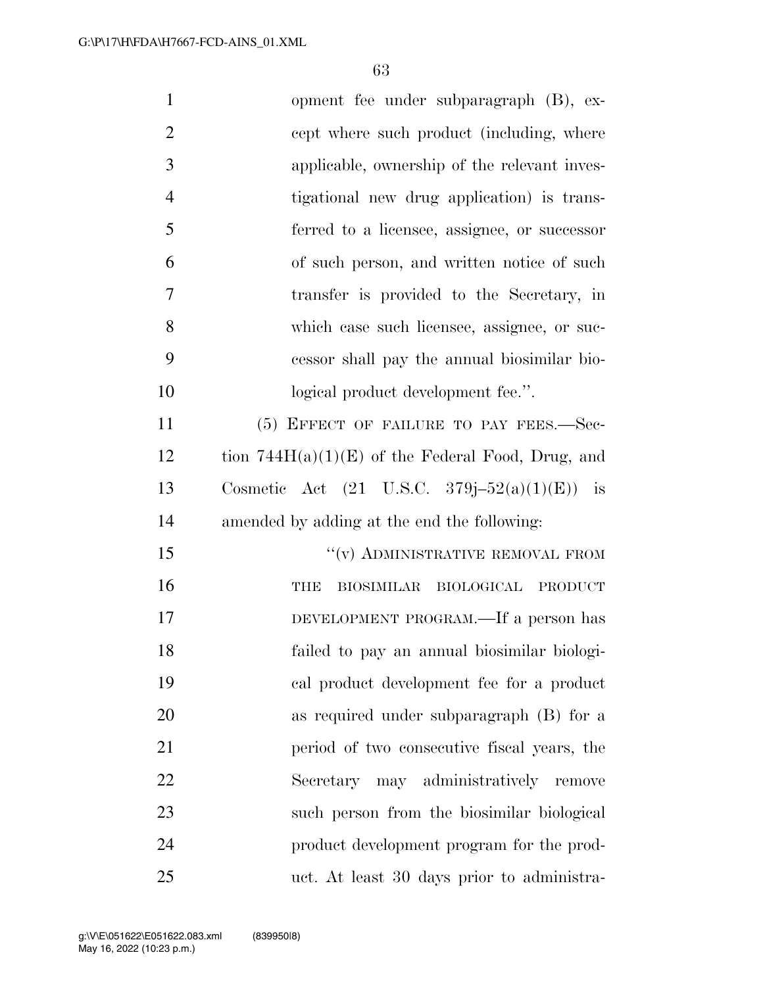| $\mathbf{1}$   | opment fee under subparagraph (B), ex-                  |
|----------------|---------------------------------------------------------|
| $\overline{2}$ | cept where such product (including, where               |
| 3              | applicable, ownership of the relevant inves-            |
| $\overline{4}$ | tigational new drug application) is trans-              |
| 5              | ferred to a licensee, assignee, or successor            |
| 6              | of such person, and written notice of such              |
| 7              | transfer is provided to the Secretary, in               |
| 8              | which case such licensee, assignee, or suc-             |
| 9              | cessor shall pay the annual biosimilar bio-             |
| 10             | logical product development fee.".                      |
| 11             | (5) EFFECT OF FAILURE TO PAY FEES.-Sec-                 |
| 12             | tion $744H(a)(1)(E)$ of the Federal Food, Drug, and     |
| 13             | Cosmetic Act $(21 \text{ U.S.C. } 379j-52(a)(1)(E))$ is |
| 14             | amended by adding at the end the following:             |
| 15             | $``(v)$ ADMINISTRATIVE REMOVAL FROM                     |
| 16             | <b>BIOSIMILAR</b><br>BIOLOGICAL PRODUCT<br>THE          |
| 17             | DEVELOPMENT PROGRAM.—If a person has                    |
| 18             | failed to pay an annual biosimilar biologi-             |
| 19             | cal product development fee for a product               |
| 20             | as required under subparagraph (B) for a                |
| 21             | period of two consecutive fiscal years, the             |
| 22             | Secretary may administratively remove                   |
| 23             | such person from the biosimilar biological              |
| 24             | product development program for the prod-               |
| 25             | uct. At least 30 days prior to administra-              |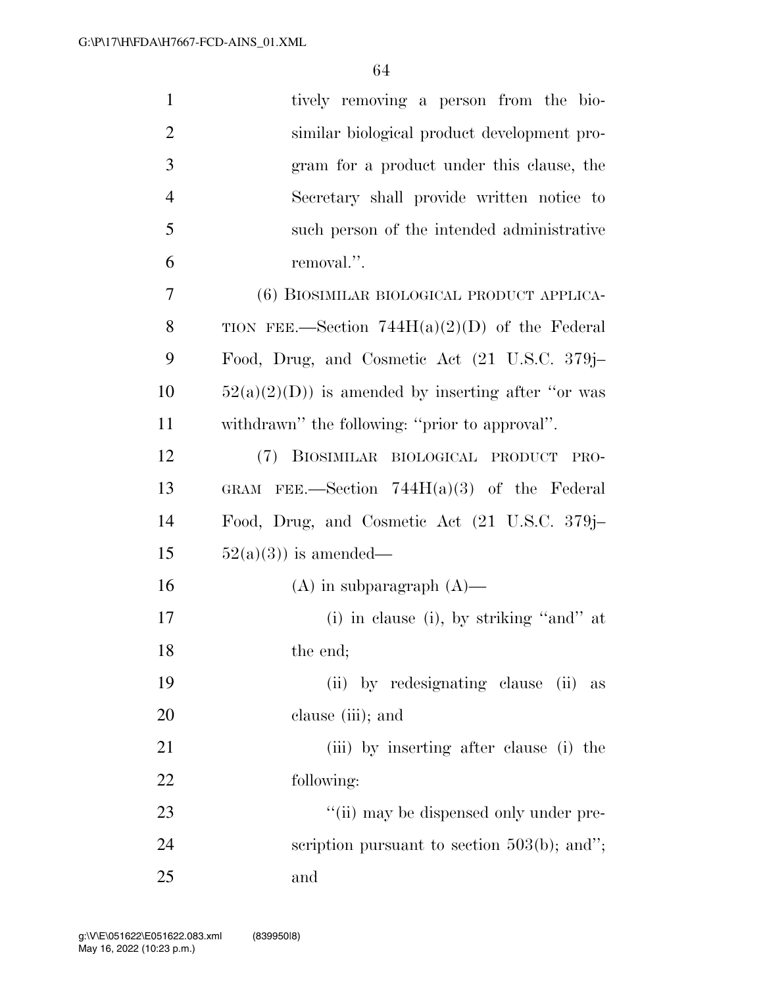| $\mathbf{1}$   | tively removing a person from the bio-              |
|----------------|-----------------------------------------------------|
| $\overline{2}$ | similar biological product development pro-         |
| 3              | gram for a product under this clause, the           |
| $\overline{4}$ | Secretary shall provide written notice to           |
| 5              | such person of the intended administrative          |
| 6              | removal.".                                          |
| 7              | (6) BIOSIMILAR BIOLOGICAL PRODUCT APPLICA-          |
| 8              | TION FEE.—Section $744H(a)(2)(D)$ of the Federal    |
| 9              | Food, Drug, and Cosmetic Act (21 U.S.C. 379j–       |
| 10             | $52(a)(2)(D)$ is amended by inserting after "or was |
| 11             | withdrawn" the following: "prior to approval".      |
| 12             | (7) BIOSIMILAR BIOLOGICAL PRODUCT PRO-              |
| 13             | GRAM FEE.—Section $744H(a)(3)$ of the Federal       |
| 14             | Food, Drug, and Cosmetic Act (21 U.S.C. 379j–       |
| 15             | $52(a)(3)$ is amended—                              |
| 16             | $(A)$ in subparagraph $(A)$ —                       |
| 17             | $(i)$ in clause $(i)$ , by striking "and" at        |
| 18             | the end;                                            |
| 19             | (ii) by redesignating clause (ii) as                |
| 20             | clause (iii); and                                   |
| 21             | (iii) by inserting after clause (i) the             |
| 22             | following:                                          |
| 23             | "(ii) may be dispensed only under pre-              |
| 24             | scription pursuant to section $503(b)$ ; and";      |
| 25             | and                                                 |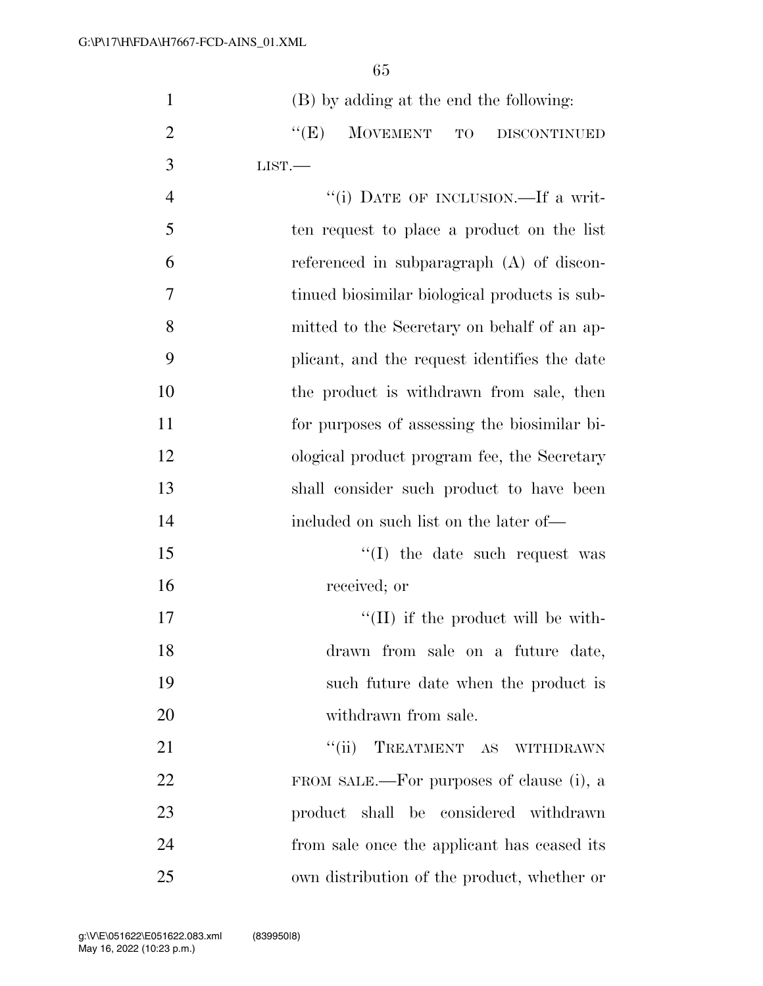| $\mathbf{1}$   | (B) by adding at the end the following:       |
|----------------|-----------------------------------------------|
| $\overline{2}$ | ``(E)<br>MOVEMENT TO<br><b>DISCONTINUED</b>   |
| 3              | LIST.                                         |
| $\overline{4}$ | "(i) DATE OF INCLUSION.—If a writ-            |
| 5              | ten request to place a product on the list    |
| 6              | referenced in subparagraph (A) of discon-     |
| 7              | tinued biosimilar biological products is sub- |
| 8              | mitted to the Secretary on behalf of an ap-   |
| 9              | plicant, and the request identifies the date  |
| 10             | the product is withdrawn from sale, then      |
| 11             | for purposes of assessing the biosimilar bi-  |
| 12             | ological product program fee, the Secretary   |
| 13             | shall consider such product to have been      |
| 14             | included on such list on the later of—        |
| 15             | "(I) the date such request was                |
| 16             | received; or                                  |
| 17             | $\lq\lq$ (II) if the product will be with-    |
| 18             | drawn from sale on a future date,             |
| 19             | such future date when the product is          |
| 20             | withdrawn from sale.                          |
| 21             | TREATMENT AS WITHDRAWN<br>``(ii)              |
| 22             | FROM SALE.—For purposes of clause (i), a      |
| 23             | product shall be considered withdrawn         |
| 24             | from sale once the applicant has ceased its   |
| 25             | own distribution of the product, whether or   |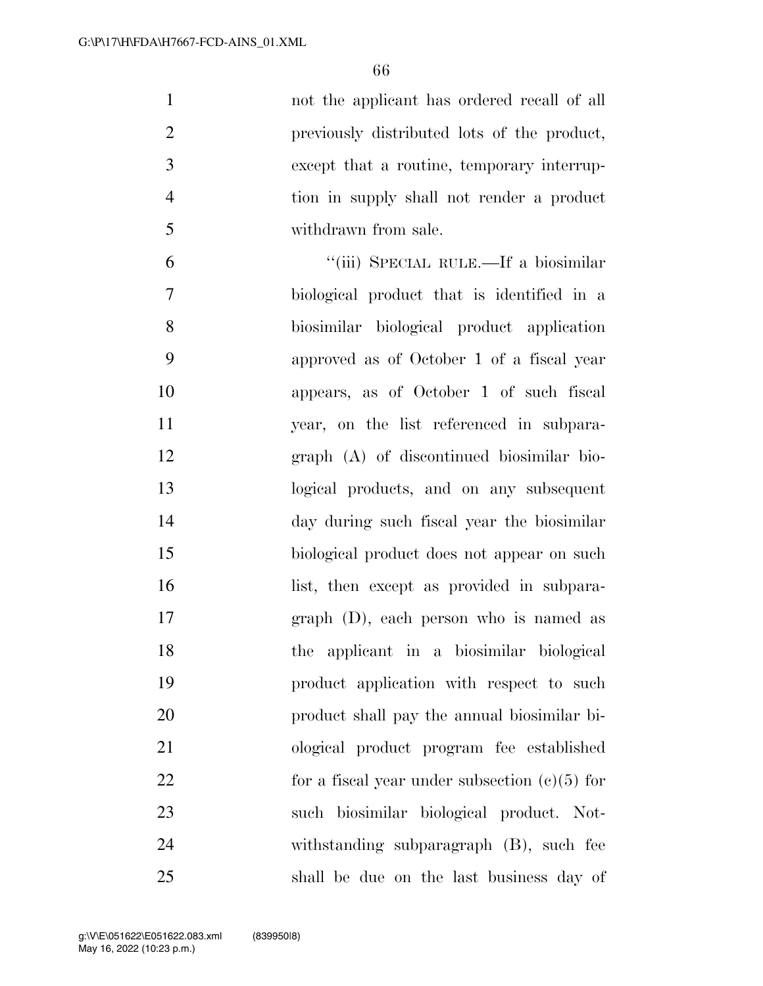not the applicant has ordered recall of all previously distributed lots of the product, except that a routine, temporary interrup- tion in supply shall not render a product withdrawn from sale. ''(iii) SPECIAL RULE.—If a biosimilar

 biological product that is identified in a biosimilar biological product application approved as of October 1 of a fiscal year appears, as of October 1 of such fiscal year, on the list referenced in subpara- graph (A) of discontinued biosimilar bio- logical products, and on any subsequent day during such fiscal year the biosimilar biological product does not appear on such 16 list, then except as provided in subpara- graph (D), each person who is named as the applicant in a biosimilar biological product application with respect to such product shall pay the annual biosimilar bi- ological product program fee established 22 for a fiscal year under subsection  $(c)(5)$  for such biosimilar biological product. Not- withstanding subparagraph (B), such fee shall be due on the last business day of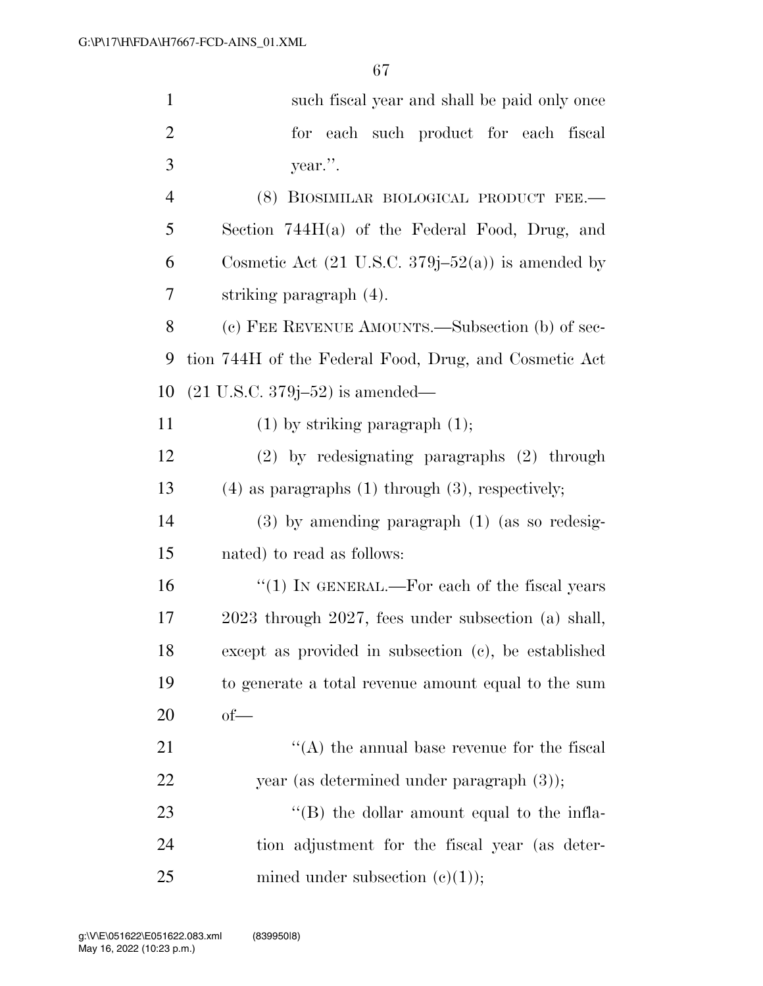| $\mathbf{1}$   | such fiscal year and shall be paid only once                 |
|----------------|--------------------------------------------------------------|
| $\overline{2}$ | each such product for each fiscal<br>for                     |
| 3              | year.".                                                      |
| $\overline{4}$ | (8) BIOSIMILAR BIOLOGICAL PRODUCT FEE.-                      |
| 5              | Section $744H(a)$ of the Federal Food, Drug, and             |
| 6              | Cosmetic Act $(21 \text{ U.S.C. } 379j-52(a))$ is amended by |
| $\overline{7}$ | striking paragraph (4).                                      |
| 8              | (c) FEE REVENUE AMOUNTS.—Subsection (b) of sec-              |
| 9              | tion 744H of the Federal Food, Drug, and Cosmetic Act        |
| 10             | $(21$ U.S.C. 379j-52) is amended—                            |
| 11             | $(1)$ by striking paragraph $(1)$ ;                          |
| 12             | (2) by redesignating paragraphs (2) through                  |
| 13             | $(4)$ as paragraphs $(1)$ through $(3)$ , respectively;      |
| 14             | $(3)$ by amending paragraph $(1)$ (as so redesig-            |
| 15             | nated) to read as follows:                                   |
| 16             | " $(1)$ IN GENERAL.—For each of the fiscal years             |
| 17             | 2023 through 2027, fees under subsection (a) shall,          |
| 18             | except as provided in subsection (c), be established         |
| 19             | to generate a total revenue amount equal to the sum          |
| 20             | $of$ —                                                       |
| 21             | $\lq\lq$ the annual base revenue for the fiscal              |
| 22             | year (as determined under paragraph $(3)$ );                 |
| 23             | $\lq\lq$ (B) the dollar amount equal to the infla-           |
| 24             | tion adjustment for the fiscal year (as deter-               |
| 25             | mined under subsection $(c)(1)$ ;                            |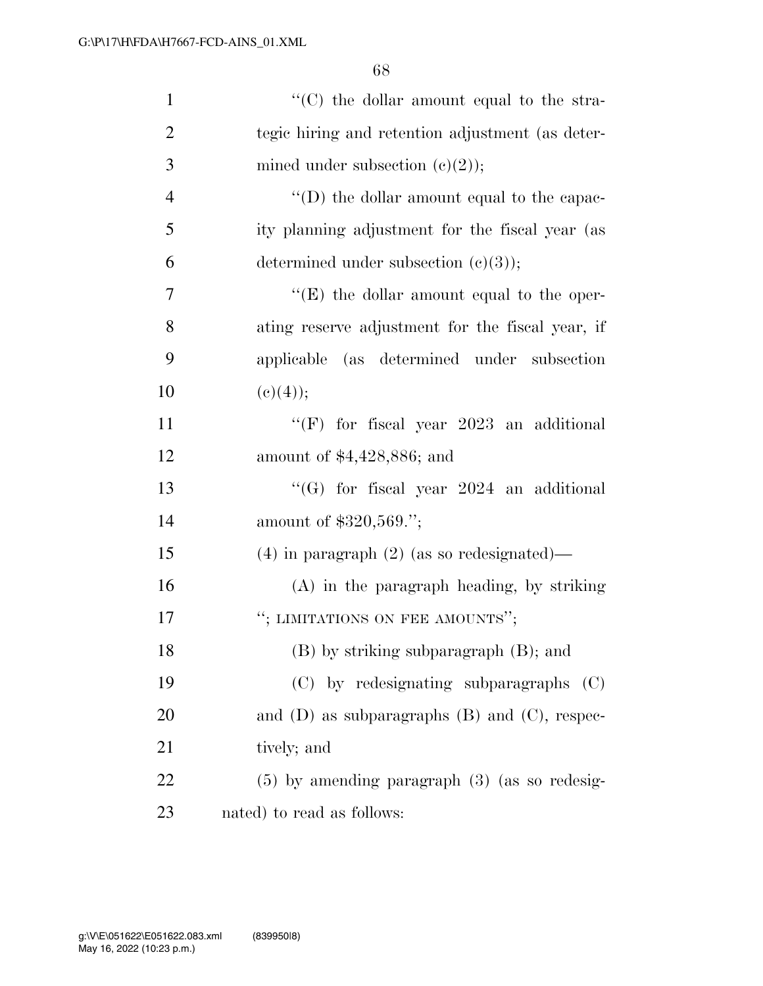| $\mathbf{1}$   | "(C) the dollar amount equal to the stra-            |
|----------------|------------------------------------------------------|
| $\overline{2}$ | tegic hiring and retention adjustment (as deter-     |
| 3              | mined under subsection $(e)(2)$ ;                    |
| $\overline{4}$ | $\lq\lq$ (D) the dollar amount equal to the capac-   |
| 5              | ity planning adjustment for the fiscal year (as      |
| 6              | determined under subsection $(c)(3)$ ;               |
| 7              | $\lq\lq$ the dollar amount equal to the oper-        |
| 8              | ating reserve adjustment for the fiscal year, if     |
| 9              | applicable (as determined under subsection           |
| 10             | (c)(4));                                             |
| 11             | "(F) for fiscal year $2023$ an additional            |
| 12             | amount of \$4,428,886; and                           |
| 13             | "(G) for fiscal year $2024$ an additional            |
| 14             | amount of \$320,569.";                               |
| 15             | $(4)$ in paragraph $(2)$ (as so redesignated)—       |
| 16             | $(A)$ in the paragraph heading, by striking          |
| 17             | "; LIMITATIONS ON FEE AMOUNTS";                      |
| 18             | (B) by striking subparagraph (B); and                |
| 19             | (C) by redesignating subparagraphs<br>(C)            |
| <b>20</b>      | and $(D)$ as subparagraphs $(B)$ and $(C)$ , respec- |
| 21             | tively; and                                          |
| 22             | $(5)$ by amending paragraph $(3)$ (as so redesig-    |
| 23             | nated) to read as follows:                           |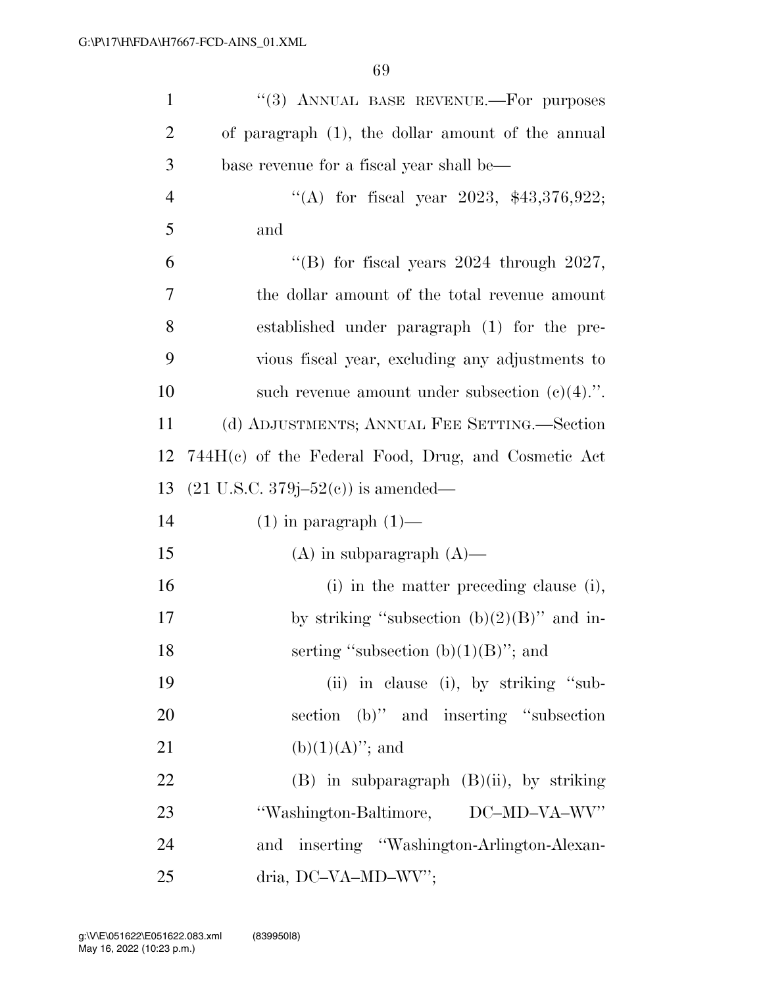| $\mathbf{1}$   | "(3) ANNUAL BASE REVENUE.-- For purposes              |
|----------------|-------------------------------------------------------|
| $\overline{2}$ | of paragraph $(1)$ , the dollar amount of the annual  |
| 3              | base revenue for a fiscal year shall be—              |
| $\overline{4}$ | "(A) for fiscal year 2023, $$43,376,922$ ;            |
| 5              | and                                                   |
| 6              | "(B) for fiscal years $2024$ through $2027$ ,         |
| 7              | the dollar amount of the total revenue amount         |
| 8              | established under paragraph (1) for the pre-          |
| 9              | vious fiscal year, excluding any adjustments to       |
| 10             | such revenue amount under subsection $(e)(4)$ .".     |
| 11             | (d) ADJUSTMENTS; ANNUAL FEE SETTING.—Section          |
| 12             | $744H(c)$ of the Federal Food, Drug, and Cosmetic Act |
| 13             | $(21 \text{ U.S.C. } 379j - 52(c))$ is amended—       |
| 14             | $(1)$ in paragraph $(1)$ —                            |
| 15             | $(A)$ in subparagraph $(A)$ —                         |
| 16             | (i) in the matter preceding clause (i),               |
| 17             | by striking "subsection $(b)(2)(B)$ " and in-         |
| 18             | serting "subsection $(b)(1)(B)$ "; and                |
| 19             | (ii) in clause (i), by striking "sub-                 |
| 20             | section (b)" and inserting "subsection                |
| 21             | $(b)(1)(A)$ "; and                                    |
| 22             | $(B)$ in subparagraph $(B)(ii)$ , by striking         |
| 23             | "Washington-Baltimore, DC-MD-VA-WV"                   |
| 24             | and inserting "Washington-Arlington-Alexan-           |
| 25             | dria, DC-VA-MD-WV";                                   |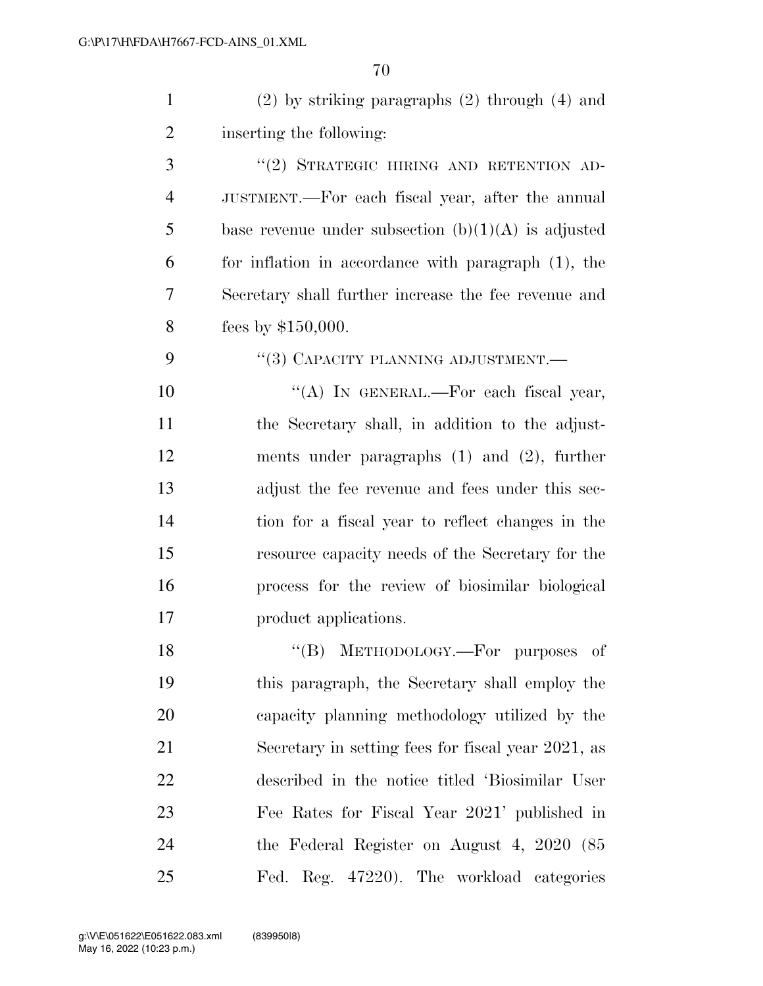| $\mathbf{1}$   | $(2)$ by striking paragraphs $(2)$ through $(4)$ and  |
|----------------|-------------------------------------------------------|
| $\overline{2}$ | inserting the following:                              |
| 3              | "(2) STRATEGIC HIRING AND RETENTION AD-               |
| $\overline{4}$ | JUSTMENT.—For each fiscal year, after the annual      |
| 5              | base revenue under subsection $(b)(1)(A)$ is adjusted |
| 6              | for inflation in accordance with paragraph (1), the   |
| 7              | Secretary shall further increase the fee revenue and  |
| 8              | fees by $$150,000$ .                                  |
| 9              | "(3) CAPACITY PLANNING ADJUSTMENT.—                   |
| 10             | "(A) IN GENERAL.—For each fiscal year,                |
| 11             | the Secretary shall, in addition to the adjust-       |
| 12             | ments under paragraphs $(1)$ and $(2)$ , further      |
| 13             | adjust the fee revenue and fees under this sec-       |
| 14             | tion for a fiscal year to reflect changes in the      |
| 15             | resource capacity needs of the Secretary for the      |
| 16             | process for the review of biosimilar biological       |
| 17             | product applications.                                 |
| 18             | "(B) METHODOLOGY.—For purposes of                     |
| 19             | this paragraph, the Secretary shall employ the        |
| 20             | capacity planning methodology utilized by the         |
| 21             | Secretary in setting fees for fiscal year 2021, as    |
| 22             | described in the notice titled 'Biosimilar User       |
| 23             | Fee Rates for Fiscal Year 2021' published in          |
| 24             | the Federal Register on August 4, 2020 (85            |
| 25             | Fed. Reg. 47220). The workload categories             |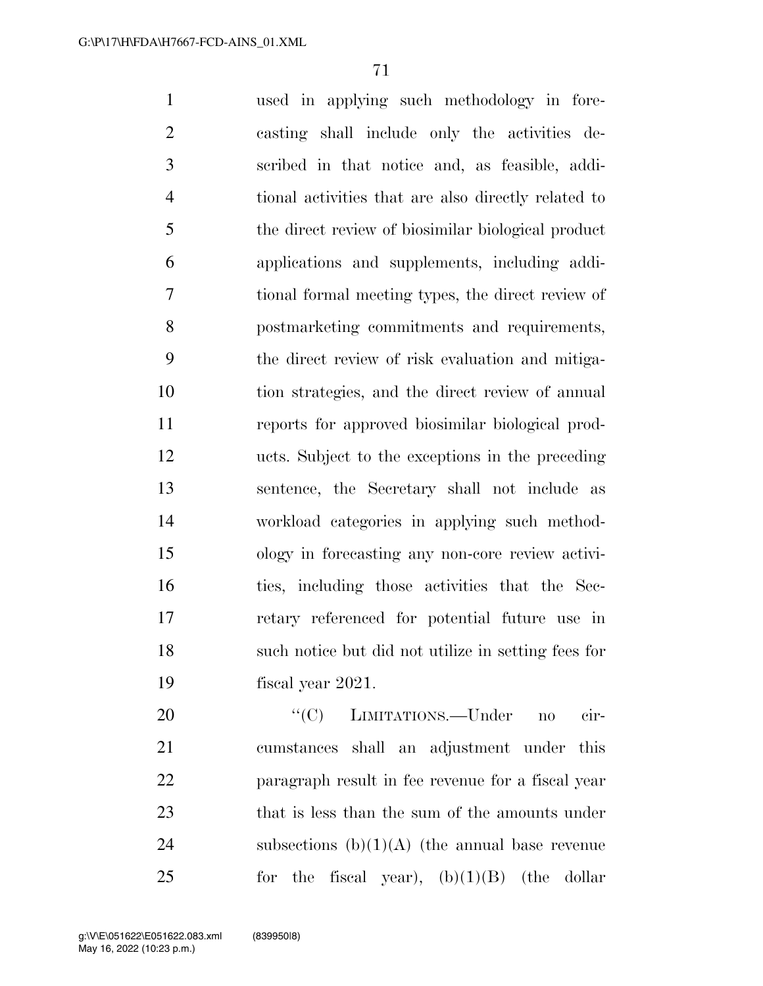used in applying such methodology in fore- casting shall include only the activities de- scribed in that notice and, as feasible, addi- tional activities that are also directly related to the direct review of biosimilar biological product applications and supplements, including addi- tional formal meeting types, the direct review of postmarketing commitments and requirements, the direct review of risk evaluation and mitiga- tion strategies, and the direct review of annual reports for approved biosimilar biological prod- ucts. Subject to the exceptions in the preceding sentence, the Secretary shall not include as workload categories in applying such method- ology in forecasting any non-core review activi- ties, including those activities that the Sec- retary referenced for potential future use in such notice but did not utilize in setting fees for fiscal year 2021.

 $C(C)$  LIMITATIONS.—Under no cir- cumstances shall an adjustment under this paragraph result in fee revenue for a fiscal year 23 that is less than the sum of the amounts under 24 subsections  $(b)(1)(A)$  (the annual base revenue for the fiscal year),  $(b)(1)(B)$  (the dollar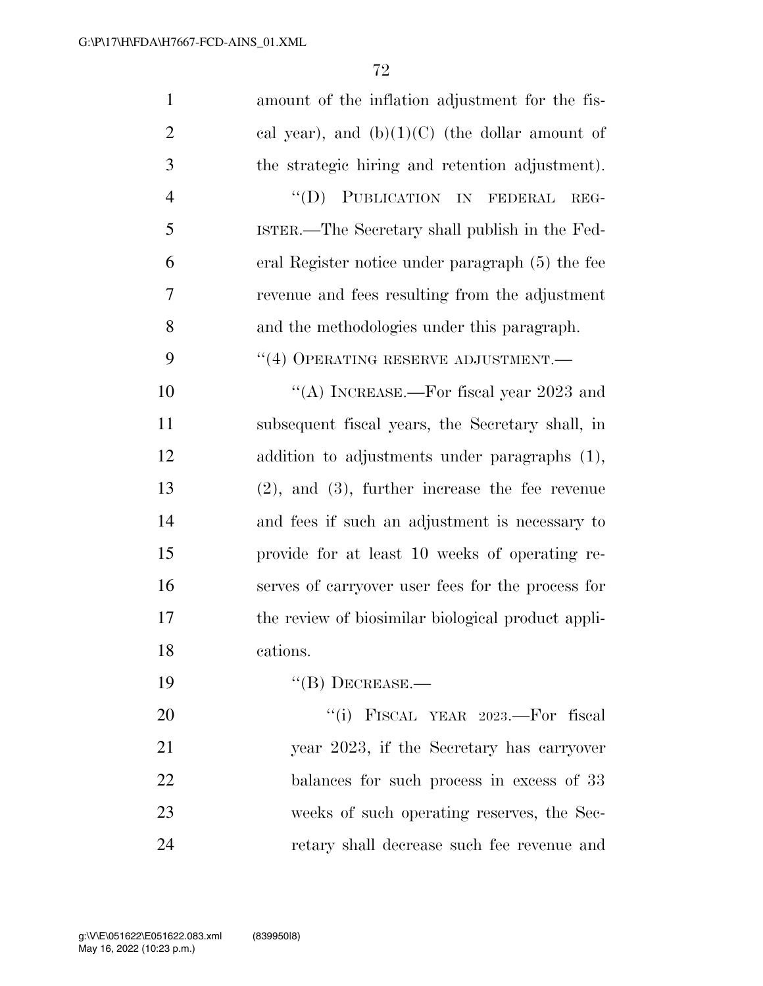| $\mathbf{1}$   | amount of the inflation adjustment for the fis-      |
|----------------|------------------------------------------------------|
| $\overline{2}$ | cal year), and $(b)(1)(C)$ (the dollar amount of     |
| 3              | the strategic hiring and retention adjustment).      |
| $\overline{4}$ | "(D) PUBLICATION IN FEDERAL<br>REG-                  |
| 5              | ISTER.—The Secretary shall publish in the Fed-       |
| 6              | eral Register notice under paragraph (5) the fee     |
| 7              | revenue and fees resulting from the adjustment       |
| 8              | and the methodologies under this paragraph.          |
| 9              | $``(4)$ OPERATING RESERVE ADJUSTMENT.—               |
| 10             | "(A) INCREASE.—For fiscal year $2023$ and            |
| 11             | subsequent fiscal years, the Secretary shall, in     |
| 12             | addition to adjustments under paragraphs (1),        |
| 13             | $(2)$ , and $(3)$ , further increase the fee revenue |
| 14             | and fees if such an adjustment is necessary to       |
| 15             | provide for at least 10 weeks of operating re-       |
| 16             | serves of carryover user fees for the process for    |
| 17             | the review of biosimilar biological product appli-   |
| 18             | cations.                                             |
| 19             | $``$ (B) DECREASE.—                                  |
| 20             | "(i) FISCAL YEAR 2023.—For fiscal                    |
| 21             | year 2023, if the Secretary has carryover            |
| 22             | balances for such process in excess of 33            |
| 23             | weeks of such operating reserves, the Sec-           |
| 24             | retary shall decrease such fee revenue and           |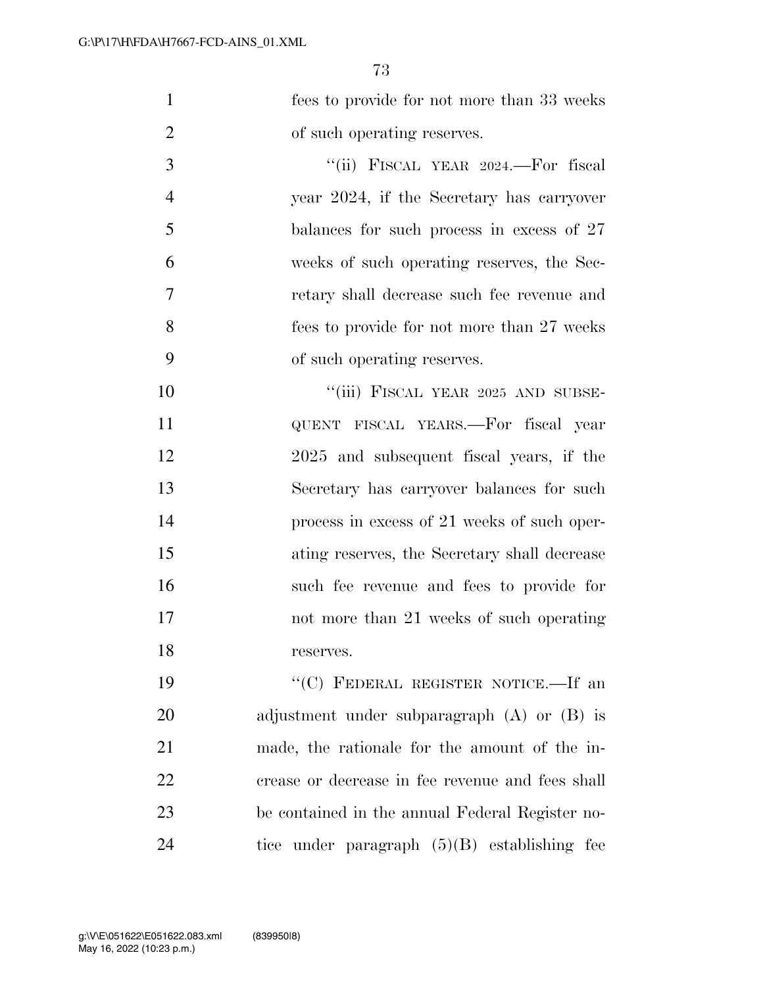fees to provide for not more than 33 weeks 2 of such operating reserves.

 ''(ii) FISCAL YEAR 2024.—For fiscal year 2024, if the Secretary has carryover balances for such process in excess of 27 weeks of such operating reserves, the Sec- retary shall decrease such fee revenue and fees to provide for not more than 27 weeks of such operating reserves.

10 "'(iii) FISCAL YEAR 2025 AND SUBSE- QUENT FISCAL YEARS.—For fiscal year 2025 and subsequent fiscal years, if the Secretary has carryover balances for such process in excess of 21 weeks of such oper- ating reserves, the Secretary shall decrease such fee revenue and fees to provide for not more than 21 weeks of such operating reserves.

19 "'(C) FEDERAL REGISTER NOTICE.—If an adjustment under subparagraph (A) or (B) is made, the rationale for the amount of the in- crease or decrease in fee revenue and fees shall be contained in the annual Federal Register no-tice under paragraph (5)(B) establishing fee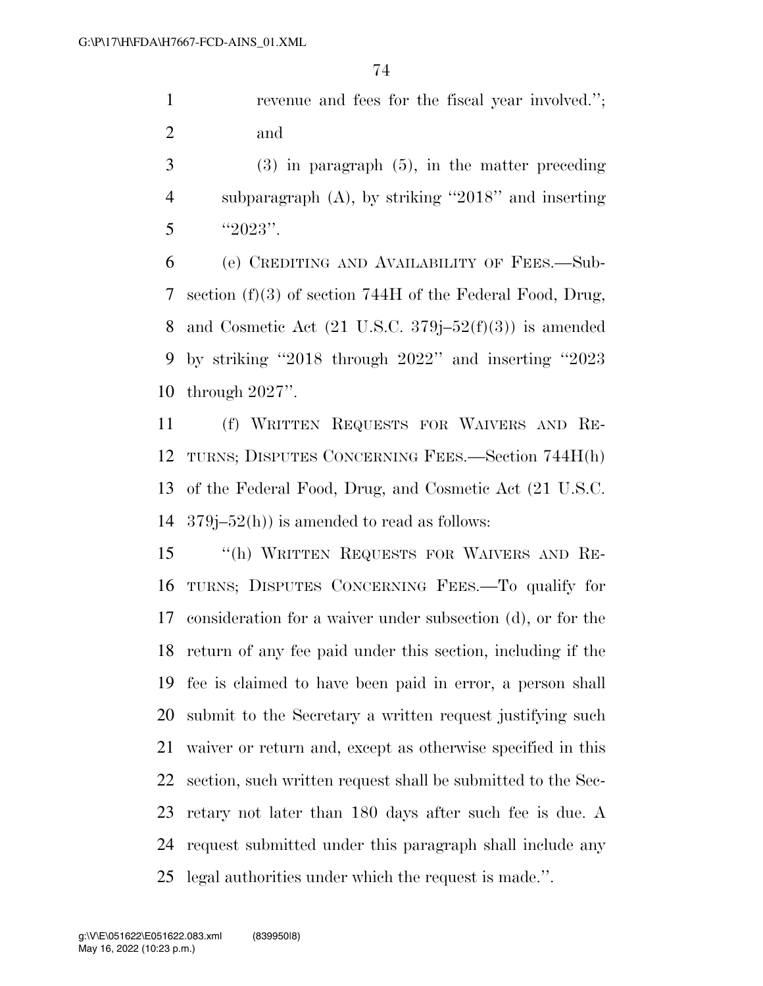revenue and fees for the fiscal year involved.''; and

 (3) in paragraph (5), in the matter preceding subparagraph (A), by striking ''2018'' and inserting ''2023''.

 (e) CREDITING AND AVAILABILITY OF FEES.—Sub- section (f)(3) of section 744H of the Federal Food, Drug, 8 and Cosmetic Act  $(21 \text{ U.S.C. } 379j-52(f)(3))$  is amended by striking ''2018 through 2022'' and inserting ''2023 through 2027''.

 (f) WRITTEN REQUESTS FOR WAIVERS AND RE- TURNS; DISPUTES CONCERNING FEES.—Section 744H(h) of the Federal Food, Drug, and Cosmetic Act (21 U.S.C.  $379j-52(h)$  is amended to read as follows:

 ''(h) WRITTEN REQUESTS FOR WAIVERS AND RE- TURNS; DISPUTES CONCERNING FEES.—To qualify for consideration for a waiver under subsection (d), or for the return of any fee paid under this section, including if the fee is claimed to have been paid in error, a person shall submit to the Secretary a written request justifying such waiver or return and, except as otherwise specified in this section, such written request shall be submitted to the Sec- retary not later than 180 days after such fee is due. A request submitted under this paragraph shall include any legal authorities under which the request is made.''.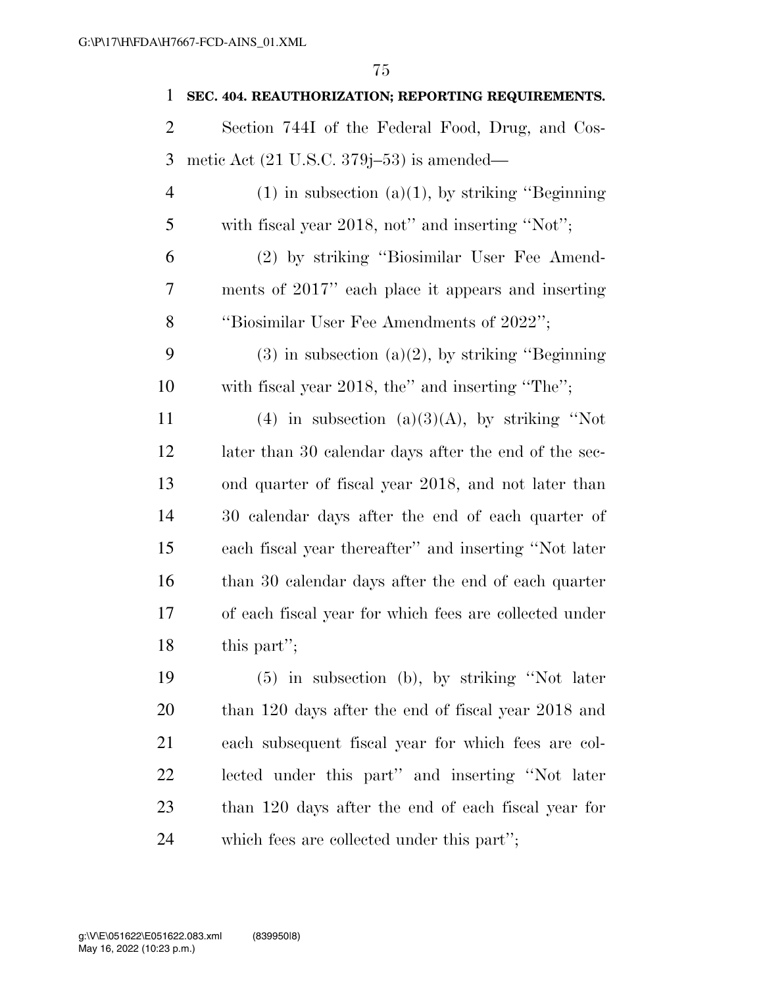| $\mathbf{1}$   | SEC. 404. REAUTHORIZATION; REPORTING REQUIREMENTS.     |
|----------------|--------------------------------------------------------|
| $\overline{c}$ | Section 744I of the Federal Food, Drug, and Cos-       |
| 3              | metic Act $(21 \text{ U.S.C. } 379j-53)$ is amended—   |
| 4              | $(1)$ in subsection $(a)(1)$ , by striking "Beginning" |
| 5              | with fiscal year 2018, not" and inserting "Not";       |
| 6              | (2) by striking "Biosimilar User Fee Amend-            |
| 7              | ments of 2017" each place it appears and inserting     |
| 8              | "Biosimilar User Fee Amendments of 2022";              |
| 9              | $(3)$ in subsection $(a)(2)$ , by striking "Beginning" |
| 10             | with fiscal year 2018, the" and inserting "The";       |
| 11             | (4) in subsection (a)(3)(A), by striking "Not          |
| 12             | later than 30 calendar days after the end of the sec-  |
| 13             | ond quarter of fiscal year 2018, and not later than    |
| 14             | 30 calendar days after the end of each quarter of      |
| 15             | each fiscal year thereafter" and inserting "Not later  |
| 16             | than 30 calendar days after the end of each quarter    |
| 17             | of each fiscal year for which fees are collected under |
| 18             | this part";                                            |
| 19             | $(5)$ in subsection (b), by striking "Not later        |
| 20             | than 120 days after the end of fiscal year 2018 and    |
| 21             | each subsequent fiscal year for which fees are col-    |
| 22             | lected under this part" and inserting "Not later       |
| 23             | than 120 days after the end of each fiscal year for    |

which fees are collected under this part'';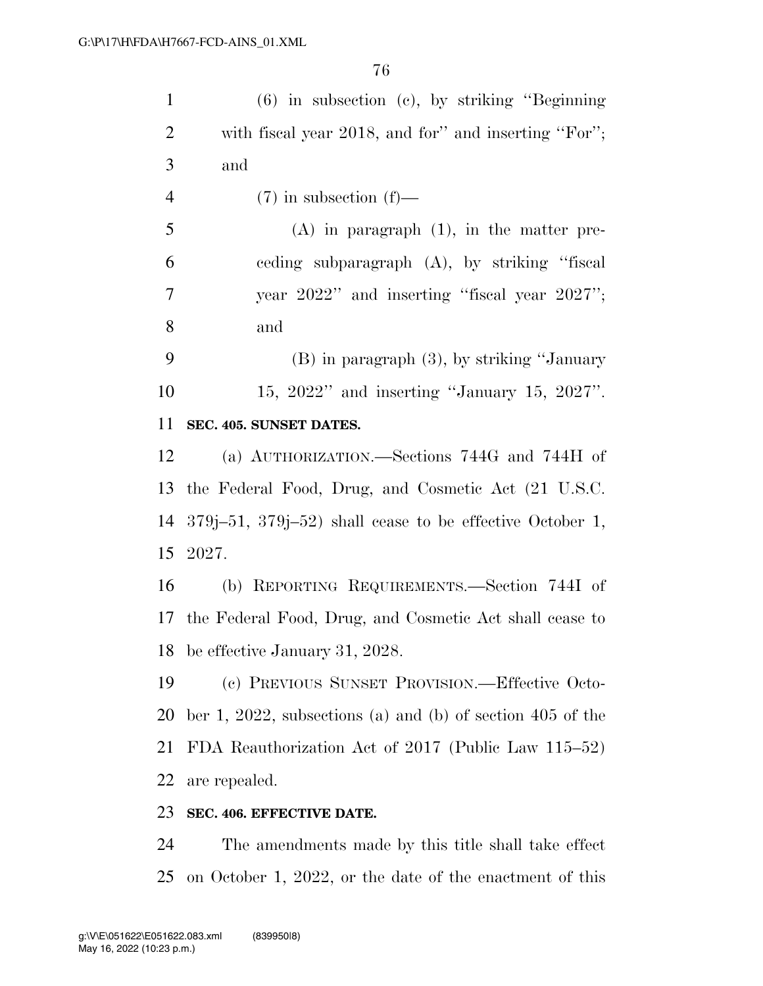| $\mathbf{1}$   | $(6)$ in subsection $(e)$ , by striking "Beginning"               |
|----------------|-------------------------------------------------------------------|
| $\overline{2}$ | with fiscal year 2018, and for" and inserting "For";              |
| 3              | and                                                               |
| $\overline{4}$ | $(7)$ in subsection $(f)$ —                                       |
| 5              | $(A)$ in paragraph $(1)$ , in the matter pre-                     |
| 6              | eeding subparagraph (A), by striking "fiscal                      |
| 7              | year 2022" and inserting "fiscal year 2027";                      |
| 8              | and                                                               |
| 9              | $(B)$ in paragraph $(3)$ , by striking "January"                  |
| 10             | 15, 2022" and inserting "January 15, 2027".                       |
| 11             | SEC. 405. SUNSET DATES.                                           |
| 12             | (a) AUTHORIZATION.—Sections 744G and 744H of                      |
| 13             | the Federal Food, Drug, and Cosmetic Act (21 U.S.C.               |
|                | 14 $379j-51$ , $379j-52$ ) shall cease to be effective October 1, |
|                | 15 2027.                                                          |
| 16             | (b) REPORTING REQUIREMENTS.—Section 744I of                       |
|                | 17 the Federal Food, Drug, and Cosmetic Act shall cease to        |
|                | 18 be effective January 31, 2028.                                 |
| 19             | (c) PREVIOUS SUNSET PROVISION.—Effective Octo-                    |
| 20             | ber 1, 2022, subsections (a) and (b) of section 405 of the        |
| 21             | FDA Reauthorization Act of 2017 (Public Law 115–52)               |
| 22             | are repealed.                                                     |
| 23             | SEC. 406. EFFECTIVE DATE.                                         |
| $\mathcal{D}A$ | The amondmonts made by this title shall take offect               |

 The amendments made by this title shall take effect on October 1, 2022, or the date of the enactment of this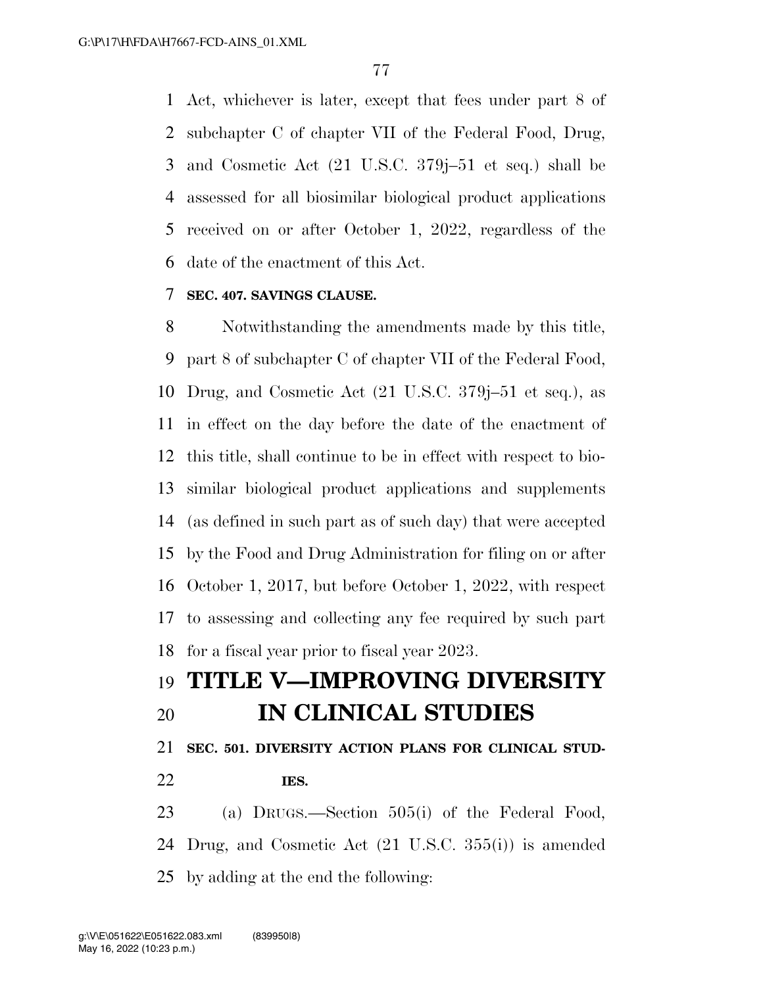Act, whichever is later, except that fees under part 8 of subchapter C of chapter VII of the Federal Food, Drug, and Cosmetic Act (21 U.S.C. 379j–51 et seq.) shall be assessed for all biosimilar biological product applications received on or after October 1, 2022, regardless of the date of the enactment of this Act.

### **SEC. 407. SAVINGS CLAUSE.**

 Notwithstanding the amendments made by this title, part 8 of subchapter C of chapter VII of the Federal Food, Drug, and Cosmetic Act (21 U.S.C. 379j–51 et seq.), as in effect on the day before the date of the enactment of this title, shall continue to be in effect with respect to bio- similar biological product applications and supplements (as defined in such part as of such day) that were accepted by the Food and Drug Administration for filing on or after October 1, 2017, but before October 1, 2022, with respect to assessing and collecting any fee required by such part for a fiscal year prior to fiscal year 2023.

# **TITLE V—IMPROVING DIVERSITY IN CLINICAL STUDIES**

### **SEC. 501. DIVERSITY ACTION PLANS FOR CLINICAL STUD-**

**IES.** 

 (a) DRUGS.—Section 505(i) of the Federal Food, Drug, and Cosmetic Act (21 U.S.C. 355(i)) is amended by adding at the end the following: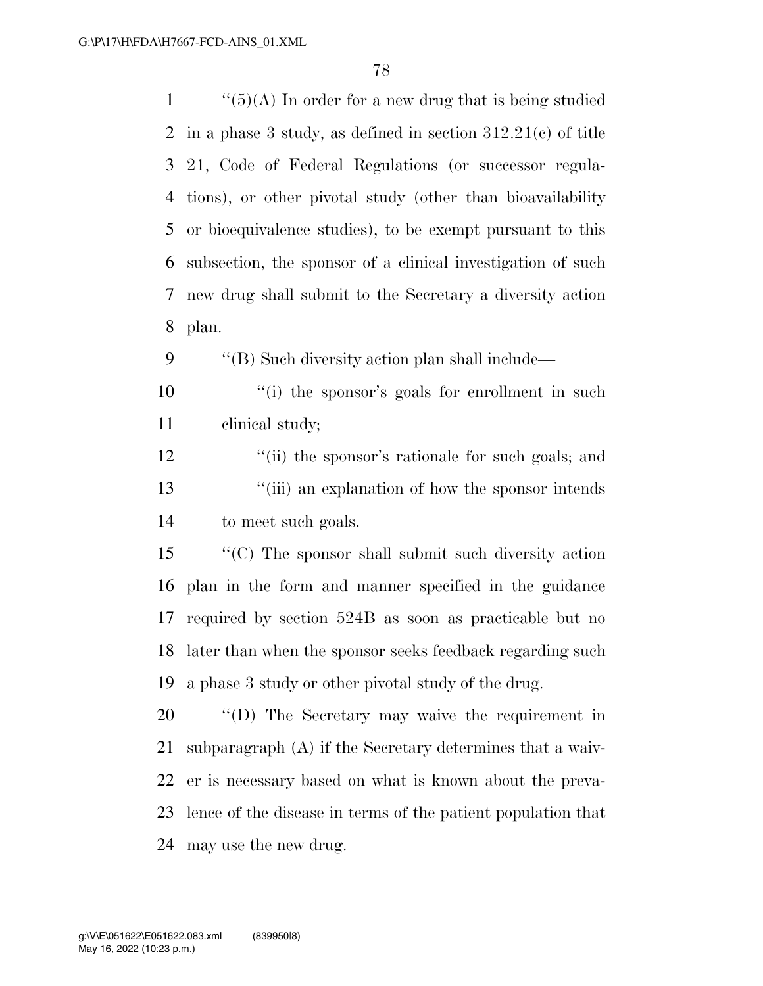| $\mathbf{1}$   | " $(5)(A)$ In order for a new drug that is being studied       |
|----------------|----------------------------------------------------------------|
| $\overline{2}$ | in a phase 3 study, as defined in section $312.21(c)$ of title |
| 3              | 21, Code of Federal Regulations (or successor regula-          |
| $\overline{4}$ | tions), or other pivotal study (other than bioavailability     |
| 5              | or bioequivalence studies), to be exempt pursuant to this      |
| 6              | subsection, the sponsor of a clinical investigation of such    |
| 7              | new drug shall submit to the Secretary a diversity action      |
| 8              | plan.                                                          |
| 9              | "(B) Such diversity action plan shall include—                 |
| 10             | "(i) the sponsor's goals for enrollment in such                |
| 11             | clinical study;                                                |
| 12             | "(ii) the sponsor's rationale for such goals; and              |
| 13             | "(iii) an explanation of how the sponsor intends               |
| 14             | to meet such goals.                                            |
| 15             | "(C) The sponsor shall submit such diversity action            |
| 16             | plan in the form and manner specified in the guidance          |
| 17             | required by section 524B as soon as practicable but no         |
| 18             | later than when the sponsor seeks feedback regarding such      |
| 19             | a phase 3 study or other pivotal study of the drug.            |
| 20             | "(D) The Secretary may waive the requirement in                |
| 21             | subparagraph $(A)$ if the Secretary determines that a waiv-    |
| 22             | er is necessary based on what is known about the preva-        |
| 23             | lence of the disease in terms of the patient population that   |
| 24             | may use the new drug.                                          |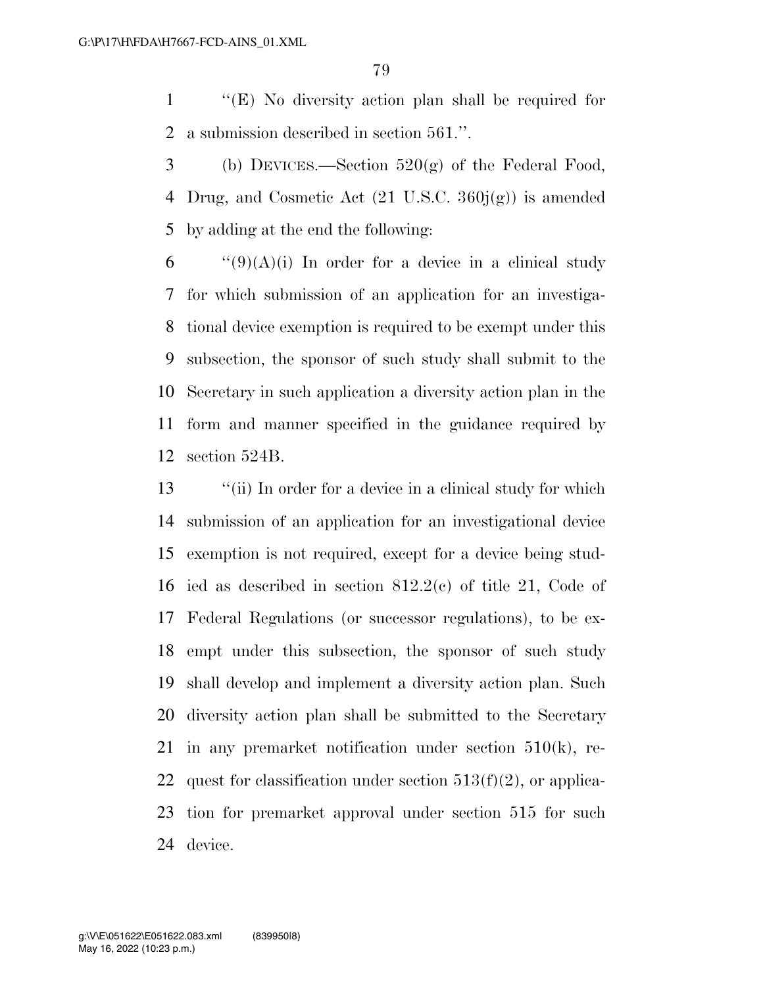''(E) No diversity action plan shall be required for a submission described in section 561.''.

3 (b) DEVICES.—Section  $520(g)$  of the Federal Food, 4 Drug, and Cosmetic Act  $(21 \text{ U.S.C. } 360j(g))$  is amended by adding at the end the following:

 $\qquad$  "(9)(A)(i) In order for a device in a clinical study for which submission of an application for an investiga- tional device exemption is required to be exempt under this subsection, the sponsor of such study shall submit to the Secretary in such application a diversity action plan in the form and manner specified in the guidance required by section 524B.

 ''(ii) In order for a device in a clinical study for which submission of an application for an investigational device exemption is not required, except for a device being stud- ied as described in section 812.2(c) of title 21, Code of Federal Regulations (or successor regulations), to be ex- empt under this subsection, the sponsor of such study shall develop and implement a diversity action plan. Such diversity action plan shall be submitted to the Secretary in any premarket notification under section 510(k), re-22 quest for classification under section  $513(f)(2)$ , or applica- tion for premarket approval under section 515 for such device.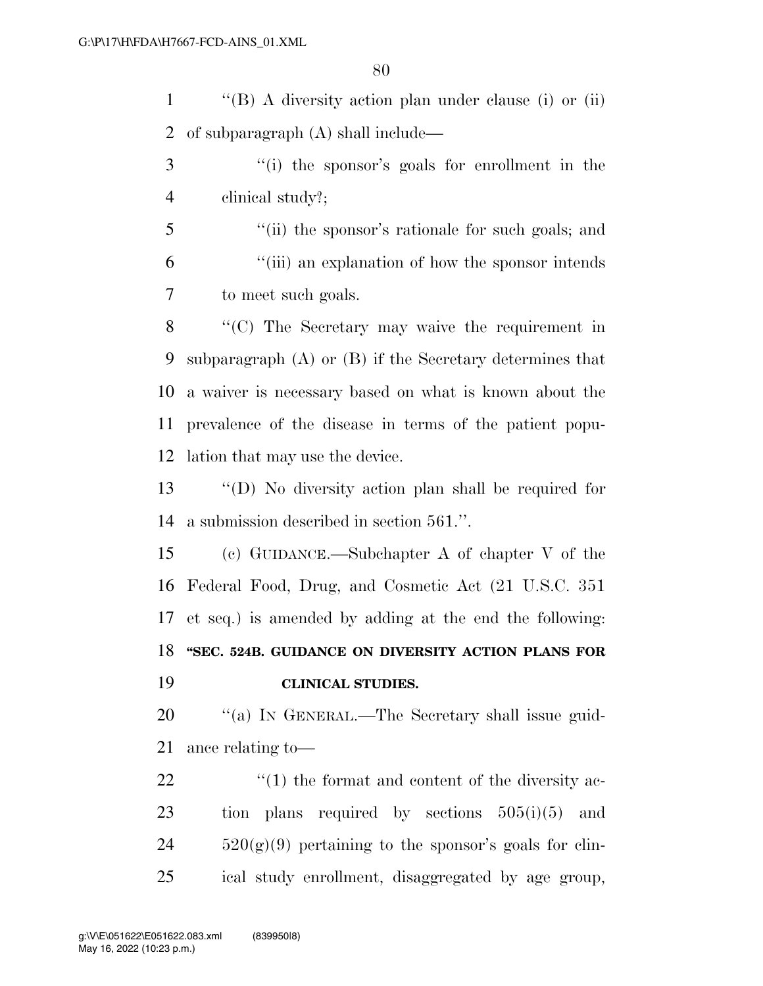''(B) A diversity action plan under clause (i) or (ii) of subparagraph (A) shall include—

- ''(i) the sponsor's goals for enrollment in the clinical study?;
- ''(ii) the sponsor's rationale for such goals; and ''(iii) an explanation of how the sponsor intends to meet such goals.

 ''(C) The Secretary may waive the requirement in subparagraph (A) or (B) if the Secretary determines that a waiver is necessary based on what is known about the prevalence of the disease in terms of the patient popu-lation that may use the device.

 ''(D) No diversity action plan shall be required for a submission described in section 561.''.

 (c) GUIDANCE.—Subchapter A of chapter V of the Federal Food, Drug, and Cosmetic Act (21 U.S.C. 351 et seq.) is amended by adding at the end the following: **''SEC. 524B. GUIDANCE ON DIVERSITY ACTION PLANS FOR CLINICAL STUDIES.** 

20 "(a) IN GENERAL.—The Secretary shall issue guid-ance relating to—

 $\frac{1}{2}$  (1) the format and content of the diversity ac- tion plans required by sections 505(i)(5) and  $520(g)(9)$  pertaining to the sponsor's goals for clin-ical study enrollment, disaggregated by age group,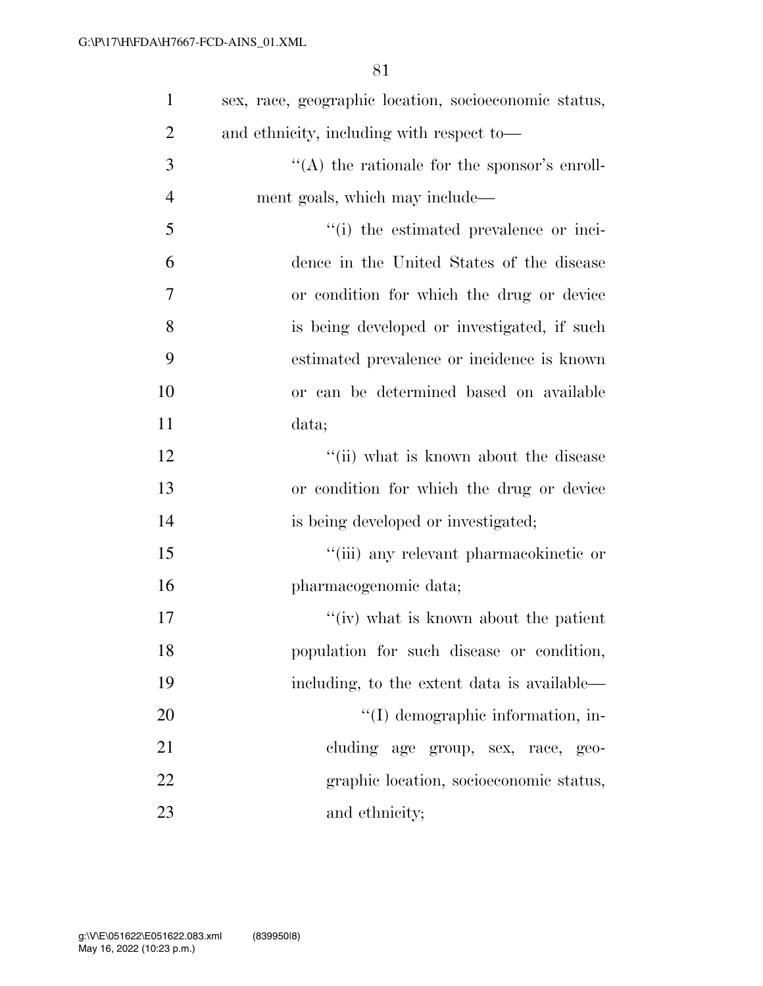| $\mathbf{1}$   | sex, race, geographic location, socioeconomic status, |
|----------------|-------------------------------------------------------|
| $\overline{2}$ | and ethnicity, including with respect to-             |
| 3              | "(A) the rationale for the sponsor's enroll-          |
| $\overline{4}$ | ment goals, which may include—                        |
| 5              | "(i) the estimated prevalence or inci-                |
| 6              | dence in the United States of the disease             |
| 7              | or condition for which the drug or device             |
| 8              | is being developed or investigated, if such           |
| 9              | estimated prevalence or incidence is known            |
| 10             | or can be determined based on available               |
| 11             | data;                                                 |
| 12             | "(ii) what is known about the disease                 |
| 13             | or condition for which the drug or device             |
| 14             | is being developed or investigated;                   |
| 15             | "(iii) any relevant pharmacokinetic or                |
| 16             | pharmacogenomic data;                                 |
| 17             | "(iv) what is known about the patient                 |
| 18             | population for such disease or condition,             |
| 19             | including, to the extent data is available—           |
| 20             | "(I) demographic information, in-                     |
| 21             | cluding age group, sex, race, geo-                    |
| 22             | graphic location, socioeconomic status,               |
| 23             | and ethnicity;                                        |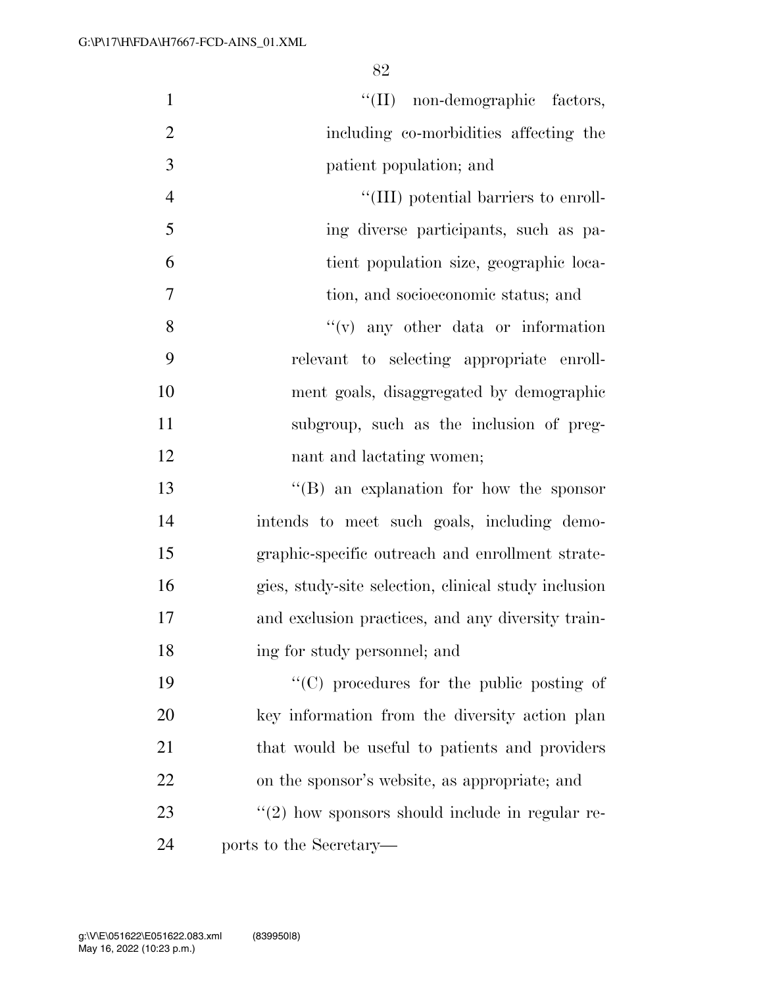| $\mathbf{1}$   | "(II) non-demographic factors,                       |
|----------------|------------------------------------------------------|
| $\overline{2}$ | including co-morbidities affecting the               |
| 3              | patient population; and                              |
| $\overline{4}$ | "(III) potential barriers to enroll-                 |
| 5              | ing diverse participants, such as pa-                |
| 6              | tient population size, geographic loca-              |
| $\overline{7}$ | tion, and socioeconomic status; and                  |
| 8              | $f'(v)$ any other data or information                |
| 9              | relevant to selecting appropriate enroll-            |
| 10             | ment goals, disaggregated by demographic             |
| 11             | subgroup, such as the inclusion of preg-             |
| 12             | nant and lactating women;                            |
| 13             | "(B) an explanation for how the sponsor              |
| 14             | intends to meet such goals, including demo-          |
| 15             | graphic-specific outreach and enrollment strate-     |
| 16             | gies, study-site selection, clinical study inclusion |
| 17             | and exclusion practices, and any diversity train-    |
| 18             | ing for study personnel; and                         |
| 19             | "(C) procedures for the public posting of            |
| 20             | key information from the diversity action plan       |
| 21             | that would be useful to patients and providers       |
| 22             | on the sponsor's website, as appropriate; and        |
| 23             | $\lq(2)$ how sponsors should include in regular re-  |
| 24             | ports to the Secretary—                              |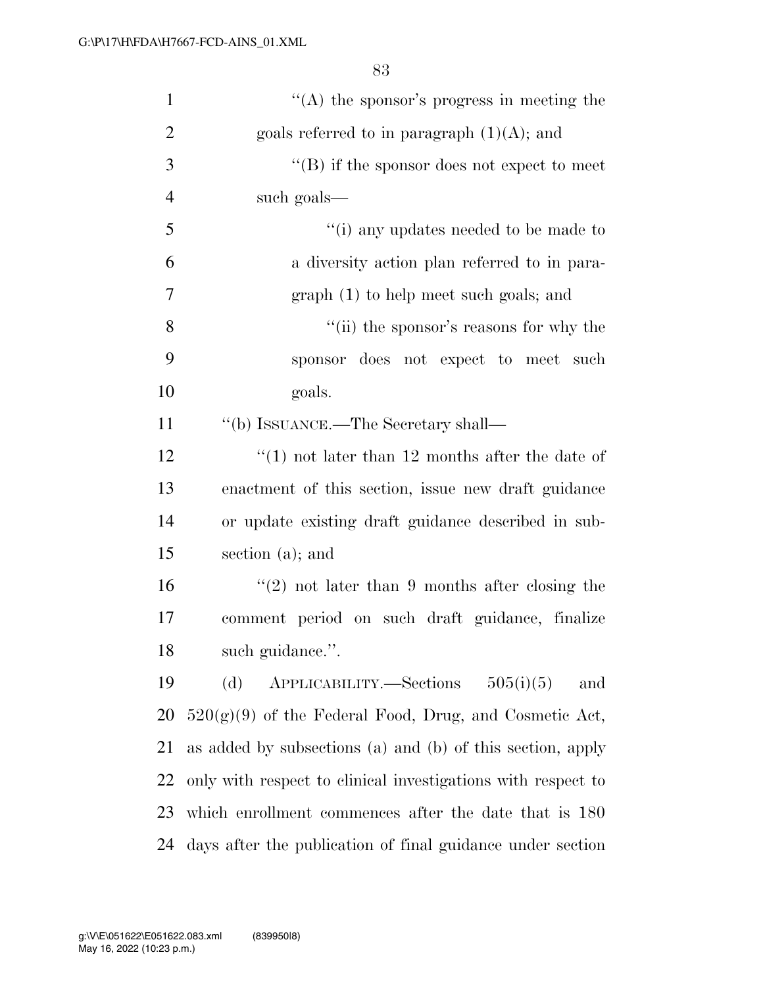| $\mathbf{1}$   | "(A) the sponsor's progress in meeting the                   |
|----------------|--------------------------------------------------------------|
| $\overline{2}$ | goals referred to in paragraph $(1)(A)$ ; and                |
| 3              | $\lq\lq (B)$ if the sponsor does not expect to meet          |
| $\overline{4}$ | such goals—                                                  |
| 5              | "(i) any updates needed to be made to                        |
| 6              | a diversity action plan referred to in para-                 |
| $\overline{7}$ | $graph(1)$ to help meet such goals; and                      |
| 8              | "(ii) the sponsor's reasons for why the                      |
| 9              | sponsor does not expect to meet such                         |
| 10             | goals.                                                       |
| 11             | "(b) ISSUANCE.—The Secretary shall—                          |
| 12             | "(1) not later than 12 months after the date of              |
| 13             | enactment of this section, issue new draft guidance          |
| 14             | or update existing draft guidance described in sub-          |
| 15             | section (a); and                                             |
| 16             | $(2)$ not later than 9 months after closing the              |
| 17             | comment period on such draft guidance, finalize              |
| 18             | such guidance.".                                             |
| 19             | $APPLICABILITY. - Sections 505(i)(5)$<br>and<br>(d)          |
| 20             | $520(g)(9)$ of the Federal Food, Drug, and Cosmetic Act,     |
| 21             | as added by subsections (a) and (b) of this section, apply   |
| 22             | only with respect to clinical investigations with respect to |
| 23             | which enrollment commences after the date that is 180        |
| 24             | days after the publication of final guidance under section   |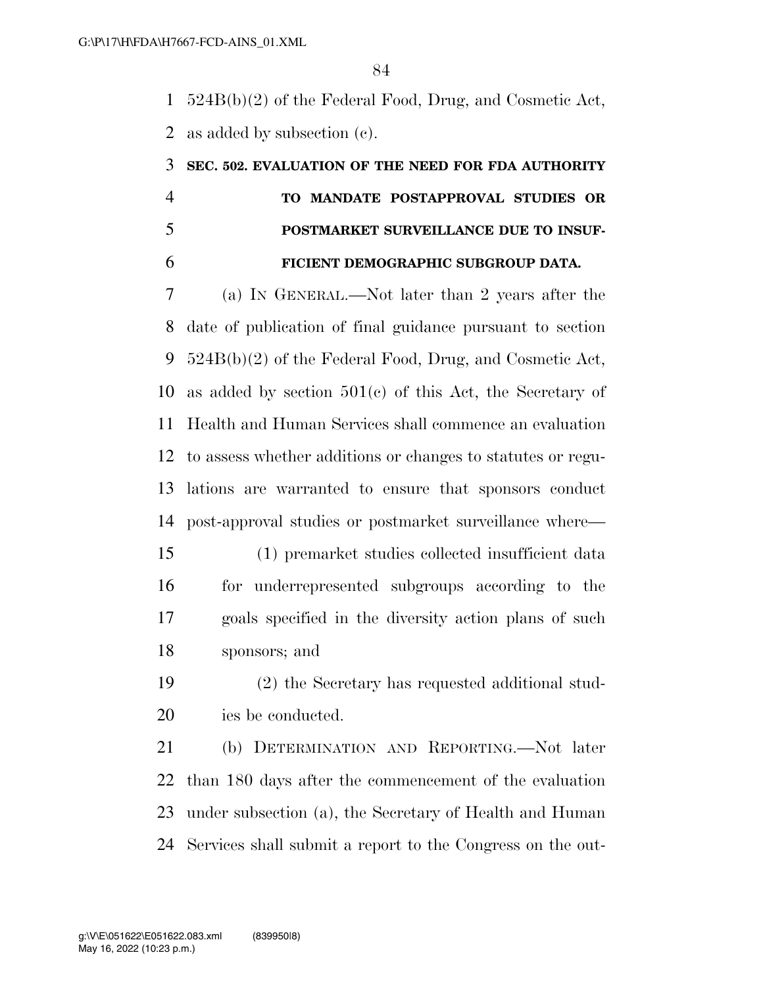524B(b)(2) of the Federal Food, Drug, and Cosmetic Act, as added by subsection (c).

# **SEC. 502. EVALUATION OF THE NEED FOR FDA AUTHORITY TO MANDATE POSTAPPROVAL STUDIES OR POSTMARKET SURVEILLANCE DUE TO INSUF-FICIENT DEMOGRAPHIC SUBGROUP DATA.**

 (a) IN GENERAL.—Not later than 2 years after the date of publication of final guidance pursuant to section 524B(b)(2) of the Federal Food, Drug, and Cosmetic Act, as added by section 501(c) of this Act, the Secretary of Health and Human Services shall commence an evaluation to assess whether additions or changes to statutes or regu- lations are warranted to ensure that sponsors conduct post-approval studies or postmarket surveillance where—

- (1) premarket studies collected insufficient data for underrepresented subgroups according to the goals specified in the diversity action plans of such sponsors; and
- (2) the Secretary has requested additional stud-ies be conducted.

 (b) DETERMINATION AND REPORTING.—Not later than 180 days after the commencement of the evaluation under subsection (a), the Secretary of Health and Human Services shall submit a report to the Congress on the out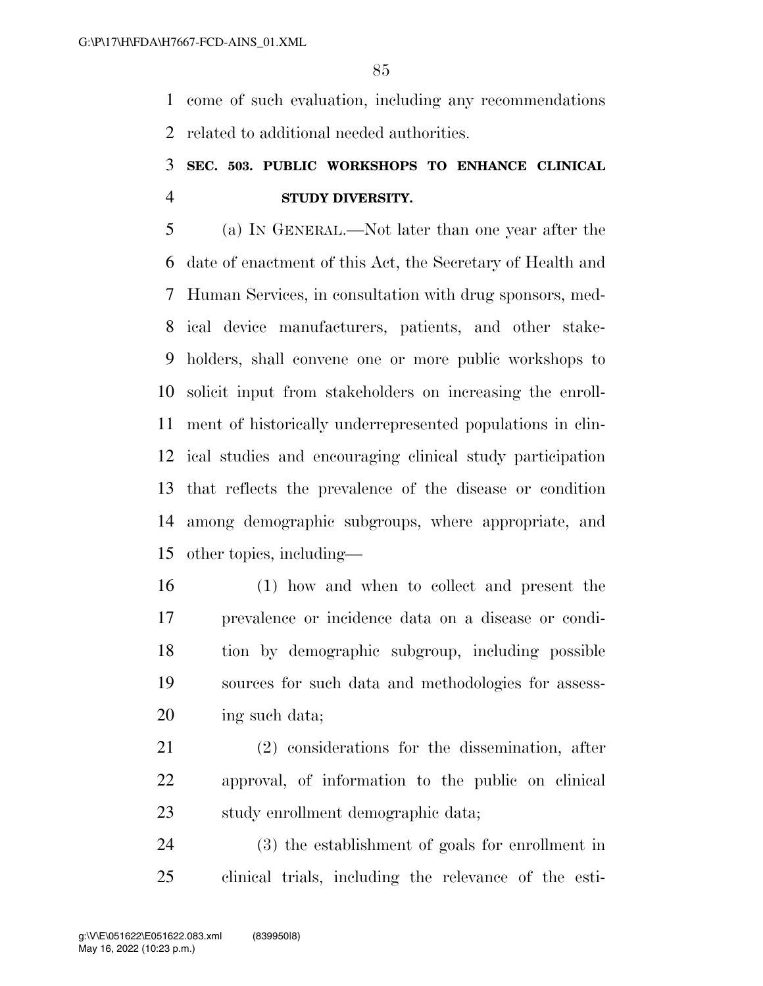come of such evaluation, including any recommendations related to additional needed authorities.

## **SEC. 503. PUBLIC WORKSHOPS TO ENHANCE CLINICAL STUDY DIVERSITY.**

 (a) IN GENERAL.—Not later than one year after the date of enactment of this Act, the Secretary of Health and Human Services, in consultation with drug sponsors, med- ical device manufacturers, patients, and other stake- holders, shall convene one or more public workshops to solicit input from stakeholders on increasing the enroll- ment of historically underrepresented populations in clin- ical studies and encouraging clinical study participation that reflects the prevalence of the disease or condition among demographic subgroups, where appropriate, and other topics, including—

 (1) how and when to collect and present the prevalence or incidence data on a disease or condi- tion by demographic subgroup, including possible sources for such data and methodologies for assess-ing such data;

 (2) considerations for the dissemination, after approval, of information to the public on clinical study enrollment demographic data;

 (3) the establishment of goals for enrollment in clinical trials, including the relevance of the esti-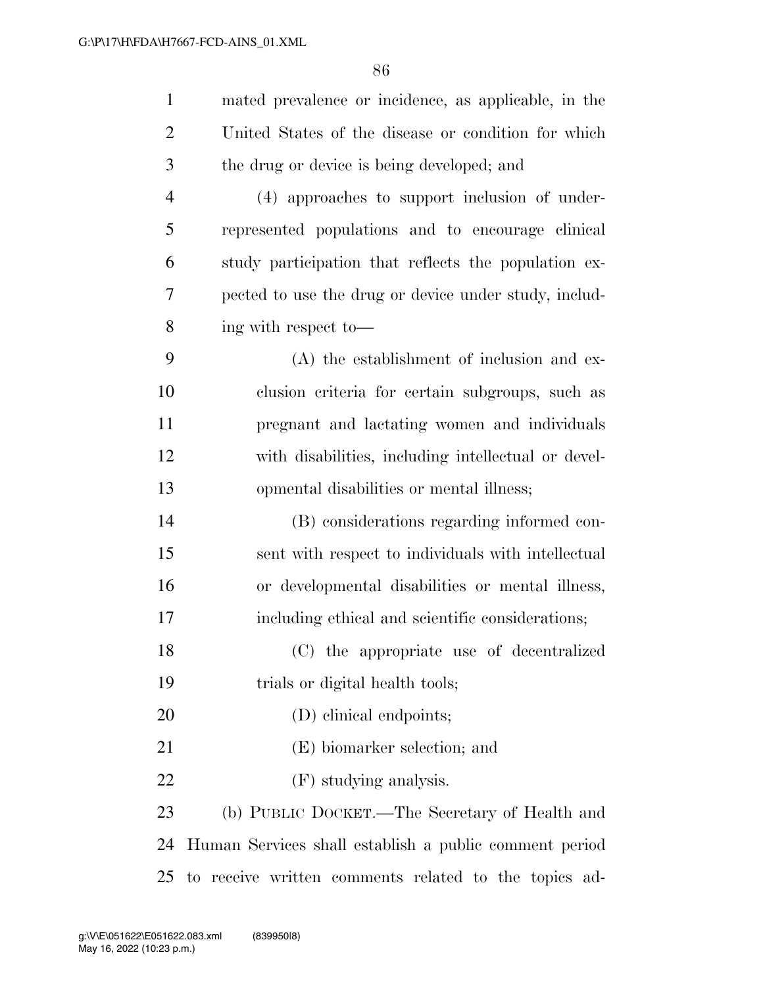| $\mathbf{1}$   | mated prevalence or incidence, as applicable, in the   |
|----------------|--------------------------------------------------------|
| $\overline{2}$ | United States of the disease or condition for which    |
| 3              | the drug or device is being developed; and             |
| $\overline{4}$ | (4) approaches to support inclusion of under-          |
| 5              | represented populations and to encourage clinical      |
| 6              | study participation that reflects the population ex-   |
| 7              | pected to use the drug or device under study, includ-  |
| 8              | ing with respect to-                                   |
| 9              | (A) the establishment of inclusion and ex-             |
| 10             | clusion criteria for certain subgroups, such as        |
| 11             | pregnant and lactating women and individuals           |
| 12             | with disabilities, including intellectual or devel-    |
| 13             | opmental disabilities or mental illness;               |
| 14             | (B) considerations regarding informed con-             |
| 15             | sent with respect to individuals with intellectual     |
| 16             | or developmental disabilities or mental illness,       |
| 17             | including ethical and scientific considerations;       |
| 18             | (C) the appropriate use of decentralized               |
| 19             | trials or digital health tools;                        |
| 20             | (D) clinical endpoints;                                |
| 21             | (E) biomarker selection; and                           |
| 22             | (F) studying analysis.                                 |
| 23             | (b) PUBLIC DOCKET.—The Secretary of Health and         |
| 24             | Human Services shall establish a public comment period |
| 25             | to receive written comments related to the topics ad-  |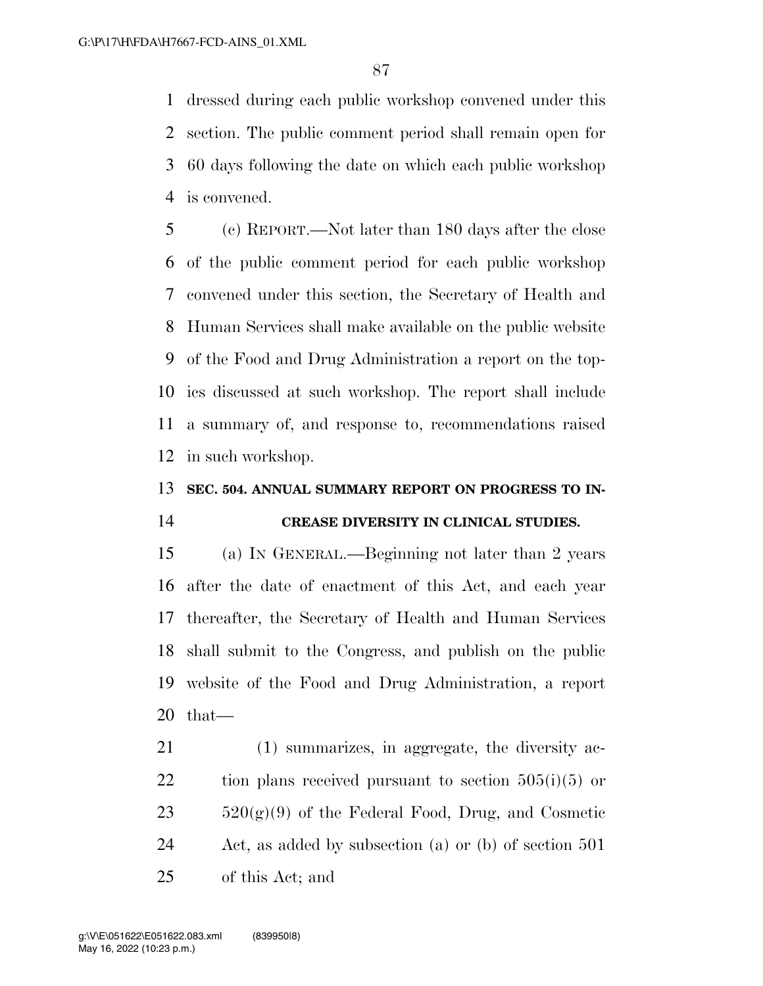dressed during each public workshop convened under this section. The public comment period shall remain open for 60 days following the date on which each public workshop is convened.

 (c) REPORT.—Not later than 180 days after the close of the public comment period for each public workshop convened under this section, the Secretary of Health and Human Services shall make available on the public website of the Food and Drug Administration a report on the top- ics discussed at such workshop. The report shall include a summary of, and response to, recommendations raised in such workshop.

### **SEC. 504. ANNUAL SUMMARY REPORT ON PROGRESS TO IN-**

### **CREASE DIVERSITY IN CLINICAL STUDIES.**

 (a) IN GENERAL.—Beginning not later than 2 years after the date of enactment of this Act, and each year thereafter, the Secretary of Health and Human Services shall submit to the Congress, and publish on the public website of the Food and Drug Administration, a report that—

 (1) summarizes, in aggregate, the diversity ac-22 tion plans received pursuant to section  $505(i)(5)$  or  $23 \qquad 520(g)(9)$  of the Federal Food, Drug, and Cosmetic Act, as added by subsection (a) or (b) of section 501 of this Act; and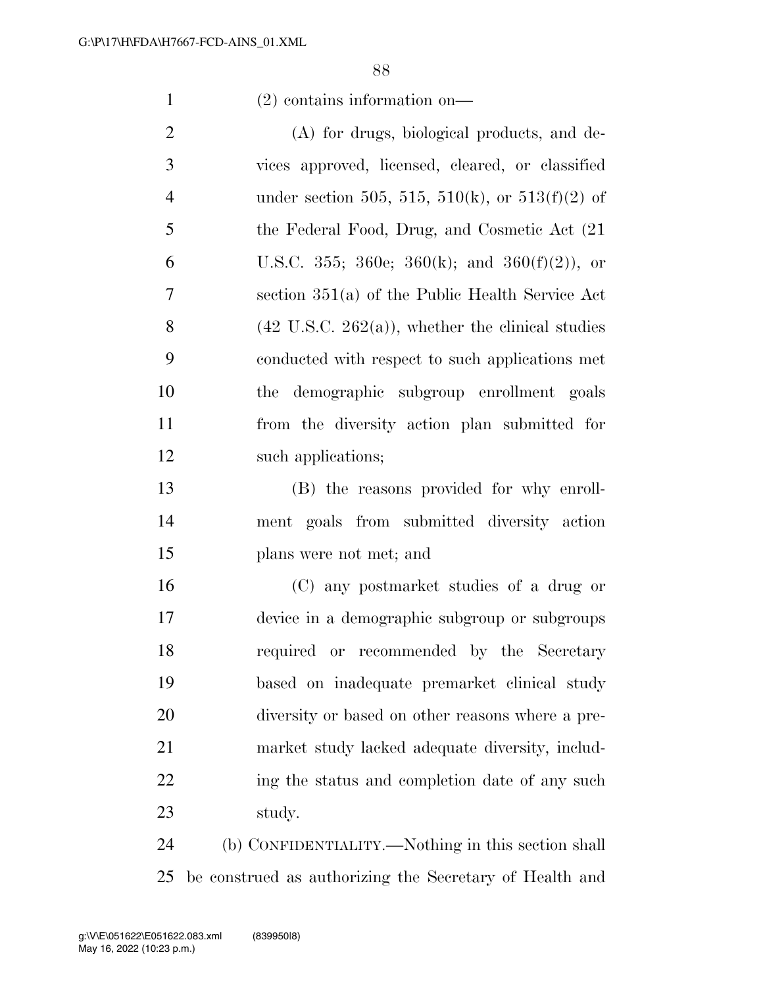### (2) contains information on—

 (A) for drugs, biological products, and de- vices approved, licensed, cleared, or classified 4 under section 505, 515, 510(k), or 513(f)(2) of the Federal Food, Drug, and Cosmetic Act (21 6 U.S.C. 355; 360e; 360(k); and  $360(f)(2)$ , or section 351(a) of the Public Health Service Act 8 (42 U.S.C. 262(a)), whether the clinical studies conducted with respect to such applications met the demographic subgroup enrollment goals from the diversity action plan submitted for 12 such applications;

 (B) the reasons provided for why enroll- ment goals from submitted diversity action plans were not met; and

 (C) any postmarket studies of a drug or device in a demographic subgroup or subgroups required or recommended by the Secretary based on inadequate premarket clinical study diversity or based on other reasons where a pre- market study lacked adequate diversity, includ-22 ing the status and completion date of any such study.

 (b) CONFIDENTIALITY.—Nothing in this section shall be construed as authorizing the Secretary of Health and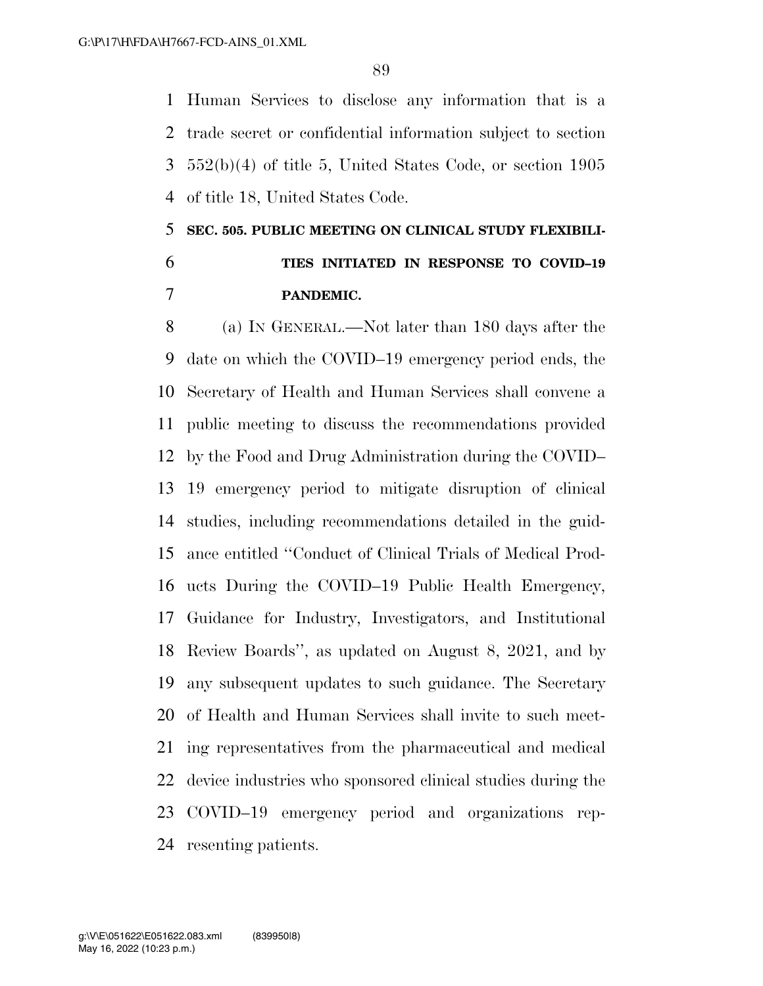Human Services to disclose any information that is a trade secret or confidential information subject to section 552(b)(4) of title 5, United States Code, or section 1905 of title 18, United States Code.

## **SEC. 505. PUBLIC MEETING ON CLINICAL STUDY FLEXIBILI- TIES INITIATED IN RESPONSE TO COVID–19 PANDEMIC.**

 (a) IN GENERAL.—Not later than 180 days after the date on which the COVID–19 emergency period ends, the Secretary of Health and Human Services shall convene a public meeting to discuss the recommendations provided by the Food and Drug Administration during the COVID– 19 emergency period to mitigate disruption of clinical studies, including recommendations detailed in the guid- ance entitled ''Conduct of Clinical Trials of Medical Prod- ucts During the COVID–19 Public Health Emergency, Guidance for Industry, Investigators, and Institutional Review Boards'', as updated on August 8, 2021, and by any subsequent updates to such guidance. The Secretary of Health and Human Services shall invite to such meet- ing representatives from the pharmaceutical and medical device industries who sponsored clinical studies during the COVID–19 emergency period and organizations rep-resenting patients.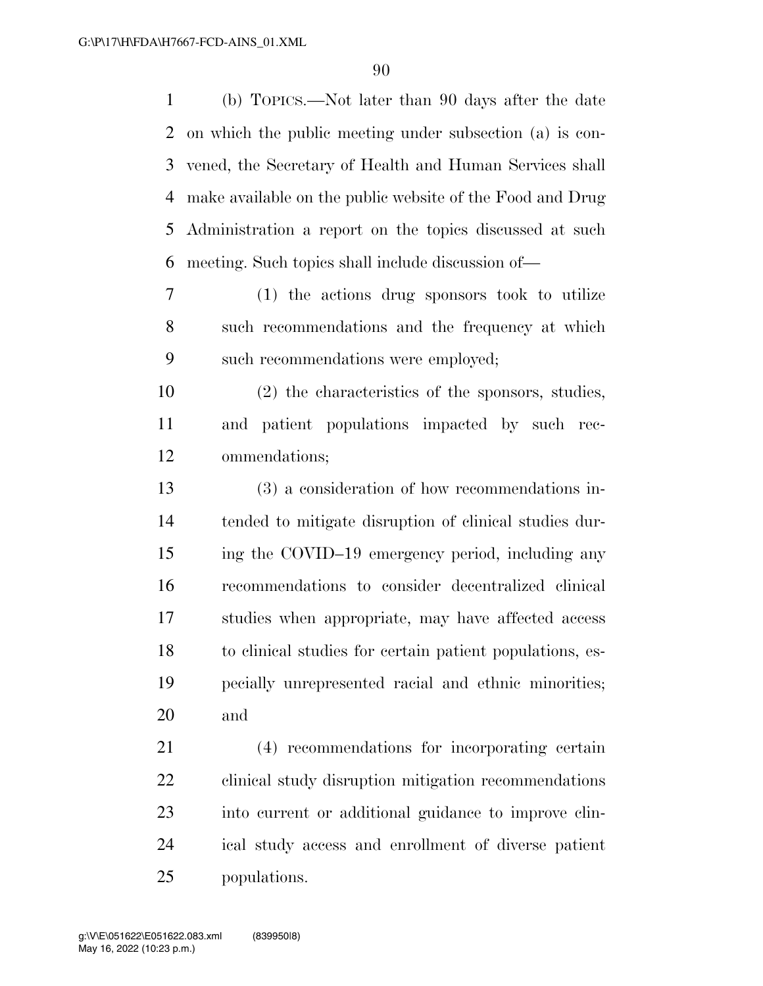(b) TOPICS.—Not later than 90 days after the date on which the public meeting under subsection (a) is con- vened, the Secretary of Health and Human Services shall make available on the public website of the Food and Drug Administration a report on the topics discussed at such meeting. Such topics shall include discussion of—

 (1) the actions drug sponsors took to utilize such recommendations and the frequency at which such recommendations were employed;

 (2) the characteristics of the sponsors, studies, and patient populations impacted by such rec-ommendations;

 (3) a consideration of how recommendations in- tended to mitigate disruption of clinical studies dur- ing the COVID–19 emergency period, including any recommendations to consider decentralized clinical studies when appropriate, may have affected access to clinical studies for certain patient populations, es- pecially unrepresented racial and ethnic minorities; and

 (4) recommendations for incorporating certain clinical study disruption mitigation recommendations into current or additional guidance to improve clin- ical study access and enrollment of diverse patient populations.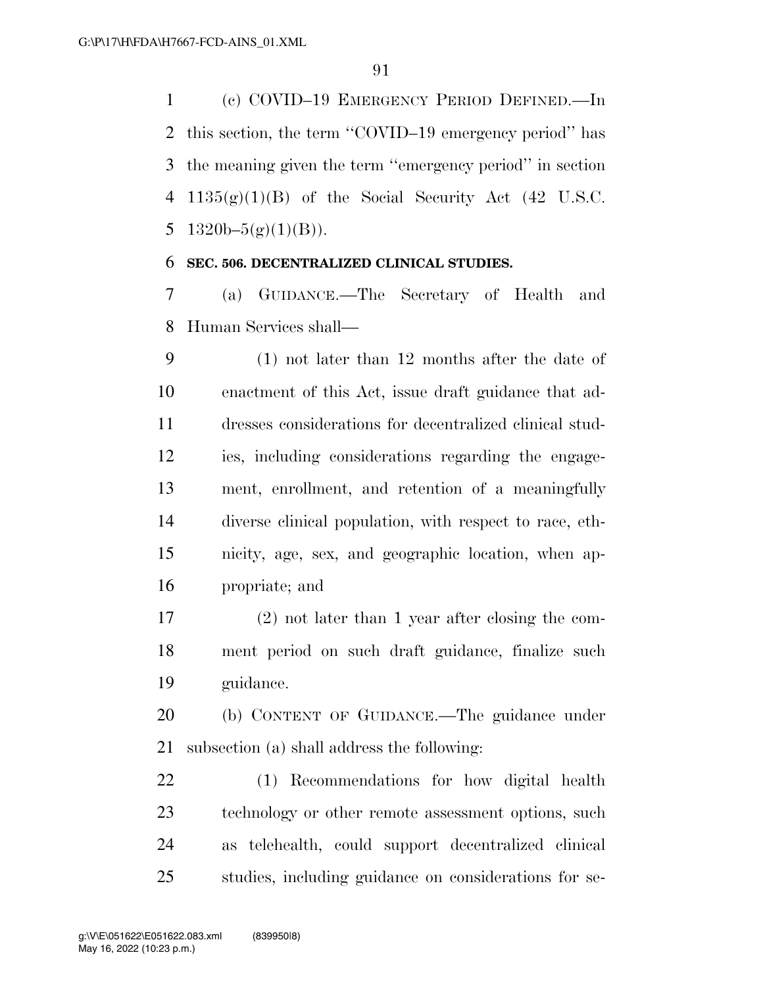(c) COVID–19 EMERGENCY PERIOD DEFINED.—In this section, the term ''COVID–19 emergency period'' has the meaning given the term ''emergency period'' in section  $1135(g)(1)(B)$  of the Social Security Act (42 U.S.C. 5 1320b– $5(g)(1)(B)$ .

### **SEC. 506. DECENTRALIZED CLINICAL STUDIES.**

 (a) GUIDANCE.—The Secretary of Health and Human Services shall—

 (1) not later than 12 months after the date of enactment of this Act, issue draft guidance that ad- dresses considerations for decentralized clinical stud- ies, including considerations regarding the engage- ment, enrollment, and retention of a meaningfully diverse clinical population, with respect to race, eth- nicity, age, sex, and geographic location, when ap-propriate; and

 (2) not later than 1 year after closing the com- ment period on such draft guidance, finalize such guidance.

 (b) CONTENT OF GUIDANCE.—The guidance under subsection (a) shall address the following:

 (1) Recommendations for how digital health technology or other remote assessment options, such as telehealth, could support decentralized clinical studies, including guidance on considerations for se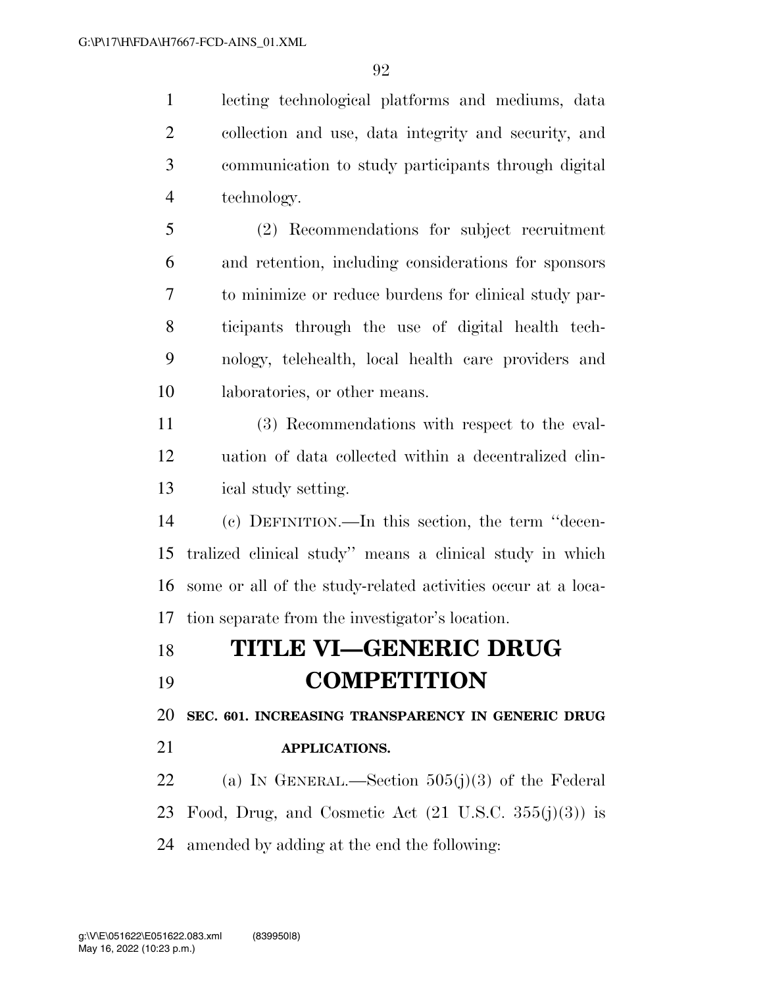lecting technological platforms and mediums, data collection and use, data integrity and security, and communication to study participants through digital technology.

 (2) Recommendations for subject recruitment and retention, including considerations for sponsors to minimize or reduce burdens for clinical study par- ticipants through the use of digital health tech- nology, telehealth, local health care providers and laboratories, or other means.

 (3) Recommendations with respect to the eval- uation of data collected within a decentralized clin-ical study setting.

 (c) DEFINITION.—In this section, the term ''decen- tralized clinical study'' means a clinical study in which some or all of the study-related activities occur at a loca-tion separate from the investigator's location.

## **TITLE VI—GENERIC DRUG COMPETITION**

**SEC. 601. INCREASING TRANSPARENCY IN GENERIC DRUG** 

### **APPLICATIONS.**

22 (a) IN GENERAL.—Section  $505(j)(3)$  of the Federal 23 Food, Drug, and Cosmetic Act  $(21 \text{ U.S.C. } 355(j)(3))$  is amended by adding at the end the following: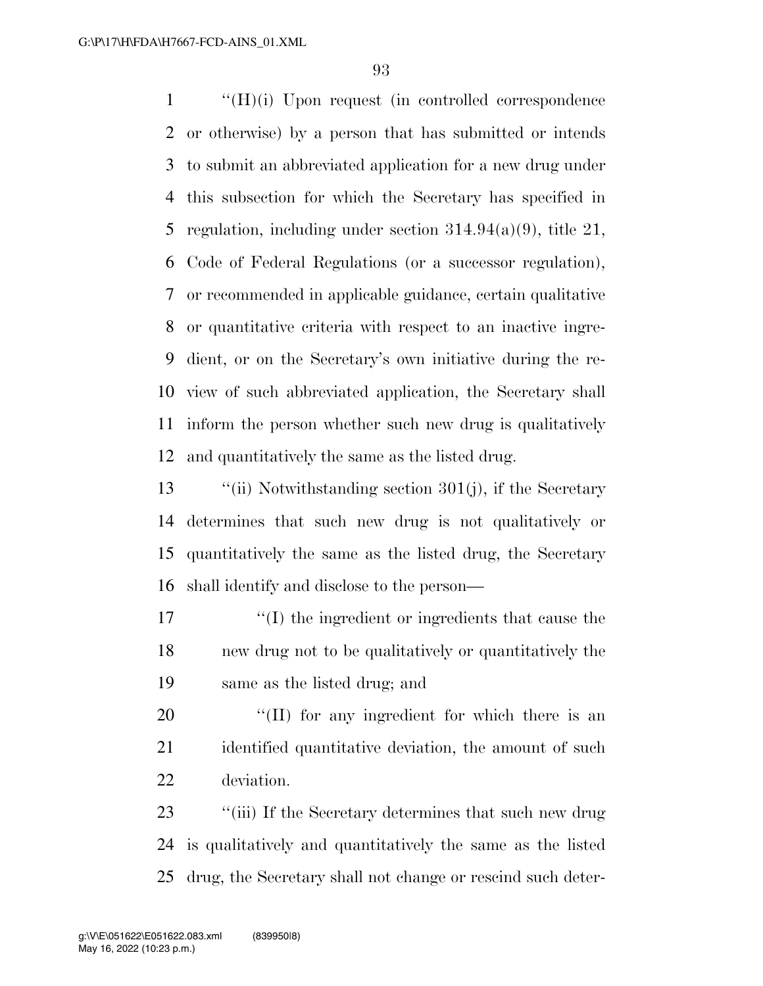''(H)(i) Upon request (in controlled correspondence or otherwise) by a person that has submitted or intends to submit an abbreviated application for a new drug under this subsection for which the Secretary has specified in 5 regulation, including under section  $314.94(a)(9)$ , title 21, Code of Federal Regulations (or a successor regulation), or recommended in applicable guidance, certain qualitative or quantitative criteria with respect to an inactive ingre- dient, or on the Secretary's own initiative during the re- view of such abbreviated application, the Secretary shall inform the person whether such new drug is qualitatively and quantitatively the same as the listed drug.

 ''(ii) Notwithstanding section 301(j), if the Secretary determines that such new drug is not qualitatively or quantitatively the same as the listed drug, the Secretary shall identify and disclose to the person—

 ''(I) the ingredient or ingredients that cause the new drug not to be qualitatively or quantitatively the same as the listed drug; and

20  $\frac{1}{2}$  (II) for any ingredient for which there is an 21 identified quantitative deviation, the amount of such deviation.

23 ''(iii) If the Secretary determines that such new drug is qualitatively and quantitatively the same as the listed drug, the Secretary shall not change or rescind such deter-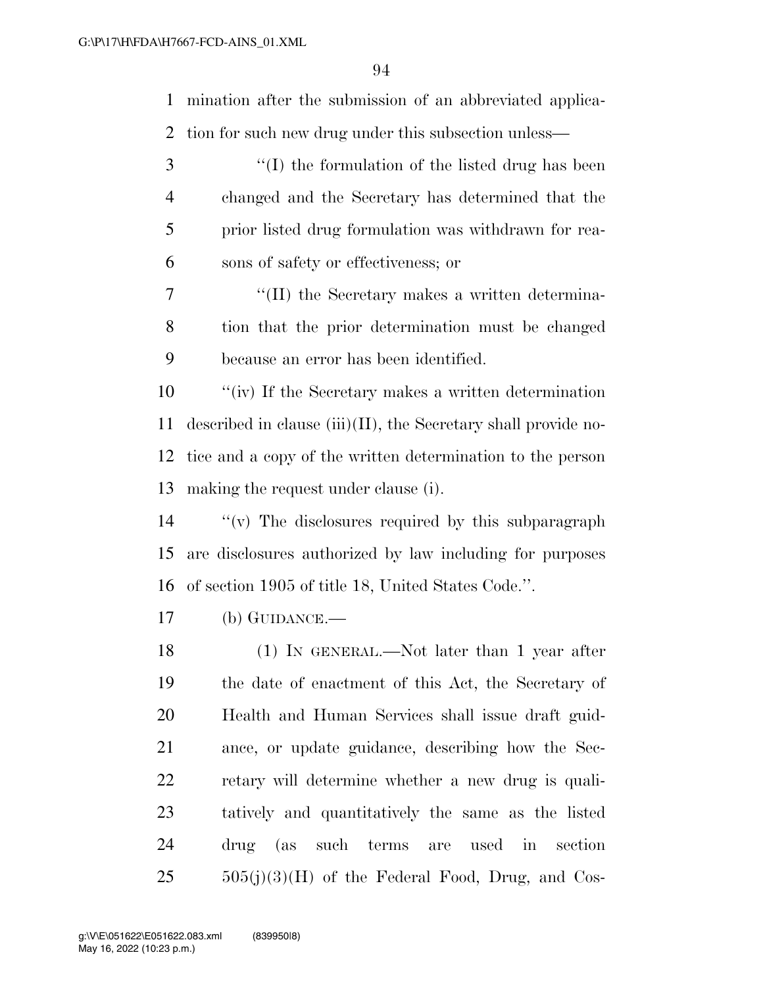mination after the submission of an abbreviated applica-tion for such new drug under this subsection unless—

- ''(I) the formulation of the listed drug has been changed and the Secretary has determined that the prior listed drug formulation was withdrawn for rea-sons of safety or effectiveness; or
- 7  $\frac{1}{2}$  (II) the Secretary makes a written determina- tion that the prior determination must be changed because an error has been identified.

 ''(iv) If the Secretary makes a written determination 11 described in clause (iii)(II), the Secretary shall provide no- tice and a copy of the written determination to the person making the request under clause (i).

 ''(v) The disclosures required by this subparagraph are disclosures authorized by law including for purposes of section 1905 of title 18, United States Code.''.

(b) GUIDANCE.—

 (1) IN GENERAL.—Not later than 1 year after the date of enactment of this Act, the Secretary of Health and Human Services shall issue draft guid- ance, or update guidance, describing how the Sec- retary will determine whether a new drug is quali- tatively and quantitatively the same as the listed drug (as such terms are used in section  $505(i)(3)(H)$  of the Federal Food, Drug, and Cos-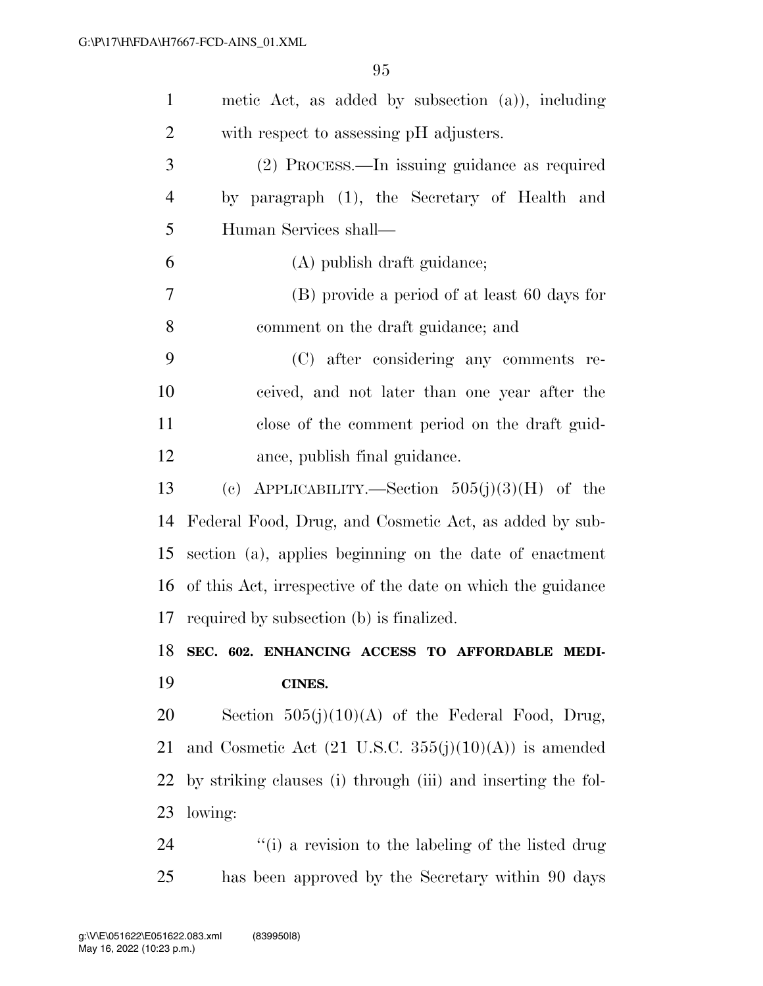| $\mathbf{1}$   | metic Act, as added by subsection $(a)$ ), including                    |
|----------------|-------------------------------------------------------------------------|
| $\overline{2}$ | with respect to assessing pH adjusters.                                 |
| 3              | (2) PROCESS.—In issuing guidance as required                            |
| $\overline{4}$ | by paragraph (1), the Secretary of Health and                           |
| 5              | Human Services shall-                                                   |
| 6              | (A) publish draft guidance;                                             |
| 7              | (B) provide a period of at least 60 days for                            |
| 8              | comment on the draft guidance; and                                      |
| 9              | (C) after considering any comments re-                                  |
| 10             | ceived, and not later than one year after the                           |
| 11             | close of the comment period on the draft guid-                          |
| 12             | ance, publish final guidance.                                           |
| 13             | (c) APPLICABILITY.—Section $505(j)(3)(H)$ of the                        |
| 14             | Federal Food, Drug, and Cosmetic Act, as added by sub-                  |
| 15             | section (a), applies beginning on the date of enactment                 |
| 16             | of this Act, irrespective of the date on which the guidance             |
| 17             | required by subsection (b) is finalized.                                |
|                | 18 SEC. 602. ENHANCING ACCESS TO AFFORDABLE MEDI-                       |
| 19             | CINES.                                                                  |
| 20             | Section $505(j)(10)(A)$ of the Federal Food, Drug,                      |
| 21             | and Cosmetic Act $(21 \text{ U.S.C. } 355(j)(10)(\text{A}))$ is amended |
| 22             | by striking clauses (i) through (iii) and inserting the fol-            |
| 23             | lowing:                                                                 |
| 24             | "(i) a revision to the labeling of the listed drug                      |
| 25             | has been approved by the Secretary within 90 days                       |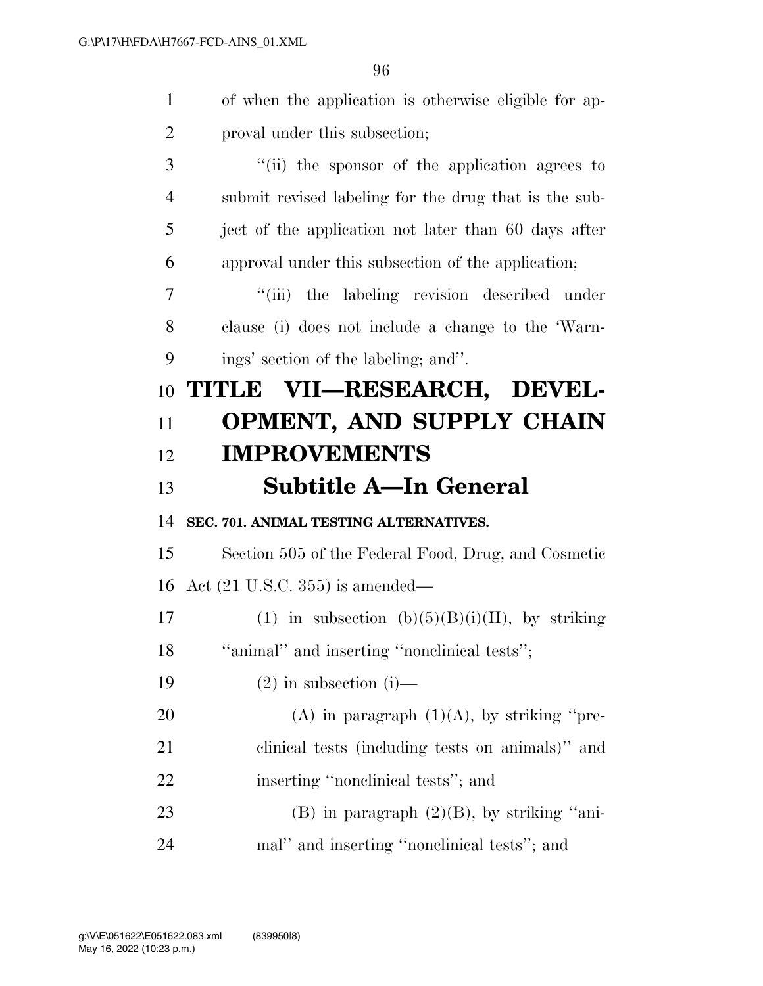| $\mathbf{1}$   | of when the application is otherwise eligible for ap- |
|----------------|-------------------------------------------------------|
| $\overline{2}$ | proval under this subsection;                         |
| 3              | "(ii) the sponsor of the application agrees to        |
| $\overline{4}$ | submit revised labeling for the drug that is the sub- |
| 5              | ject of the application not later than 60 days after  |
| 6              | approval under this subsection of the application;    |
| 7              | "(iii) the labeling revision described under          |
| 8              | clause (i) does not include a change to the 'Warn-    |
| 9              | ings' section of the labeling; and".                  |
| 10             | TITLE VII—RESEARCH, DEVEL-                            |
| 11             | <b>OPMENT, AND SUPPLY CHAIN</b>                       |
| 12             | <b>IMPROVEMENTS</b>                                   |
|                |                                                       |
| 13             | Subtitle A—In General                                 |
| 14             | SEC. 701. ANIMAL TESTING ALTERNATIVES.                |
| 15             | Section 505 of the Federal Food, Drug, and Cosmetic   |
| 16             | Act $(21 \text{ U.S.C. } 355)$ is amended—            |
| 17             | (1) in subsection $(b)(5)(B)(i)(II)$ , by striking    |
| 18             | "animal" and inserting "nonclinical tests";           |
| 19             | $(2)$ in subsection $(i)$ —                           |
| 20             | (A) in paragraph $(1)(A)$ , by striking "pre-         |
| 21             | clinical tests (including tests on animals)" and      |
| 22             | inserting "nonclinical tests"; and                    |
| 23             | $(B)$ in paragraph $(2)(B)$ , by striking "ani-       |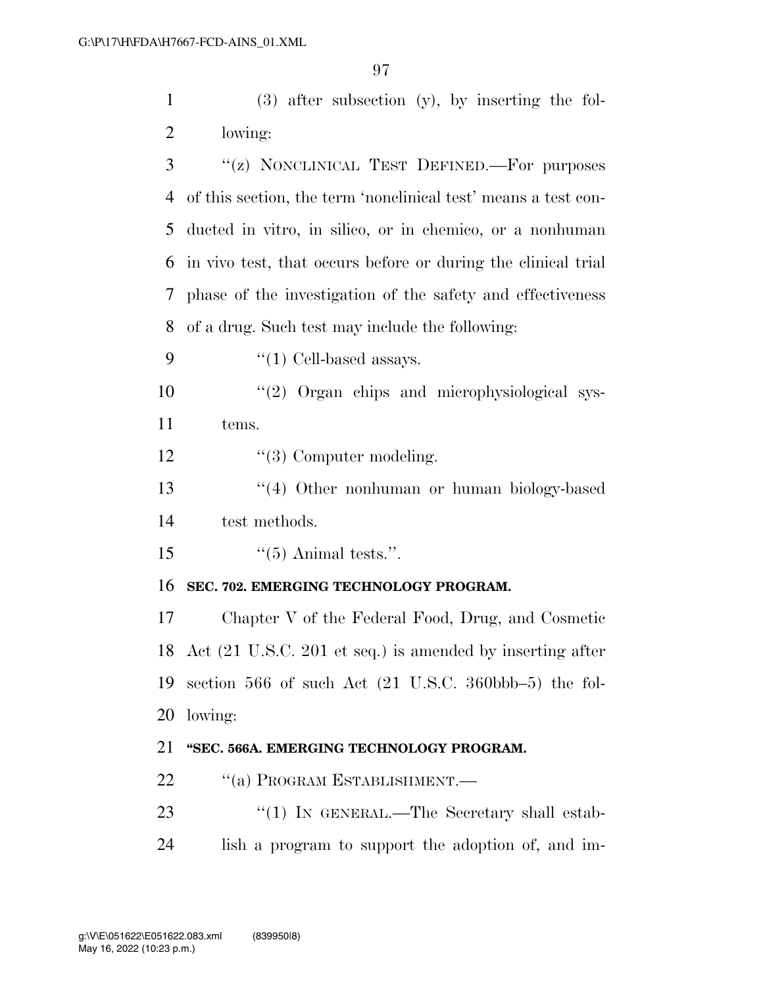(3) after subsection (y), by inserting the fol-lowing:

 ''(z) NONCLINICAL TEST DEFINED.—For purposes of this section, the term 'nonclinical test' means a test con- ducted in vitro, in silico, or in chemico, or a nonhuman in vivo test, that occurs before or during the clinical trial phase of the investigation of the safety and effectiveness of a drug. Such test may include the following:

- 9  $\frac{4}{1}$  Cell-based assays.
- 10  $\frac{10}{2}$  Organ chips and microphysiological sys-tems.

12  $\frac{1}{3}$  Computer modeling.

 ''(4) Other nonhuman or human biology-based test methods.

15  $\frac{1}{5}$   $\frac{1}{5}$  Animal tests.".

### **SEC. 702. EMERGING TECHNOLOGY PROGRAM.**

 Chapter V of the Federal Food, Drug, and Cosmetic Act (21 U.S.C. 201 et seq.) is amended by inserting after section 566 of such Act (21 U.S.C. 360bbb–5) the fol-lowing:

### **''SEC. 566A. EMERGING TECHNOLOGY PROGRAM.**

- 22 "(a) PROGRAM ESTABLISHMENT.—
- 23 "(1) IN GENERAL.—The Secretary shall estab-lish a program to support the adoption of, and im-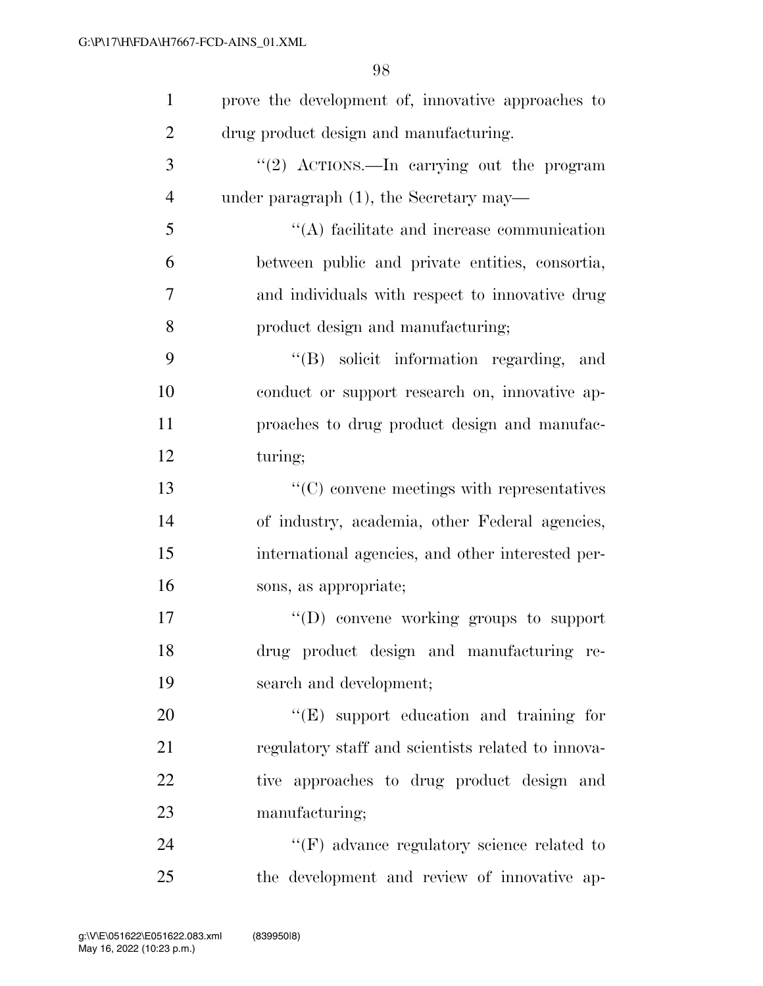| $\mathbf{1}$   | prove the development of, innovative approaches to |
|----------------|----------------------------------------------------|
| $\overline{2}$ | drug product design and manufacturing.             |
| 3              | "(2) $\text{ACTIONS.}$ In carrying out the program |
| $\overline{4}$ | under paragraph $(1)$ , the Secretary may—         |
| 5              | $\lq\lq$ facilitate and increase communication     |
| 6              | between public and private entities, consortia,    |
| 7              | and individuals with respect to innovative drug    |
| 8              | product design and manufacturing;                  |
| 9              | "(B) solicit information regarding, and            |
| 10             | conduct or support research on, innovative ap-     |
| 11             | proaches to drug product design and manufac-       |
| 12             | turing;                                            |
| 13             | $"$ (C) convene meetings with representatives      |
| 14             | of industry, academia, other Federal agencies,     |
| 15             | international agencies, and other interested per-  |
| 16             | sons, as appropriate;                              |
| 17             | $\lq\lq$ convene working groups to support         |
| 18             | drug product design and manufacturing re-          |
| 19             | search and development;                            |
| 20             | "(E) support education and training for            |
| 21             | regulatory staff and scientists related to innova- |
| 22             | tive approaches to drug product design and         |
| 23             | manufacturing;                                     |
| 24             | $\lq\lq(F)$ advance regulatory science related to  |
| $25\,$         | the development and review of innovative ap-       |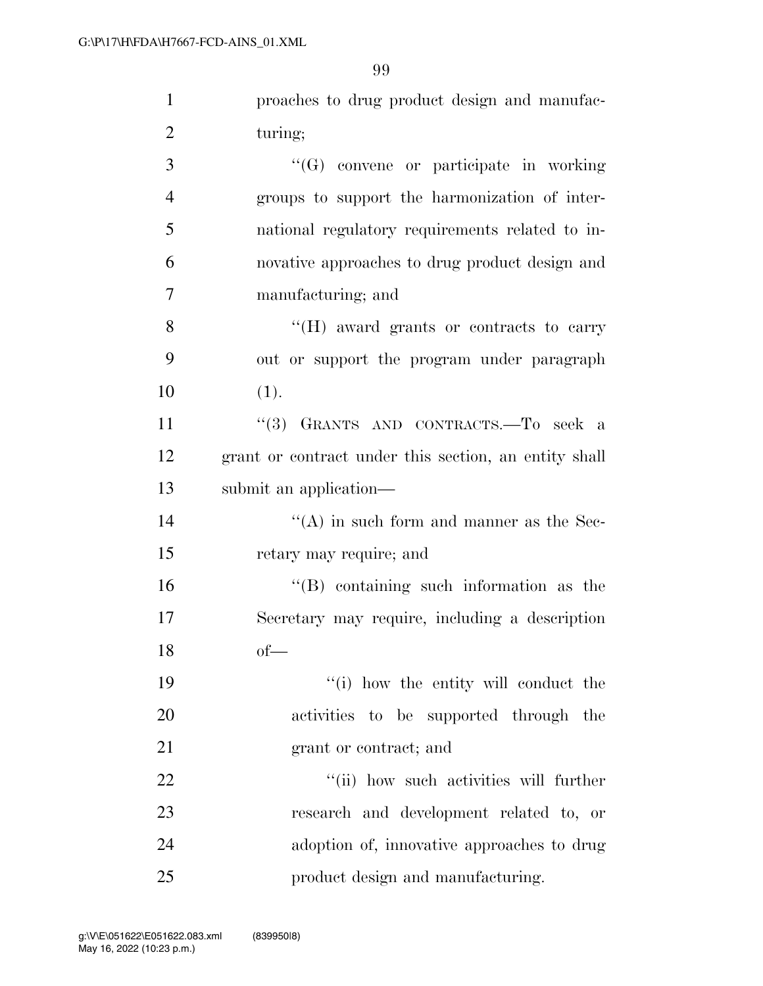| $\mathbf{1}$   | proaches to drug product design and manufac-          |
|----------------|-------------------------------------------------------|
| $\overline{2}$ | turing;                                               |
| 3              | "(G) convene or participate in working                |
| $\overline{4}$ | groups to support the harmonization of inter-         |
| 5              | national regulatory requirements related to in-       |
| 6              | novative approaches to drug product design and        |
| 7              | manufacturing; and                                    |
| 8              | "(H) award grants or contracts to carry               |
| 9              | out or support the program under paragraph            |
| 10             | (1).                                                  |
| 11             | "(3) GRANTS AND CONTRACTS.-To seek a                  |
| 12             | grant or contract under this section, an entity shall |
| 13             | submit an application—                                |
| 14             | $\lq\lq$ in such form and manner as the Sec-          |
| 15             | retary may require; and                               |
| 16             | "(B) containing such information as the               |
| 17             | Secretary may require, including a description        |
| 18             | $of$ —                                                |
| 19             | "(i) how the entity will conduct the                  |
| 20             | activities to be supported through the                |
| 21             | grant or contract; and                                |
| 22             | "(ii) how such activities will further                |
| 23             | research and development related to, or               |
| 24             | adoption of, innovative approaches to drug            |
| 25             | product design and manufacturing.                     |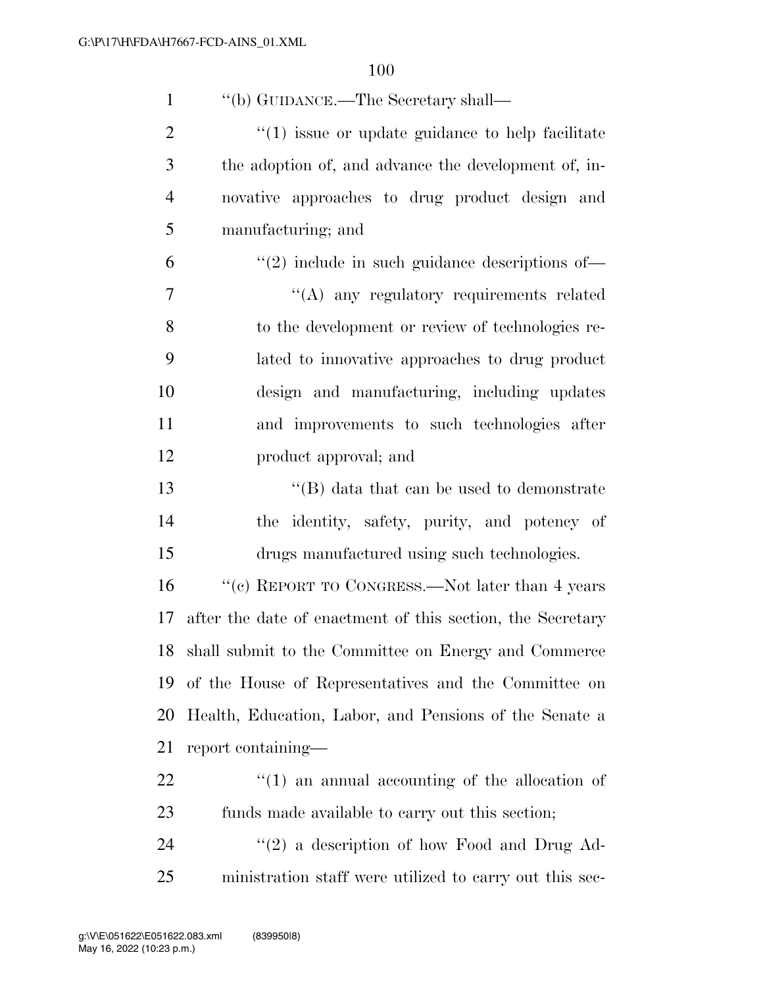| $\mathbf{1}$   | "(b) GUIDANCE.—The Secretary shall—                        |
|----------------|------------------------------------------------------------|
| $\overline{2}$ | $\cdot$ (1) issue or update guidance to help facilitate    |
| 3              | the adoption of, and advance the development of, in-       |
| $\overline{4}$ | novative approaches to drug product design and             |
| 5              | manufacturing; and                                         |
| 6              | $\lq(2)$ include in such guidance descriptions of —        |
| 7              | "(A) any regulatory requirements related                   |
| 8              | to the development or review of technologies re-           |
| 9              | lated to innovative approaches to drug product             |
| 10             | design and manufacturing, including updates                |
| 11             | and improvements to such technologies after                |
| 12             | product approval; and                                      |
| 13             | $\lq\lq$ data that can be used to demonstrate              |
| 14             | the identity, safety, purity, and potency of               |
| 15             | drugs manufactured using such technologies.                |
| 16             | "(c) REPORT TO CONGRESS.—Not later than 4 years            |
| 17             | after the date of enactment of this section, the Secretary |
| 18             | shall submit to the Committee on Energy and Commerce       |
| 19             | of the House of Representatives and the Committee on       |
| 20             | Health, Education, Labor, and Pensions of the Senate a     |
| 21             | report containing—                                         |
| 22             | $\lq(1)$ an annual accounting of the allocation of         |
| 23             | funds made available to carry out this section;            |
| 24             | $\lq(2)$ a description of how Food and Drug Ad-            |
| 25             | ministration staff were utilized to carry out this sec-    |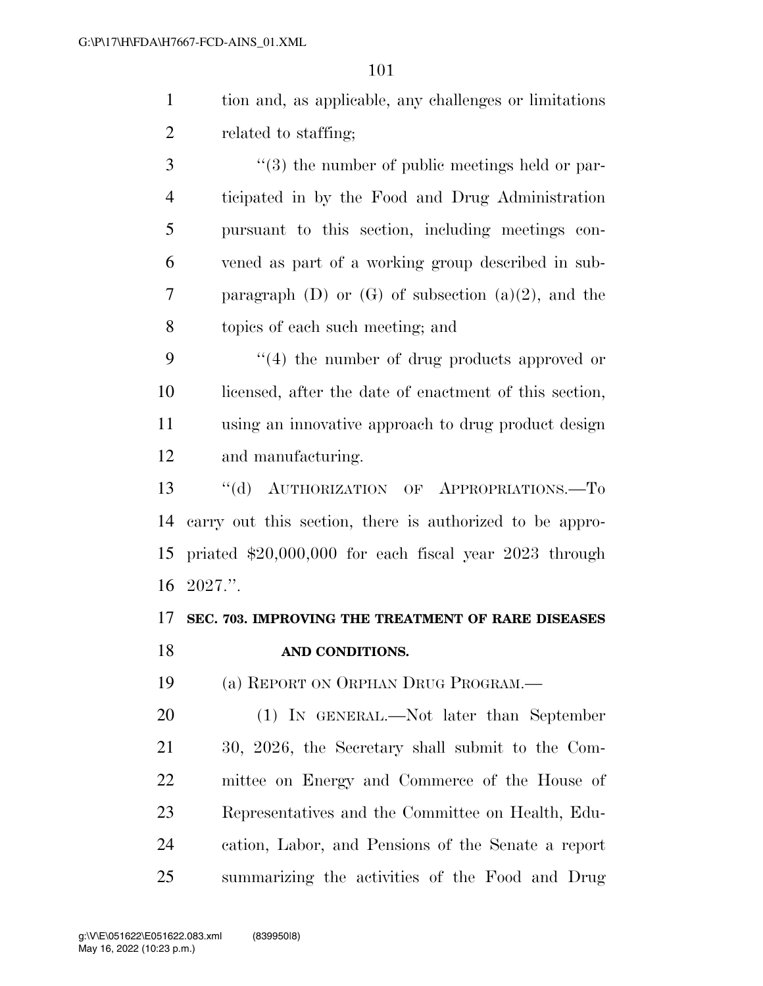| tion and, as applicable, any challenges or limitations |
|--------------------------------------------------------|
| related to staffing;                                   |

3 (3) the number of public meetings held or par- ticipated in by the Food and Drug Administration pursuant to this section, including meetings con- vened as part of a working group described in sub- paragraph (D) or (G) of subsection (a)(2), and the topics of each such meeting; and

9 ''(4) the number of drug products approved or licensed, after the date of enactment of this section, using an innovative approach to drug product design and manufacturing.

 ''(d) AUTHORIZATION OF APPROPRIATIONS.—To carry out this section, there is authorized to be appro- priated \$20,000,000 for each fiscal year 2023 through 2027.''.

### **SEC. 703. IMPROVING THE TREATMENT OF RARE DISEASES AND CONDITIONS.**

(a) REPORT ON ORPHAN DRUG PROGRAM.—

 (1) IN GENERAL.—Not later than September 30, 2026, the Secretary shall submit to the Com- mittee on Energy and Commerce of the House of Representatives and the Committee on Health, Edu- cation, Labor, and Pensions of the Senate a report summarizing the activities of the Food and Drug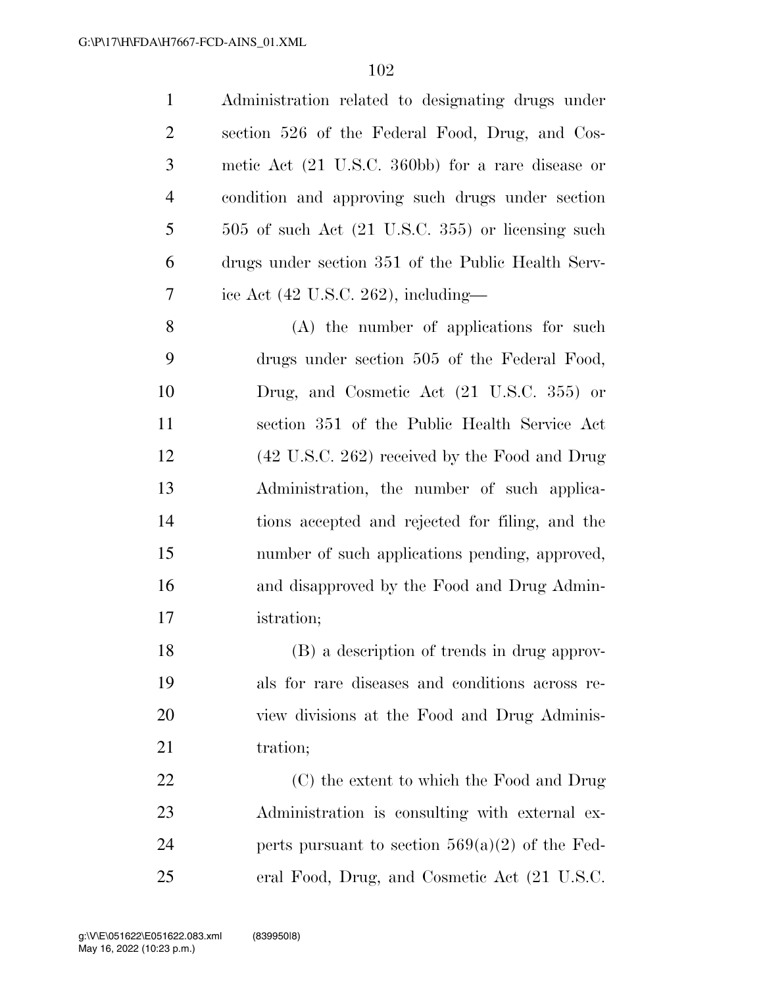| $\mathbf{1}$   | Administration related to designating drugs under              |
|----------------|----------------------------------------------------------------|
| $\overline{2}$ | section 526 of the Federal Food, Drug, and Cos-                |
| 3              | metic Act (21 U.S.C. 360bb) for a rare disease or              |
| $\overline{4}$ | condition and approving such drugs under section               |
| 5              | $505$ of such Act $(21 \text{ U.S.C. } 355)$ or licensing such |
| 6              | drugs under section 351 of the Public Health Serv-             |
| 7              | ice Act $(42 \text{ U.S.C. } 262)$ , including—                |
| 8              | (A) the number of applications for such                        |
| 9              | drugs under section 505 of the Federal Food,                   |
| 10             | Drug, and Cosmetic Act (21 U.S.C. 355) or                      |
| 11             | section 351 of the Public Health Service Act                   |
| 12             | (42 U.S.C. 262) received by the Food and Drug                  |
| 13             | Administration, the number of such applica-                    |
| 14             | tions accepted and rejected for filing, and the                |
| 15             | number of such applications pending, approved,                 |
| 16             | and disapproved by the Food and Drug Admin-                    |
| 17             | istration;                                                     |
| 18             | (B) a description of trends in drug approv-                    |
| 19             | als for rare diseases and conditions across re-                |
| 20             | view divisions at the Food and Drug Adminis-                   |
| 21             | tration;                                                       |
| 22             | (C) the extent to which the Food and Drug                      |
| 23             | Administration is consulting with external ex-                 |
| 24             | perts pursuant to section $569(a)(2)$ of the Fed-              |
| 25             | eral Food, Drug, and Cosmetic Act (21 U.S.C.                   |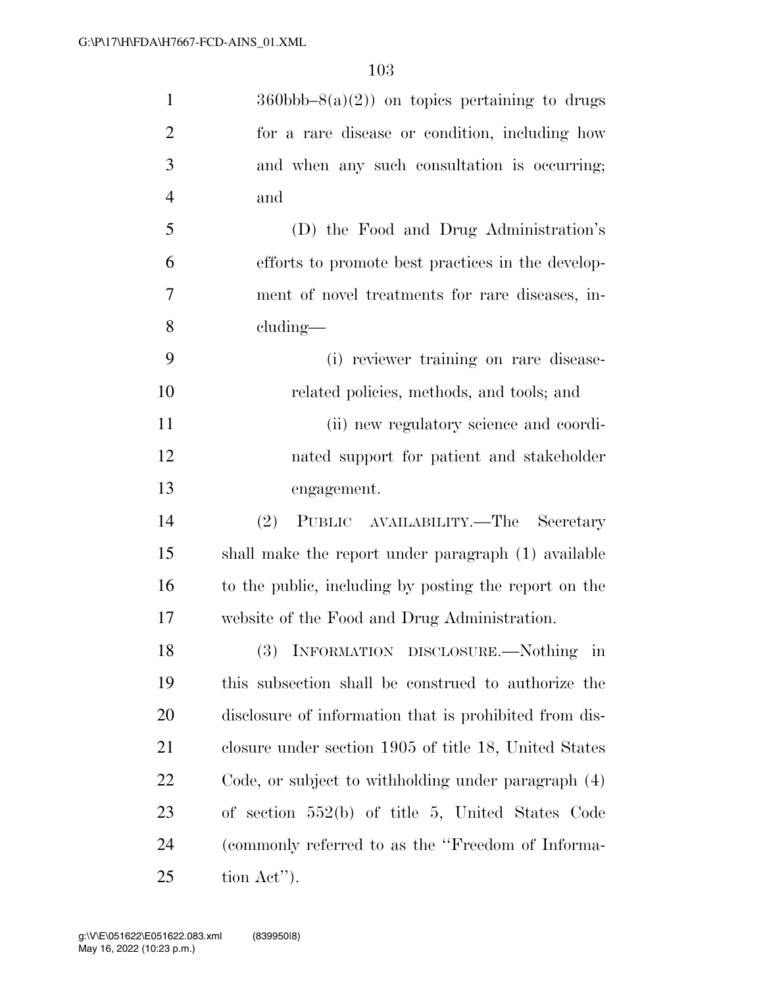| $\mathbf{1}$   | $360 \text{bbb} - 8(a)(2)$ on topics pertaining to drugs |
|----------------|----------------------------------------------------------|
| $\overline{2}$ | for a rare disease or condition, including how           |
| 3              | and when any such consultation is occurring;             |
| $\overline{4}$ | and                                                      |
| 5              | (D) the Food and Drug Administration's                   |
| 6              | efforts to promote best practices in the develop-        |
| 7              | ment of novel treatments for rare diseases, in-          |
| 8              | cluding—                                                 |
| 9              | (i) reviewer training on rare disease-                   |
| 10             | related policies, methods, and tools; and                |
| 11             | (ii) new regulatory science and coordi-                  |
| 12             | nated support for patient and stakeholder                |
| 13             | engagement.                                              |
| 14             | (2)<br>PUBLIC AVAILABILITY.—The Secretary                |
| 15             | shall make the report under paragraph (1) available      |
| 16             | to the public, including by posting the report on the    |
| 17             | website of the Food and Drug Administration.             |
| 18             | INFORMATION DISCLOSURE.—Nothing<br>m                     |
| 19             | this subsection shall be construed to authorize the      |
| <b>20</b>      | disclosure of information that is prohibited from dis-   |
| 21             | closure under section 1905 of title 18, United States    |
| <u>22</u>      | Code, or subject to withholding under paragraph $(4)$    |
| 23             | of section $552(b)$ of title 5, United States Code       |
| 24             | (commonly referred to as the "Freedom of Informa-        |
| 25             | tion Act'').                                             |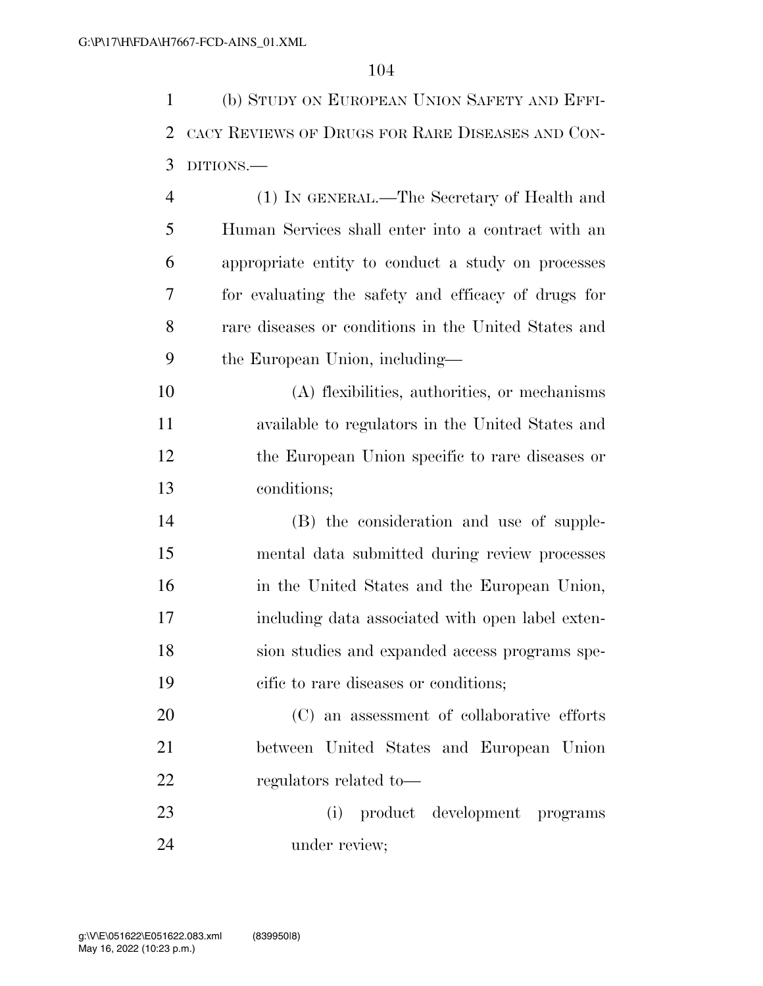(b) STUDY ON EUROPEAN UNION SAFETY AND EFFI- CACY REVIEWS OF DRUGS FOR RARE DISEASES AND CON-DITIONS.—

 (1) IN GENERAL.—The Secretary of Health and Human Services shall enter into a contract with an appropriate entity to conduct a study on processes for evaluating the safety and efficacy of drugs for rare diseases or conditions in the United States and the European Union, including—

 (A) flexibilities, authorities, or mechanisms available to regulators in the United States and the European Union specific to rare diseases or conditions;

 (B) the consideration and use of supple- mental data submitted during review processes in the United States and the European Union, including data associated with open label exten- sion studies and expanded access programs spe-cific to rare diseases or conditions;

 (C) an assessment of collaborative efforts between United States and European Union regulators related to—

 (i) product development programs under review;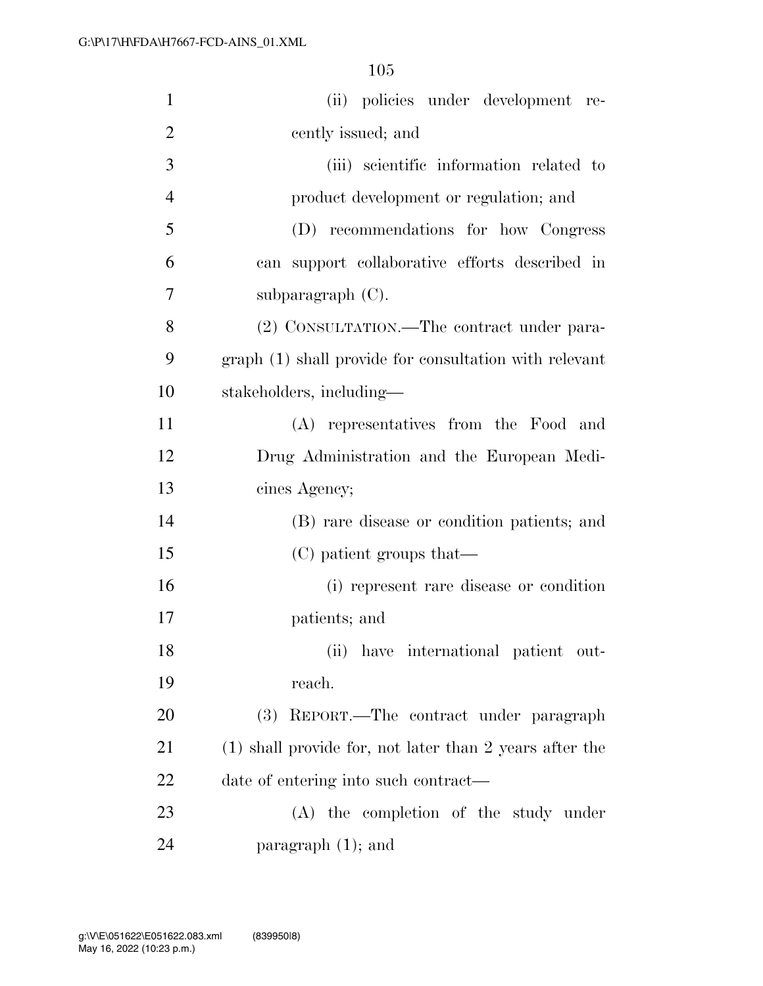| $\mathbf{1}$   | (ii) policies under development re-                       |
|----------------|-----------------------------------------------------------|
| $\overline{2}$ | cently issued; and                                        |
| 3              | (iii) scientific information related to                   |
| $\overline{4}$ | product development or regulation; and                    |
| 5              | (D) recommendations for how Congress                      |
| 6              | can support collaborative efforts described in            |
| 7              | subparagraph $(C)$ .                                      |
| 8              | (2) CONSULTATION.—The contract under para-                |
| 9              | graph (1) shall provide for consultation with relevant    |
| 10             | stakeholders, including—                                  |
| 11             | (A) representatives from the Food and                     |
| 12             | Drug Administration and the European Medi-                |
| 13             | cines Agency;                                             |
| 14             | (B) rare disease or condition patients; and               |
| 15             | (C) patient groups that—                                  |
| 16             | (i) represent rare disease or condition                   |
| 17             | patients; and                                             |
| 18             | (ii) have international patient out-                      |
| 19             | reach.                                                    |
| 20             | REPORT.—The contract under paragraph<br>(3)               |
| 21             | $(1)$ shall provide for, not later than 2 years after the |
| 22             | date of entering into such contract—                      |
| 23             | (A) the completion of the study under                     |
| 24             | paragraph $(1)$ ; and                                     |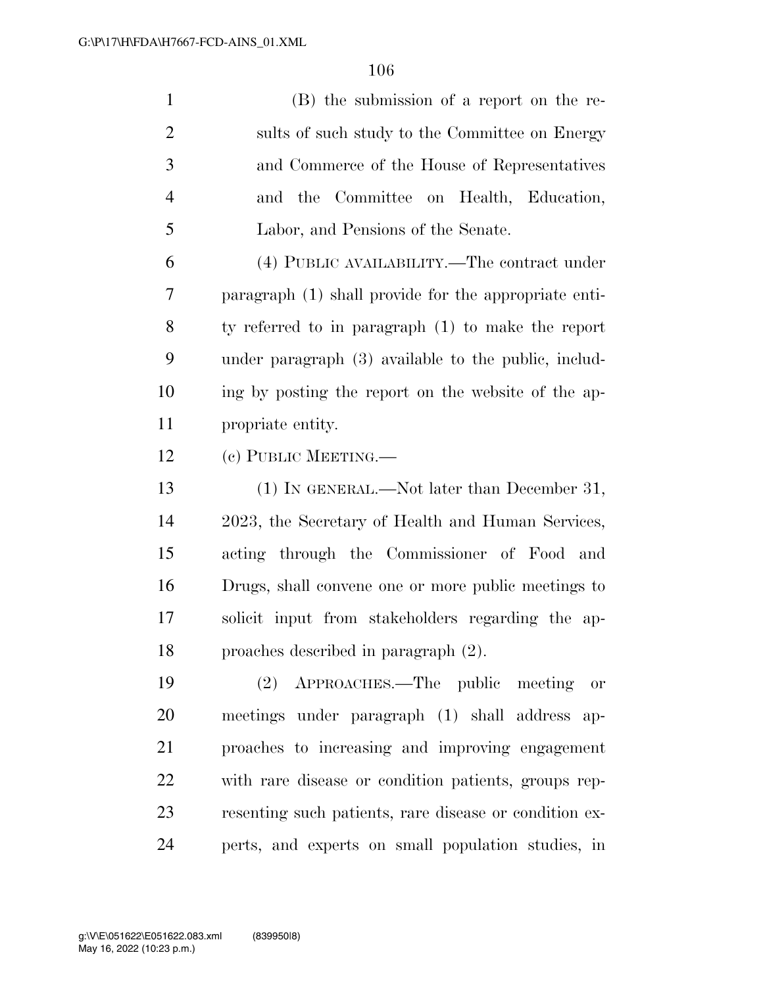(B) the submission of a report on the re-2 sults of such study to the Committee on Energy and Commerce of the House of Representatives and the Committee on Health, Education, Labor, and Pensions of the Senate.

 (4) PUBLIC AVAILABILITY.—The contract under paragraph (1) shall provide for the appropriate enti- ty referred to in paragraph (1) to make the report under paragraph (3) available to the public, includ- ing by posting the report on the website of the ap-propriate entity.

(c) PUBLIC MEETING.—

 (1) IN GENERAL.—Not later than December 31, 2023, the Secretary of Health and Human Services, acting through the Commissioner of Food and Drugs, shall convene one or more public meetings to solicit input from stakeholders regarding the ap-proaches described in paragraph (2).

 (2) APPROACHES.—The public meeting or meetings under paragraph (1) shall address ap- proaches to increasing and improving engagement with rare disease or condition patients, groups rep- resenting such patients, rare disease or condition ex-perts, and experts on small population studies, in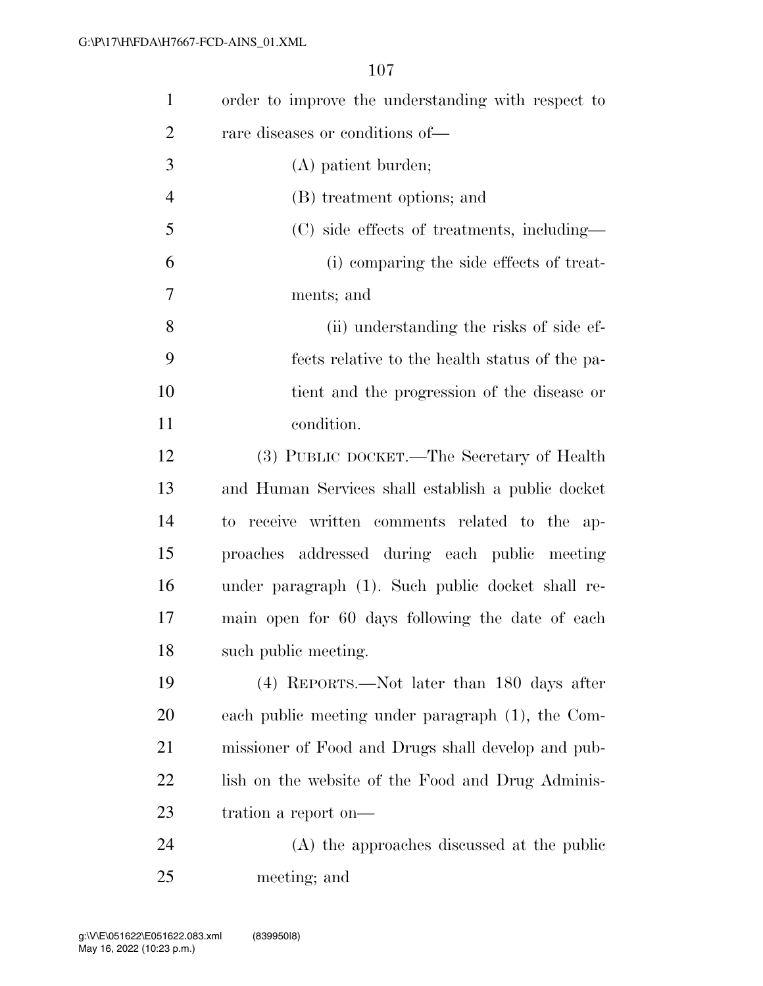| $\mathbf{1}$   | order to improve the understanding with respect to |
|----------------|----------------------------------------------------|
| $\overline{2}$ | rare diseases or conditions of—                    |
| 3              | (A) patient burden;                                |
| $\overline{4}$ | (B) treatment options; and                         |
| 5              | (C) side effects of treatments, including—         |
| 6              | (i) comparing the side effects of treat-           |
| 7              | ments; and                                         |
| 8              | (ii) understanding the risks of side ef-           |
| 9              | fects relative to the health status of the pa-     |
| 10             | tient and the progression of the disease or        |
| 11             | condition.                                         |
| 12             | (3) PUBLIC DOCKET.—The Secretary of Health         |
| 13             | and Human Services shall establish a public docket |
| 14             | to receive written comments related to the ap-     |
| 15             | proaches addressed during each public meeting      |
| 16             | under paragraph (1). Such public docket shall re-  |
| 17             | main open for 60 days following the date of each   |
| 18             | such public meeting.                               |
| 19             | (4) REPORTS.—Not later than 180 days after         |
| <b>20</b>      | each public meeting under paragraph (1), the Com-  |
| 21             | missioner of Food and Drugs shall develop and pub- |
| 22             | lish on the website of the Food and Drug Adminis-  |
| 23             | tration a report on—                               |
| 24             | (A) the approaches discussed at the public         |
| 25             | meeting; and                                       |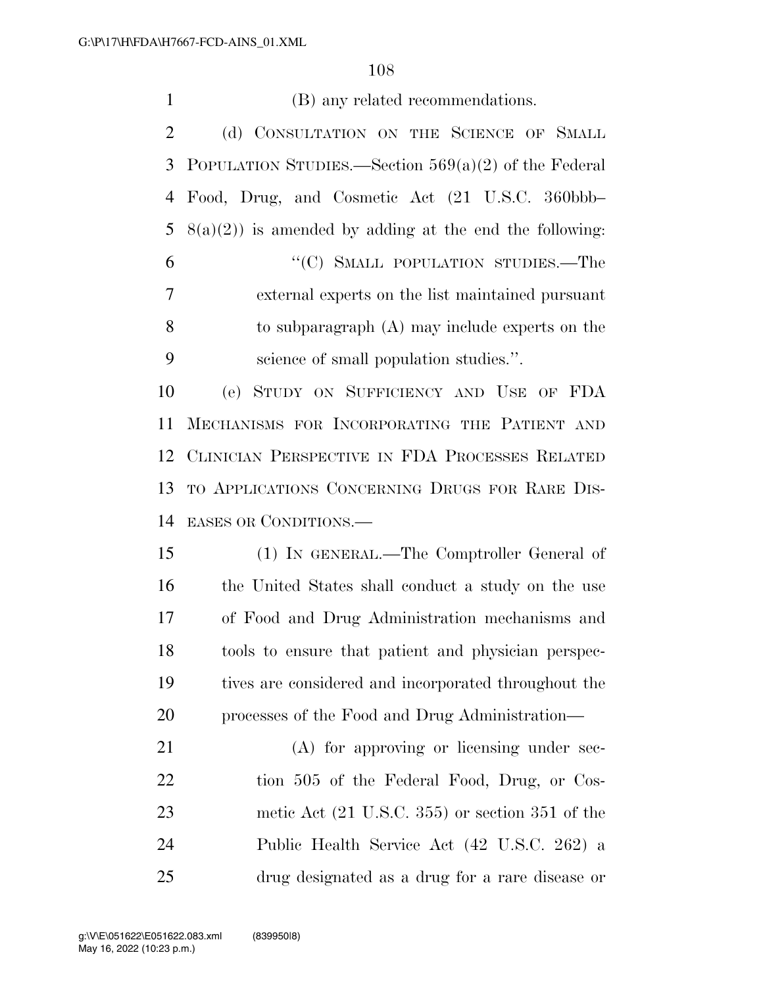(B) any related recommendations. 2 (d) CONSULTATION ON THE SCIENCE OF SMALL POPULATION STUDIES.—Section 569(a)(2) of the Federal Food, Drug, and Cosmetic Act (21 U.S.C. 360bbb–  $8(a)(2)$  is amended by adding at the end the following: 6 "(C) SMALL POPULATION STUDIES.—The external experts on the list maintained pursuant to subparagraph (A) may include experts on the science of small population studies.''. (e) STUDY ON SUFFICIENCY AND USE OF FDA MECHANISMS FOR INCORPORATING THE PATIENT AND CLINICIAN PERSPECTIVE IN FDA PROCESSES RELATED TO APPLICATIONS CONCERNING DRUGS FOR RARE DIS- EASES OR CONDITIONS.— (1) IN GENERAL.—The Comptroller General of the United States shall conduct a study on the use of Food and Drug Administration mechanisms and tools to ensure that patient and physician perspec- tives are considered and incorporated throughout the processes of the Food and Drug Administration— 21 (A) for approving or licensing under sec-22 tion 505 of the Federal Food, Drug, or Cos- metic Act (21 U.S.C. 355) or section 351 of the Public Health Service Act (42 U.S.C. 262) a drug designated as a drug for a rare disease or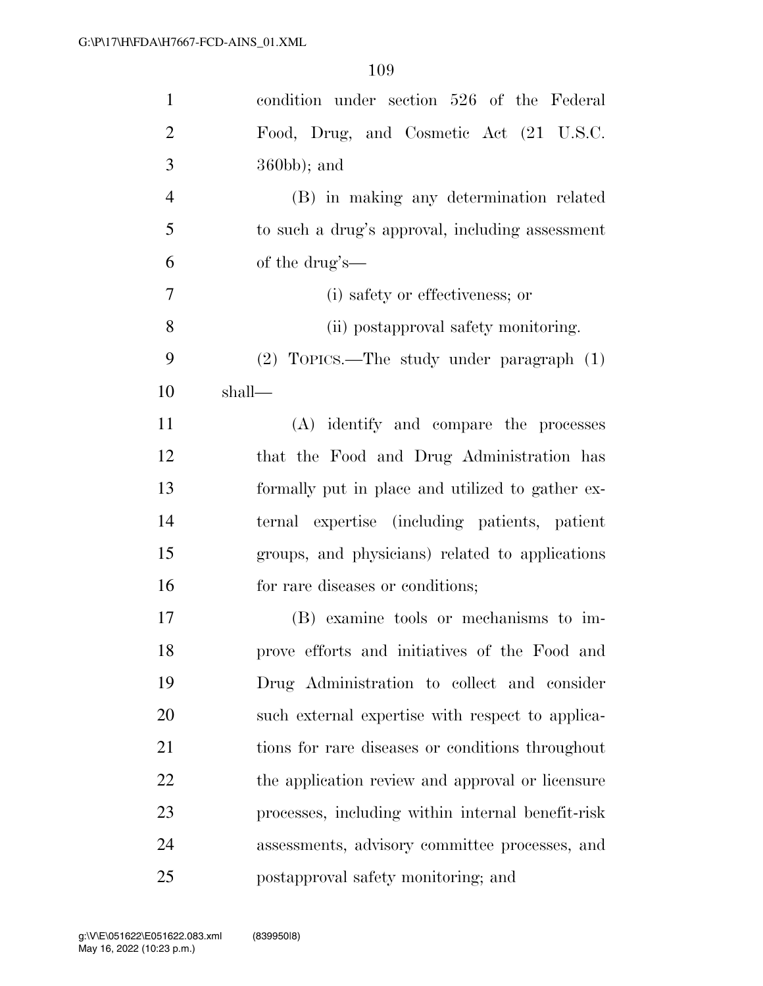| $\mathbf{1}$   | condition under section 526 of the Federal        |
|----------------|---------------------------------------------------|
| $\overline{2}$ | Food, Drug, and Cosmetic Act (21 U.S.C.           |
| 3              | $360bb$ ; and                                     |
| $\overline{4}$ | (B) in making any determination related           |
| 5              | to such a drug's approval, including assessment   |
| 6              | of the drug's—                                    |
| $\overline{7}$ | (i) safety or effectiveness; or                   |
| 8              | (ii) postapproval safety monitoring.              |
| 9              | $(2)$ TOPICS.—The study under paragraph $(1)$     |
| 10             | shall-                                            |
| 11             | (A) identify and compare the processes            |
| 12             | that the Food and Drug Administration has         |
| 13             | formally put in place and utilized to gather ex-  |
| 14             | ternal expertise (including patients, patient     |
| 15             | groups, and physicians) related to applications   |
| 16             | for rare diseases or conditions;                  |
| 17             | (B) examine tools or mechanisms to im-            |
| 18             | prove efforts and initiatives of the Food and     |
| 19             | Drug Administration to collect and consider       |
| 20             | such external expertise with respect to applica-  |
| 21             | tions for rare diseases or conditions throughout  |
| 22             | the application review and approval or licensure  |
| 23             | processes, including within internal benefit-risk |
| 24             | assessments, advisory committee processes, and    |
| 25             | postapproval safety monitoring; and               |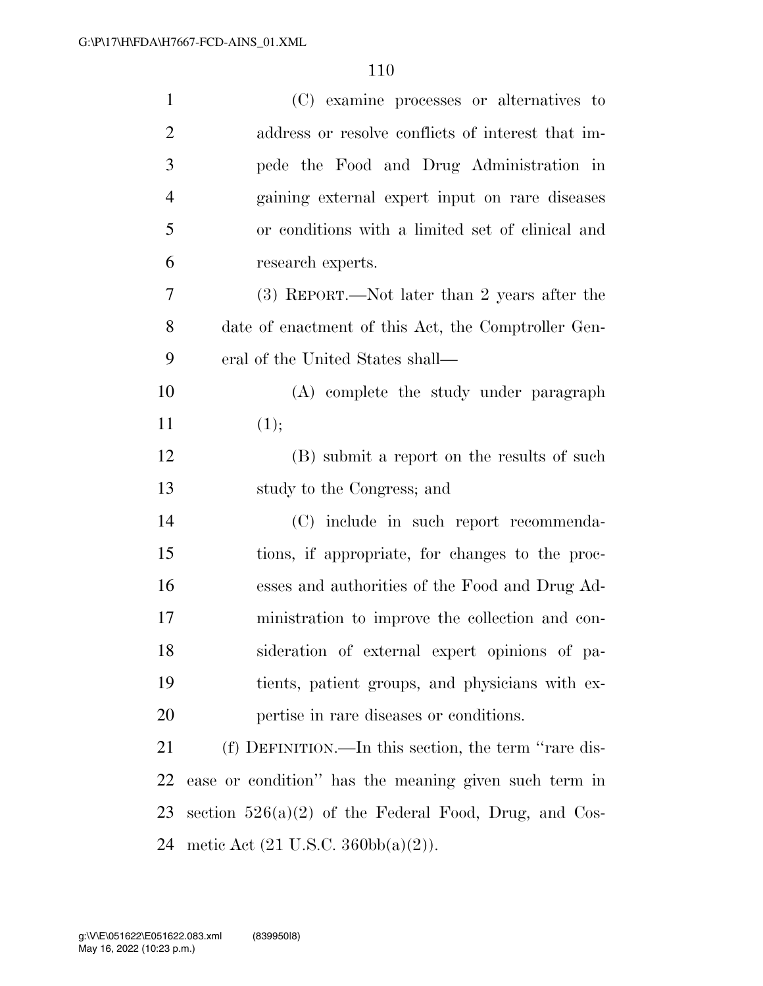| $\mathbf{1}$   | (C) examine processes or alternatives to                |
|----------------|---------------------------------------------------------|
| $\overline{2}$ | address or resolve conflicts of interest that im-       |
| 3              | pede the Food and Drug Administration in                |
| $\overline{4}$ | gaining external expert input on rare diseases          |
| 5              | or conditions with a limited set of clinical and        |
| 6              | research experts.                                       |
| 7              | (3) REPORT.—Not later than 2 years after the            |
| 8              | date of enactment of this Act, the Comptroller Gen-     |
| 9              | eral of the United States shall—                        |
| 10             | (A) complete the study under paragraph                  |
| 11             | (1);                                                    |
| 12             | (B) submit a report on the results of such              |
| 13             | study to the Congress; and                              |
| 14             | (C) include in such report recommenda-                  |
| 15             | tions, if appropriate, for changes to the proc-         |
| 16             | esses and authorities of the Food and Drug Ad-          |
| 17             | ministration to improve the collection and con-         |
| 18             | sideration of external expert opinions of pa-           |
| 19             | tients, patient groups, and physicians with ex-         |
| 20             | pertise in rare diseases or conditions.                 |
| 21             | (f) DEFINITION.—In this section, the term "rare dis-    |
| 22             | ease or condition" has the meaning given such term in   |
| 23             | section $526(a)(2)$ of the Federal Food, Drug, and Cos- |
| 24             | metic Act $(21 \text{ U.S.C. } 360 \text{bb}(a)(2))$ .  |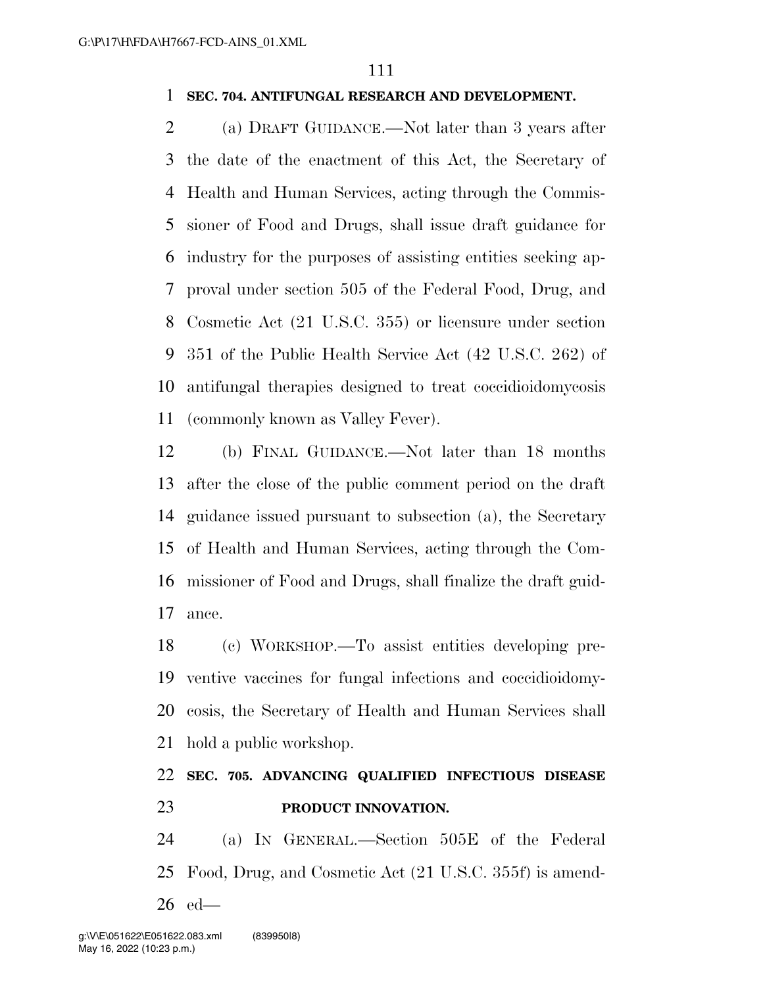### **SEC. 704. ANTIFUNGAL RESEARCH AND DEVELOPMENT.**

 (a) DRAFT GUIDANCE.—Not later than 3 years after the date of the enactment of this Act, the Secretary of Health and Human Services, acting through the Commis- sioner of Food and Drugs, shall issue draft guidance for industry for the purposes of assisting entities seeking ap- proval under section 505 of the Federal Food, Drug, and Cosmetic Act (21 U.S.C. 355) or licensure under section 351 of the Public Health Service Act (42 U.S.C. 262) of antifungal therapies designed to treat coccidioidomycosis (commonly known as Valley Fever).

 (b) FINAL GUIDANCE.—Not later than 18 months after the close of the public comment period on the draft guidance issued pursuant to subsection (a), the Secretary of Health and Human Services, acting through the Com- missioner of Food and Drugs, shall finalize the draft guid-ance.

 (c) WORKSHOP.—To assist entities developing pre- ventive vaccines for fungal infections and coccidioidomy- cosis, the Secretary of Health and Human Services shall hold a public workshop.

## **SEC. 705. ADVANCING QUALIFIED INFECTIOUS DISEASE PRODUCT INNOVATION.**

 (a) IN GENERAL.—Section 505E of the Federal Food, Drug, and Cosmetic Act (21 U.S.C. 355f) is amend-ed—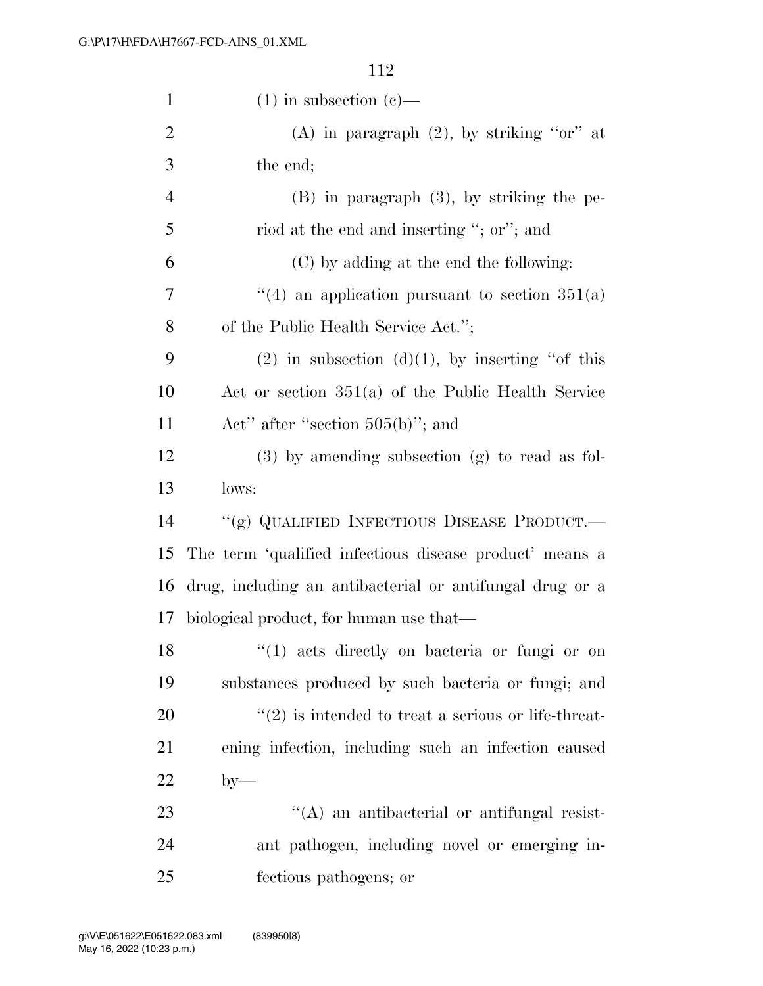| $\mathbf{1}$   | $(1)$ in subsection $(e)$ —                              |
|----------------|----------------------------------------------------------|
| $\overline{2}$ | (A) in paragraph $(2)$ , by striking "or" at             |
| 3              | the end;                                                 |
| $\overline{4}$ | $(B)$ in paragraph $(3)$ , by striking the pe-           |
| 5              | riod at the end and inserting "; or"; and                |
| 6              | (C) by adding at the end the following:                  |
| 7              | "(4) an application pursuant to section $351(a)$         |
| 8              | of the Public Health Service Act.";                      |
| 9              | $(2)$ in subsection $(d)(1)$ , by inserting "of this     |
| 10             | Act or section $351(a)$ of the Public Health Service     |
| 11             | Act" after "section $505(b)$ "; and                      |
| 12             | $(3)$ by amending subsection $(g)$ to read as fol-       |
|                |                                                          |
| 13             | lows:                                                    |
| 14             | "(g) QUALIFIED INFECTIOUS DISEASE PRODUCT.—              |
| 15             | The term 'qualified infectious disease product' means a  |
| 16             | drug, including an antibacterial or antifungal drug or a |
| 17             | biological product, for human use that—                  |
| 18             | "(1) acts directly on bacteria or fungi or on            |
| 19             | substances produced by such bacteria or fungi; and       |
| 20             | $\lq(2)$ is intended to treat a serious or life-threat-  |
| 21             | ening infection, including such an infection caused      |
| 22             | $by-$                                                    |
| 23             | $\lq\lq$ and antibacterial or antifungal resist-         |
| 24             | ant pathogen, including novel or emerging in-            |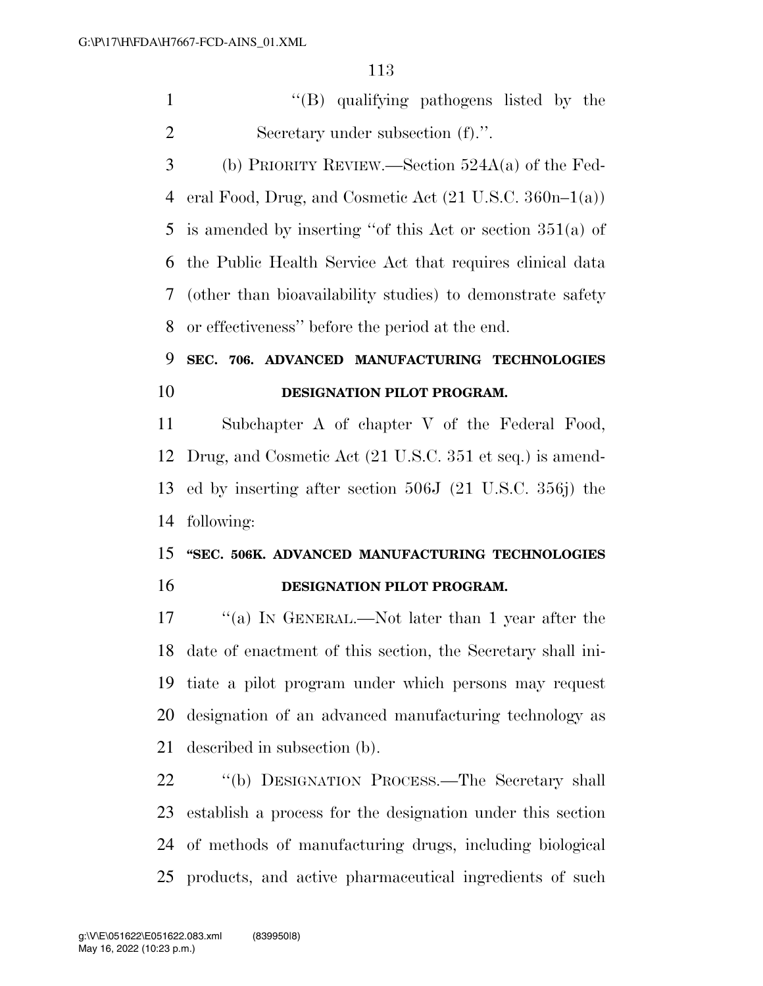''(B) qualifying pathogens listed by the Secretary under subsection (f).''.

 (b) PRIORITY REVIEW.—Section 524A(a) of the Fed- eral Food, Drug, and Cosmetic Act (21 U.S.C. 360n–1(a)) is amended by inserting ''of this Act or section 351(a) of the Public Health Service Act that requires clinical data (other than bioavailability studies) to demonstrate safety or effectiveness'' before the period at the end.

# **SEC. 706. ADVANCED MANUFACTURING TECHNOLOGIES DESIGNATION PILOT PROGRAM.**

 Subchapter A of chapter V of the Federal Food, Drug, and Cosmetic Act (21 U.S.C. 351 et seq.) is amend- ed by inserting after section 506J (21 U.S.C. 356j) the following:

# **''SEC. 506K. ADVANCED MANUFACTURING TECHNOLOGIES DESIGNATION PILOT PROGRAM.**

 ''(a) IN GENERAL.—Not later than 1 year after the date of enactment of this section, the Secretary shall ini- tiate a pilot program under which persons may request designation of an advanced manufacturing technology as described in subsection (b).

 ''(b) DESIGNATION PROCESS.—The Secretary shall establish a process for the designation under this section of methods of manufacturing drugs, including biological products, and active pharmaceutical ingredients of such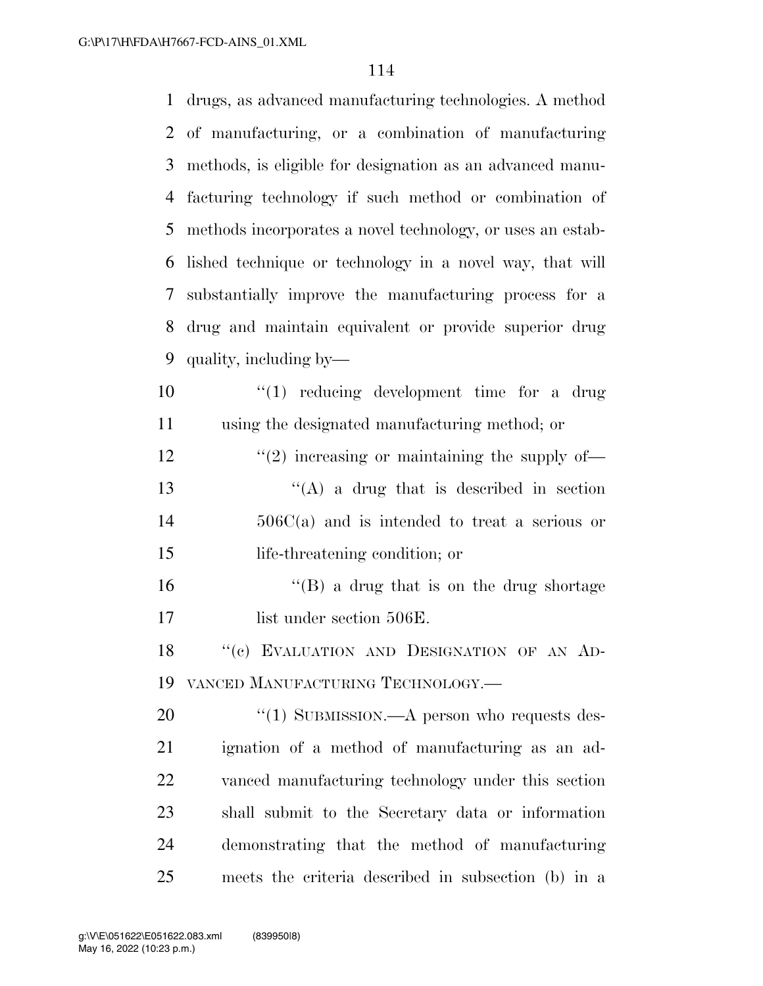drugs, as advanced manufacturing technologies. A method of manufacturing, or a combination of manufacturing methods, is eligible for designation as an advanced manu- facturing technology if such method or combination of methods incorporates a novel technology, or uses an estab- lished technique or technology in a novel way, that will substantially improve the manufacturing process for a drug and maintain equivalent or provide superior drug quality, including by— ''(1) reducing development time for a drug using the designated manufacturing method; or  $\frac{1}{2}$   $\frac{1}{2}$  increasing or maintaining the supply of- $\langle (A)$  a drug that is described in section 506C(a) and is intended to treat a serious or life-threatening condition; or 16 ''(B) a drug that is on the drug shortage 17 list under section 506E. 18 "(c) EVALUATION AND DESIGNATION OF AN AD- VANCED MANUFACTURING TECHNOLOGY.—  $\frac{1}{20}$   $\frac{1}{20}$  SUBMISSION.—A person who requests des- ignation of a method of manufacturing as an ad- vanced manufacturing technology under this section shall submit to the Secretary data or information demonstrating that the method of manufacturing meets the criteria described in subsection (b) in a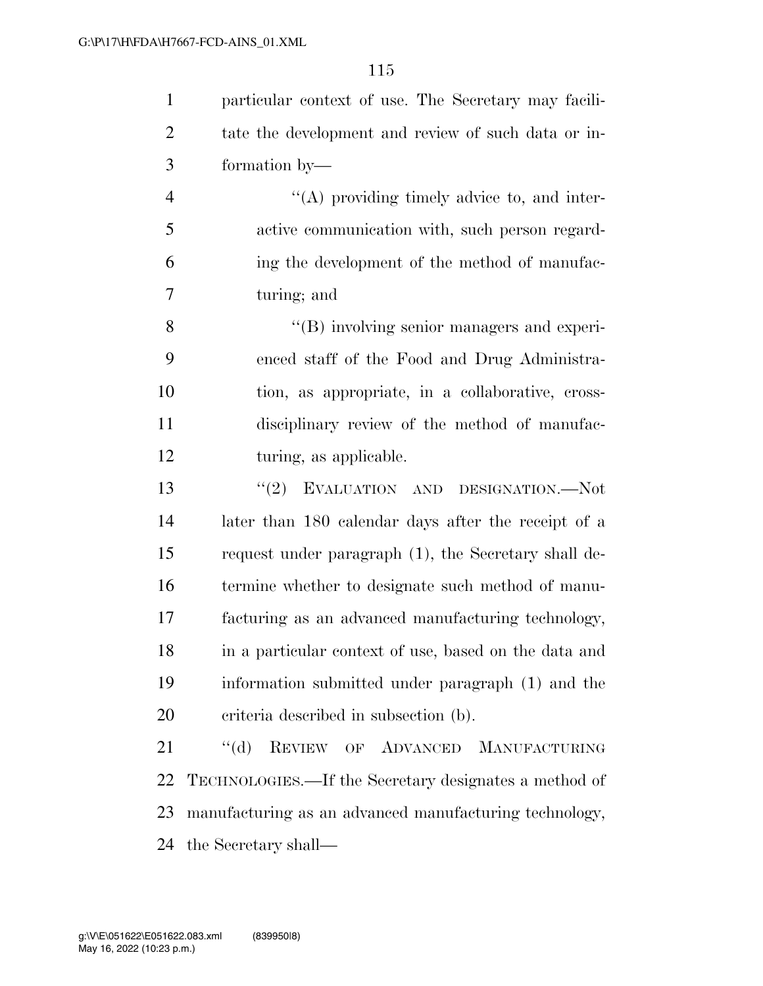particular context of use. The Secretary may facili- tate the development and review of such data or in-formation by—

 ''(A) providing timely advice to, and inter- active communication with, such person regard- ing the development of the method of manufac-turing; and

8 ''(B) involving senior managers and experi- enced staff of the Food and Drug Administra- tion, as appropriate, in a collaborative, cross- disciplinary review of the method of manufac-12 turing, as applicable.

 ''(2) EVALUATION AND DESIGNATION.—Not later than 180 calendar days after the receipt of a request under paragraph (1), the Secretary shall de- termine whether to designate such method of manu- facturing as an advanced manufacturing technology, in a particular context of use, based on the data and information submitted under paragraph (1) and the criteria described in subsection (b).

 ''(d) REVIEW OF ADVANCED MANUFACTURING TECHNOLOGIES.—If the Secretary designates a method of manufacturing as an advanced manufacturing technology, the Secretary shall—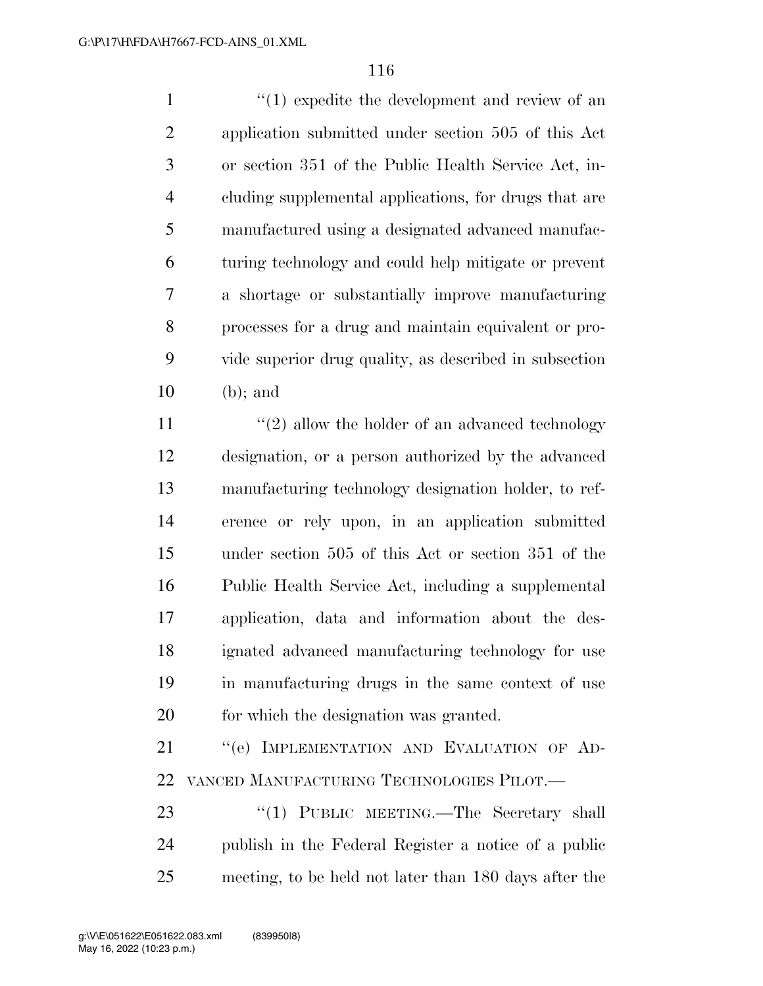1 ''(1) expedite the development and review of an application submitted under section 505 of this Act or section 351 of the Public Health Service Act, in- cluding supplemental applications, for drugs that are manufactured using a designated advanced manufac- turing technology and could help mitigate or prevent a shortage or substantially improve manufacturing processes for a drug and maintain equivalent or pro- vide superior drug quality, as described in subsection (b); and

11 ''(2) allow the holder of an advanced technology designation, or a person authorized by the advanced manufacturing technology designation holder, to ref- erence or rely upon, in an application submitted under section 505 of this Act or section 351 of the Public Health Service Act, including a supplemental application, data and information about the des- ignated advanced manufacturing technology for use in manufacturing drugs in the same context of use for which the designation was granted.

21 "(e) IMPLEMENTATION AND EVALUATION OF AD-VANCED MANUFACTURING TECHNOLOGIES PILOT.—

23 "(1) PUBLIC MEETING.—The Secretary shall publish in the Federal Register a notice of a public meeting, to be held not later than 180 days after the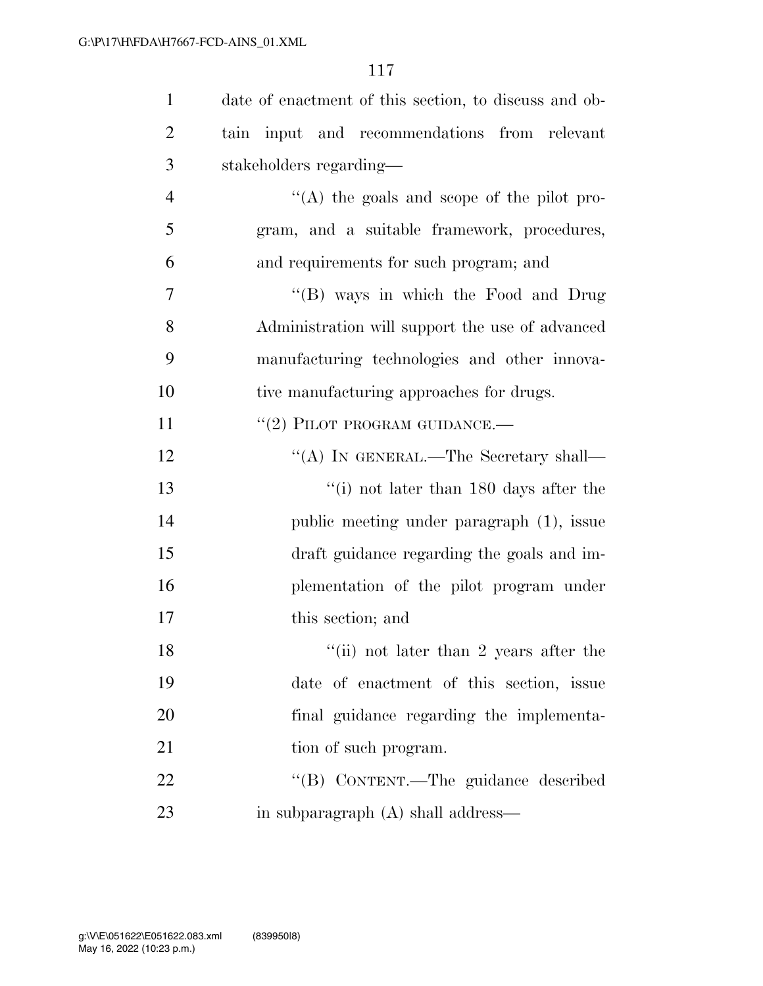| $\mathbf{1}$   | date of enactment of this section, to discuss and ob- |
|----------------|-------------------------------------------------------|
| $\overline{2}$ | tain input and recommendations from relevant          |
| 3              | stakeholders regarding—                               |
| $\overline{4}$ | "(A) the goals and scope of the pilot pro-            |
| 5              | gram, and a suitable framework, procedures,           |
| 6              | and requirements for such program; and                |
| 7              | "(B) ways in which the Food and Drug                  |
| 8              | Administration will support the use of advanced       |
| 9              | manufacturing technologies and other innova-          |
| 10             | tive manufacturing approaches for drugs.              |
| 11             | $``(2)$ PILOT PROGRAM GUIDANCE.—                      |
| 12             | "(A) IN GENERAL.—The Secretary shall—                 |
| 13             | $\lq\lq$ (i) not later than 180 days after the        |
| 14             | public meeting under paragraph (1), issue             |
| 15             | draft guidance regarding the goals and im-            |
| 16             | plementation of the pilot program under               |
| 17             | this section; and                                     |
| 18             | "(ii) not later than 2 years after the                |
| 19             | date of enactment of this section, issue              |
| 20             | final guidance regarding the implementa-              |
| 21             | tion of such program.                                 |
| 22             | "(B) CONTENT.—The guidance described                  |
| 23             | in subparagraph (A) shall address—                    |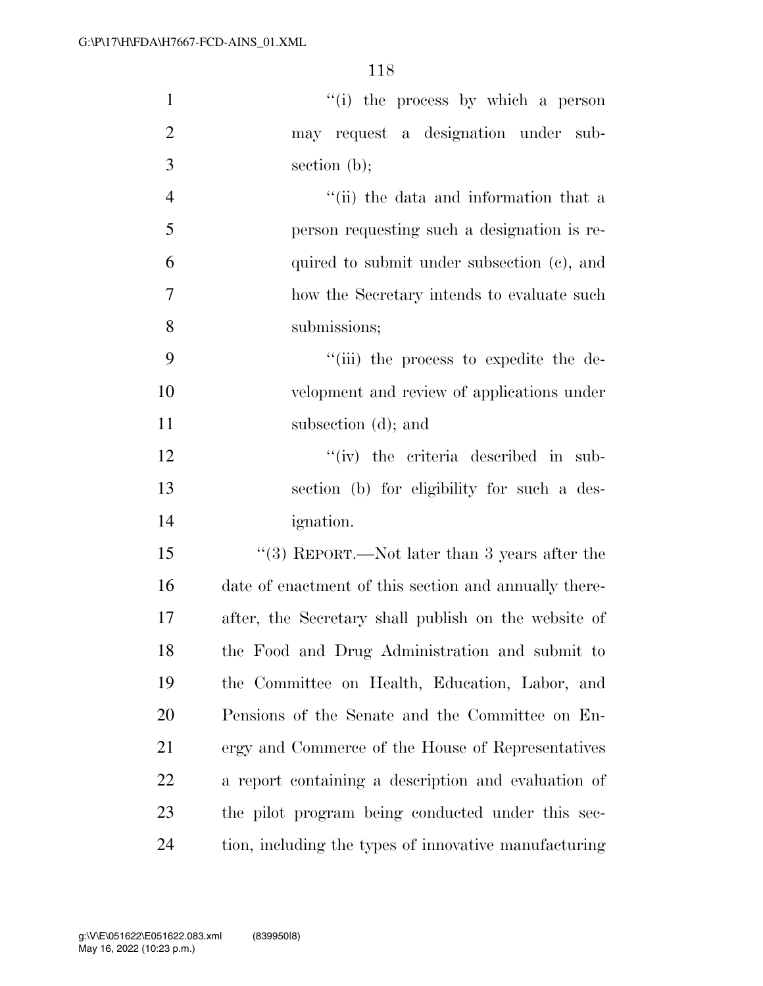| $\mathbf{1}$   | "(i) the process by which a person                    |
|----------------|-------------------------------------------------------|
| $\overline{2}$ | may request a designation under sub-                  |
| 3              | section $(b)$ ;                                       |
| $\overline{4}$ | "(ii) the data and information that a                 |
| 5              | person requesting such a designation is re-           |
| 6              | quired to submit under subsection (c), and            |
| 7              | how the Secretary intends to evaluate such            |
| 8              | submissions;                                          |
| 9              | "(iii) the process to expedite the de-                |
| 10             | velopment and review of applications under            |
| 11             | subsection (d); and                                   |
| 12             | $``(iv)$ the criteria described in sub-               |
| 13             | section (b) for eligibility for such a des-           |
| 14             | <i>ignation.</i>                                      |
| 15             | "(3) REPORT.—Not later than 3 years after the         |
| 16             | date of enactment of this section and annually there- |
| 17             | after, the Secretary shall publish on the website of  |
| 18             | the Food and Drug Administration and submit to        |
| 19             | the Committee on Health, Education, Labor, and        |
| 20             | Pensions of the Senate and the Committee on En-       |
| 21             | ergy and Commerce of the House of Representatives     |
| 22             | a report containing a description and evaluation of   |
| 23             | the pilot program being conducted under this sec-     |
| 24             | tion, including the types of innovative manufacturing |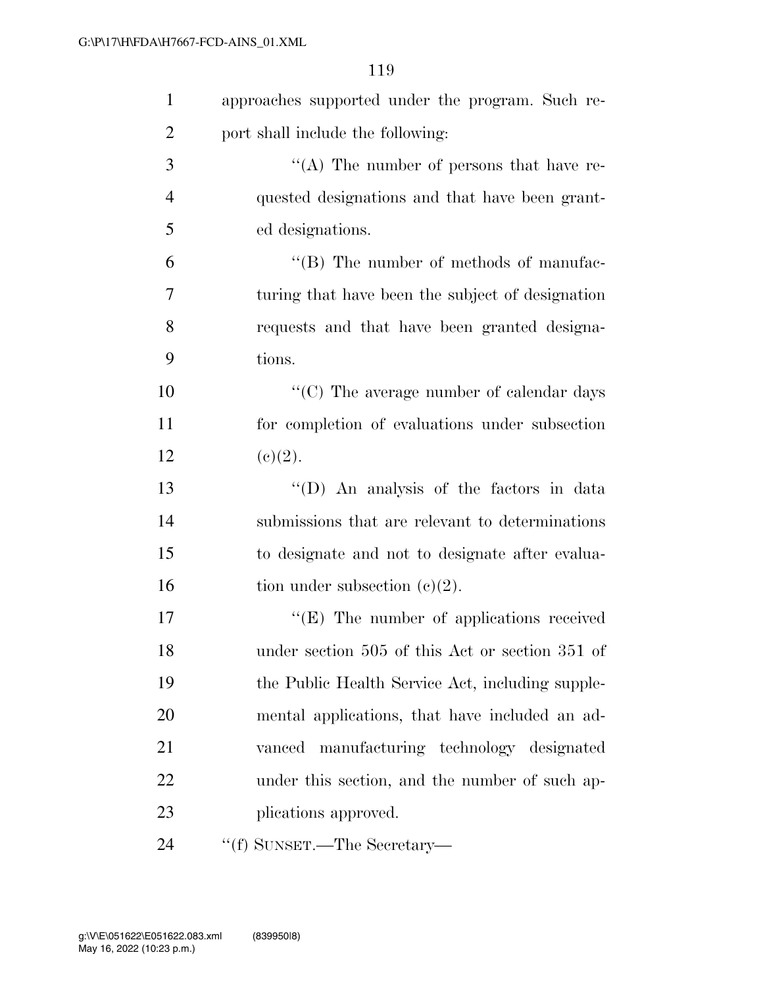| $\mathbf{1}$   | approaches supported under the program. Such re- |
|----------------|--------------------------------------------------|
| $\overline{2}$ | port shall include the following:                |
| 3              | "(A) The number of persons that have re-         |
| $\overline{4}$ | quested designations and that have been grant-   |
| 5              | ed designations.                                 |
| 6              | "(B) The number of methods of manufac-           |
| 7              | turing that have been the subject of designation |
| 8              | requests and that have been granted designa-     |
| 9              | tions.                                           |
| 10             | $\lq\lq (C)$ The average number of calendar days |
| 11             | for completion of evaluations under subsection   |
| 12             | (c)(2).                                          |
| 13             | "(D) An analysis of the factors in data          |
| 14             | submissions that are relevant to determinations  |
| 15             | to designate and not to designate after evalua-  |
| 16             | tion under subsection $(c)(2)$ .                 |
| 17             | $\lq\lq(E)$ The number of applications received  |
| 18             | under section 505 of this Act or section 351 of  |
| 19             | the Public Health Service Act, including supple- |
| 20             | mental applications, that have included an ad-   |
| 21             | vanced manufacturing technology designated       |
| 22             | under this section, and the number of such ap-   |
| 23             | plications approved.                             |
| 24             | "(f) SUNSET.—The Secretary—                      |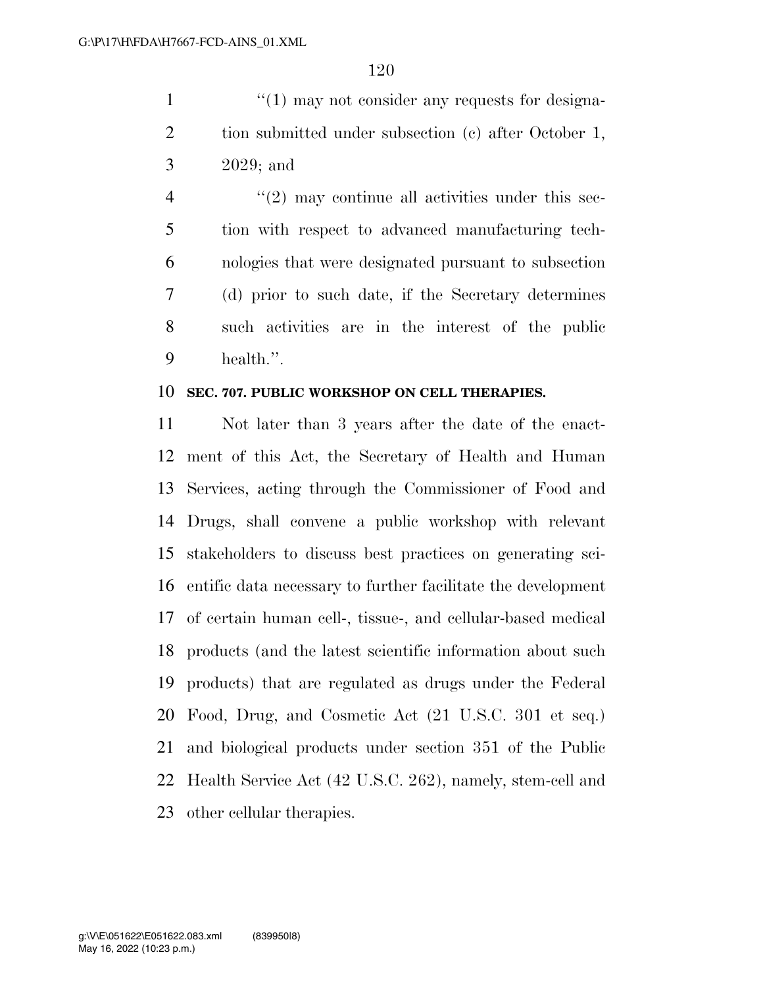1  $\frac{1}{1}$  any not consider any requests for designa-2 tion submitted under subsection (c) after October 1, 2029; and

 $\frac{4}{2}$  ''(2) may continue all activities under this sec- tion with respect to advanced manufacturing tech- nologies that were designated pursuant to subsection (d) prior to such date, if the Secretary determines such activities are in the interest of the public health.''.

#### **SEC. 707. PUBLIC WORKSHOP ON CELL THERAPIES.**

 Not later than 3 years after the date of the enact- ment of this Act, the Secretary of Health and Human Services, acting through the Commissioner of Food and Drugs, shall convene a public workshop with relevant stakeholders to discuss best practices on generating sci- entific data necessary to further facilitate the development of certain human cell-, tissue-, and cellular-based medical products (and the latest scientific information about such products) that are regulated as drugs under the Federal Food, Drug, and Cosmetic Act (21 U.S.C. 301 et seq.) and biological products under section 351 of the Public Health Service Act (42 U.S.C. 262), namely, stem-cell and other cellular therapies.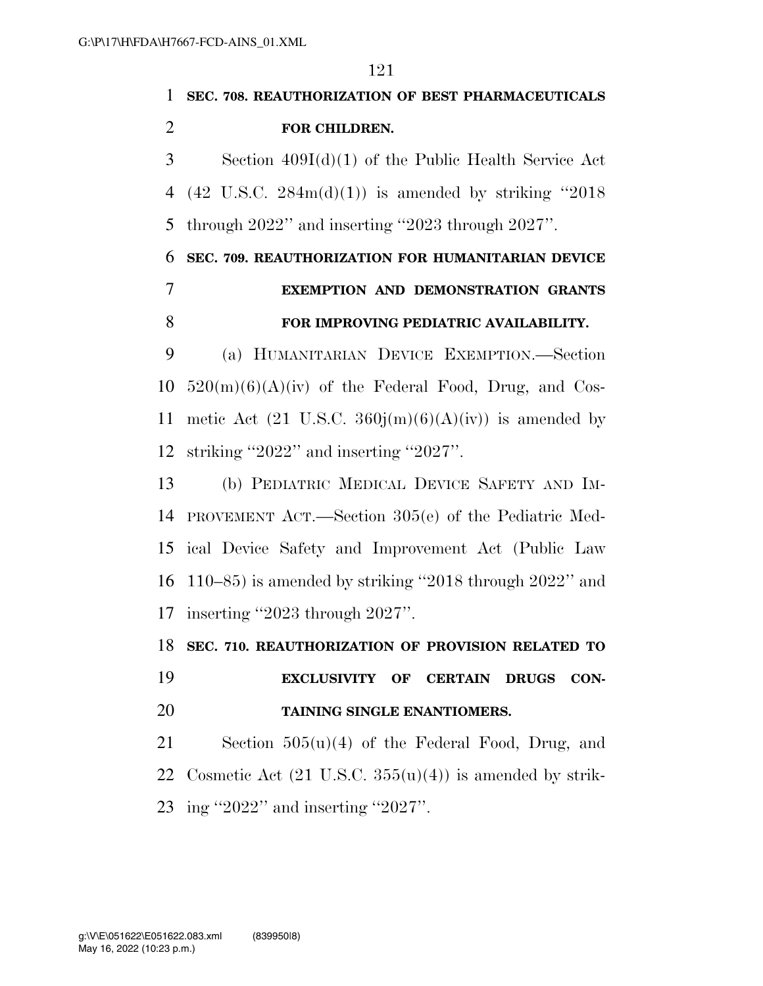**SEC. 708. REAUTHORIZATION OF BEST PHARMACEUTICALS FOR CHILDREN.**  Section 409I(d)(1) of the Public Health Service Act 4 (42 U.S.C.  $284m(d)(1)$ ) is amended by striking "2018" through 2022'' and inserting ''2023 through 2027''. **SEC. 709. REAUTHORIZATION FOR HUMANITARIAN DEVICE EXEMPTION AND DEMONSTRATION GRANTS FOR IMPROVING PEDIATRIC AVAILABILITY.**  (a) HUMANITARIAN DEVICE EXEMPTION.—Section  $520(m)(6)(A)(iv)$  of the Federal Food, Drug, and Cos-11 metic Act (21 U.S.C.  $360j(m)(6)(A)(iv)$ ) is amended by striking ''2022'' and inserting ''2027''. (b) PEDIATRIC MEDICAL DEVICE SAFETY AND IM- PROVEMENT ACT.—Section 305(e) of the Pediatric Med-ical Device Safety and Improvement Act (Public Law

 110–85) is amended by striking ''2018 through 2022'' and inserting ''2023 through 2027''.

**SEC. 710. REAUTHORIZATION OF PROVISION RELATED TO** 

 **EXCLUSIVITY OF CERTAIN DRUGS CON-TAINING SINGLE ENANTIOMERS.** 

 Section 505(u)(4) of the Federal Food, Drug, and 22 Cosmetic Act  $(21 \text{ U.S.C. } 355(u)(4))$  is amended by strik-ing ''2022'' and inserting ''2027''.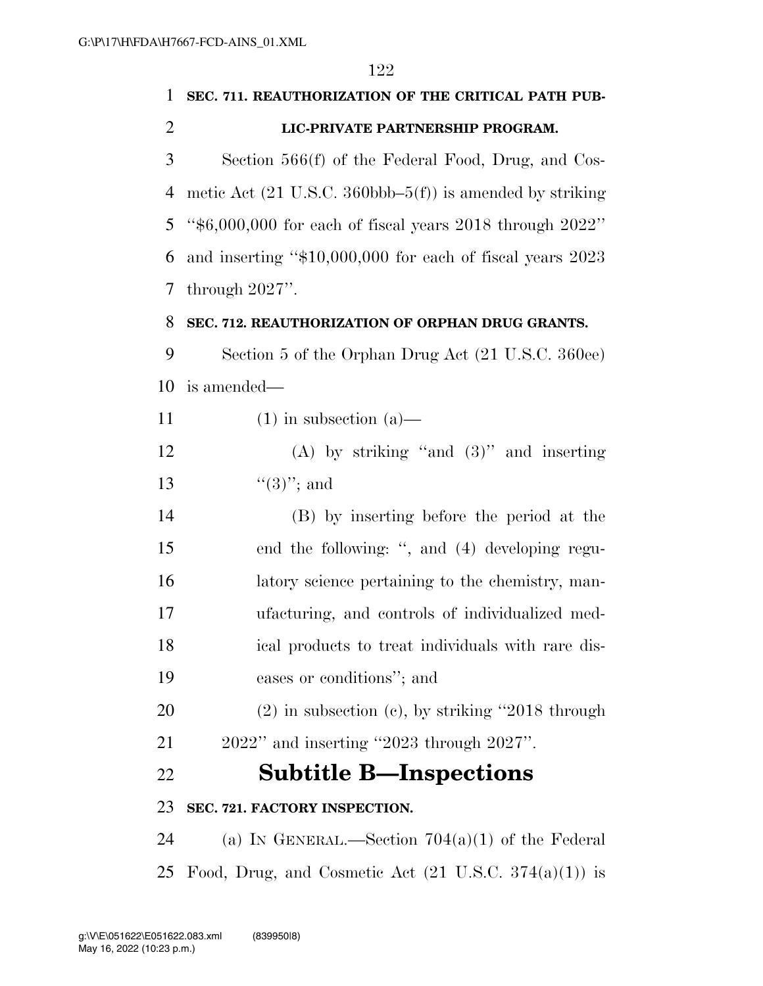| 1              | SEC. 711. REAUTHORIZATION OF THE CRITICAL PATH PUB-                           |
|----------------|-------------------------------------------------------------------------------|
| $\overline{2}$ | LIC-PRIVATE PARTNERSHIP PROGRAM.                                              |
| 3              | Section 566(f) of the Federal Food, Drug, and Cos-                            |
| 4              | metic Act $(21 \text{ U.S.C. } 360 \text{bbb} - 5(f))$ is amended by striking |
| 5              | " $$6,000,000$ for each of fiscal years 2018 through 2022"                    |
| 6              | and inserting "\$10,000,000 for each of fiscal years 2023                     |
| 7              | through $2027$ ".                                                             |
| 8              | SEC. 712. REAUTHORIZATION OF ORPHAN DRUG GRANTS.                              |
| 9              | Section 5 of the Orphan Drug Act (21 U.S.C. 360ee)                            |
| 10             | is amended—                                                                   |
| 11             | $(1)$ in subsection $(a)$ —                                                   |
| 12             | (A) by striking "and $(3)$ " and inserting                                    |
| 13             | $\lq(3)$ "; and                                                               |
| 14             | (B) by inserting before the period at the                                     |
| 15             | end the following: ", and (4) developing regu-                                |
| 16             | latory science pertaining to the chemistry, man-                              |
| 17             | ufacturing, and controls of individualized med-                               |
| 18             | ical products to treat individuals with rare dis-                             |
| 19             | eases or conditions"; and                                                     |
| 20             | $(2)$ in subsection $(e)$ , by striking "2018 through                         |
| 21             | $2022"$ and inserting "2023 through $2027"$ .                                 |
| 22             | <b>Subtitle B—Inspections</b>                                                 |
| 23             | SEC. 721. FACTORY INSPECTION.                                                 |
| 24             | (a) IN GENERAL.—Section $704(a)(1)$ of the Federal                            |
| 25             | Food, Drug, and Cosmetic Act $(21 \text{ U.S.C. } 374(a)(1))$ is              |
|                |                                                                               |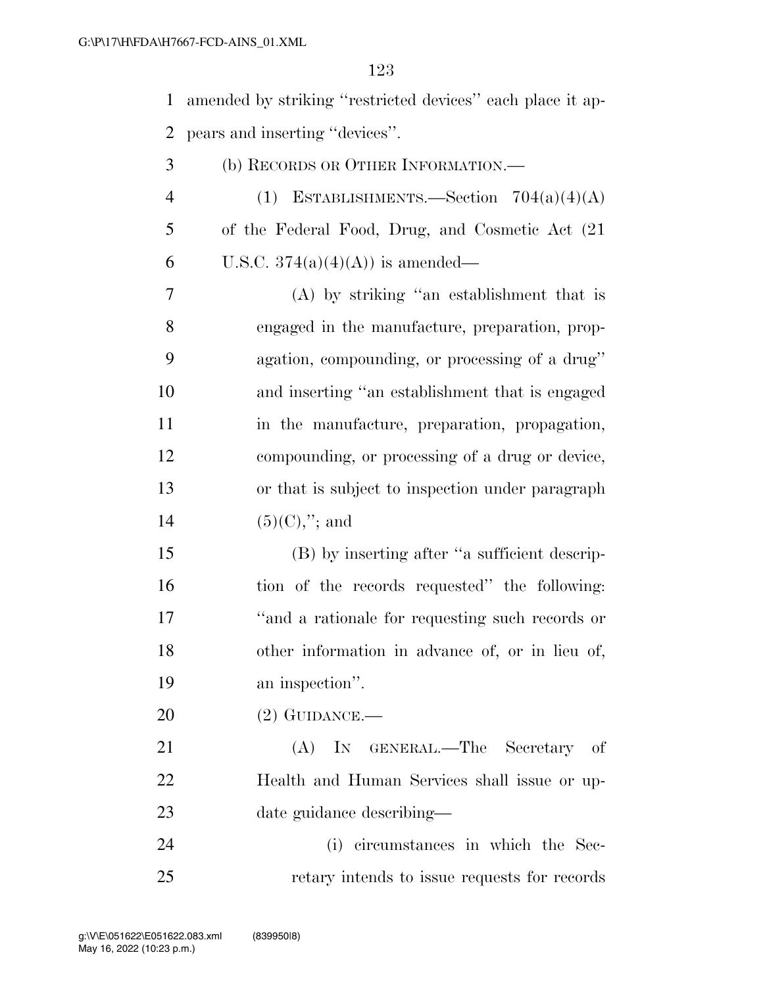amended by striking ''restricted devices'' each place it ap-pears and inserting ''devices''.

- (b) RECORDS OR OTHER INFORMATION.—
- 4 (1) ESTABLISHMENTS.—Section  $704(a)(4)(A)$  of the Federal Food, Drug, and Cosmetic Act (21 6 U.S.C.  $374(a)(4)(A)$  is amended—

 (A) by striking ''an establishment that is engaged in the manufacture, preparation, prop- agation, compounding, or processing of a drug'' and inserting ''an establishment that is engaged in the manufacture, preparation, propagation, compounding, or processing of a drug or device, or that is subject to inspection under paragraph  $(5)(C),$ "; and

 (B) by inserting after ''a sufficient descrip- tion of the records requested'' the following: ''and a rationale for requesting such records or other information in advance of, or in lieu of, an inspection''.

(2) GUIDANCE.—

 (A) IN GENERAL.—The Secretary of Health and Human Services shall issue or up-date guidance describing—

 (i) circumstances in which the Sec-retary intends to issue requests for records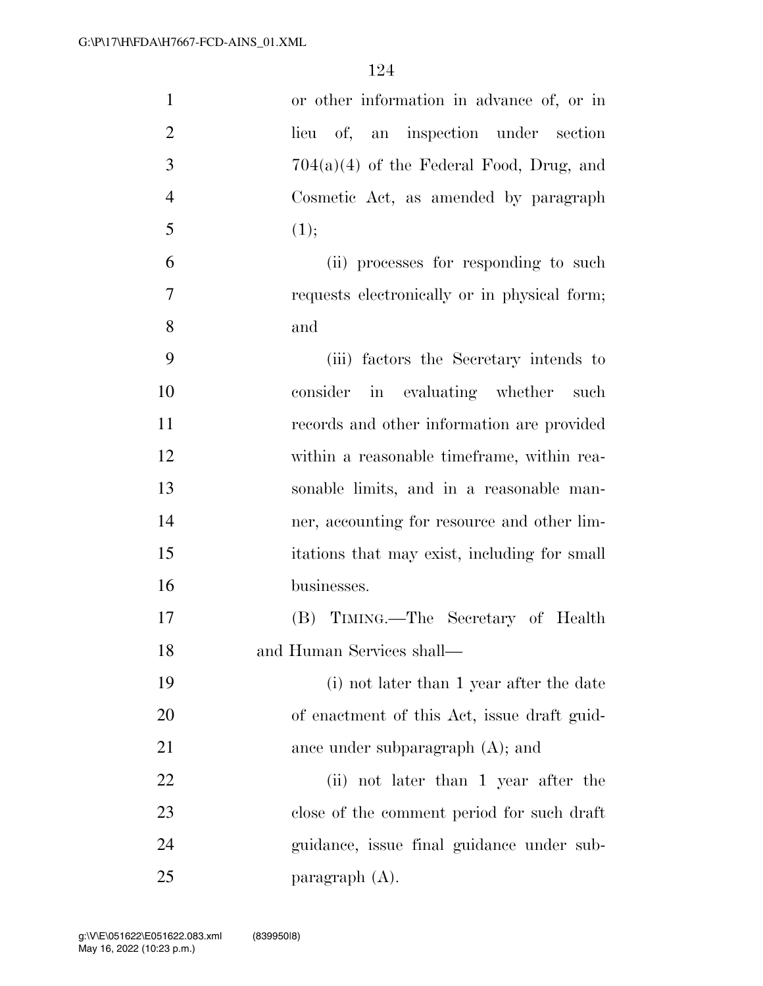| $\mathbf{1}$   | or other information in advance of, or in    |
|----------------|----------------------------------------------|
| $\overline{2}$ | of, an inspection under section<br>lieu      |
| 3              | $704(a)(4)$ of the Federal Food, Drug, and   |
| $\overline{4}$ | Cosmetic Act, as amended by paragraph        |
| 5              | (1);                                         |
| 6              | (ii) processes for responding to such        |
| $\overline{7}$ | requests electronically or in physical form; |
| 8              | and                                          |
| 9              | (iii) factors the Secretary intends to       |
| 10             | consider in evaluating whether such          |
| 11             | records and other information are provided   |
| 12             | within a reasonable time frame, within rea-  |
| 13             | sonable limits, and in a reasonable man-     |
| 14             | ner, accounting for resource and other lim-  |
| 15             | itations that may exist, including for small |
| 16             | businesses.                                  |
| 17             | (B) TIMING.—The Secretary of Health          |
| 18             | and Human Services shall-                    |
| 19             | (i) not later than 1 year after the date     |
| <b>20</b>      | of enactment of this Act, issue draft guid-  |
| 21             | ance under subparagraph $(A)$ ; and          |
| 22             | (ii) not later than 1 year after the         |
| 23             | close of the comment period for such draft   |
| 24             | guidance, issue final guidance under sub-    |
| 25             | paragraph $(A)$ .                            |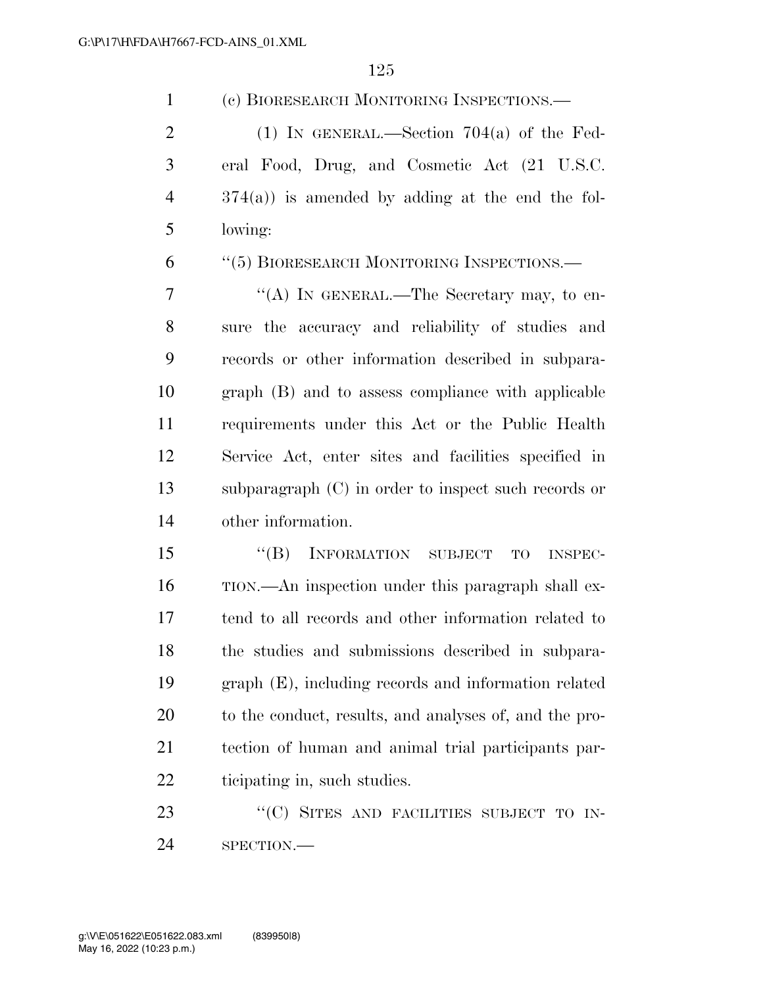| $\mathbf{1}$   | (c) BIORESEARCH MONITORING INSPECTIONS.—               |
|----------------|--------------------------------------------------------|
| $\overline{2}$ | (1) IN GENERAL.—Section $704(a)$ of the Fed-           |
| 3              | eral Food, Drug, and Cosmetic Act (21 U.S.C.           |
| $\overline{4}$ | $374(a)$ ) is amended by adding at the end the fol-    |
| 5              | lowing:                                                |
| 6              | "(5) BIORESEARCH MONITORING INSPECTIONS.—              |
| 7              | "(A) IN GENERAL.—The Secretary may, to en-             |
| 8              | sure the accuracy and reliability of studies and       |
| 9              | records or other information described in subpara-     |
| 10             | graph (B) and to assess compliance with applicable     |
| 11             | requirements under this Act or the Public Health       |
| 12             | Service Act, enter sites and facilities specified in   |
| 13             | subparagraph $(C)$ in order to inspect such records or |
| 14             | other information.                                     |
| 15             | "(B) INFORMATION SUBJECT<br>TO<br><b>INSPEC-</b>       |
| 16             | TION.—An inspection under this paragraph shall ex-     |
| 17             | tend to all records and other information related to   |
| 18             | the studies and submissions described in subpara-      |
| 19             | graph (E), including records and information related   |
| 20             | to the conduct, results, and analyses of, and the pro- |
| 21             | tection of human and animal trial participants par-    |
| 22             | ticipating in, such studies.                           |

23 "'(C) SITES AND FACILITIES SUBJECT TO IN-SPECTION.—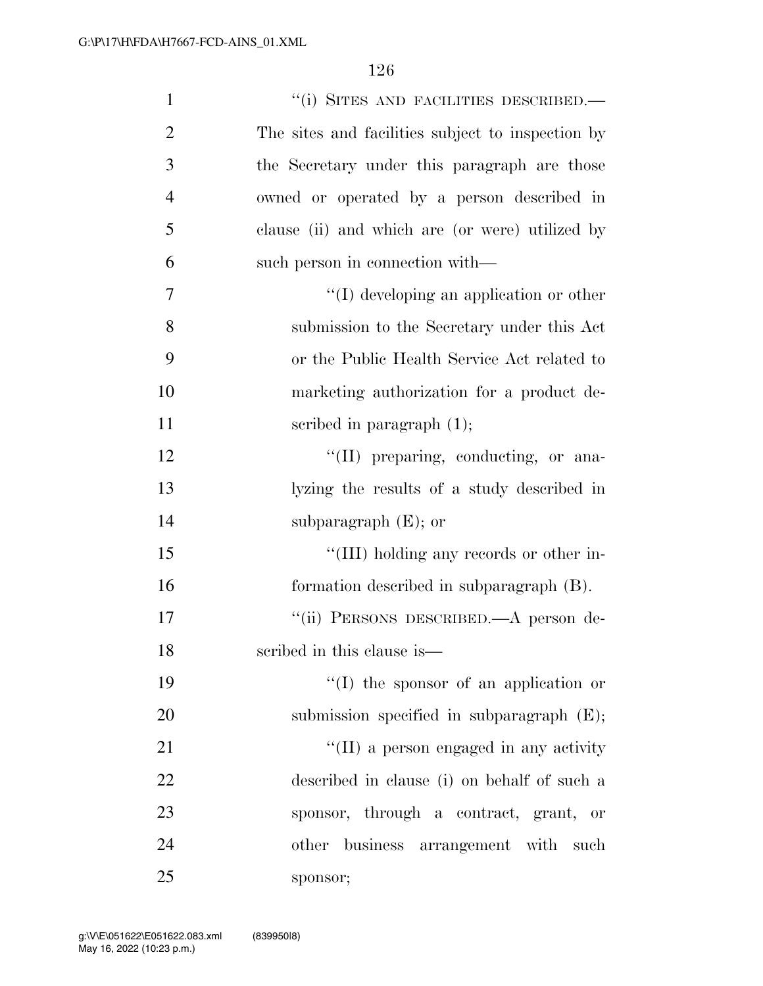| $\mathbf{1}$   | "(i) SITES AND FACILITIES DESCRIBED.-             |
|----------------|---------------------------------------------------|
| $\overline{2}$ | The sites and facilities subject to inspection by |
| 3              | the Secretary under this paragraph are those      |
| $\overline{4}$ | owned or operated by a person described in        |
| 5              | clause (ii) and which are (or were) utilized by   |
| 6              | such person in connection with—                   |
| 7              | $\lq\lq$ developing an application or other       |
| 8              | submission to the Secretary under this Act        |
| 9              | or the Public Health Service Act related to       |
| 10             | marketing authorization for a product de-         |
| 11             | scribed in paragraph $(1)$ ;                      |
| 12             | "(II) preparing, conducting, or ana-              |
| 13             | lyzing the results of a study described in        |
| 14             | subparagraph $(E)$ ; or                           |
| 15             | "(III) holding any records or other in-           |
| 16             | formation described in subparagraph (B).          |
| 17             | "(ii) PERSONS DESCRIBED.—A person de-             |
| 18             | scribed in this clause is—                        |
| 19             | $\lq\lq$ (I) the sponsor of an application or     |
| 20             | submission specified in subparagraph $(E)$ ;      |
| 21             | "(II) a person engaged in any activity            |
| 22             | described in clause (i) on behalf of such a       |
| 23             | sponsor, through a contract, grant, or            |
| 24             | other business arrangement with such              |
| 25             | sponsor;                                          |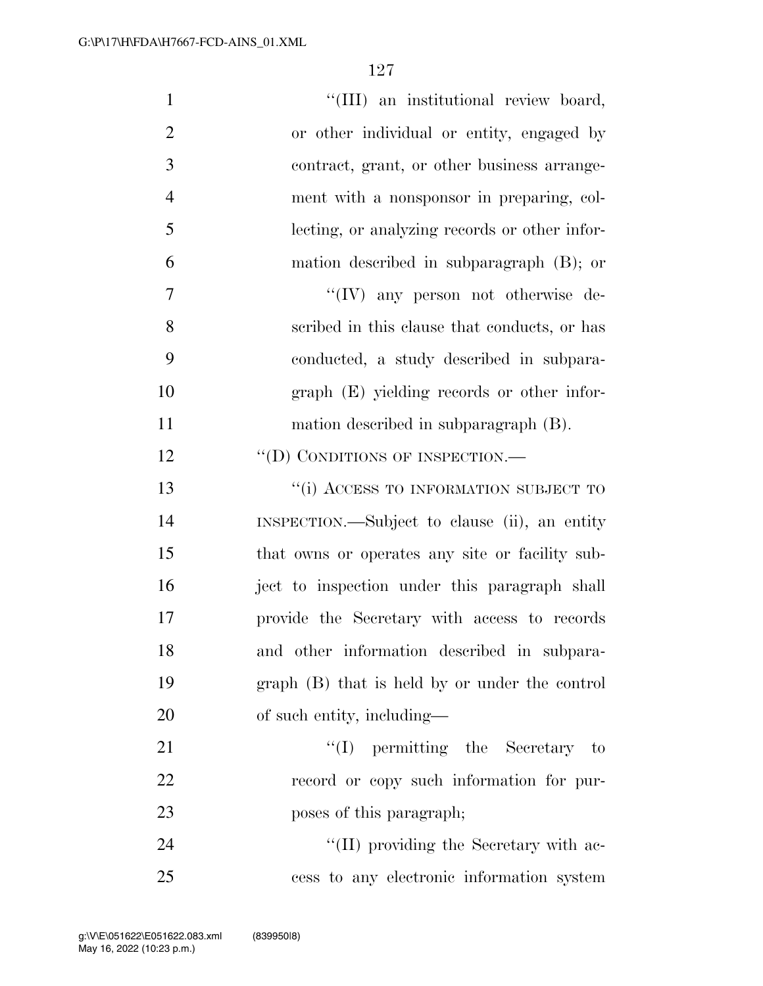| $\mathbf{1}$   | "(III) an institutional review board,           |
|----------------|-------------------------------------------------|
| $\overline{2}$ | or other individual or entity, engaged by       |
| 3              | contract, grant, or other business arrange-     |
| $\overline{4}$ | ment with a nonsponsor in preparing, col-       |
| 5              | lecting, or analyzing records or other infor-   |
| 6              | mation described in subparagraph (B); or        |
| 7              | "(IV) any person not otherwise de-              |
| 8              | scribed in this clause that conducts, or has    |
| 9              | conducted, a study described in subpara-        |
| 10             | graph (E) yielding records or other infor-      |
| 11             | mation described in subparagraph (B).           |
| 12             | "(D) CONDITIONS OF INSPECTION.—                 |
| 13             | "(i) ACCESS TO INFORMATION SUBJECT TO           |
| 14             | INSPECTION.—Subject to clause (ii), an entity   |
| 15             | that owns or operates any site or facility sub- |
| 16             | ject to inspection under this paragraph shall   |
| 17             | provide the Secretary with access to records    |
| 18             | and other information described in subpara-     |
| 19             | graph (B) that is held by or under the control  |
| 20             | of such entity, including—                      |
| 21             | $\lq\lq$ (I) permitting the Secretary to        |
| 22             | record or copy such information for pur-        |
| 23             | poses of this paragraph;                        |
| 24             | "(II) providing the Secretary with ac-          |
| 25             | cess to any electronic information system       |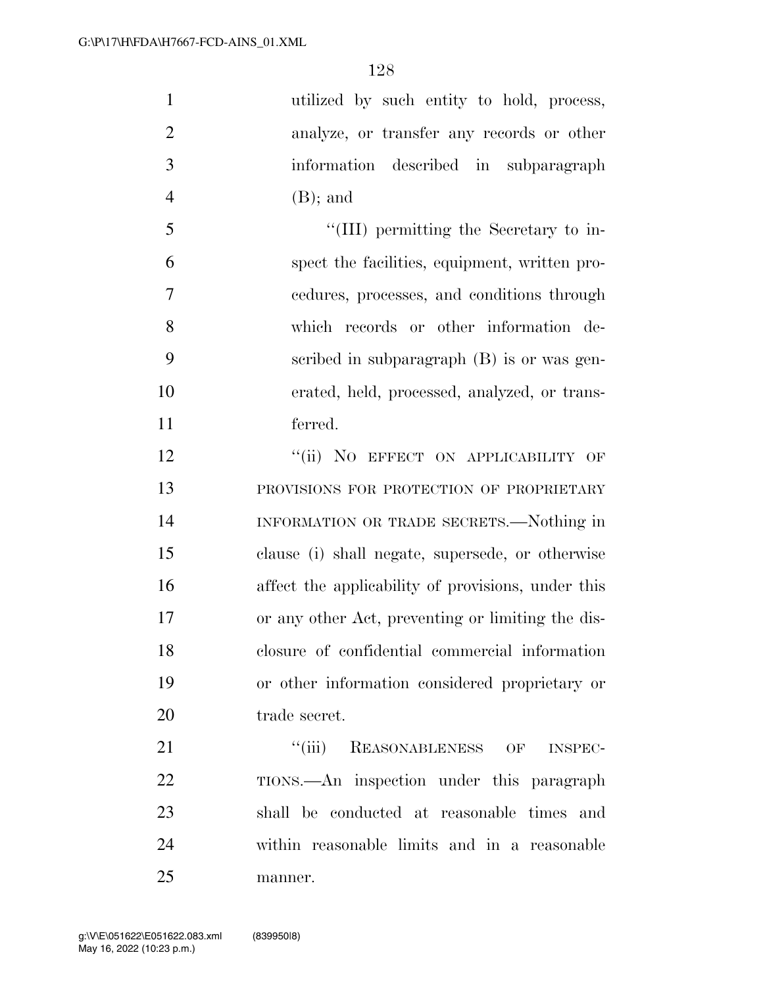| utilized by such entity to hold, process,          |
|----------------------------------------------------|
| analyze, or transfer any records or other          |
| information described in subparagraph              |
| $(B)$ ; and                                        |
| "(III) permitting the Secretary to in-             |
| spect the facilities, equipment, written pro-      |
| cedures, processes, and conditions through         |
| which records or other information de-             |
| scribed in subparagraph (B) is or was gen-         |
| erated, held, processed, analyzed, or trans-       |
| ferred.                                            |
| "(ii) NO EFFECT ON APPLICABILITY OF                |
| PROVISIONS FOR PROTECTION OF PROPRIETARY           |
| INFORMATION OR TRADE SECRETS.—Nothing in           |
| clause (i) shall negate, supersede, or otherwise   |
| affect the applicability of provisions, under this |
| or any other Act, preventing or limiting the dis-  |
| closure of confidential commercial information     |
| or other information considered proprietary or     |
| trade secret.                                      |
| "(iii) REASONABLENESS OF INSPEC-                   |
| TIONS.—An inspection under this paragraph          |
| shall be conducted at reasonable times and         |
| within reasonable limits and in a reasonable       |
|                                                    |

manner.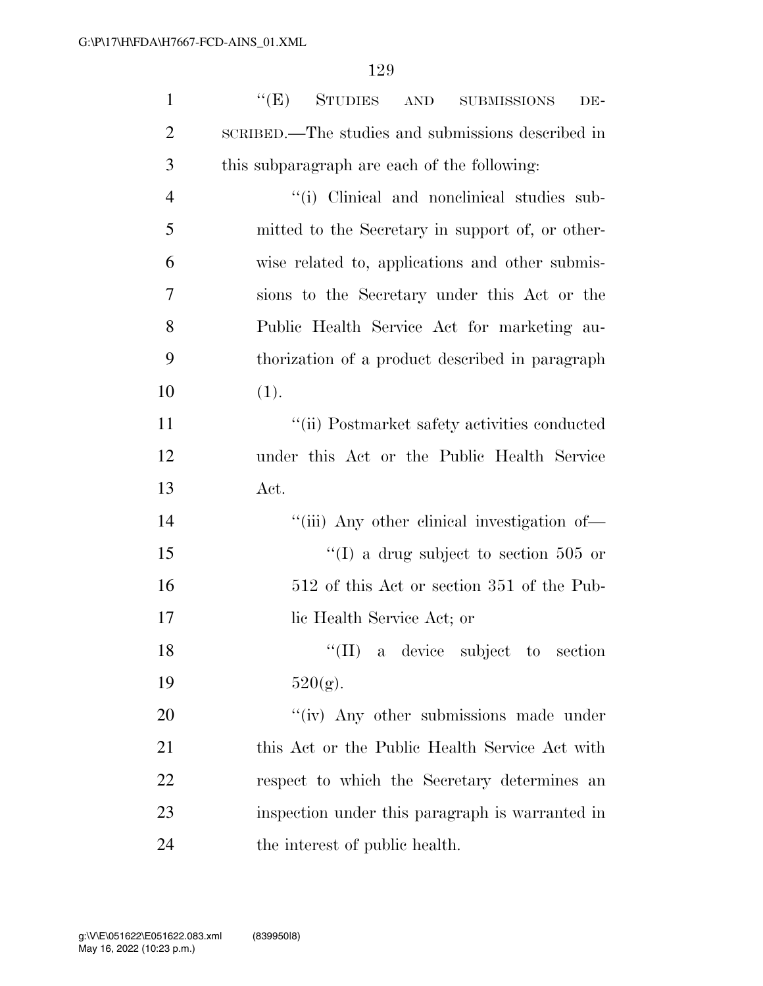| $\mathbf{1}$   | ``(E)<br><b>STUDIES</b><br>AND<br><b>SUBMISSIONS</b><br>DE- |
|----------------|-------------------------------------------------------------|
| $\overline{2}$ | SCRIBED.—The studies and submissions described in           |
| 3              | this subparagraph are each of the following:                |
| $\overline{4}$ | "(i) Clinical and nonclinical studies sub-                  |
| 5              | mitted to the Secretary in support of, or other-            |
| 6              | wise related to, applications and other submis-             |
| 7              | sions to the Secretary under this Act or the                |
| 8              | Public Health Service Act for marketing au-                 |
| 9              | thorization of a product described in paragraph             |
| 10             | (1).                                                        |
| 11             | "(ii) Postmarket safety activities conducted                |
| 12             | under this Act or the Public Health Service                 |
| 13             | Act.                                                        |
| 14             | "(iii) Any other clinical investigation of-                 |
| 15             | "(I) a drug subject to section 505 or                       |
| 16             | 512 of this Act or section 351 of the Pub-                  |
| 17             | lic Health Service Act; or                                  |
| 18             | "(II) a device subject to section                           |
| 19             | $520(g)$ .                                                  |
| 20             | "(iv) Any other submissions made under                      |
| 21             | this Act or the Public Health Service Act with              |
| 22             | respect to which the Secretary determines an                |
| 23             | inspection under this paragraph is warranted in             |
| 24             | the interest of public health.                              |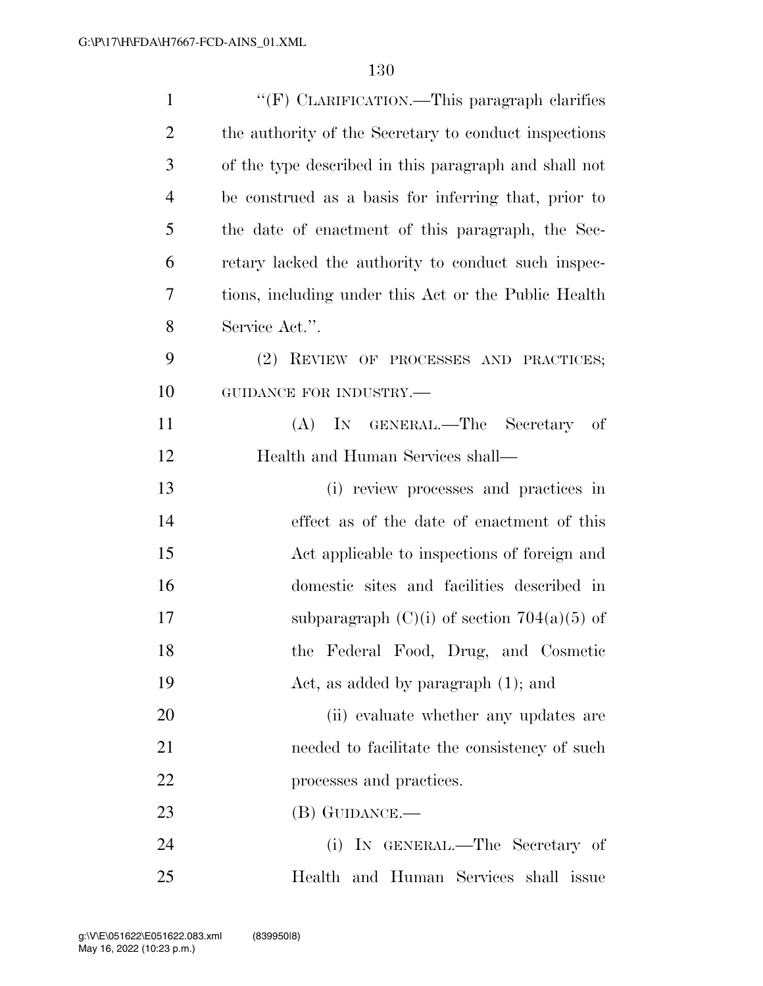| $\mathbf{1}$   | "(F) CLARIFICATION.—This paragraph clarifies          |
|----------------|-------------------------------------------------------|
| $\overline{2}$ | the authority of the Secretary to conduct inspections |
| 3              | of the type described in this paragraph and shall not |
| $\overline{4}$ | be construed as a basis for inferring that, prior to  |
| 5              | the date of enactment of this paragraph, the Sec-     |
| 6              | retary lacked the authority to conduct such inspec-   |
| 7              | tions, including under this Act or the Public Health  |
| 8              | Service Act.".                                        |
| 9              | (2) REVIEW OF PROCESSES AND PRACTICES;                |
| 10             | GUIDANCE FOR INDUSTRY.-                               |
| 11             | (A) IN GENERAL.—The Secretary<br>of                   |
| 12             | Health and Human Services shall-                      |
| 13             | (i) review processes and practices in                 |
| 14             | effect as of the date of enactment of this            |
| 15             | Act applicable to inspections of foreign and          |
| 16             | domestic sites and facilities described in            |
| 17             | subparagraph $(C)(i)$ of section 704(a)(5) of         |
| 18             | the Federal Food, Drug, and Cosmetic                  |
| 19             | Act, as added by paragraph $(1)$ ; and                |
| 20             | (ii) evaluate whether any updates are                 |
| 21             | needed to facilitate the consistency of such          |
| 22             | processes and practices.                              |
| 23             | $(B)$ GUIDANCE.—                                      |
| 24             | IN GENERAL.—The Secretary of<br>(i)                   |
| 25             | Health and Human Services shall issue                 |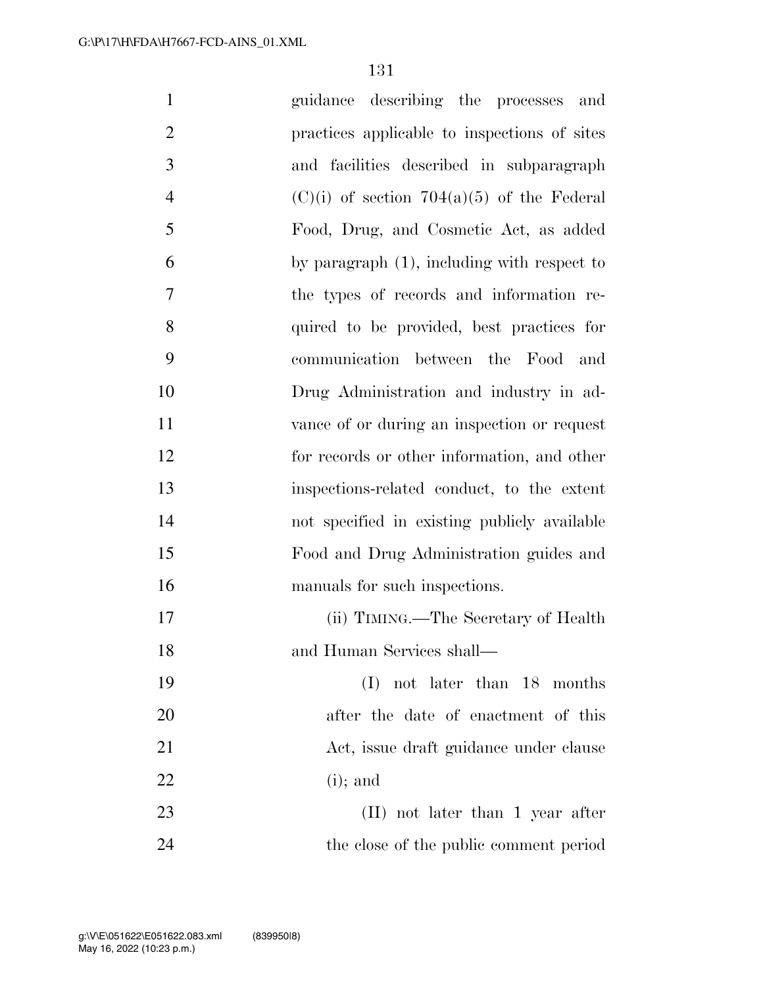| $\mathbf{1}$   | guidance describing the processes<br>and       |
|----------------|------------------------------------------------|
| $\overline{2}$ | practices applicable to inspections of sites   |
| 3              | and facilities described in subparagraph       |
| $\overline{4}$ | $(C)(i)$ of section 704(a)(5) of the Federal   |
| 5              | Food, Drug, and Cosmetic Act, as added         |
| 6              | by paragraph $(1)$ , including with respect to |
| 7              | the types of records and information re-       |
| 8              | quired to be provided, best practices for      |
| 9              | communication between the Food and             |
| 10             | Drug Administration and industry in ad-        |
| 11             | vance of or during an inspection or request    |
| 12             | for records or other information, and other    |
| 13             | inspections-related conduct, to the extent     |
| 14             | not specified in existing publicly available   |
| 15             | Food and Drug Administration guides and        |
| 16             | manuals for such inspections.                  |
| 17             | (ii) TIMING.—The Secretary of Health           |
| 18             | and Human Services shall-                      |
| 19             | not later than 18 months<br>(I)                |
| 20             | after the date of enactment of this            |
| 21             | Act, issue draft guidance under clause         |
| 22             | $(i)$ ; and                                    |
| 23             | (II) not later than 1 year after               |
| 24             | the close of the public comment period         |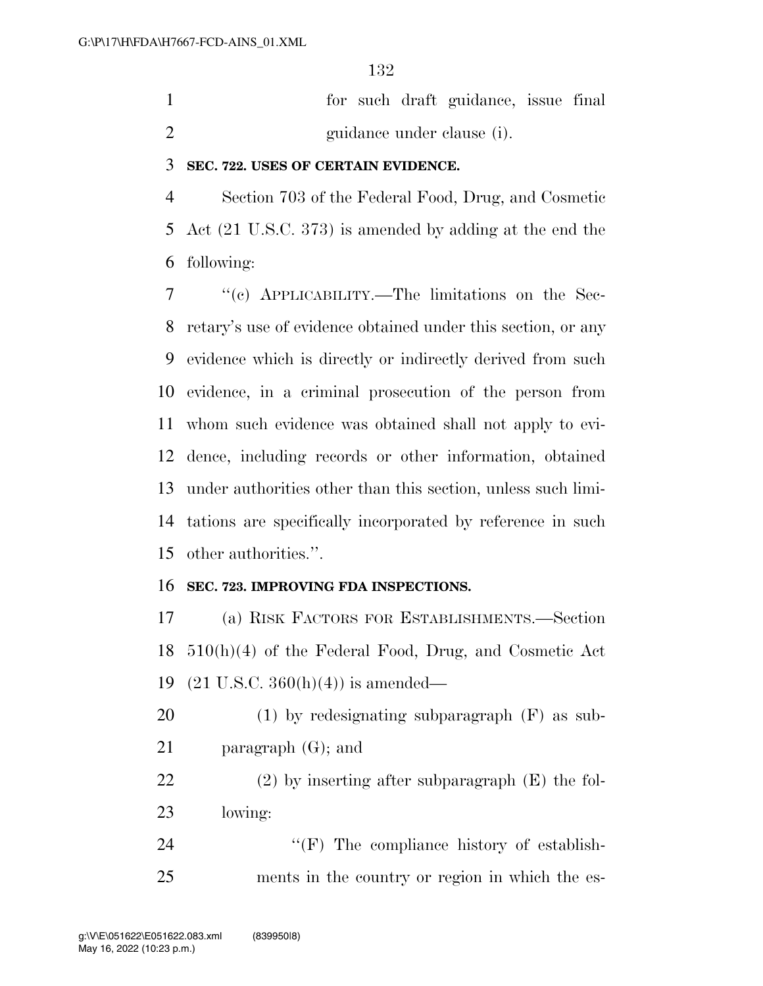|                            | for such draft guidance, issue final |  |
|----------------------------|--------------------------------------|--|
| guidance under clause (i). |                                      |  |

#### **SEC. 722. USES OF CERTAIN EVIDENCE.**

 Section 703 of the Federal Food, Drug, and Cosmetic Act (21 U.S.C. 373) is amended by adding at the end the following:

 ''(c) APPLICABILITY.—The limitations on the Sec- retary's use of evidence obtained under this section, or any evidence which is directly or indirectly derived from such evidence, in a criminal prosecution of the person from whom such evidence was obtained shall not apply to evi- dence, including records or other information, obtained under authorities other than this section, unless such limi- tations are specifically incorporated by reference in such other authorities.''.

#### **SEC. 723. IMPROVING FDA INSPECTIONS.**

 (a) RISK FACTORS FOR ESTABLISHMENTS.—Section 510(h)(4) of the Federal Food, Drug, and Cosmetic Act (21 U.S.C. 360(h)(4)) is amended—

 (1) by redesignating subparagraph (F) as sub-paragraph (G); and

 (2) by inserting after subparagraph (E) the fol-lowing:

24 ''(F) The compliance history of establish-ments in the country or region in which the es-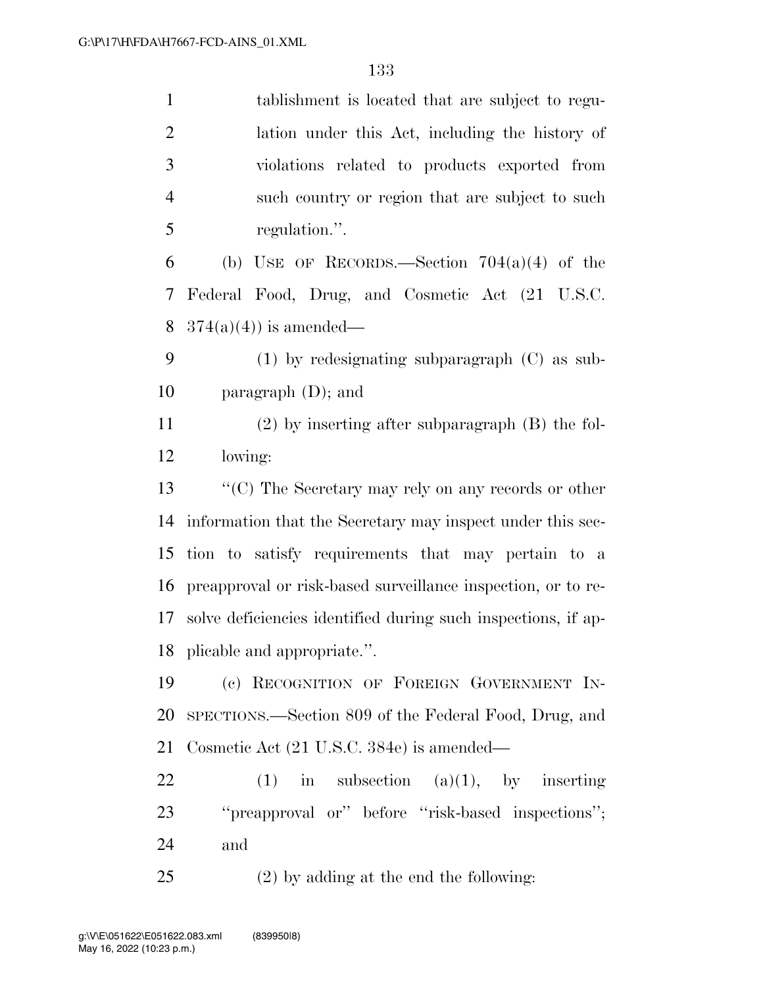| $\mathbf{1}$   | tablishment is located that are subject to regu-              |
|----------------|---------------------------------------------------------------|
| $\overline{2}$ | lation under this Act, including the history of               |
| 3              | violations related to products exported from                  |
| $\overline{4}$ | such country or region that are subject to such               |
| 5              | regulation.".                                                 |
| 6              | (b) USE OF RECORDS.—Section $704(a)(4)$ of the                |
| 7              | Federal Food, Drug, and Cosmetic Act (21 U.S.C.               |
| 8              | $374(a)(4)$ is amended—                                       |
| 9              | $(1)$ by redesignating subparagraph $(C)$ as sub-             |
| 10             | paragraph $(D)$ ; and                                         |
| 11             | $(2)$ by inserting after subparagraph $(B)$ the fol-          |
| 12             | lowing:                                                       |
| 13             | $\lq\lq$ (C) The Secretary may rely on any records or other   |
| 14             | information that the Secretary may inspect under this sec-    |
| 15             | tion to satisfy requirements that may pertain to a            |
| 16             | preapproval or risk-based surveillance inspection, or to re-  |
| 17             | solve deficiencies identified during such inspections, if ap- |
|                | 18 plicable and appropriate.".                                |
| 19             | (c) RECOGNITION OF FOREIGN GOVERNMENT IN-                     |
| 20             | SPECTIONS.—Section 809 of the Federal Food, Drug, and         |
| 21             | Cosmetic Act (21 U.S.C. 384e) is amended—                     |
| 22             | $(1)$ in subsection $(a)(1)$ , by inserting                   |
| 23             | "preapproval or" before "risk-based inspections";             |
| 24             | and                                                           |
| 25             | $(2)$ by adding at the end the following:                     |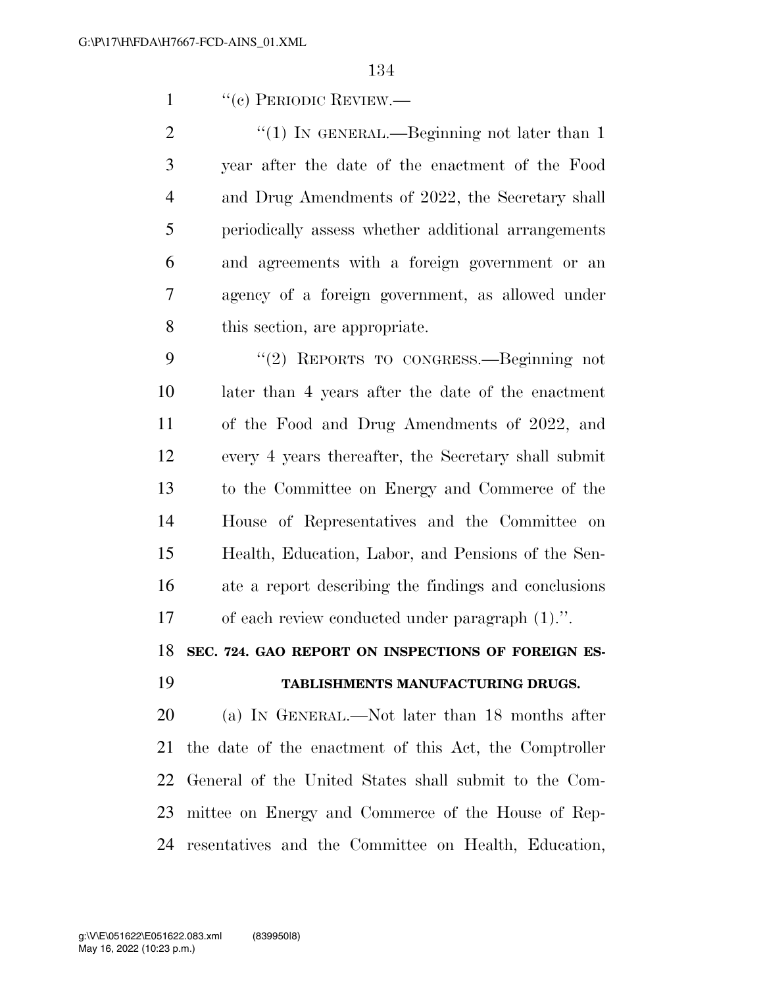1 "(c) PERIODIC REVIEW.—

 $\frac{1}{2}$  (1) In GENERAL.—Beginning not later than 1 year after the date of the enactment of the Food and Drug Amendments of 2022, the Secretary shall periodically assess whether additional arrangements and agreements with a foreign government or an agency of a foreign government, as allowed under this section, are appropriate.

 ''(2) REPORTS TO CONGRESS.—Beginning not later than 4 years after the date of the enactment of the Food and Drug Amendments of 2022, and every 4 years thereafter, the Secretary shall submit to the Committee on Energy and Commerce of the House of Representatives and the Committee on Health, Education, Labor, and Pensions of the Sen- ate a report describing the findings and conclusions of each review conducted under paragraph (1).''.

**SEC. 724. GAO REPORT ON INSPECTIONS OF FOREIGN ES-**

### **TABLISHMENTS MANUFACTURING DRUGS.**

 (a) IN GENERAL.—Not later than 18 months after the date of the enactment of this Act, the Comptroller General of the United States shall submit to the Com- mittee on Energy and Commerce of the House of Rep-resentatives and the Committee on Health, Education,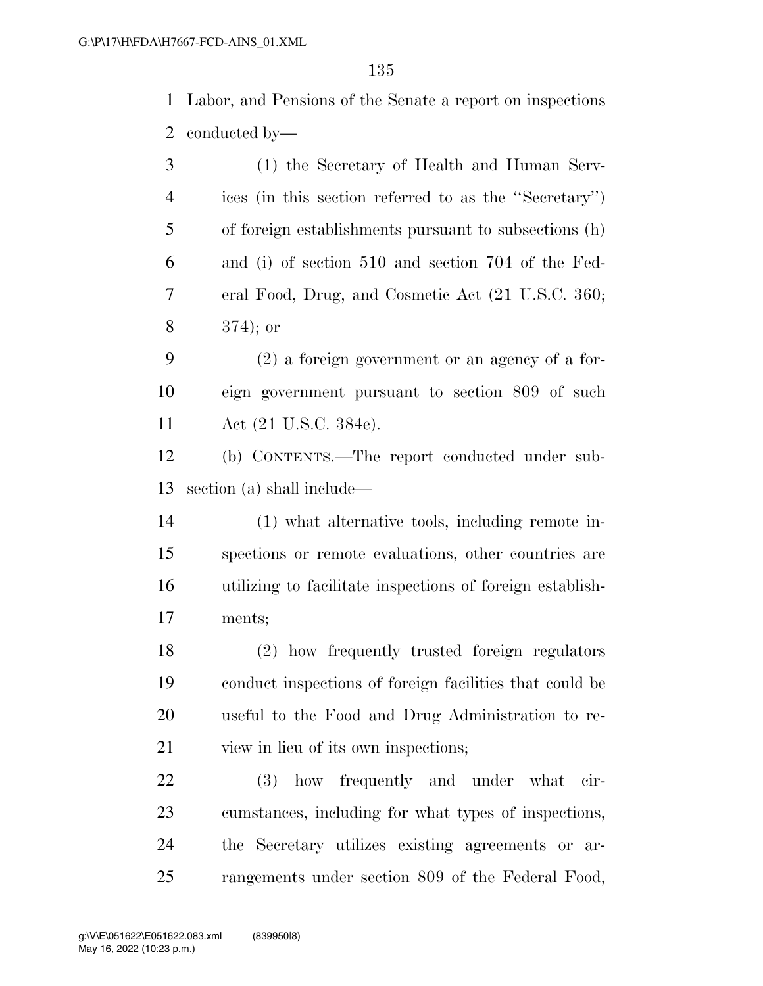Labor, and Pensions of the Senate a report on inspections conducted by—

| 3              | (1) the Secretary of Health and Human Serv-               |
|----------------|-----------------------------------------------------------|
| $\overline{4}$ | ices (in this section referred to as the "Secretary")     |
| 5              | of foreign establishments pursuant to subsections (h)     |
| 6              | and (i) of section 510 and section 704 of the Fed-        |
| 7              | eral Food, Drug, and Cosmetic Act (21 U.S.C. 360;         |
| 8              | $374$ ; or                                                |
| 9              | $(2)$ a foreign government or an agency of a for-         |
| 10             | eign government pursuant to section 809 of such           |
| 11             | Act (21 U.S.C. 384e).                                     |
| 12             | (b) CONTENTS.—The report conducted under sub-             |
| 13             | section (a) shall include—                                |
| 14             | (1) what alternative tools, including remote in-          |
| 15             | spections or remote evaluations, other countries are      |
| 16             | utilizing to facilitate inspections of foreign establish- |
| 17             | ments;                                                    |
| 18             | (2) how frequently trusted foreign regulators             |
| 19             | conduct inspections of foreign facilities that could be   |
| 20             | useful to the Food and Drug Administration to re-         |
| 21             | view in lieu of its own inspections;                      |
| 22             | how frequently and under what<br>(3)<br>cir-              |
| 23             | cumstances, including for what types of inspections,      |
| 24             | the Secretary utilizes existing agreements or ar-         |
| 25             | rangements under section 809 of the Federal Food,         |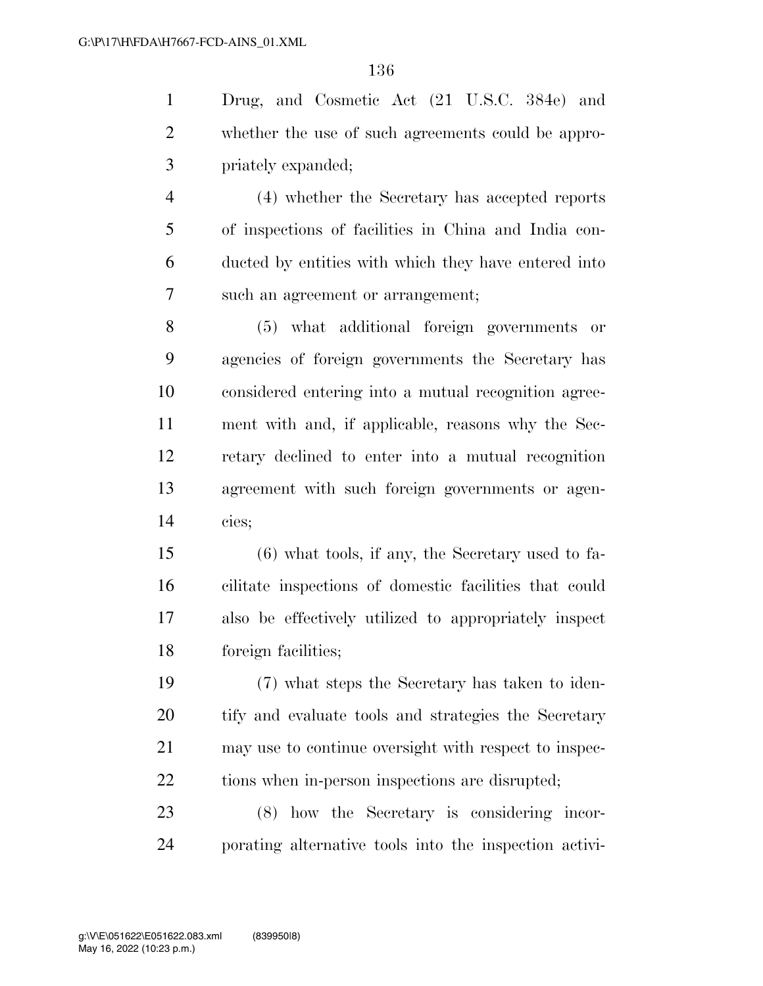Drug, and Cosmetic Act (21 U.S.C. 384e) and whether the use of such agreements could be appro-priately expanded;

 (4) whether the Secretary has accepted reports of inspections of facilities in China and India con- ducted by entities with which they have entered into such an agreement or arrangement;

 (5) what additional foreign governments or agencies of foreign governments the Secretary has considered entering into a mutual recognition agree- ment with and, if applicable, reasons why the Sec- retary declined to enter into a mutual recognition agreement with such foreign governments or agen-cies;

 (6) what tools, if any, the Secretary used to fa- cilitate inspections of domestic facilities that could also be effectively utilized to appropriately inspect foreign facilities;

 (7) what steps the Secretary has taken to iden- tify and evaluate tools and strategies the Secretary may use to continue oversight with respect to inspec-22 tions when in-person inspections are disrupted;

 (8) how the Secretary is considering incor-porating alternative tools into the inspection activi-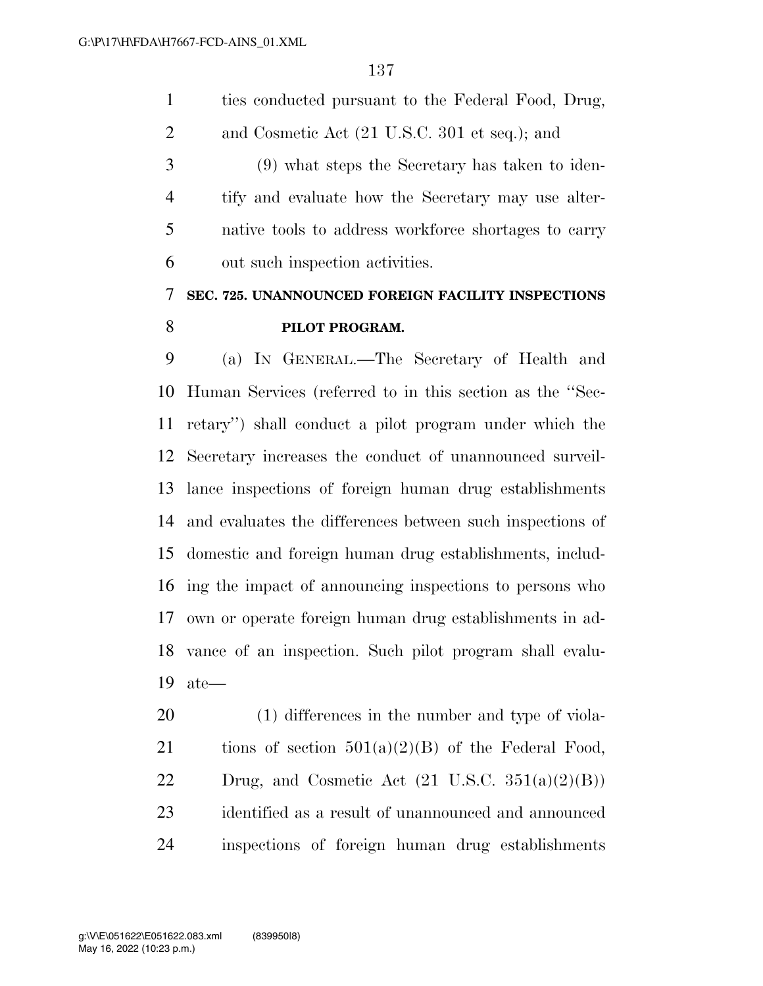ties conducted pursuant to the Federal Food, Drug, 2 and Cosmetic Act (21 U.S.C. 301 et seq.); and (9) what steps the Secretary has taken to iden- tify and evaluate how the Secretary may use alter- native tools to address workforce shortages to carry out such inspection activities. **SEC. 725. UNANNOUNCED FOREIGN FACILITY INSPECTIONS** 

#### **PILOT PROGRAM.**

 (a) IN GENERAL.—The Secretary of Health and Human Services (referred to in this section as the ''Sec- retary'') shall conduct a pilot program under which the Secretary increases the conduct of unannounced surveil- lance inspections of foreign human drug establishments and evaluates the differences between such inspections of domestic and foreign human drug establishments, includ- ing the impact of announcing inspections to persons who own or operate foreign human drug establishments in ad- vance of an inspection. Such pilot program shall evalu-ate—

 (1) differences in the number and type of viola-21 tions of section  $501(a)(2)(B)$  of the Federal Food, 22 Drug, and Cosmetic Act  $(21 \text{ U.S.C. } 351(a)(2)(B))$  identified as a result of unannounced and announced inspections of foreign human drug establishments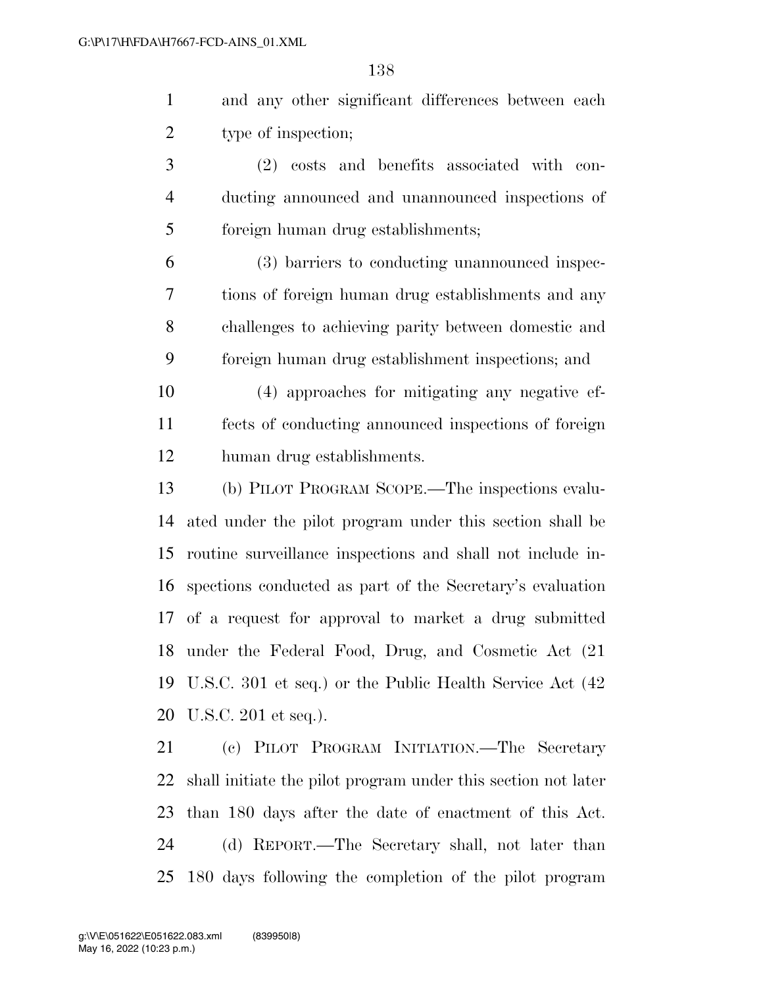and any other significant differences between each type of inspection;

 (2) costs and benefits associated with con- ducting announced and unannounced inspections of foreign human drug establishments;

 (3) barriers to conducting unannounced inspec- tions of foreign human drug establishments and any challenges to achieving parity between domestic and foreign human drug establishment inspections; and

 (4) approaches for mitigating any negative ef- fects of conducting announced inspections of foreign human drug establishments.

 (b) PILOT PROGRAM SCOPE.—The inspections evalu- ated under the pilot program under this section shall be routine surveillance inspections and shall not include in- spections conducted as part of the Secretary's evaluation of a request for approval to market a drug submitted under the Federal Food, Drug, and Cosmetic Act (21 U.S.C. 301 et seq.) or the Public Health Service Act (42 U.S.C. 201 et seq.).

 (c) PILOT PROGRAM INITIATION.—The Secretary shall initiate the pilot program under this section not later than 180 days after the date of enactment of this Act. (d) REPORT.—The Secretary shall, not later than 180 days following the completion of the pilot program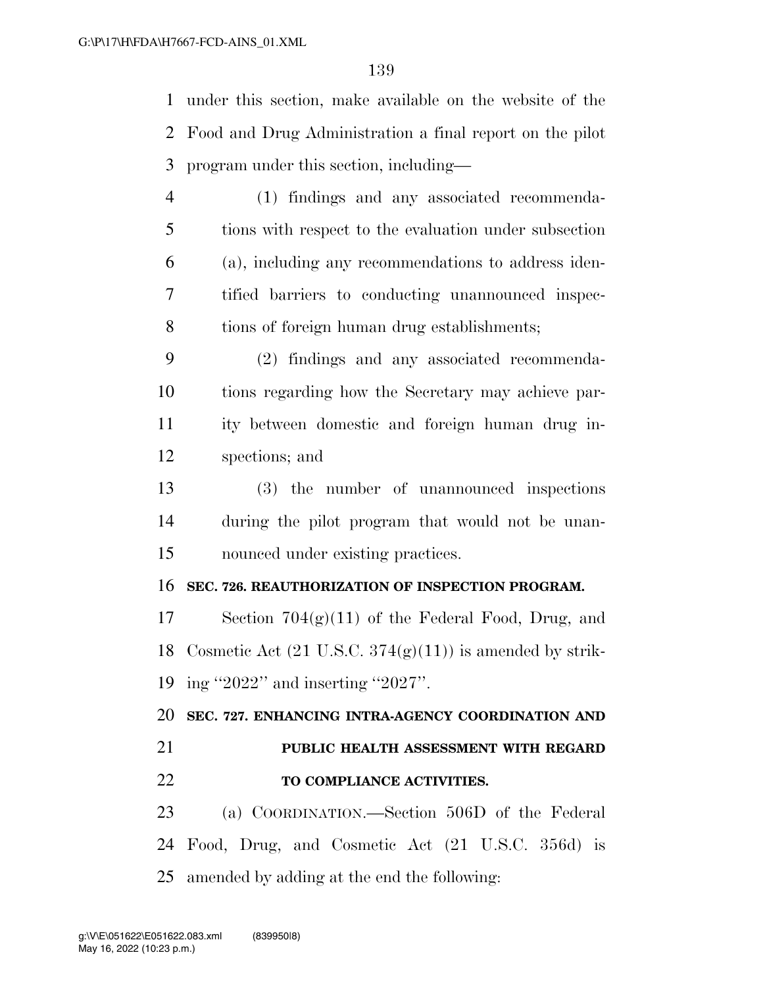under this section, make available on the website of the Food and Drug Administration a final report on the pilot program under this section, including—

- (1) findings and any associated recommenda- tions with respect to the evaluation under subsection (a), including any recommendations to address iden- tified barriers to conducting unannounced inspec-tions of foreign human drug establishments;
- (2) findings and any associated recommenda- tions regarding how the Secretary may achieve par- ity between domestic and foreign human drug in-spections; and
- (3) the number of unannounced inspections during the pilot program that would not be unan-nounced under existing practices.

#### **SEC. 726. REAUTHORIZATION OF INSPECTION PROGRAM.**

 Section 704(g)(11) of the Federal Food, Drug, and 18 Cosmetic Act  $(21 \text{ U.S.C. } 374(g)(11))$  is amended by strik-ing ''2022'' and inserting ''2027''.

 **SEC. 727. ENHANCING INTRA-AGENCY COORDINATION AND PUBLIC HEALTH ASSESSMENT WITH REGARD** 

**TO COMPLIANCE ACTIVITIES.** 

 (a) COORDINATION.—Section 506D of the Federal Food, Drug, and Cosmetic Act (21 U.S.C. 356d) is amended by adding at the end the following: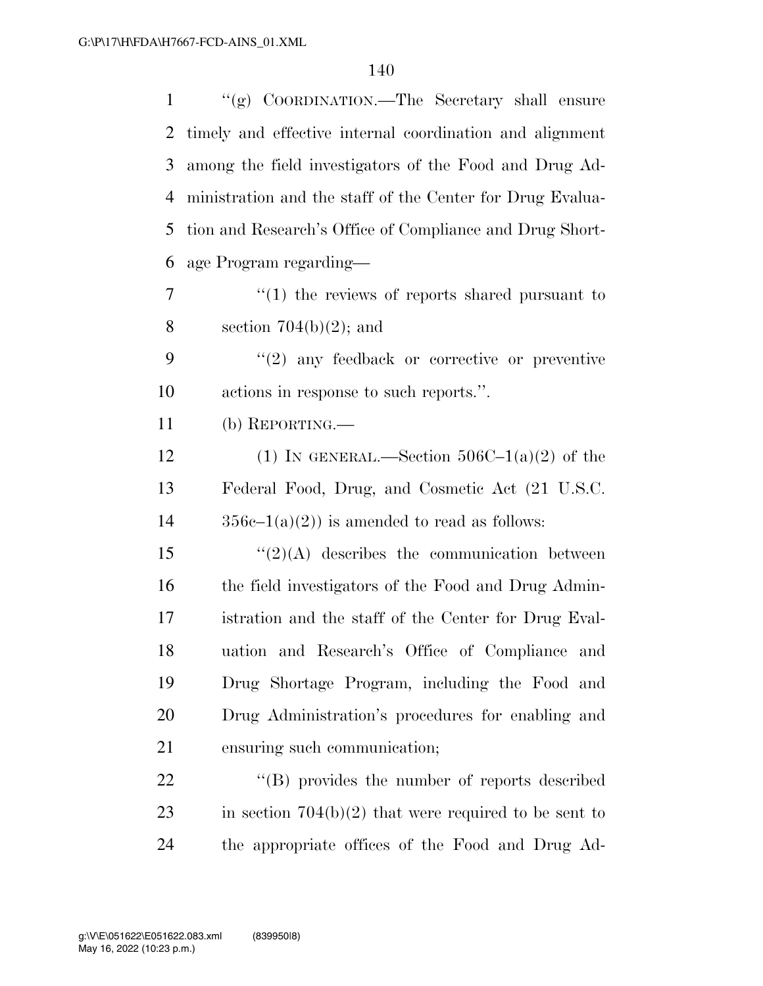| $\mathbf{1}$   | "(g) COORDINATION.—The Secretary shall ensure             |
|----------------|-----------------------------------------------------------|
| $\overline{2}$ | timely and effective internal coordination and alignment  |
| 3              | among the field investigators of the Food and Drug Ad-    |
| 4              | ministration and the staff of the Center for Drug Evalua- |
| 5              | tion and Research's Office of Compliance and Drug Short-  |
| 6              | age Program regarding—                                    |
| 7              | $\cdot$ (1) the reviews of reports shared pursuant to     |
| 8              | section $704(b)(2)$ ; and                                 |
| 9              | $\lq(2)$ any feedback or corrective or preventive         |
| 10             | actions in response to such reports.".                    |
| 11             | (b) REPORTING.—                                           |
| 12             | (1) IN GENERAL.—Section $506C-1(a)(2)$ of the             |
| 13             | Federal Food, Drug, and Cosmetic Act (21 U.S.C.           |
| 14             | $356c-1(a)(2)$ is amended to read as follows:             |
| 15             | $\lq(2)(A)$ describes the communication between           |
| 16             | the field investigators of the Food and Drug Admin-       |
| 17             | istration and the staff of the Center for Drug Eval-      |
| 18             | uation and Research's Office of Compliance and            |
| 19             | Drug Shortage Program, including the Food and             |
| 20             | Drug Administration's procedures for enabling and         |
| 21             | ensuring such communication;                              |
| 22             | "(B) provides the number of reports described             |
| 23             | in section $704(b)(2)$ that were required to be sent to   |
|                |                                                           |

the appropriate offices of the Food and Drug Ad-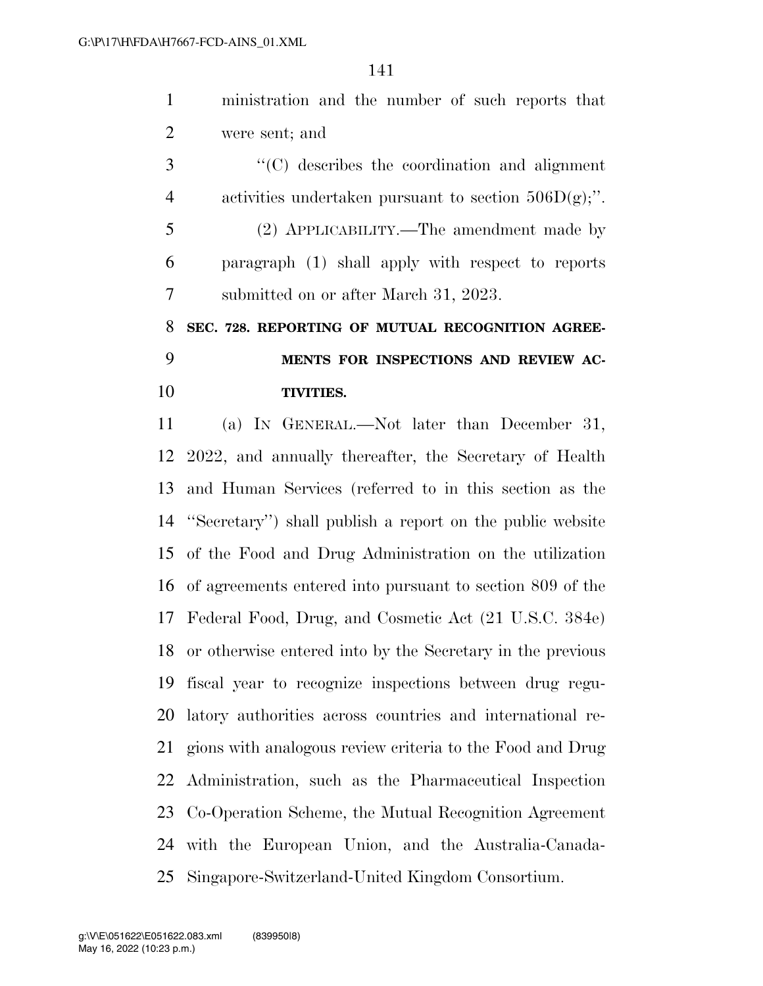ministration and the number of such reports that were sent; and

 ''(C) describes the coordination and alignment 4 activities undertaken pursuant to section  $506D(g)$ ;". (2) APPLICABILITY.—The amendment made by paragraph (1) shall apply with respect to reports submitted on or after March 31, 2023.

# **SEC. 728. REPORTING OF MUTUAL RECOGNITION AGREE- MENTS FOR INSPECTIONS AND REVIEW AC-TIVITIES.**

 (a) IN GENERAL.—Not later than December 31, 2022, and annually thereafter, the Secretary of Health and Human Services (referred to in this section as the ''Secretary'') shall publish a report on the public website of the Food and Drug Administration on the utilization of agreements entered into pursuant to section 809 of the Federal Food, Drug, and Cosmetic Act (21 U.S.C. 384e) or otherwise entered into by the Secretary in the previous fiscal year to recognize inspections between drug regu- latory authorities across countries and international re- gions with analogous review criteria to the Food and Drug Administration, such as the Pharmaceutical Inspection Co-Operation Scheme, the Mutual Recognition Agreement with the European Union, and the Australia-Canada-Singapore-Switzerland-United Kingdom Consortium.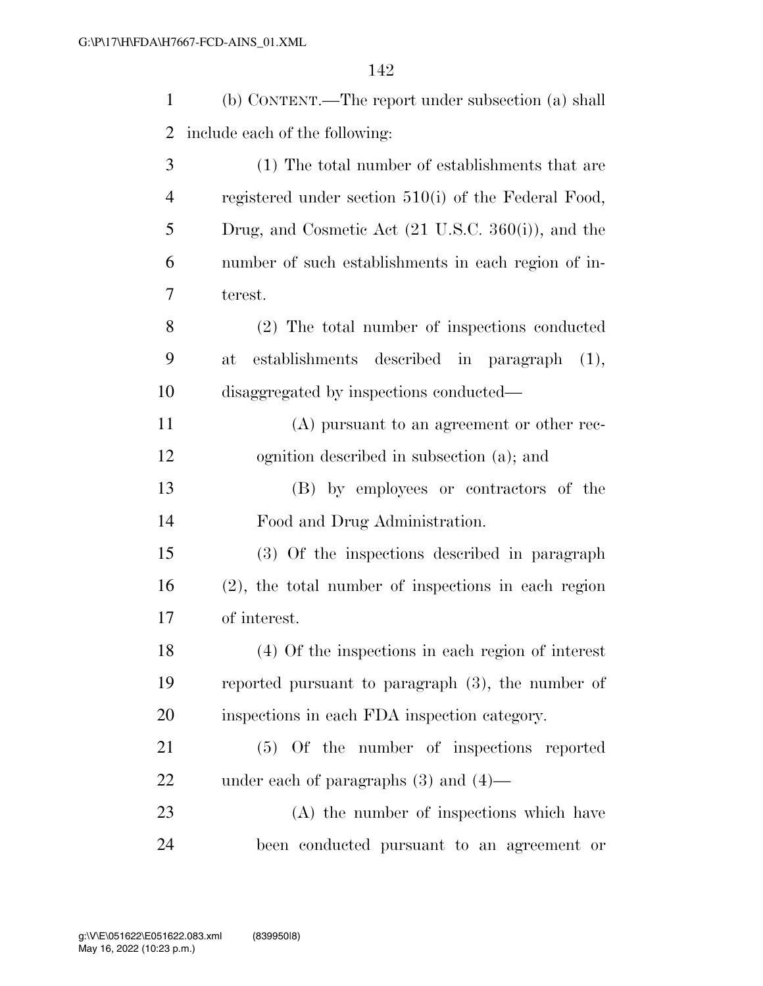| $\mathbf{1}$   | (b) CONTENT.—The report under subsection (a) shall             |
|----------------|----------------------------------------------------------------|
| $\overline{2}$ | include each of the following:                                 |
| 3              | (1) The total number of establishments that are                |
| $\overline{4}$ | registered under section $510(i)$ of the Federal Food,         |
| 5              | Drug, and Cosmetic Act $(21 \text{ U.S.C. } 360(i))$ , and the |
| 6              | number of such establishments in each region of in-            |
| 7              | terest.                                                        |
| 8              | (2) The total number of inspections conducted                  |
| 9              | establishments described in paragraph (1),<br>at               |
| 10             | disaggregated by inspections conducted—                        |
| 11             | (A) pursuant to an agreement or other rec-                     |
| 12             | ognition described in subsection (a); and                      |
| 13             | (B) by employees or contractors of the                         |
| 14             | Food and Drug Administration.                                  |
| 15             | (3) Of the inspections described in paragraph                  |
| 16             | $(2)$ , the total number of inspections in each region         |
| 17             | of interest.                                                   |
| 18             | (4) Of the inspections in each region of interest              |
| 19             | reported pursuant to paragraph $(3)$ , the number of           |
| 20             | inspections in each FDA inspection category.                   |
| 21             | (5) Of the number of inspections reported                      |
| 22             | under each of paragraphs $(3)$ and $(4)$ —                     |
| 23             | (A) the number of inspections which have                       |
| 24             | been conducted pursuant to an agreement or                     |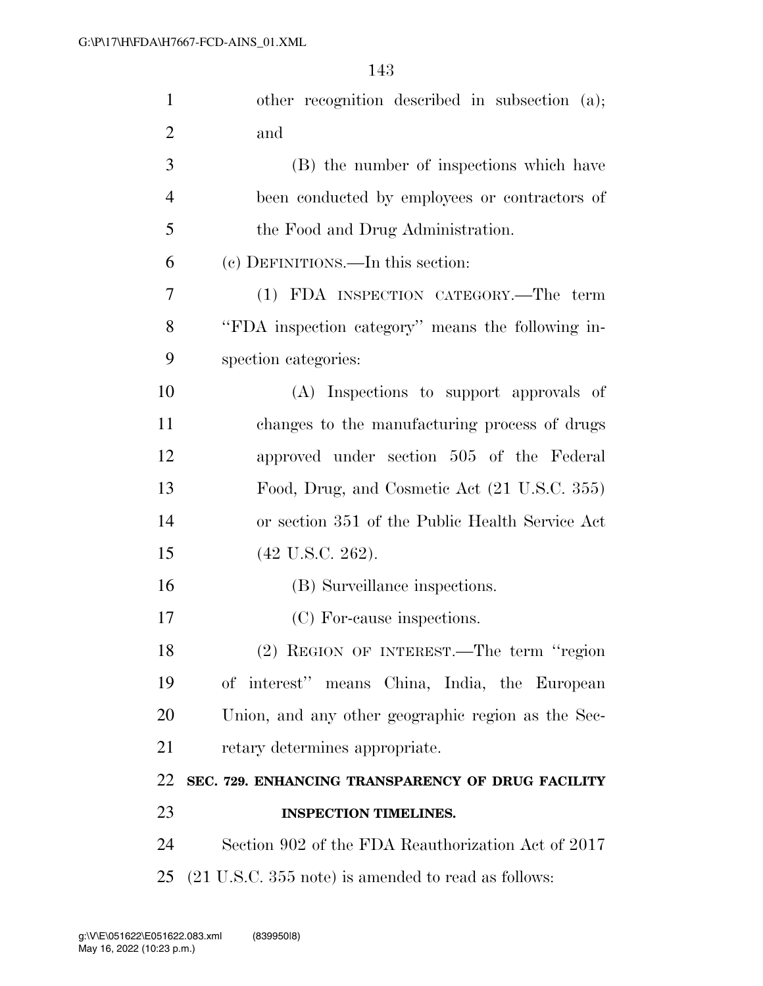| $\mathbf{1}$   | other recognition described in subsection (a);     |
|----------------|----------------------------------------------------|
| $\overline{2}$ | and                                                |
| 3              | (B) the number of inspections which have           |
| $\overline{4}$ | been conducted by employees or contractors of      |
| 5              | the Food and Drug Administration.                  |
| 6              | (c) DEFINITIONS.—In this section:                  |
| 7              | (1) FDA INSPECTION CATEGORY.—The term              |
| 8              | "FDA inspection category" means the following in-  |
| 9              | spection categories:                               |
| 10             | (A) Inspections to support approvals of            |
| 11             | changes to the manufacturing process of drugs      |
| 12             | approved under section 505 of the Federal          |
| 13             | Food, Drug, and Cosmetic Act (21 U.S.C. 355)       |
| 14             | or section 351 of the Public Health Service Act    |
| 15             | $(42 \text{ U.S.C. } 262).$                        |
| 16             | (B) Surveillance inspections.                      |
| 17             | (C) For-cause inspections.                         |
| 18             | (2) REGION OF INTEREST.—The term "region           |
| 19             | of interest" means China, India, the European      |
| 20             | Union, and any other geographic region as the Sec- |
| 21             | retary determines appropriate.                     |
| 22             | SEC. 729. ENHANCING TRANSPARENCY OF DRUG FACILITY  |
| 23             | <b>INSPECTION TIMELINES.</b>                       |
| 24             | Section 902 of the FDA Reauthorization Act of 2017 |
|                |                                                    |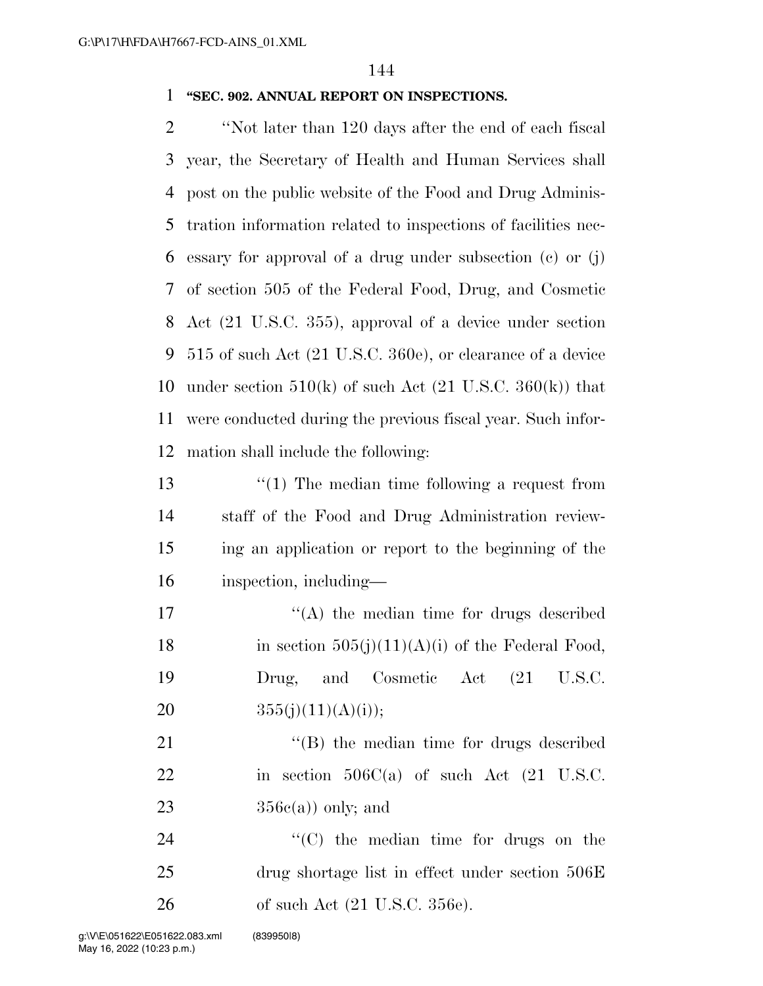### 1 **''SEC. 902. ANNUAL REPORT ON INSPECTIONS.**

 ''Not later than 120 days after the end of each fiscal year, the Secretary of Health and Human Services shall post on the public website of the Food and Drug Adminis- tration information related to inspections of facilities nec- essary for approval of a drug under subsection (c) or (j) of section 505 of the Federal Food, Drug, and Cosmetic Act (21 U.S.C. 355), approval of a device under section 515 of such Act (21 U.S.C. 360e), or clearance of a device 10 under section  $510(k)$  of such Act  $(21 \text{ U.S.C. } 360(k))$  that were conducted during the previous fiscal year. Such infor-mation shall include the following:

13 ''(1) The median time following a request from staff of the Food and Drug Administration review- ing an application or report to the beginning of the inspection, including—

 $\langle (A)$  the median time for drugs described 18 in section  $505(j)(11)(A)(i)$  of the Federal Food, Drug, and Cosmetic Act (21 U.S.C.  $355(j)(11)(A)(i));$ 

21 ''(B) the median time for drugs described 22 in section 506C(a) of such Act (21 U.S.C. 23  $356c(a)$  only; and

24  $\cdot$  (C) the median time for drugs on the 25 drug shortage list in effect under section 506E 26 of such Act (21 U.S.C. 356e).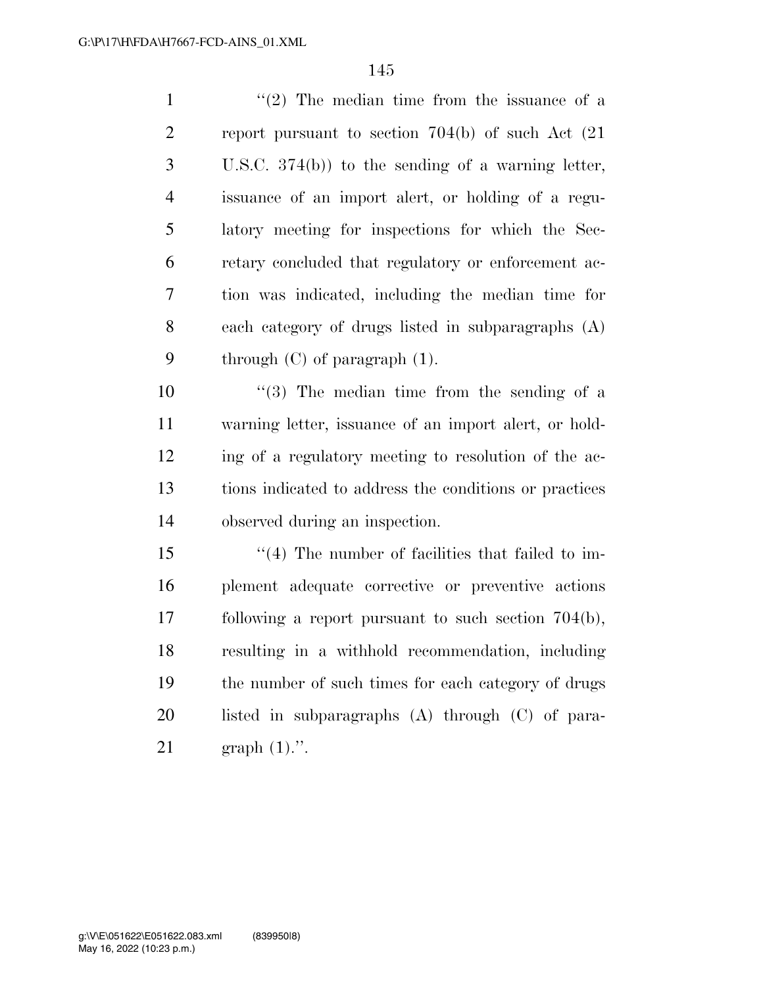| $\mathbf{1}$   | $\lq(2)$ The median time from the issuance of a        |
|----------------|--------------------------------------------------------|
| 2              | report pursuant to section $704(b)$ of such Act $(21)$ |
| 3              | U.S.C. $374(b)$ to the sending of a warning letter,    |
| $\overline{4}$ | issuance of an import alert, or holding of a regu-     |
| 5              | latory meeting for inspections for which the Sec-      |
| 6              | retary concluded that regulatory or enforcement ac-    |
| $\overline{7}$ | tion was indicated, including the median time for      |
| 8              | each category of drugs listed in subparagraphs (A)     |
| 9              | through $(C)$ of paragraph $(1)$ .                     |
| 10             | $(3)$ The median time from the sending of a            |
| -41-41         |                                                        |

 warning letter, issuance of an import alert, or hold- ing of a regulatory meeting to resolution of the ac- tions indicated to address the conditions or practices observed during an inspection.

15 ''(4) The number of facilities that failed to im- plement adequate corrective or preventive actions following a report pursuant to such section 704(b), resulting in a withhold recommendation, including the number of such times for each category of drugs listed in subparagraphs (A) through (C) of para-graph (1).''.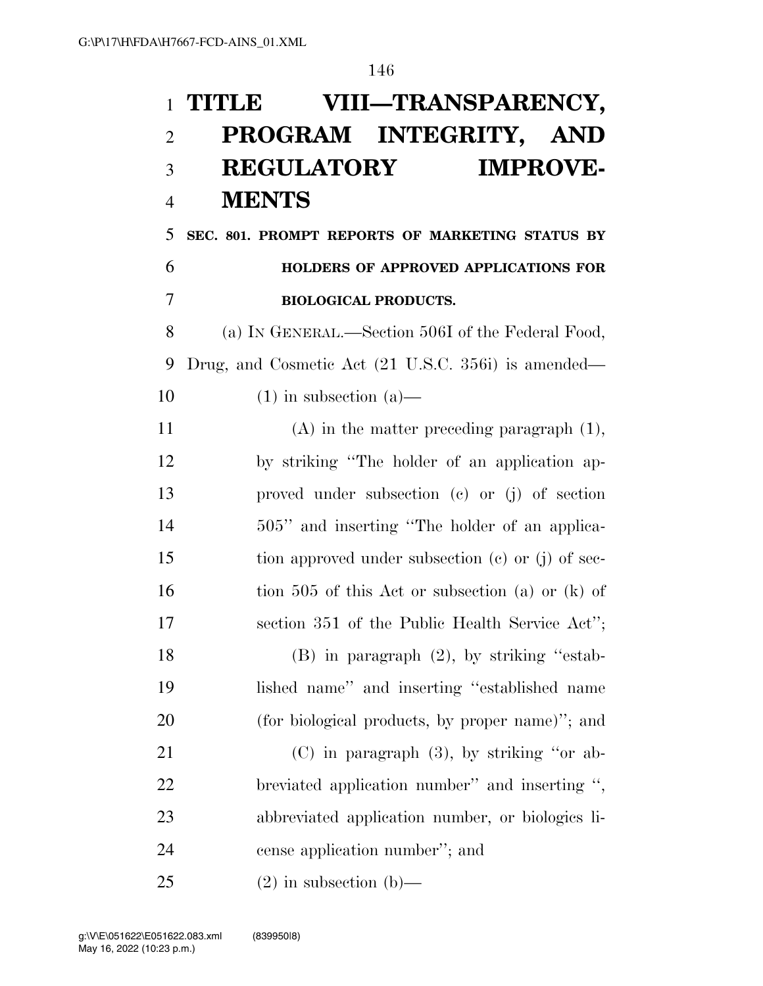# **TITLE VIII—TRANSPARENCY, PROGRAM INTEGRITY, AND REGULATORY IMPROVE-MENTS**

## **SEC. 801. PROMPT REPORTS OF MARKETING STATUS BY HOLDERS OF APPROVED APPLICATIONS FOR BIOLOGICAL PRODUCTS.**

 (a) IN GENERAL.—Section 506I of the Federal Food, Drug, and Cosmetic Act (21 U.S.C. 356i) is amended— 10 (1) in subsection (a)—

 (A) in the matter preceding paragraph (1), by striking ''The holder of an application ap- proved under subsection (c) or (j) of section 14 505" and inserting "The holder of an applica- tion approved under subsection (c) or (j) of sec-16 tion 505 of this Act or subsection (a) or (k) of section 351 of the Public Health Service Act'';

 (B) in paragraph (2), by striking ''estab- lished name'' and inserting ''established name (for biological products, by proper name)''; and

 (C) in paragraph (3), by striking ''or ab- breviated application number'' and inserting '', abbreviated application number, or biologics li-cense application number''; and

25 (2) in subsection (b)—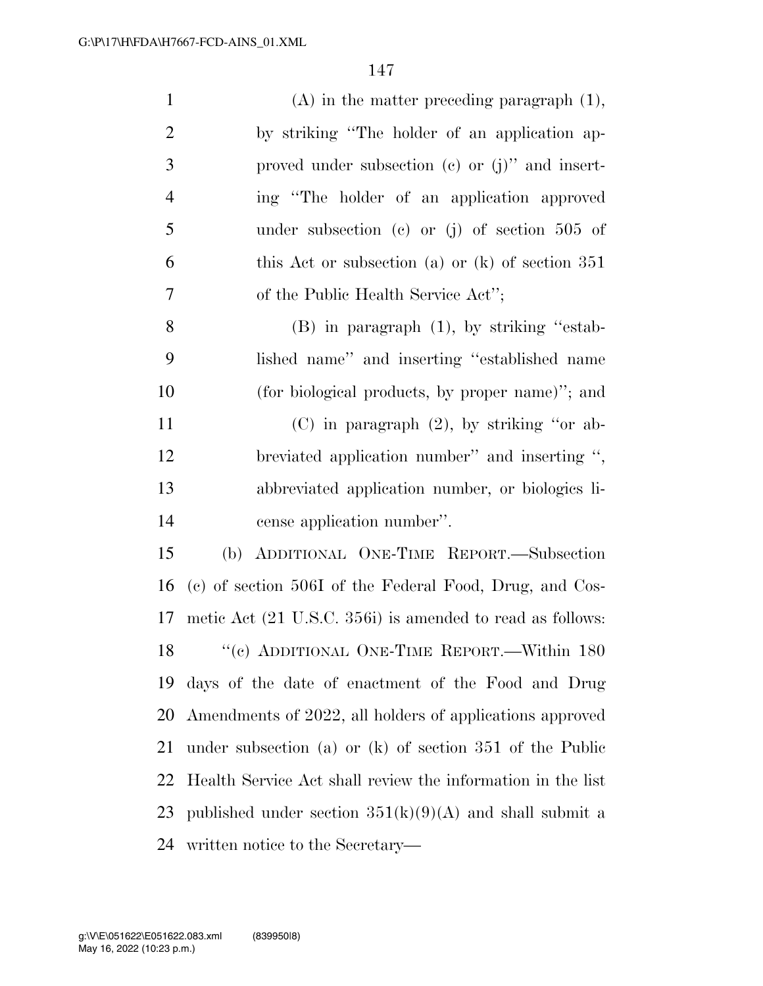| $\mathbf{1}$   | $(A)$ in the matter preceding paragraph $(1)$ ,             |
|----------------|-------------------------------------------------------------|
| $\overline{2}$ | by striking "The holder of an application ap-               |
| 3              | proved under subsection $(c)$ or $(j)$ " and insert-        |
| $\overline{4}$ | ing "The holder of an application approved                  |
| 5              | under subsection (c) or (j) of section $505$ of             |
| 6              | this Act or subsection (a) or $(k)$ of section 351          |
| 7              | of the Public Health Service Act";                          |
| 8              | $(B)$ in paragraph $(1)$ , by striking "estab-              |
| 9              | lished name" and inserting "established name                |
| 10             | (for biological products, by proper name)"; and             |
| 11             | $(C)$ in paragraph $(2)$ , by striking "or ab-              |
| 12             | breviated application number" and inserting ",              |
| 13             | abbreviated application number, or biologics li-            |
| 14             | cense application number".                                  |
| 15             | ADDITIONAL ONE-TIME REPORT.-Subsection<br>(b)               |
| 16             | (c) of section 506I of the Federal Food, Drug, and Cos-     |
| 17             | metic Act (21 U.S.C. 356i) is amended to read as follows:   |
| 18             | "(c) ADDITIONAL ONE-TIME REPORT.—Within 180                 |
| 19             | days of the date of enactment of the Food and Drug          |
| 20             | Amendments of 2022, all holders of applications approved    |
| 21             | under subsection (a) or $(k)$ of section 351 of the Public  |
| 22             | Health Service Act shall review the information in the list |
| 23             | published under section $351(k)(9)(A)$ and shall submit a   |
| 24             | written notice to the Secretary—                            |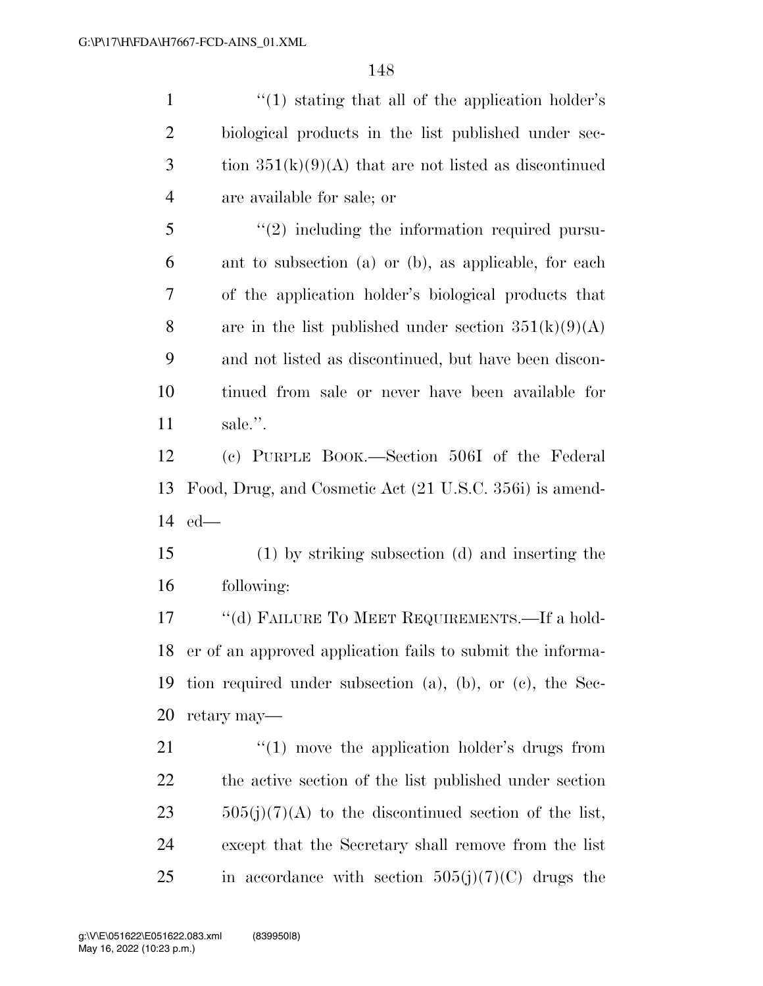1 ''(1) stating that all of the application holder's

 biological products in the list published under sec-3 tion  $351(k)(9)(A)$  that are not listed as discontinued are available for sale; or 5 "(2) including the information required pursu- ant to subsection (a) or (b), as applicable, for each of the application holder's biological products that 8 are in the list published under section  $351(k)(9)(A)$  and not listed as discontinued, but have been discon- tinued from sale or never have been available for sale.''. (c) PURPLE BOOK.—Section 506I of the Federal Food, Drug, and Cosmetic Act (21 U.S.C. 356i) is amend- ed— (1) by striking subsection (d) and inserting the following: 17 "(d) FAILURE TO MEET REQUIREMENTS.—If a hold- er of an approved application fails to submit the informa- tion required under subsection (a), (b), or (c), the Sec- retary may—  $\frac{1}{2}$  (1) move the application holder's drugs from the active section of the list published under section  $505(j)(7)(A)$  to the discontinued section of the list, except that the Secretary shall remove from the list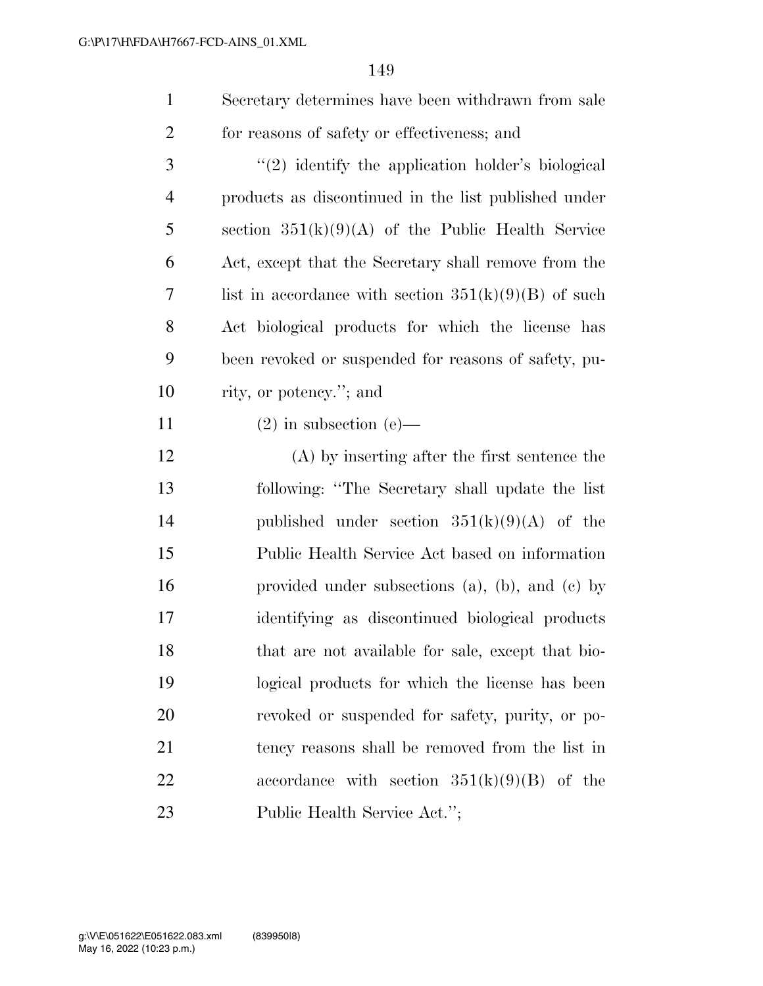- Secretary determines have been withdrawn from sale for reasons of safety or effectiveness; and
- 3 "(2) identify the application holder's biological products as discontinued in the list published under section 351(k)(9)(A) of the Public Health Service Act, except that the Secretary shall remove from the 7 list in accordance with section  $351(k)(9)(B)$  of such Act biological products for which the license has been revoked or suspended for reasons of safety, pu-rity, or potency.''; and
- 11 (2) in subsection (e)—
- (A) by inserting after the first sentence the following: ''The Secretary shall update the list published under section 351(k)(9)(A) of the Public Health Service Act based on information provided under subsections (a), (b), and (c) by identifying as discontinued biological products that are not available for sale, except that bio- logical products for which the license has been revoked or suspended for safety, purity, or po- tency reasons shall be removed from the list in 22 accordance with section  $351(k)(9)(B)$  of the Public Health Service Act.'';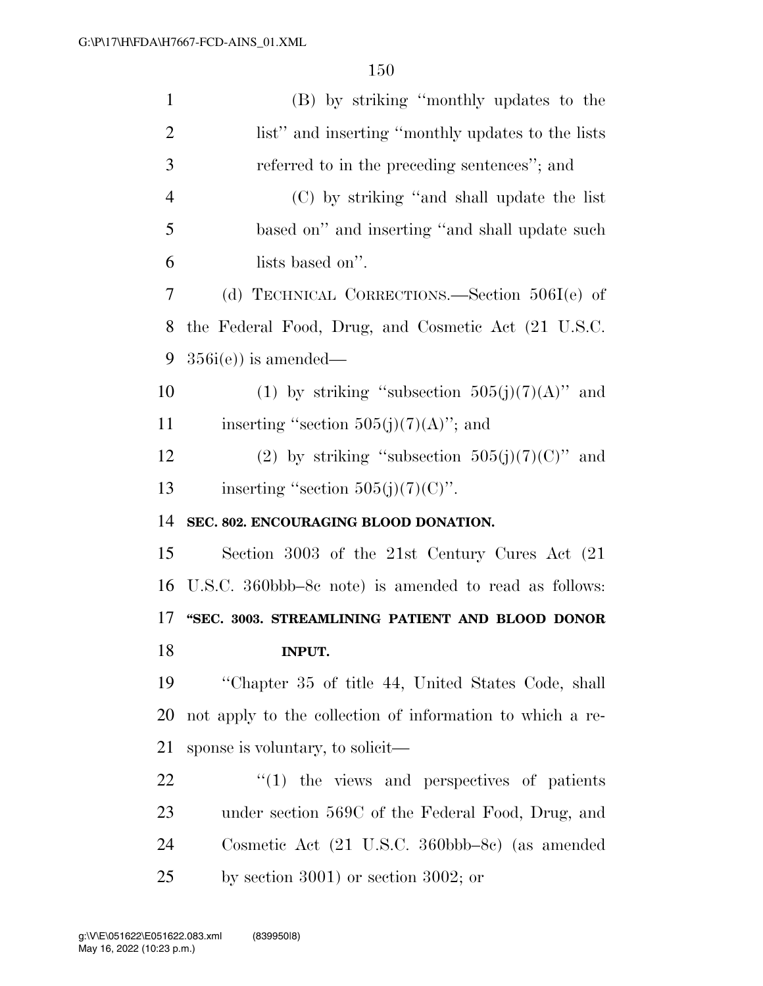| $\mathbf{1}$   | (B) by striking "monthly updates to the                   |
|----------------|-----------------------------------------------------------|
| $\overline{2}$ | list" and inserting "monthly updates to the lists         |
| 3              | referred to in the preceding sentences"; and              |
| $\overline{4}$ | (C) by striking "and shall update the list                |
| 5              | based on" and inserting "and shall update such            |
| 6              | lists based on".                                          |
| 7              | (d) TECHNICAL CORRECTIONS.—Section $506I(e)$ of           |
| 8              | the Federal Food, Drug, and Cosmetic Act (21 U.S.C.       |
| 9              | $356i(e)$ is amended—                                     |
| 10             | (1) by striking "subsection $505(j)(7)(A)$ " and          |
| 11             | inserting "section $505(j)(7)(A)$ "; and                  |
| 12             | (2) by striking "subsection $505(j)(7)(C)$ " and          |
| 13             | inserting "section $505(j)(7)(C)$ ".                      |
|                |                                                           |
| 14             | SEC. 802. ENCOURAGING BLOOD DONATION.                     |
| 15             | Section 3003 of the 21st Century Cures Act (21            |
| 16             | U.S.C. 360bbb–8c note) is amended to read as follows:     |
|                | "SEC. 3003. STREAMLINING PATIENT AND BLOOD DONOR          |
| 17<br>18       | <b>INPUT.</b>                                             |
| 19             | "Chapter 35 of title 44, United States Code, shall        |
| 20             | not apply to the collection of information to which a re- |
| 21             | sponse is voluntary, to solicit—                          |
| 22             | $\cdot$ (1) the views and perspectives of patients        |
| 23             | under section 569C of the Federal Food, Drug, and         |
| 24             | Cosmetic Act (21 U.S.C. 360bbb–8c) (as amended            |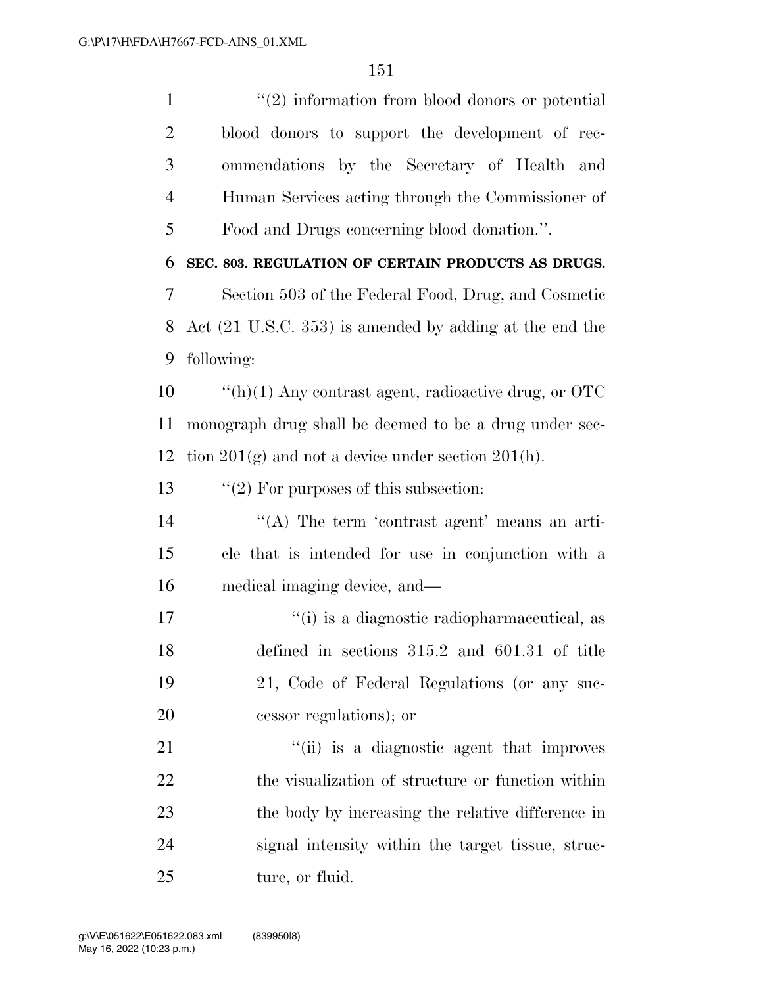1 ''(2) information from blood donors or potential blood donors to support the development of rec- ommendations by the Secretary of Health and Human Services acting through the Commissioner of Food and Drugs concerning blood donation.''. **SEC. 803. REGULATION OF CERTAIN PRODUCTS AS DRUGS.**  Section 503 of the Federal Food, Drug, and Cosmetic Act (21 U.S.C. 353) is amended by adding at the end the following: ''(h)(1) Any contrast agent, radioactive drug, or OTC monograph drug shall be deemed to be a drug under sec-12 tion  $201(g)$  and not a device under section  $201(h)$ .  $\frac{1}{2}$  For purposes of this subsection: 14 ''(A) The term 'contrast agent' means an arti- cle that is intended for use in conjunction with a medical imaging device, and—  $\frac{1}{10}$  is a diagnostic radiopharmaceutical, as defined in sections 315.2 and 601.31 of title 21, Code of Federal Regulations (or any suc- cessor regulations); or 21 ''(ii) is a diagnostic agent that improves 22 the visualization of structure or function within the body by increasing the relative difference in signal intensity within the target tissue, struc-25 ture, or fluid.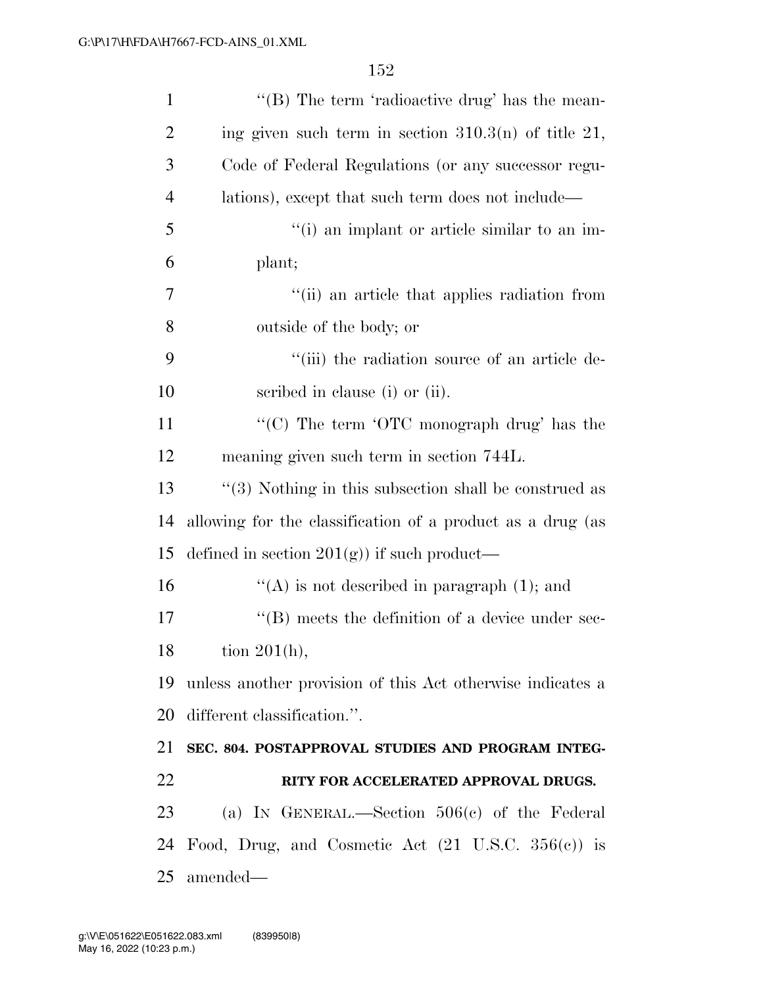| $\mathbf{1}$   | "(B) The term 'radioactive drug' has the mean-                |
|----------------|---------------------------------------------------------------|
| $\overline{2}$ | ing given such term in section $310.3(n)$ of title 21,        |
| 3              | Code of Federal Regulations (or any successor regu-           |
| $\overline{4}$ | lations), except that such term does not include—             |
| 5              | "(i) an implant or article similar to an im-                  |
| 6              | plant;                                                        |
| 7              | "(ii) an article that applies radiation from                  |
| 8              | outside of the body; or                                       |
| 9              | "(iii) the radiation source of an article de-                 |
| 10             | scribed in clause (i) or (ii).                                |
| 11             | "(C) The term 'OTC monograph drug' has the                    |
| 12             | meaning given such term in section 744L.                      |
| 13             | $\lq(3)$ Nothing in this subsection shall be construed as     |
| 14             | allowing for the classification of a product as a drug (as    |
| 15             | defined in section $201(g)$ if such product—                  |
| 16             | "(A) is not described in paragraph $(1)$ ; and                |
| 17             | $\lq\lq$ (B) meets the definition of a device under sec-      |
| 18             | tion $201(h)$ ,                                               |
| 19             | unless another provision of this Act otherwise indicates a    |
| 20             | different classification.".                                   |
| 21             | SEC. 804. POSTAPPROVAL STUDIES AND PROGRAM INTEG-             |
| 22             | RITY FOR ACCELERATED APPROVAL DRUGS.                          |
| 23             | (a) IN GENERAL.—Section $506(c)$ of the Federal               |
| 24             | Food, Drug, and Cosmetic Act $(21 \text{ U.S.C. } 356(c))$ is |
| 25             | amended—                                                      |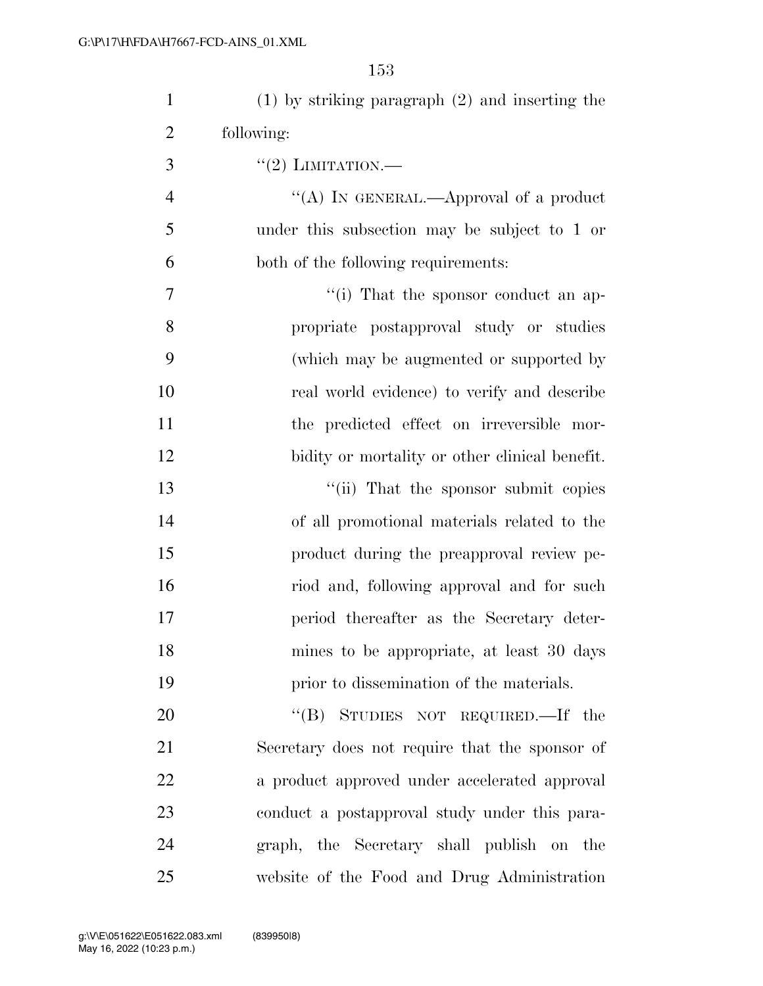| $\mathbf{1}$   | $(1)$ by striking paragraph $(2)$ and inserting the |
|----------------|-----------------------------------------------------|
| $\overline{2}$ | following:                                          |
| 3              | $``(2)$ LIMITATION.—                                |
| $\overline{4}$ | "(A) IN GENERAL.—Approval of a product              |
| 5              | under this subsection may be subject to 1 or        |
| 6              | both of the following requirements:                 |
| $\tau$         | "(i) That the sponsor conduct an ap-                |
| 8              | propriate postapproval study or studies             |
| 9              | (which may be augmented or supported by             |
| 10             | real world evidence) to verify and describe         |
| 11             | the predicted effect on irreversible mor-           |
| 12             | bidity or mortality or other clinical benefit.      |
| 13             | "(ii) That the sponsor submit copies                |
| 14             | of all promotional materials related to the         |
| 15             | product during the preapproval review pe-           |
| 16             | riod and, following approval and for such           |
| 17             | period thereafter as the Secretary deter-           |
| 18             | mines to be appropriate, at least 30 days           |
| 19             | prior to dissemination of the materials.            |
| 20             | "(B) STUDIES NOT REQUIRED.—If the                   |
| 21             | Secretary does not require that the sponsor of      |
| 22             | a product approved under accelerated approval       |
| 23             | conduct a postapproval study under this para-       |
| 24             | graph, the Secretary shall publish on the           |
| 25             | website of the Food and Drug Administration         |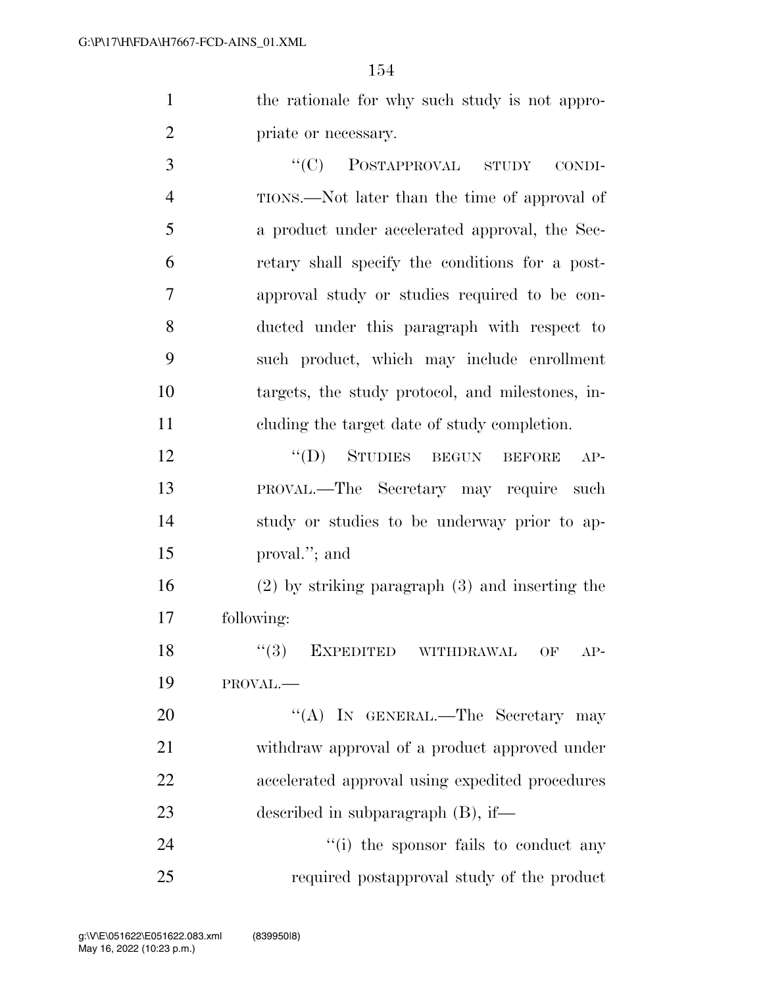the rationale for why such study is not appro-priate or necessary.

3 "'(C) POSTAPPROVAL STUDY CONDI- TIONS.—Not later than the time of approval of a product under accelerated approval, the Sec- retary shall specify the conditions for a post- approval study or studies required to be con- ducted under this paragraph with respect to such product, which may include enrollment targets, the study protocol, and milestones, in-cluding the target date of study completion.

12 "(D) STUDIES BEGUN BEFORE AP- PROVAL.—The Secretary may require such study or studies to be underway prior to ap-proval.''; and

 (2) by striking paragraph (3) and inserting the following:

18 "(3) EXPEDITED WITHDRAWAL OF AP-PROVAL.—

20 "'(A) In GENERAL.—The Secretary may withdraw approval of a product approved under accelerated approval using expedited procedures described in subparagraph (B), if—

24  $\frac{1}{2}$  (i) the sponsor fails to conduct any required postapproval study of the product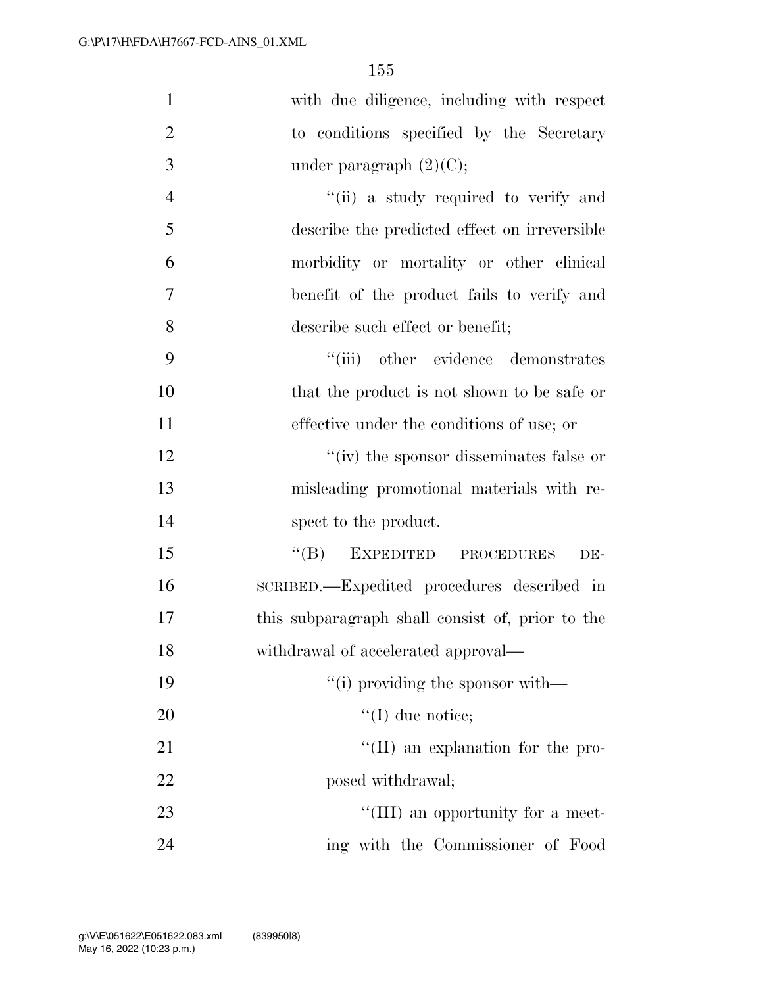| $\mathbf{1}$   | with due diligence, including with respect       |
|----------------|--------------------------------------------------|
| $\overline{2}$ | to conditions specified by the Secretary         |
| 3              | under paragraph $(2)(C)$ ;                       |
| $\overline{4}$ | "(ii) a study required to verify and             |
| 5              | describe the predicted effect on irreversible    |
| 6              | morbidity or mortality or other clinical         |
| 7              | benefit of the product fails to verify and       |
| 8              | describe such effect or benefit;                 |
| 9              | "(iii) other evidence demonstrates               |
| 10             | that the product is not shown to be safe or      |
| 11             | effective under the conditions of use; or        |
| 12             | "(iv) the sponsor disseminates false or          |
| 13             | misleading promotional materials with re-        |
| 14             | spect to the product.                            |
| 15             | EXPEDITED PROCEDURES<br>$\lq\lq (B)$<br>DE-      |
| 16             | SCRIBED.—Expedited procedures described in       |
| 17             | this subparagraph shall consist of, prior to the |
| 18             | withdrawal of accelerated approval—              |
| 19             | "(i) providing the sponsor with—                 |
| 20             | $\lq (I)$ due notice;                            |
| 21             | $\lq\lq$ (II) an explanation for the pro-        |
| 22             | posed withdrawal;                                |
| 23             | "(III) an opportunity for a meet-                |
| 24             | ing with the Commissioner of Food                |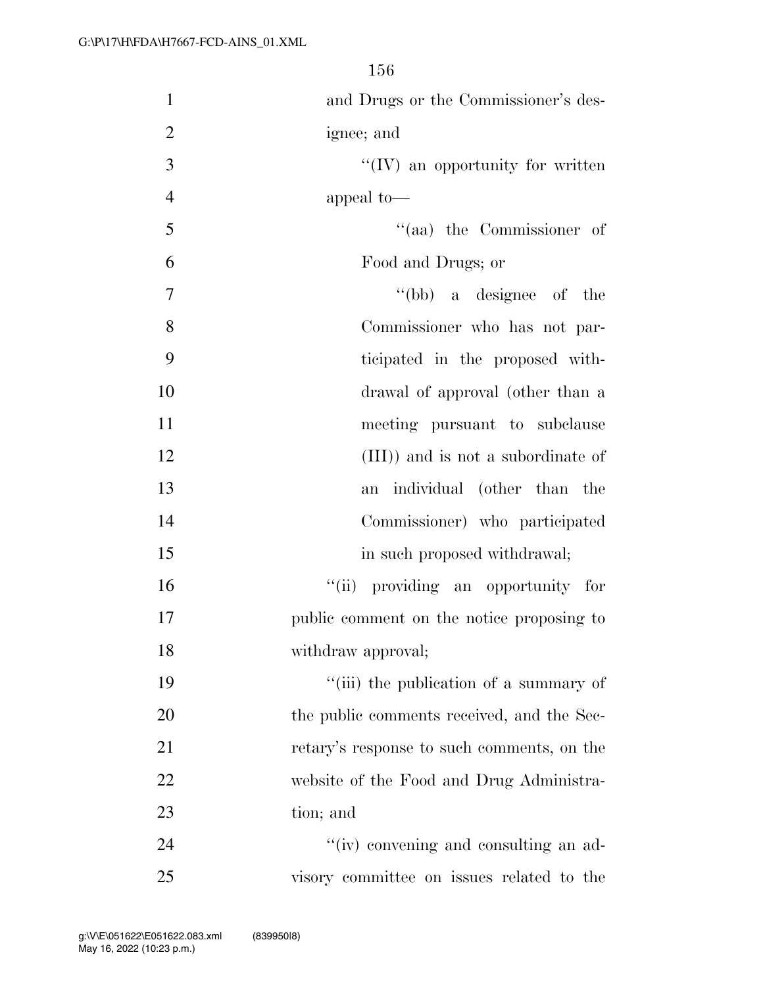| $\mathbf{1}$<br>and Drugs or the Commissioner's des- |  |
|------------------------------------------------------|--|
| $\overline{2}$<br>ignee; and                         |  |
| 3<br>$\lq\lq$ (IV) an opportunity for written        |  |
| $\overline{4}$<br>appeal to-                         |  |
| 5<br>$\lq(aa)$ the Commissioner of                   |  |
| 6<br>Food and Drugs; or                              |  |
| 7<br>$\lq\lq(bb)$ a designee of the                  |  |
| 8<br>Commissioner who has not par-                   |  |
| 9<br>ticipated in the proposed with-                 |  |
| 10<br>drawal of approval (other than a               |  |
| 11<br>meeting pursuant to subclause                  |  |
| 12<br>(III)) and is not a subordinate of             |  |
| 13<br>individual (other than the<br>an               |  |
| 14<br>Commissioner) who participated                 |  |
| 15<br>in such proposed withdrawal;                   |  |
| 16<br>"(ii) providing an opportunity for             |  |
| 17<br>public comment on the notice proposing to      |  |
| 18<br>withdraw approval;                             |  |
| "(iii) the publication of a summary of<br>19         |  |
| 20<br>the public comments received, and the Sec-     |  |
| 21<br>retary's response to such comments, on the     |  |
| 22<br>website of the Food and Drug Administra-       |  |
| 23<br>tion; and                                      |  |
| "(iv) convening and consulting an ad-<br>24          |  |
| 25<br>visory committee on issues related to the      |  |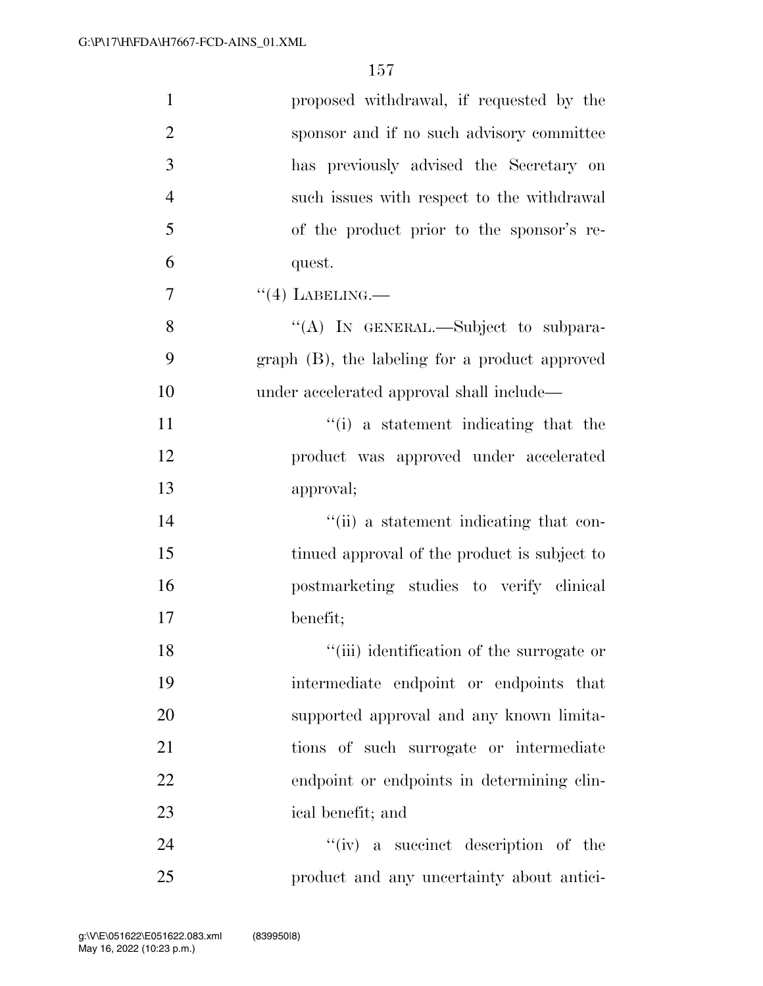| $\mathbf{1}$   | proposed withdrawal, if requested by the       |
|----------------|------------------------------------------------|
| $\overline{2}$ | sponsor and if no such advisory committee      |
| 3              | has previously advised the Secretary on        |
| $\overline{4}$ | such issues with respect to the withdrawal     |
| 5              | of the product prior to the sponsor's re-      |
| 6              | quest.                                         |
| 7              | $``(4)$ LABELING.—                             |
| 8              | "(A) IN GENERAL.—Subject to subpara-           |
| 9              | graph (B), the labeling for a product approved |
| 10             | under accelerated approval shall include—      |
| 11             | "(i) a statement indicating that the           |
| 12             | product was approved under accelerated         |
| 13             | approval;                                      |
| 14             | "(ii) a statement indicating that con-         |
| 15             | tinued approval of the product is subject to   |
| 16             | postmarketing studies to verify clinical       |
| 17             | benefit;                                       |
| 18             | "(iii) identification of the surrogate or      |
| 19             | intermediate endpoint or endpoints that        |
| 20             | supported approval and any known limita-       |
| 21             | tions of such surrogate or intermediate        |
| 22             | endpoint or endpoints in determining clin-     |
| 23             | ical benefit; and                              |
| 24             | $``(iv)$ a succinct description of the         |
| 25             | product and any uncertainty about antici-      |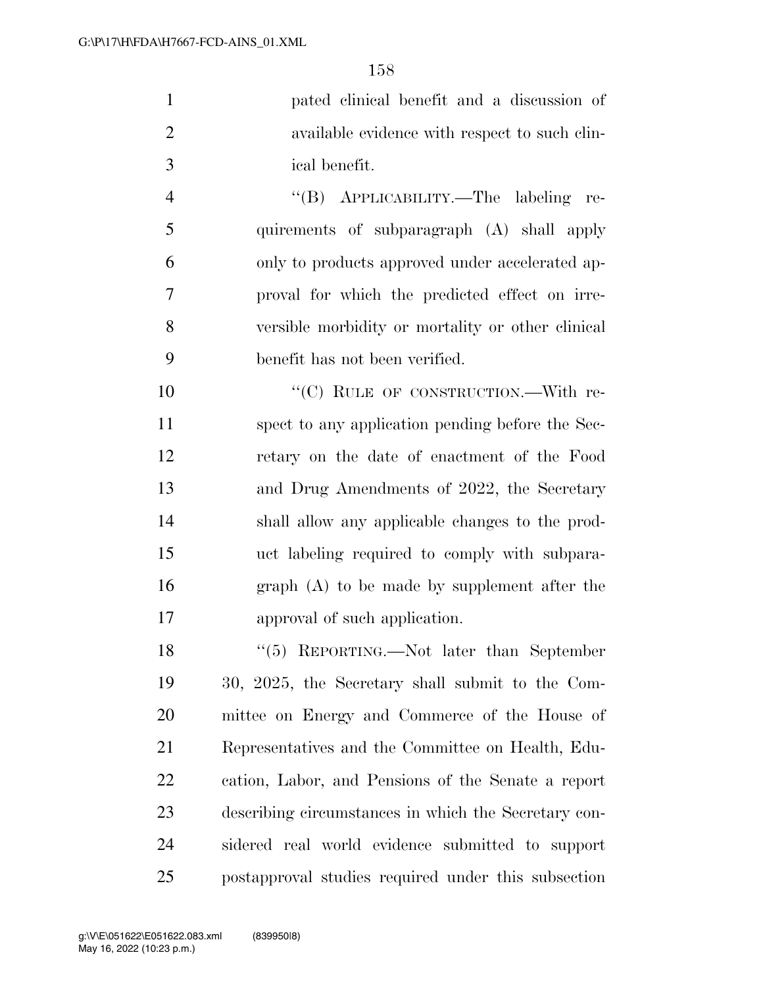|               | pated clinical benefit and a discussion of    |
|---------------|-----------------------------------------------|
| $\mathcal{D}$ | available evidence with respect to such clin- |
| $\mathcal{R}$ | ical benefit.                                 |

 ''(B) APPLICABILITY.—The labeling re- quirements of subparagraph (A) shall apply only to products approved under accelerated ap- proval for which the predicted effect on irre- versible morbidity or mortality or other clinical benefit has not been verified.

10 "'(C) RULE OF CONSTRUCTION.—With re- spect to any application pending before the Sec- retary on the date of enactment of the Food and Drug Amendments of 2022, the Secretary shall allow any applicable changes to the prod- uct labeling required to comply with subpara- graph (A) to be made by supplement after the approval of such application.

 ''(5) REPORTING.—Not later than September 30, 2025, the Secretary shall submit to the Com- mittee on Energy and Commerce of the House of Representatives and the Committee on Health, Edu- cation, Labor, and Pensions of the Senate a report describing circumstances in which the Secretary con- sidered real world evidence submitted to support postapproval studies required under this subsection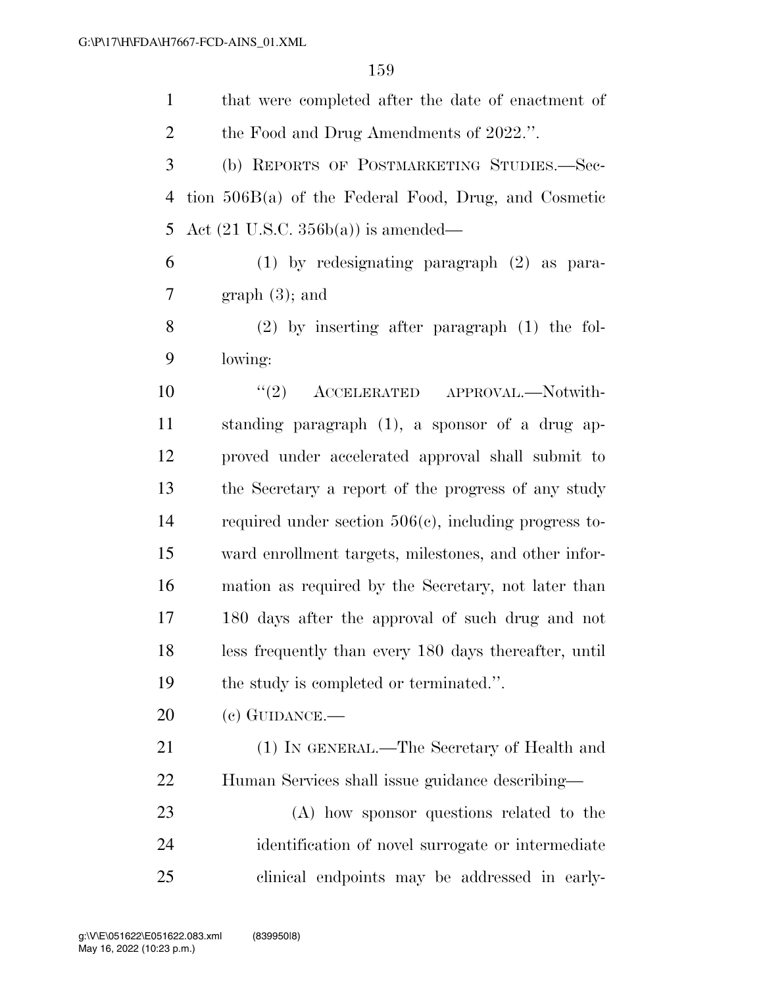| $\mathbf{1}$   | that were completed after the date of enactment of       |
|----------------|----------------------------------------------------------|
| $\overline{2}$ | the Food and Drug Amendments of 2022.".                  |
| 3              | (b) REPORTS OF POSTMARKETING STUDIES.-Sec-               |
| $\overline{4}$ | tion $506B(a)$ of the Federal Food, Drug, and Cosmetic   |
| 5              | Act $(21 \text{ U.S.C. } 356b(a))$ is amended—           |
| 6              | $(1)$ by redesignating paragraph $(2)$ as para-          |
| 7              | $graph(3)$ ; and                                         |
| 8              | $(2)$ by inserting after paragraph $(1)$ the fol-        |
| 9              | lowing:                                                  |
| 10             | (2)<br>ACCELERATED APPROVAL.-Notwith-                    |
| 11             | standing paragraph (1), a sponsor of a drug ap-          |
| 12             | proved under accelerated approval shall submit to        |
| 13             | the Secretary a report of the progress of any study      |
| 14             | required under section $506(c)$ , including progress to- |
| 15             | ward enrollment targets, milestones, and other infor-    |
| 16             | mation as required by the Secretary, not later than      |
| 17             | 180 days after the approval of such drug and not         |
| 18             | less frequently than every 180 days thereafter, until    |
| 19             | the study is completed or terminated.".                  |
| 20             | $(e)$ GUIDANCE.—                                         |
| 21             | (1) IN GENERAL.—The Secretary of Health and              |
| 22             | Human Services shall issue guidance describing—          |
| 23             | (A) how sponsor questions related to the                 |
| 24             | identification of novel surrogate or intermediate        |
| 25             | clinical endpoints may be addressed in early-            |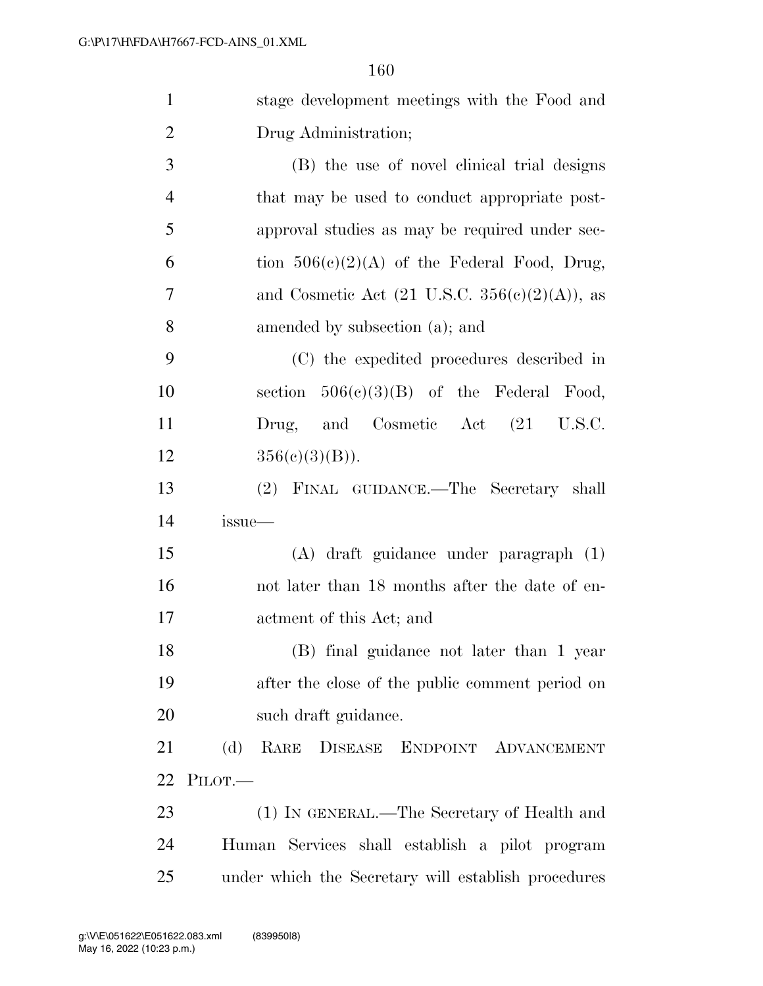| $\mathbf{1}$   | stage development meetings with the Food and              |
|----------------|-----------------------------------------------------------|
| $\overline{2}$ | Drug Administration;                                      |
| 3              | (B) the use of novel clinical trial designs               |
| $\overline{4}$ | that may be used to conduct appropriate post-             |
| 5              | approval studies as may be required under sec-            |
| 6              | tion $506(c)(2)(A)$ of the Federal Food, Drug,            |
| 7              | and Cosmetic Act $(21 \text{ U.S.C. } 356(c)(2)(A))$ , as |
| 8              | amended by subsection (a); and                            |
| 9              | (C) the expedited procedures described in                 |
| 10             | section $506(c)(3)(B)$ of the Federal Food,               |
| 11             | Drug, and Cosmetic Act (21 U.S.C.                         |
| 12             | $356(c)(3)(B)$ .                                          |
| 13             | (2) FINAL GUIDANCE.—The Secretary shall                   |
| 14             | issue—                                                    |
| 15             | (A) draft guidance under paragraph (1)                    |
| 16             | not later than 18 months after the date of en-            |
| 17             | actment of this Act; and                                  |
| 18             | (B) final guidance not later than 1 year                  |
| 19             | after the close of the public comment period on           |
| 20             | such draft guidance.                                      |
| 21             | (d)<br>RARE DISEASE ENDPOINT ADVANCEMENT                  |
| 22             | PILOT.                                                    |
| 23             | (1) IN GENERAL.—The Secretary of Health and               |
| 24             | Human Services shall establish a pilot program            |
| 25             | under which the Secretary will establish procedures       |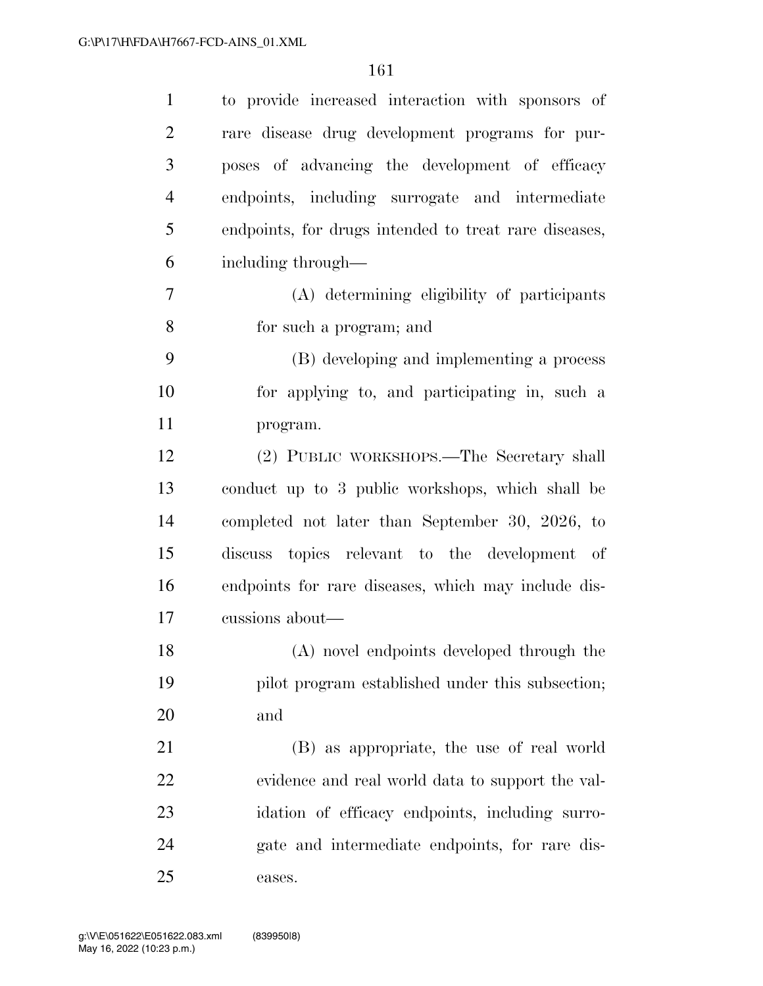| $\mathbf{1}$   | to provide increased interaction with sponsors of     |
|----------------|-------------------------------------------------------|
| $\overline{2}$ | rare disease drug development programs for pur-       |
| 3              | poses of advancing the development of efficacy        |
| $\overline{4}$ | endpoints, including surrogate and intermediate       |
| 5              | endpoints, for drugs intended to treat rare diseases, |
| 6              | including through—                                    |
| 7              | (A) determining eligibility of participants           |
| 8              | for such a program; and                               |
| 9              | (B) developing and implementing a process             |
| 10             | for applying to, and participating in, such a         |
| 11             | program.                                              |
| 12             | (2) PUBLIC WORKSHOPS.—The Secretary shall             |
| 13             | conduct up to 3 public workshops, which shall be      |
| 14             | completed not later than September 30, 2026, to       |
| 15             | discuss topics relevant to the development of         |
| 16             | endpoints for rare diseases, which may include dis-   |
| 17             | cussions about—                                       |
| 18             | (A) novel endpoints developed through the             |
| 19             | pilot program established under this subsection;      |
| 20             | and                                                   |
| 21             | (B) as appropriate, the use of real world             |
| 22             | evidence and real world data to support the val-      |
| 23             | idation of efficacy endpoints, including surro-       |
| 24             | gate and intermediate endpoints, for rare dis-        |
| 25             | eases.                                                |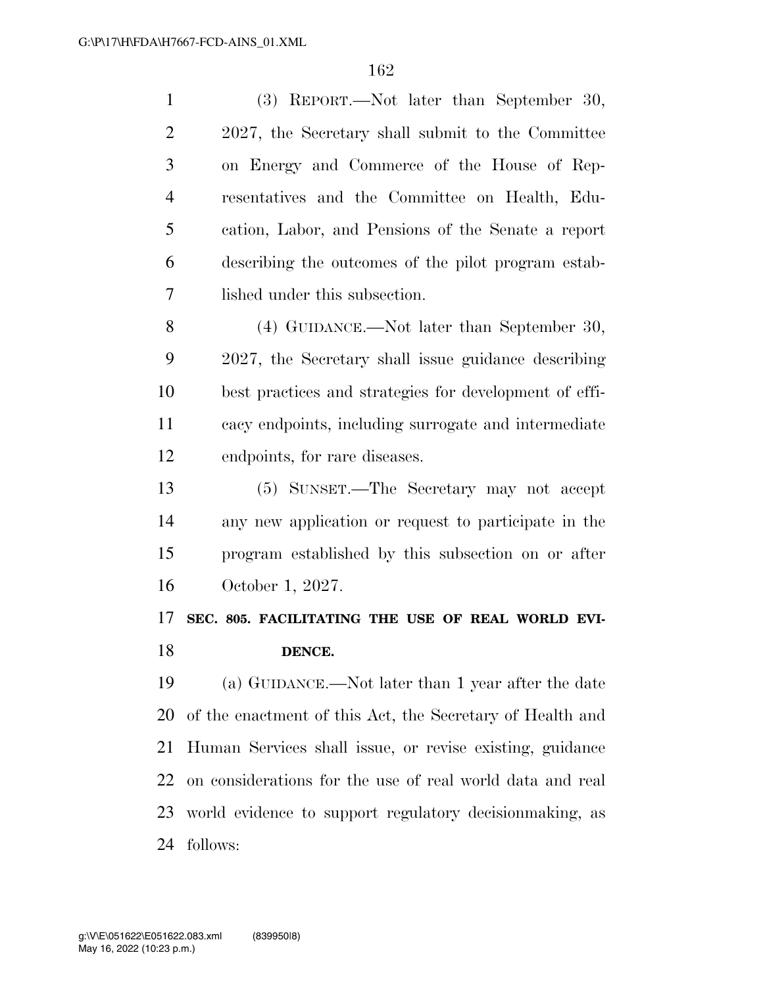| $\mathbf{1}$         | (3) REPORT.—Not later than September 30,                  |
|----------------------|-----------------------------------------------------------|
| $\overline{2}$       | 2027, the Secretary shall submit to the Committee         |
| 3                    | on Energy and Commerce of the House of Rep-               |
| $\overline{4}$       | resentatives and the Committee on Health, Edu-            |
| 5                    | cation, Labor, and Pensions of the Senate a report        |
| 6                    | describing the outcomes of the pilot program estab-       |
| 7                    | lished under this subsection.                             |
| 8                    | (4) GUIDANCE.—Not later than September 30,                |
| 9                    | 2027, the Secretary shall issue guidance describing       |
| 10                   | best practices and strategies for development of effi-    |
| 11                   | cacy endpoints, including surrogate and intermediate      |
| 12                   | endpoints, for rare diseases.                             |
| 13                   | (5) SUNSET.—The Secretary may not accept                  |
|                      |                                                           |
| 14                   | any new application or request to participate in the      |
| 15                   | program established by this subsection on or after        |
|                      | October 1, 2027.                                          |
|                      | SEC. 805. FACILITATING THE USE OF REAL WORLD EVI-         |
|                      | DENCE.                                                    |
| 16<br>17<br>18<br>19 | (a) GUIDANCE.—Not later than 1 year after the date        |
| 20                   | of the enactment of this Act, the Secretary of Health and |
| 21                   | Human Services shall issue, or revise existing, guidance  |
| 22                   | on considerations for the use of real world data and real |
| 23                   | world evidence to support regulatory decision making, as  |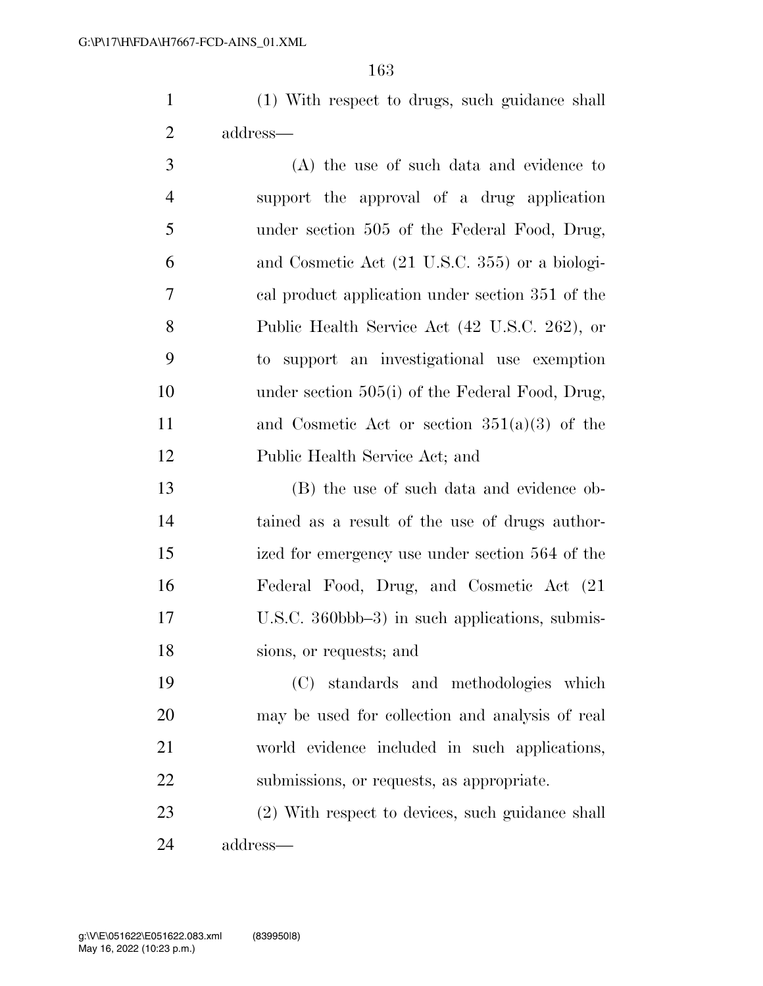(1) With respect to drugs, such guidance shall address—

 (A) the use of such data and evidence to support the approval of a drug application under section 505 of the Federal Food, Drug, and Cosmetic Act (21 U.S.C. 355) or a biologi- cal product application under section 351 of the Public Health Service Act (42 U.S.C. 262), or to support an investigational use exemption 10 under section 505(i) of the Federal Food, Drug, and Cosmetic Act or section 351(a)(3) of the Public Health Service Act; and

 (B) the use of such data and evidence ob- tained as a result of the use of drugs author- ized for emergency use under section 564 of the Federal Food, Drug, and Cosmetic Act (21 U.S.C. 360bbb–3) in such applications, submis-sions, or requests; and

 (C) standards and methodologies which may be used for collection and analysis of real world evidence included in such applications, submissions, or requests, as appropriate.

 (2) With respect to devices, such guidance shall address—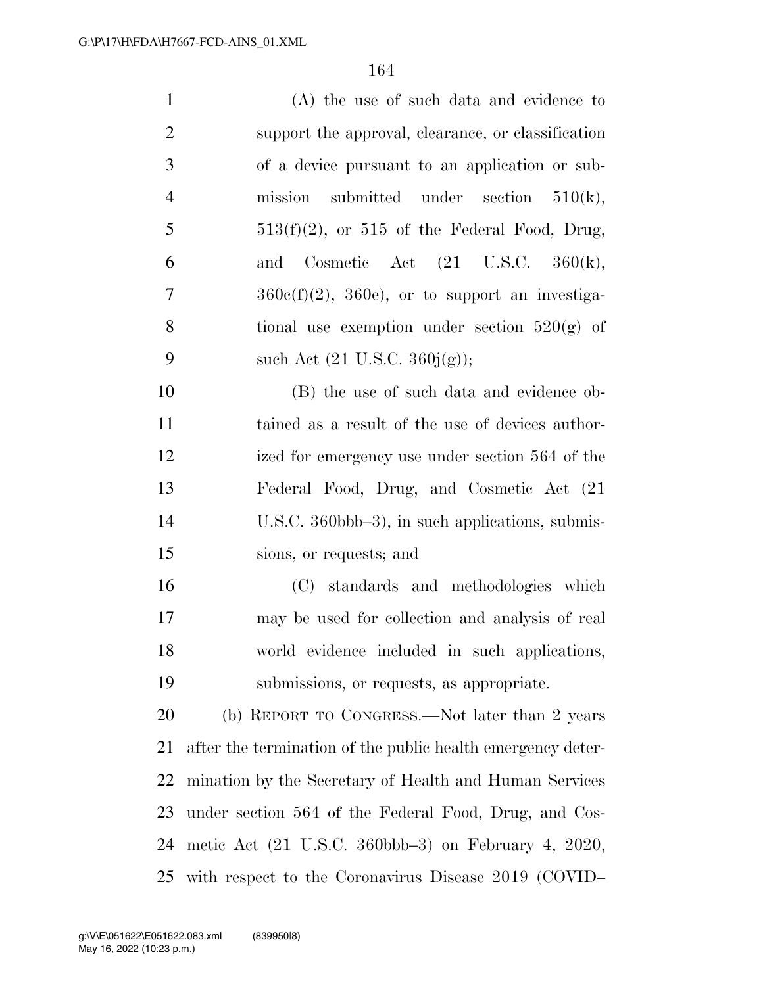| $\mathbf{1}$   | (A) the use of such data and evidence to                                 |
|----------------|--------------------------------------------------------------------------|
| $\overline{2}$ | support the approval, clearance, or classification                       |
| 3              | of a device pursuant to an application or sub-                           |
| $\overline{4}$ | mission submitted under section $510(k)$ ,                               |
| 5              | $513(f)(2)$ , or 515 of the Federal Food, Drug,                          |
| 6              | Cosmetic Act $(21 \text{ U.S.C. } 360(\text{k}))$ ,<br>and               |
| 7              | $360c(f)(2)$ , $360e$ , or to support an investiga-                      |
| 8              | tional use exemption under section $520(g)$ of                           |
| 9              | such Act $(21 \text{ U.S.C. } 360j(g));$                                 |
| 10             | (B) the use of such data and evidence ob-                                |
| 11             | tained as a result of the use of devices author-                         |
| 12             | ized for emergency use under section 564 of the                          |
| 13             | Federal Food, Drug, and Cosmetic Act (21)                                |
| 14             | U.S.C. 360bbb-3), in such applications, submis-                          |
| 15             | sions, or requests; and                                                  |
| 16             | (C) standards and methodologies which                                    |
| 17             | may be used for collection and analysis of real                          |
| 18             | world evidence included in such applications,                            |
| 19             | submissions, or requests, as appropriate.                                |
| 20             | (b) REPORT TO CONGRESS.—Not later than 2 years                           |
| 21             | after the termination of the public health emergency deter-              |
| 22             | mination by the Secretary of Health and Human Services                   |
| 23             | under section 564 of the Federal Food, Drug, and Cos-                    |
| 24             | metic Act $(21 \text{ U.S.C. } 360 \text{bbb} - 3)$ on February 4, 2020, |
| 25             | with respect to the Coronavirus Disease 2019 (COVID-                     |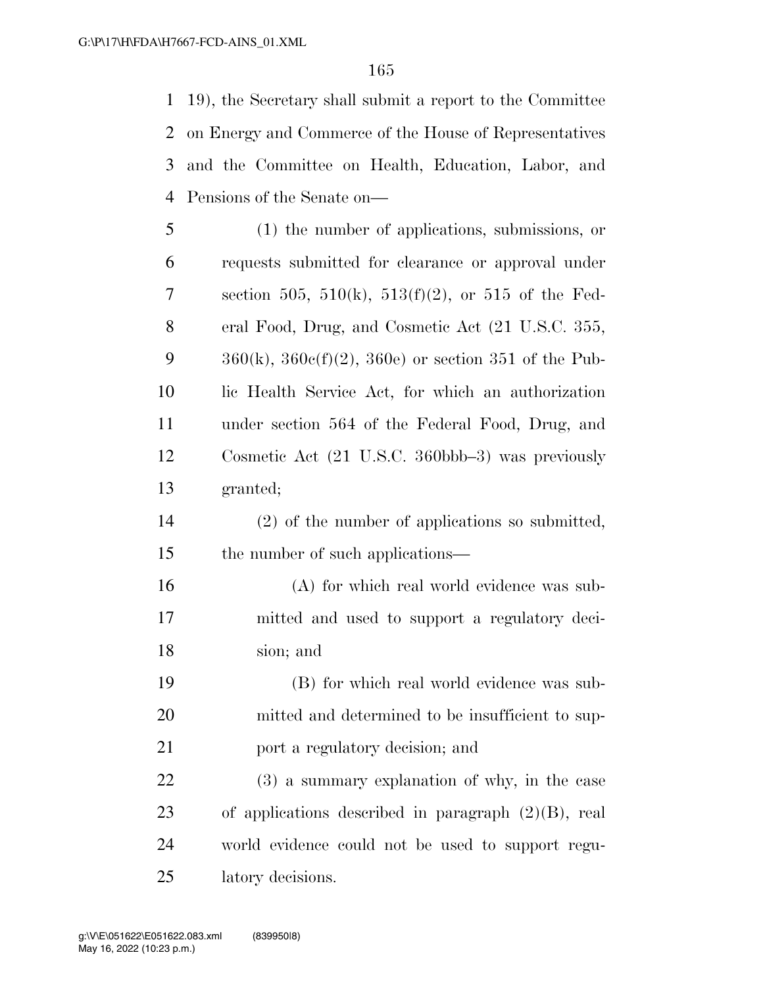19), the Secretary shall submit a report to the Committee on Energy and Commerce of the House of Representatives and the Committee on Health, Education, Labor, and Pensions of the Senate on—

 (1) the number of applications, submissions, or requests submitted for clearance or approval under section 505, 510(k), 513(f)(2), or 515 of the Fed- eral Food, Drug, and Cosmetic Act (21 U.S.C. 355,  $360(k)$ ,  $360c(f)(2)$ ,  $360e$  or section 351 of the Pub- lic Health Service Act, for which an authorization under section 564 of the Federal Food, Drug, and Cosmetic Act (21 U.S.C. 360bbb–3) was previously granted;

- (2) of the number of applications so submitted, 15 the number of such applications—
- (A) for which real world evidence was sub- mitted and used to support a regulatory deci-sion; and
- (B) for which real world evidence was sub- mitted and determined to be insufficient to sup-port a regulatory decision; and

 (3) a summary explanation of why, in the case of applications described in paragraph (2)(B), real world evidence could not be used to support regu-latory decisions.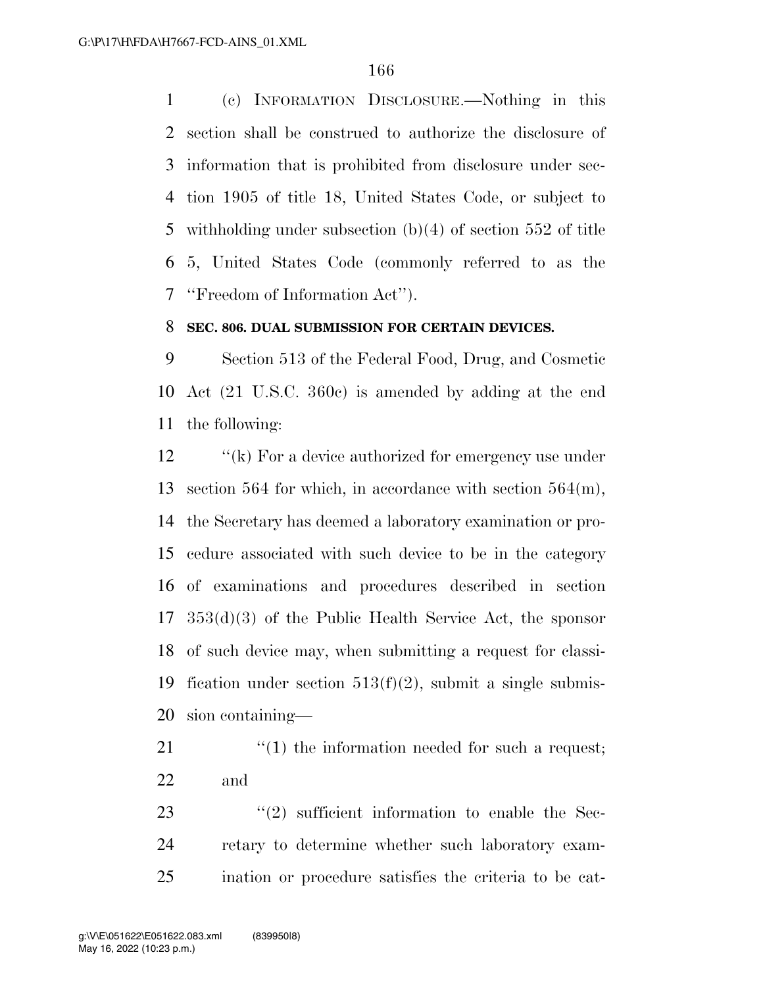(c) INFORMATION DISCLOSURE.—Nothing in this section shall be construed to authorize the disclosure of information that is prohibited from disclosure under sec- tion 1905 of title 18, United States Code, or subject to withholding under subsection (b)(4) of section 552 of title 5, United States Code (commonly referred to as the ''Freedom of Information Act'').

#### **SEC. 806. DUAL SUBMISSION FOR CERTAIN DEVICES.**

 Section 513 of the Federal Food, Drug, and Cosmetic Act (21 U.S.C. 360c) is amended by adding at the end the following:

12 "(k) For a device authorized for emergency use under section 564 for which, in accordance with section 564(m), the Secretary has deemed a laboratory examination or pro- cedure associated with such device to be in the category of examinations and procedures described in section 353(d)(3) of the Public Health Service Act, the sponsor of such device may, when submitting a request for classi-19 fication under section  $513(f)(2)$ , submit a single submis-sion containing—

21  $\frac{1}{2}$  (1) the information needed for such a request; and

23  $(2)$  sufficient information to enable the Sec- retary to determine whether such laboratory exam-ination or procedure satisfies the criteria to be cat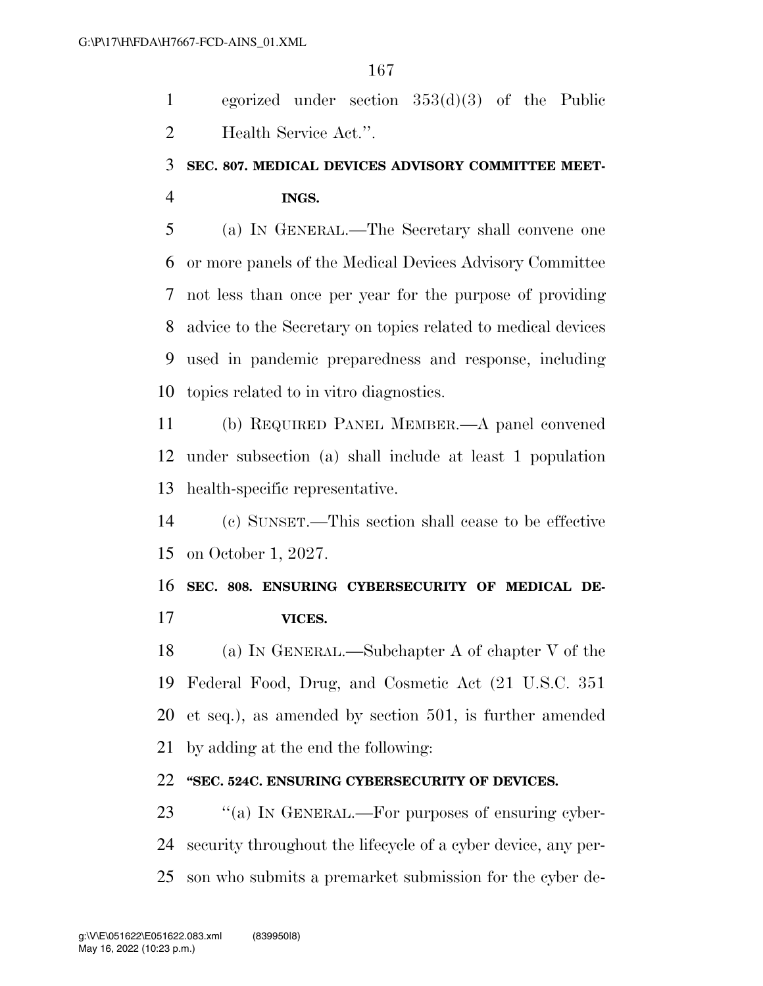egorized under section 353(d)(3) of the Public Health Service Act.''.

### **SEC. 807. MEDICAL DEVICES ADVISORY COMMITTEE MEET-INGS.**

 (a) IN GENERAL.—The Secretary shall convene one or more panels of the Medical Devices Advisory Committee not less than once per year for the purpose of providing advice to the Secretary on topics related to medical devices used in pandemic preparedness and response, including topics related to in vitro diagnostics.

 (b) REQUIRED PANEL MEMBER.—A panel convened under subsection (a) shall include at least 1 population health-specific representative.

 (c) SUNSET.—This section shall cease to be effective on October 1, 2027.

 **SEC. 808. ENSURING CYBERSECURITY OF MEDICAL DE-VICES.** 

 (a) IN GENERAL.—Subchapter A of chapter V of the Federal Food, Drug, and Cosmetic Act (21 U.S.C. 351 et seq.), as amended by section 501, is further amended by adding at the end the following:

#### **''SEC. 524C. ENSURING CYBERSECURITY OF DEVICES.**

23 "(a) In GENERAL.—For purposes of ensuring cyber- security throughout the lifecycle of a cyber device, any per-son who submits a premarket submission for the cyber de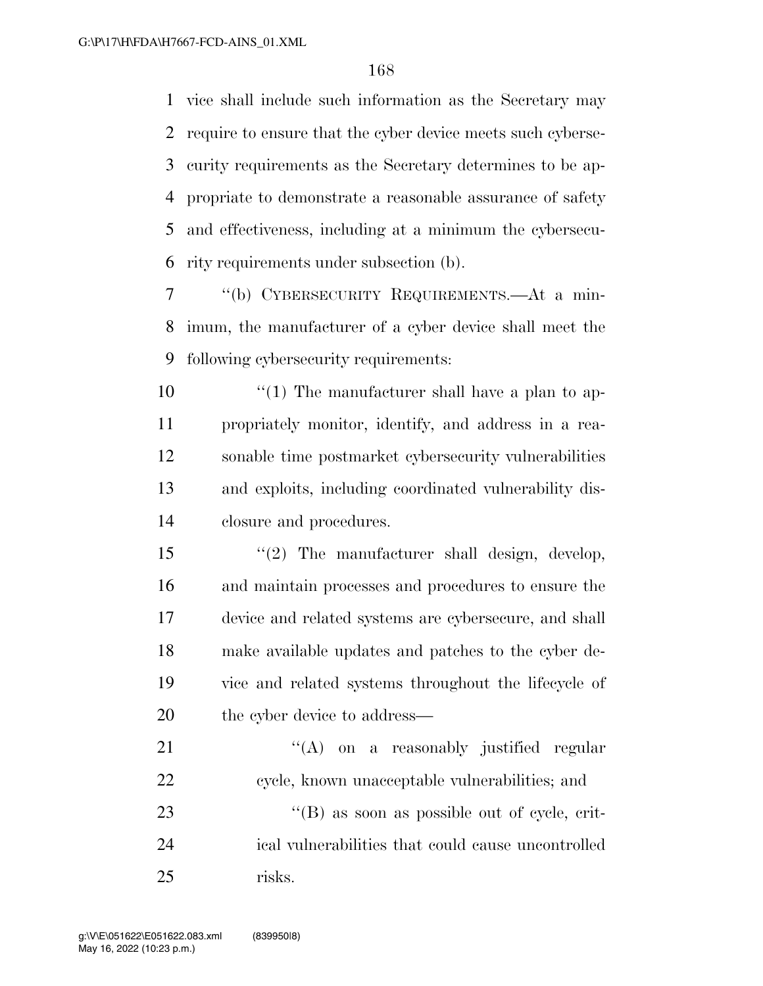vice shall include such information as the Secretary may require to ensure that the cyber device meets such cyberse- curity requirements as the Secretary determines to be ap- propriate to demonstrate a reasonable assurance of safety and effectiveness, including at a minimum the cybersecu-rity requirements under subsection (b).

 ''(b) CYBERSECURITY REQUIREMENTS.—At a min- imum, the manufacturer of a cyber device shall meet the following cybersecurity requirements:

 $\frac{10}{10}$  The manufacturer shall have a plan to ap- propriately monitor, identify, and address in a rea- sonable time postmarket cybersecurity vulnerabilities and exploits, including coordinated vulnerability dis-closure and procedures.

15 "(2) The manufacturer shall design, develop, and maintain processes and procedures to ensure the device and related systems are cybersecure, and shall make available updates and patches to the cyber de- vice and related systems throughout the lifecycle of 20 the cyber device to address—

21 "'(A) on a reasonably justified regular cycle, known unacceptable vulnerabilities; and 23 "(B) as soon as possible out of cycle, crit- ical vulnerabilities that could cause uncontrolled risks.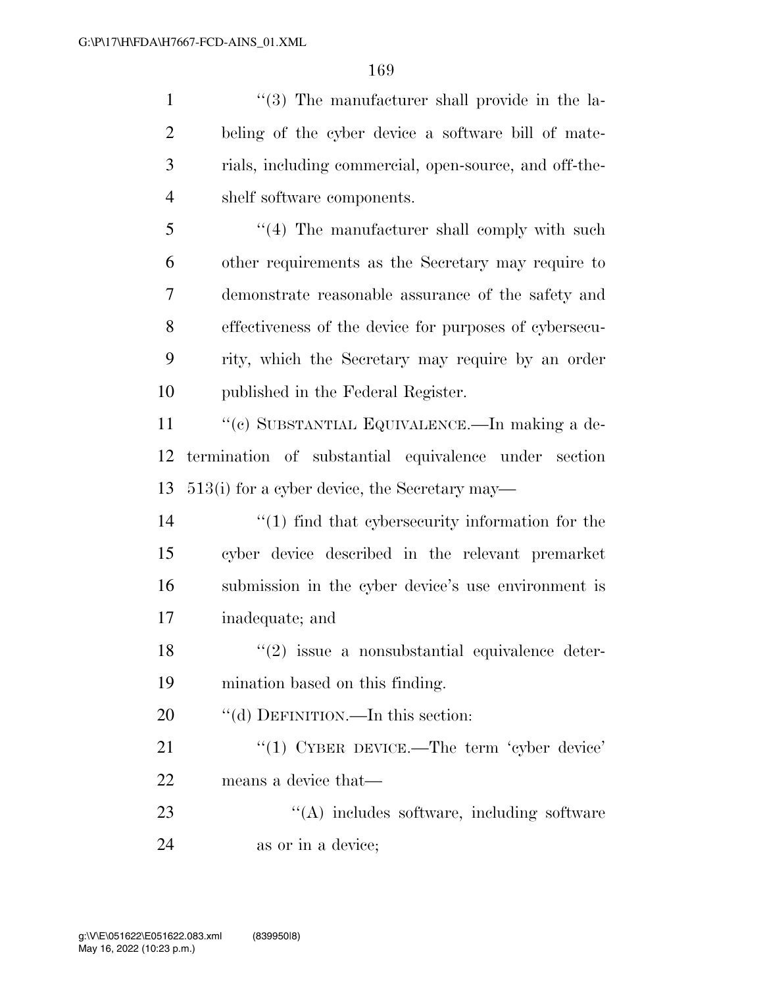1 ''(3) The manufacturer shall provide in the la- beling of the cyber device a software bill of mate- rials, including commercial, open-source, and off-the- shelf software components. 5 "(4) The manufacturer shall comply with such

 other requirements as the Secretary may require to demonstrate reasonable assurance of the safety and effectiveness of the device for purposes of cybersecu- rity, which the Secretary may require by an order published in the Federal Register.

 ''(c) SUBSTANTIAL EQUIVALENCE.—In making a de- termination of substantial equivalence under section 513(i) for a cyber device, the Secretary may—

14 ''(1) find that cybersecurity information for the cyber device described in the relevant premarket submission in the cyber device's use environment is inadequate; and

 ''(2) issue a nonsubstantial equivalence deter-mination based on this finding.

20 "(d) DEFINITION.—In this section:

21 "(1) CYBER DEVICE.—The term 'cyber device' means a device that—

23 ''(A) includes software, including software as or in a device;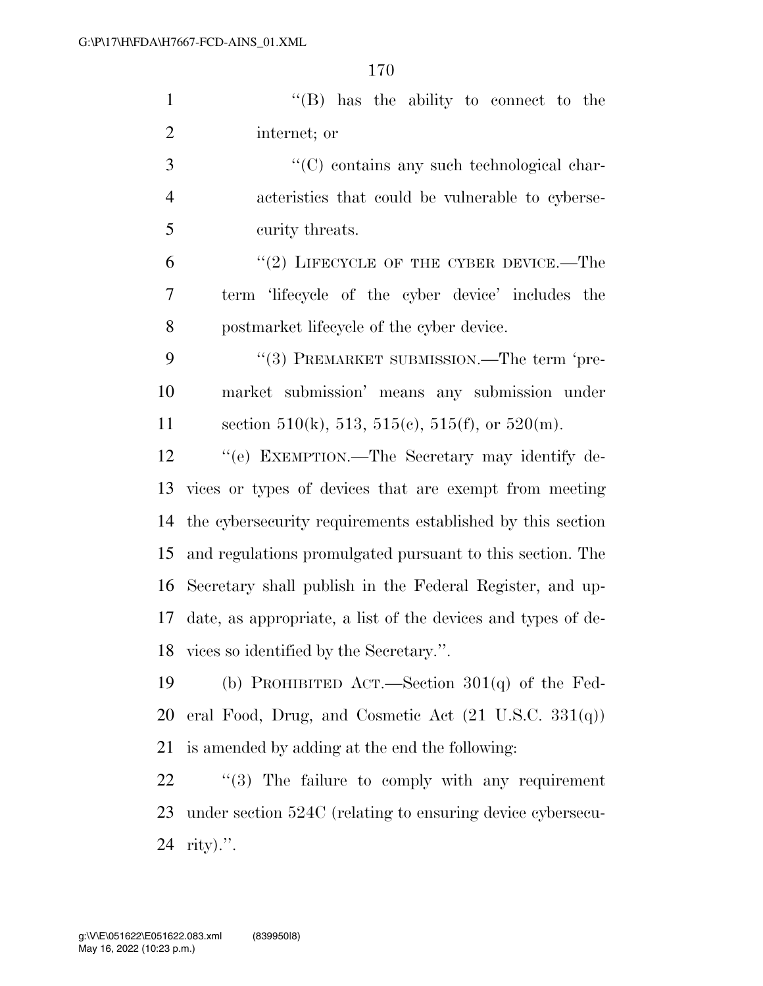|                | 170                                                    |
|----------------|--------------------------------------------------------|
| $\mathbf{1}$   | $\lq\lq$ (B) has the ability to connect to the         |
| $\overline{2}$ | internet; or                                           |
| 3              | "(C) contains any such technological char-             |
| $\overline{4}$ | acteristics that could be vulnerable to cyberse-       |
| 5              | curity threats.                                        |
| 6              | $(2)$ LIFECYCLE OF THE CYBER DEVICE.—The               |
| 7              | term 'lifecycle of the cyber device' includes the      |
| 8              | postmarket lifecycle of the cyber device.              |
| 9              | "(3) PREMARKET SUBMISSION.—The term 'pre-              |
| 10             | market submission' means any submission under          |
| 11             | section 510(k), 513, 515(c), 515(f), or 520(m).        |
| 12             | "(e) EXEMPTION.—The Secretary may identify de-         |
| 13             | vices or types of devices that are exempt from meeting |

 date, as appropriate, a list of the devices and types of de- vices so identified by the Secretary.''. (b) PROHIBITED ACT.—Section 301(q) of the Fed-eral Food, Drug, and Cosmetic Act (21 U.S.C. 331(q))

the cybersecurity requirements established by this section

and regulations promulgated pursuant to this section. The

Secretary shall publish in the Federal Register, and up-

is amended by adding at the end the following:

22  $\frac{1}{2}$  (3) The failure to comply with any requirement under section 524C (relating to ensuring device cybersecu-rity).''.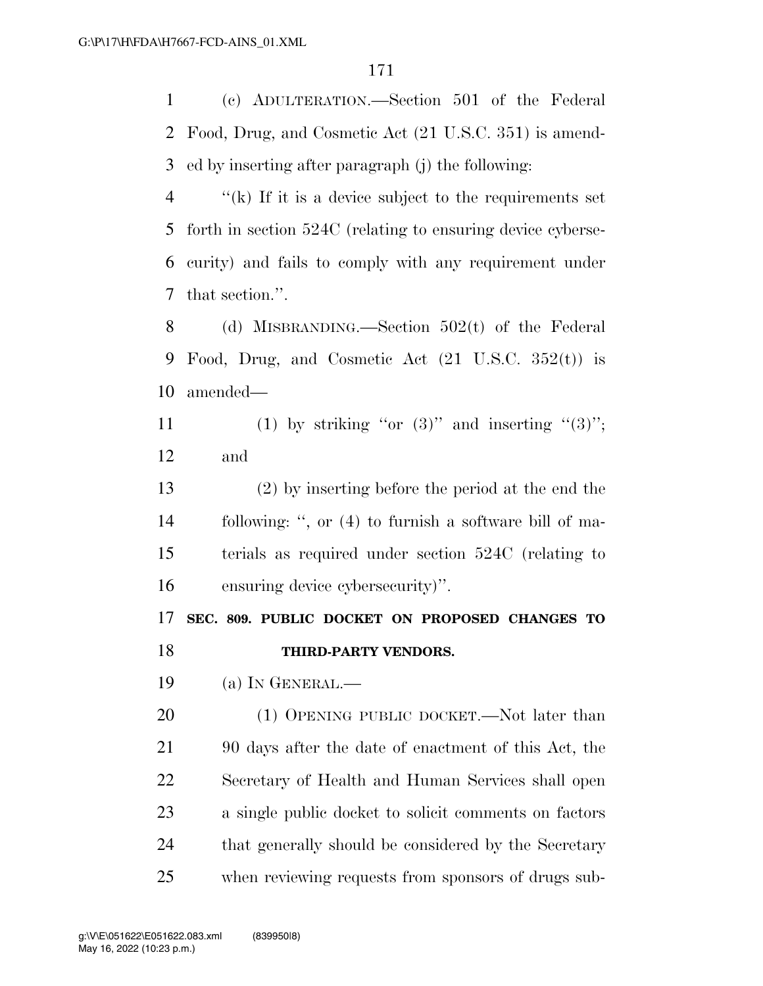(c) ADULTERATION.—Section 501 of the Federal Food, Drug, and Cosmetic Act (21 U.S.C. 351) is amend-ed by inserting after paragraph (j) the following:

 ''(k) If it is a device subject to the requirements set forth in section 524C (relating to ensuring device cyberse- curity) and fails to comply with any requirement under that section.''.

 (d) MISBRANDING.—Section 502(t) of the Federal Food, Drug, and Cosmetic Act (21 U.S.C. 352(t)) is amended—

11 (1) by striking "or  $(3)$ " and inserting " $(3)$ "; and

 (2) by inserting before the period at the end the following: '', or (4) to furnish a software bill of ma- terials as required under section 524C (relating to ensuring device cybersecurity)''.

 **SEC. 809. PUBLIC DOCKET ON PROPOSED CHANGES TO THIRD-PARTY VENDORS.** 

(a) IN GENERAL.—

20 (1) OPENING PUBLIC DOCKET.—Not later than 90 days after the date of enactment of this Act, the Secretary of Health and Human Services shall open a single public docket to solicit comments on factors 24 that generally should be considered by the Secretary when reviewing requests from sponsors of drugs sub-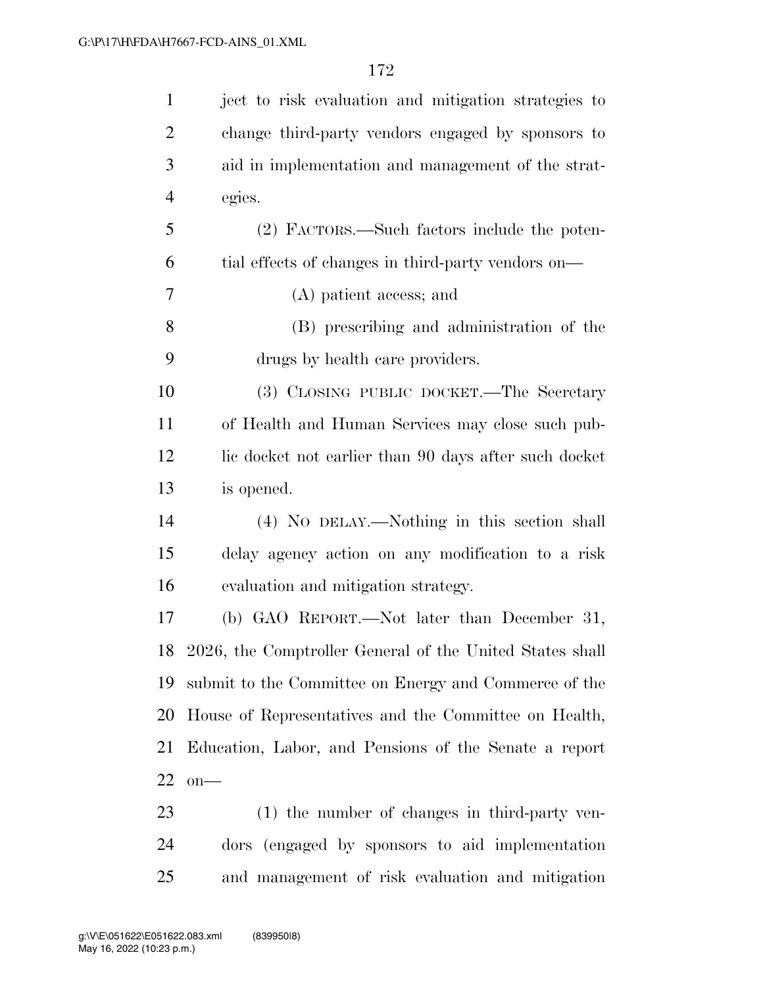| $\mathbf{1}$   | ject to risk evaluation and mitigation strategies to        |
|----------------|-------------------------------------------------------------|
| 2              | change third-party vendors engaged by sponsors to           |
| 3              | aid in implementation and management of the strat-          |
| $\overline{4}$ | egies.                                                      |
| 5              | (2) FACTORS.—Such factors include the poten-                |
| 6              | tial effects of changes in third-party vendors on—          |
| 7              | (A) patient access; and                                     |
| 8              | (B) prescribing and administration of the                   |
| 9              | drugs by health care providers.                             |
| 10             | (3) CLOSING PUBLIC DOCKET.—The Secretary                    |
| 11             | of Health and Human Services may close such pub-            |
| 12             | lie docket not earlier than 90 days after such docket       |
| 13             | is opened.                                                  |
| 14             | (4) NO DELAY.—Nothing in this section shall                 |
| 15             | delay agency action on any modification to a risk           |
| 16             | evaluation and mitigation strategy.                         |
| 17             | (b) GAO REPORT.—Not later than December 31,                 |
|                | 18 2026, the Comptroller General of the United States shall |
| 19             | submit to the Committee on Energy and Commerce of the       |
| 20             | House of Representatives and the Committee on Health,       |
| 21             | Education, Labor, and Pensions of the Senate a report       |
| 22             | $on$ —                                                      |
| 23             | (1) the number of changes in third-party ven-               |
| 24             | dors (engaged by sponsors to aid implementation             |
| 25             | and management of risk evaluation and mitigation            |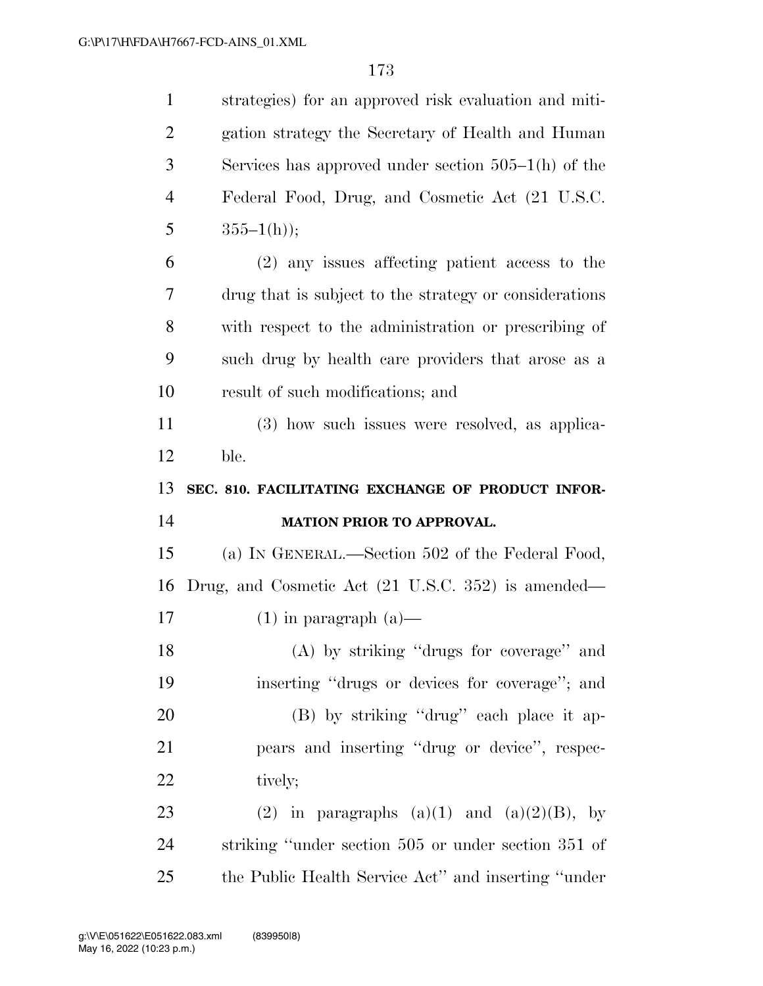| $\mathbf{1}$   | strategies) for an approved risk evaluation and miti-  |
|----------------|--------------------------------------------------------|
| $\overline{2}$ | gation strategy the Secretary of Health and Human      |
| 3              | Services has approved under section $505-1(h)$ of the  |
| $\overline{4}$ | Federal Food, Drug, and Cosmetic Act (21 U.S.C.        |
| 5              | $355-1(h)$ ;                                           |
| 6              | $(2)$ any issues affecting patient access to the       |
| 7              | drug that is subject to the strategy or considerations |
| 8              | with respect to the administration or prescribing of   |
| 9              | such drug by health care providers that arose as a     |
| 10             | result of such modifications; and                      |
| 11             | (3) how such issues were resolved, as applica-         |
| 12             | ble.                                                   |
|                |                                                        |
| 13             | SEC. 810. FACILITATING EXCHANGE OF PRODUCT INFOR-      |
| 14             | <b>MATION PRIOR TO APPROVAL.</b>                       |
| 15             | (a) IN GENERAL.—Section 502 of the Federal Food,       |
| 16             | Drug, and Cosmetic Act (21 U.S.C. 352) is amended—     |
| 17             | $(1)$ in paragraph $(a)$ —                             |
| 18             | (A) by striking "drugs for coverage" and               |
| 19             | inserting "drugs or devices for coverage"; and         |
| 20             | (B) by striking "drug" each place it ap-               |
| 21             | pears and inserting "drug or device", respec-          |
| 22             | tively;                                                |
| 23             | (2) in paragraphs $(a)(1)$ and $(a)(2)(B)$ , by        |
| 24             | striking "under section 505 or under section 351 of    |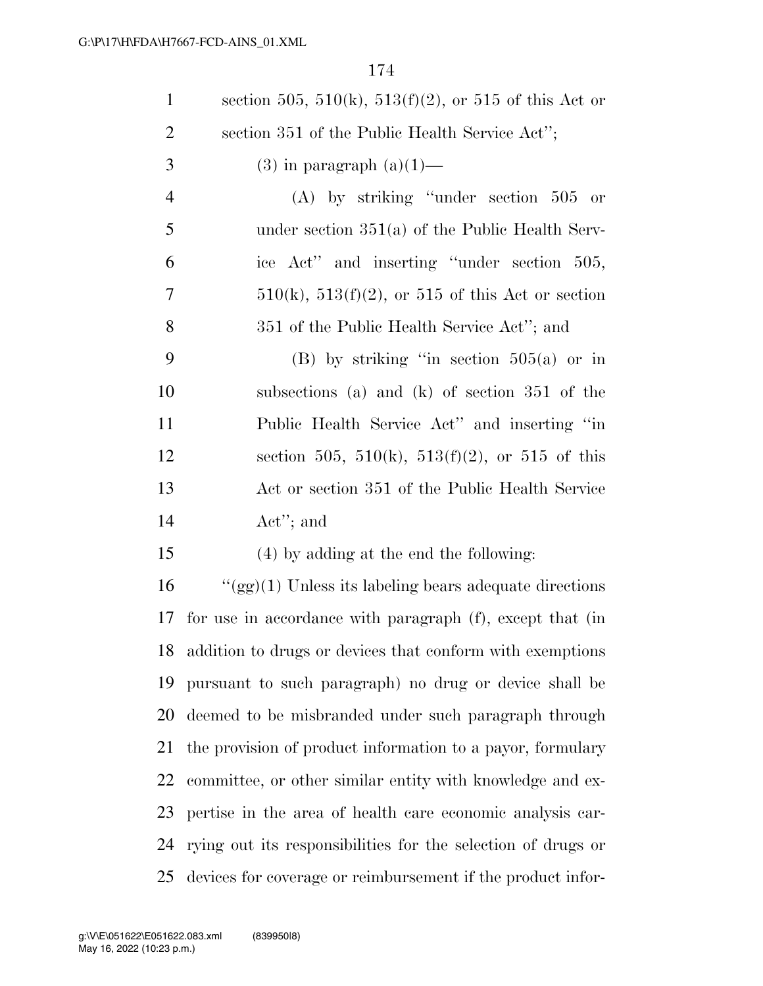| $\mathbf{1}$   | section 505, 510(k), 513(f)(2), or 515 of this Act or        |
|----------------|--------------------------------------------------------------|
| $\overline{2}$ | section 351 of the Public Health Service Act";               |
| 3              | $(3)$ in paragraph $(a)(1)$ —                                |
| $\overline{4}$ | $(A)$ by striking "under section 505 or                      |
| 5              | under section $351(a)$ of the Public Health Serv-            |
| 6              | ice Act" and inserting "under section 505,                   |
| 7              | $510(k)$ , $513(f)(2)$ , or $515$ of this Act or section     |
| 8              | 351 of the Public Health Service Act''; and                  |
| 9              | $(B)$ by striking "in section 505(a) or in                   |
| 10             | subsections (a) and (k) of section 351 of the                |
| 11             | Public Health Service Act" and inserting "in                 |
| 12             | section 505, 510(k), 513(f)(2), or 515 of this               |
| 13             | Act or section 351 of the Public Health Service              |
| 14             | $\text{Act}''$ ; and                                         |
| 15             | (4) by adding at the end the following:                      |
| 16             | " $(gg)(1)$ Unless its labeling bears adequate directions    |
| 17             | for use in accordance with paragraph (f), except that (in    |
| 18             | addition to drugs or devices that conform with exemptions    |
| 19             | pursuant to such paragraph) no drug or device shall be       |
| 20             | deemed to be misbranded under such paragraph through         |
| 21             | the provision of product information to a payor, formulary   |
| 22             | committee, or other similar entity with knowledge and ex-    |
| 23             | pertise in the area of health care economic analysis car-    |
| 24             | rying out its responsibilities for the selection of drugs or |
| 25             | devices for coverage or reimbursement if the product infor-  |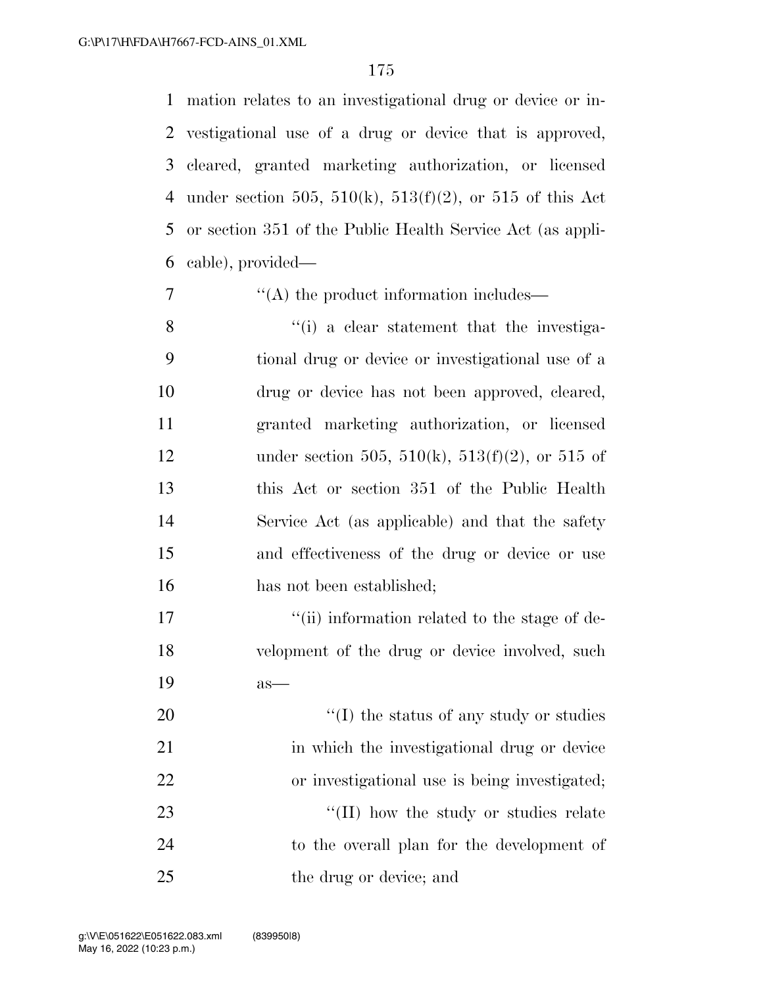mation relates to an investigational drug or device or in- vestigational use of a drug or device that is approved, cleared, granted marketing authorization, or licensed 4 under section 505, 510(k), 513(f)(2), or 515 of this Act or section 351 of the Public Health Service Act (as appli-cable), provided—

7  $\langle (A)$  the product information includes—

8 ''(i) a clear statement that the investiga- tional drug or device or investigational use of a drug or device has not been approved, cleared, granted marketing authorization, or licensed 12 under section 505, 510(k), 513(f)(2), or 515 of this Act or section 351 of the Public Health Service Act (as applicable) and that the safety and effectiveness of the drug or device or use 16 has not been established;

17  $\frac{1}{10}$  information related to the stage of de-18 velopment of the drug or device involved, such 19 as—

 $\frac{1}{2}$  (I) the status of any study or studies 21 in which the investigational drug or device or investigational use is being investigated;  $\frac{1}{2}$  (II) how the study or studies relate to the overall plan for the development of the drug or device; and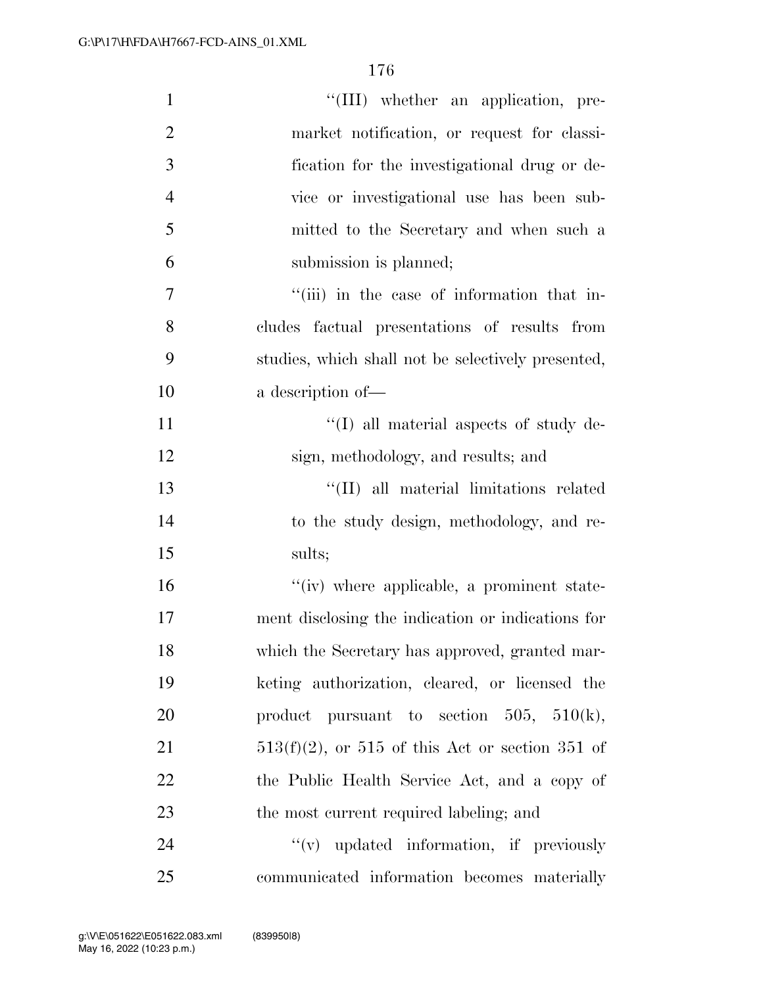| $\mathbf{1}$   | "(III) whether an application, pre-                |
|----------------|----------------------------------------------------|
| $\overline{2}$ | market notification, or request for classi-        |
| 3              | fication for the investigational drug or de-       |
| $\overline{4}$ | vice or investigational use has been sub-          |
| 5              | mitted to the Secretary and when such a            |
| 6              | submission is planned;                             |
| 7              | "(iii) in the case of information that in-         |
| 8              | cludes factual presentations of results from       |
| 9              | studies, which shall not be selectively presented, |
| 10             | a description of-                                  |
| 11             | $\lq\lq$ (I) all material aspects of study de-     |
| 12             | sign, methodology, and results; and                |
| 13             | "(II) all material limitations related             |
| 14             | to the study design, methodology, and re-          |
| 15             | sults;                                             |
| 16             | "(iv) where applicable, a prominent state-         |
| 17             | ment disclosing the indication or indications for  |
| 18             | which the Secretary has approved, granted mar-     |
| 19             | keting authorization, cleared, or licensed the     |
| 20             | product pursuant to section $505$ , $510(k)$ ,     |
| 21             | $513(f)(2)$ , or 515 of this Act or section 351 of |
| 22             | the Public Health Service Act, and a copy of       |
| 23             | the most current required labeling; and            |
| 24             | "(v) updated information, if previously            |
| 25             | communicated information becomes materially        |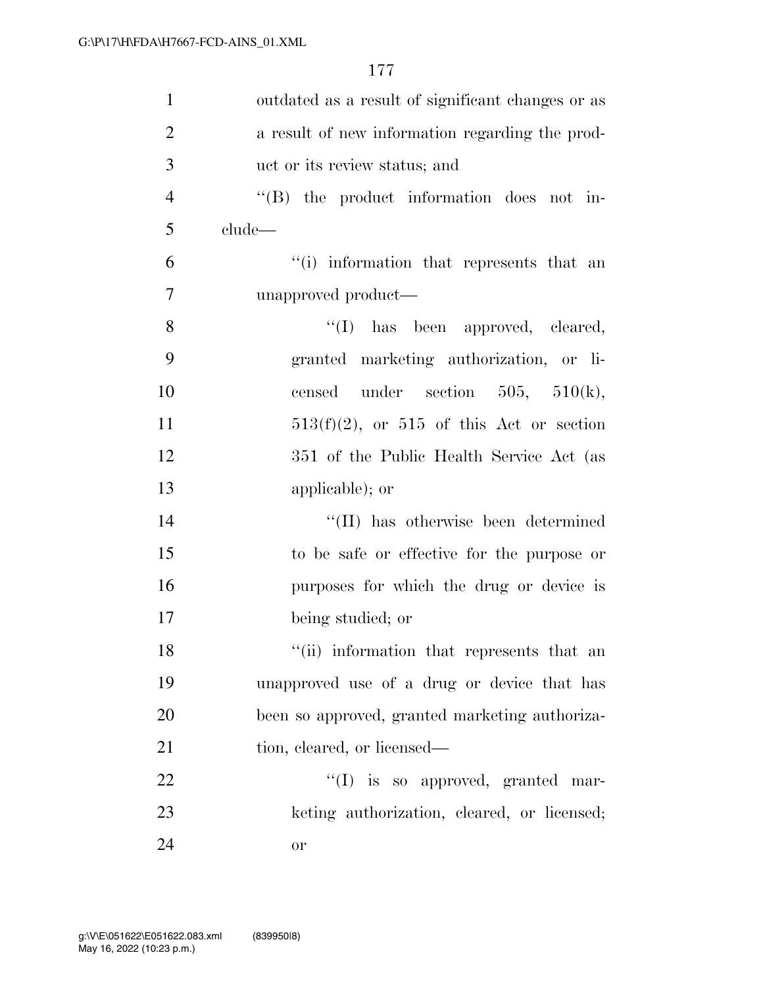| $\mathbf{1}$   | outdated as a result of significant changes or as |
|----------------|---------------------------------------------------|
| $\overline{2}$ | a result of new information regarding the prod-   |
| 3              | uct or its review status; and                     |
| $\overline{4}$ | "(B) the product information does not in-         |
| 5              | $clude$ —                                         |
| 6              | "(i) information that represents that an          |
| $\tau$         | unapproved product—                               |
| 8              | "(I) has been approved, cleared,                  |
| 9              | granted marketing authorization, or li-           |
| 10             | censed under section $505$ , $510(k)$ ,           |
| 11             | $513(f)(2)$ , or $515$ of this Act or section     |
| 12             | 351 of the Public Health Service Act (as          |
| 13             | applicable); or                                   |
| 14             | "(II) has otherwise been determined               |
| 15             | to be safe or effective for the purpose or        |
| 16             | purposes for which the drug or device is          |
| 17             | being studied; or                                 |
| 18             | "(ii) information that represents that an         |
| 19             | unapproved use of a drug or device that has       |
| 20             | been so approved, granted marketing authoriza-    |
| 21             | tion, cleared, or licensed—                       |
| 22             | "(I) is so approved, granted mar-                 |
| 23             | keting authorization, cleared, or licensed;       |
| 24             | or                                                |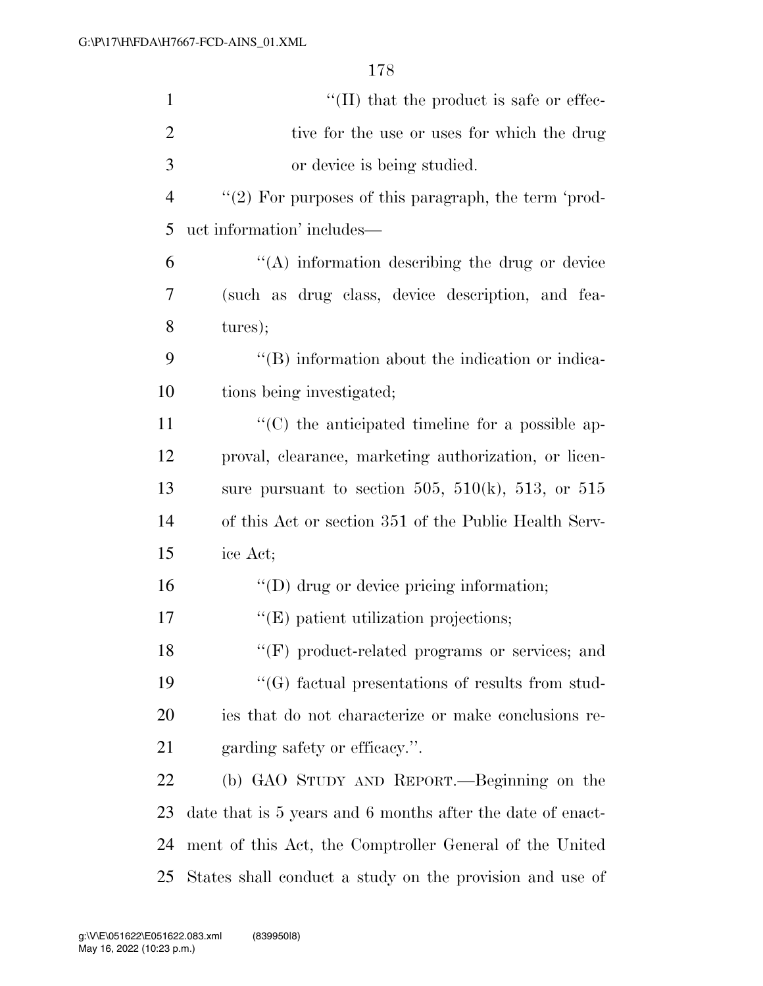| $\mathbf{1}$   | $\lq\lq$ (II) that the product is safe or effec-           |
|----------------|------------------------------------------------------------|
| $\overline{2}$ | tive for the use or uses for which the drug                |
| 3              | or device is being studied.                                |
| $\overline{4}$ | $\lq(2)$ For purposes of this paragraph, the term 'prod-   |
| 5              | uct information' includes—                                 |
| 6              | "(A) information describing the drug or device             |
| 7              | (such as drug class, device description, and fea-          |
| 8              | tures);                                                    |
| 9              | "(B) information about the indication or indica-           |
| 10             | tions being investigated;                                  |
| 11             | $\lq\lq$ (C) the anticipated timeline for a possible ap-   |
| 12             | proval, clearance, marketing authorization, or licen-      |
| 13             | sure pursuant to section 505, 510 $(k)$ , 513, or 515      |
| 14             | of this Act or section 351 of the Public Health Serv-      |
| 15             | ice Act;                                                   |
| 16             | $\lq\lq$ or device pricing information;                    |
| 17             | $\lq\lq$ (E) patient utilization projections;              |
| 18             | "(F) product-related programs or services; and             |
| 19             | $\lq\lq(G)$ factual presentations of results from stud-    |
| 20             | ies that do not characterize or make conclusions re-       |
| 21             | garding safety or efficacy.".                              |
| 22             | (b) GAO STUDY AND REPORT.—Beginning on the                 |
| 23             | date that is 5 years and 6 months after the date of enact- |
| 24             | ment of this Act, the Comptroller General of the United    |
| 25             | States shall conduct a study on the provision and use of   |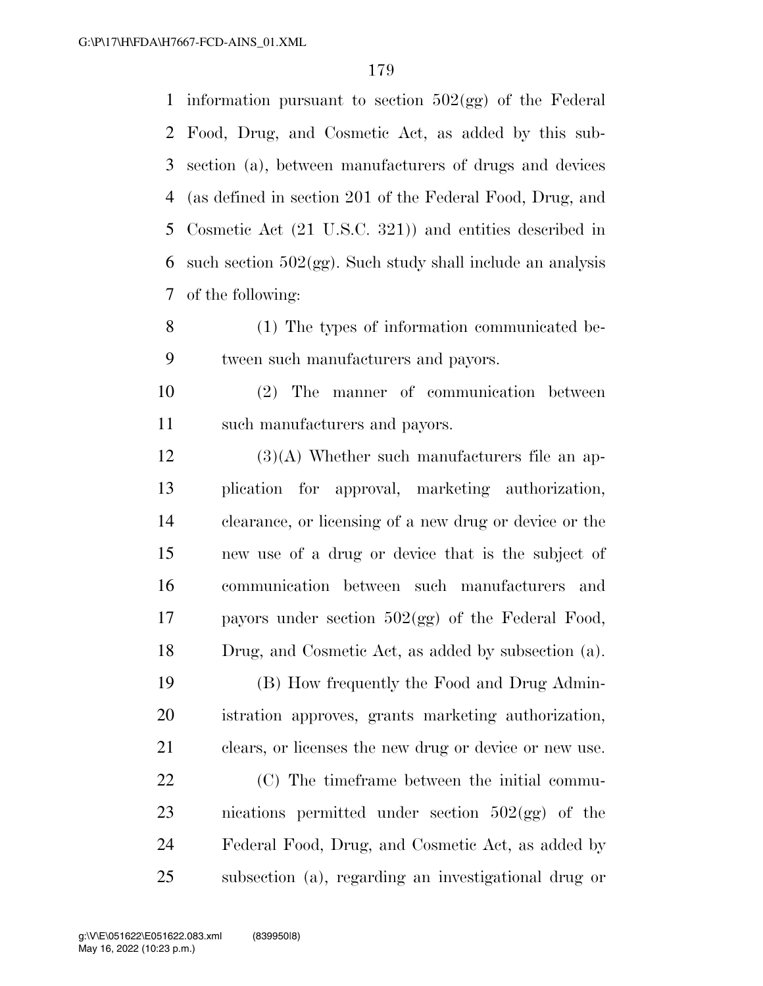1 information pursuant to section  $502(gg)$  of the Federal Food, Drug, and Cosmetic Act, as added by this sub- section (a), between manufacturers of drugs and devices (as defined in section 201 of the Federal Food, Drug, and Cosmetic Act (21 U.S.C. 321)) and entities described in 6 such section  $502(gg)$ . Such study shall include an analysis of the following:

 (1) The types of information communicated be-tween such manufacturers and payors.

 (2) The manner of communication between such manufacturers and payors.

 (3)(A) Whether such manufacturers file an ap- plication for approval, marketing authorization, clearance, or licensing of a new drug or device or the new use of a drug or device that is the subject of communication between such manufacturers and payors under section 502(gg) of the Federal Food, Drug, and Cosmetic Act, as added by subsection (a).

 (B) How frequently the Food and Drug Admin- istration approves, grants marketing authorization, clears, or licenses the new drug or device or new use.

 (C) The timeframe between the initial commu- nications permitted under section 502(gg) of the Federal Food, Drug, and Cosmetic Act, as added by subsection (a), regarding an investigational drug or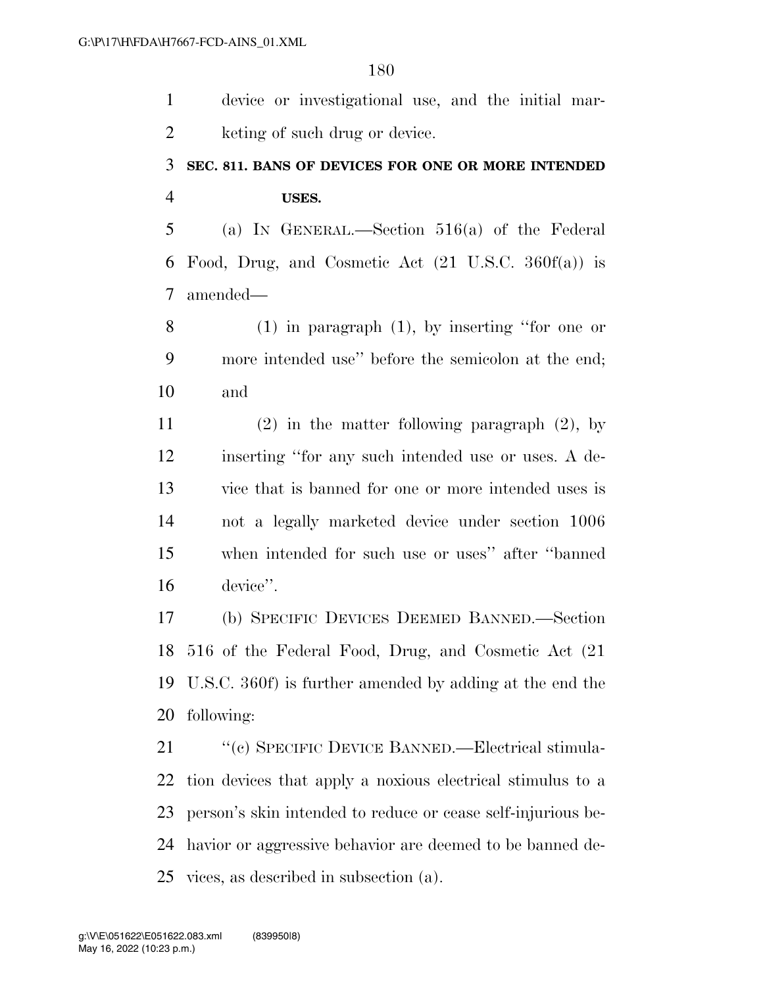device or investigational use, and the initial mar-2 keting of such drug or device. **SEC. 811. BANS OF DEVICES FOR ONE OR MORE INTENDED USES.**  (a) IN GENERAL.—Section 516(a) of the Federal Food, Drug, and Cosmetic Act (21 U.S.C. 360f(a)) is amended— (1) in paragraph (1), by inserting ''for one or more intended use'' before the semicolon at the end; and (2) in the matter following paragraph (2), by inserting ''for any such intended use or uses. A de- vice that is banned for one or more intended uses is not a legally marketed device under section 1006 when intended for such use or uses'' after ''banned device''. (b) SPECIFIC DEVICES DEEMED BANNED.—Section 516 of the Federal Food, Drug, and Cosmetic Act (21 U.S.C. 360f) is further amended by adding at the end the following: ''(c) SPECIFIC DEVICE BANNED.—Electrical stimula- tion devices that apply a noxious electrical stimulus to a person's skin intended to reduce or cease self-injurious be-

 havior or aggressive behavior are deemed to be banned de-vices, as described in subsection (a).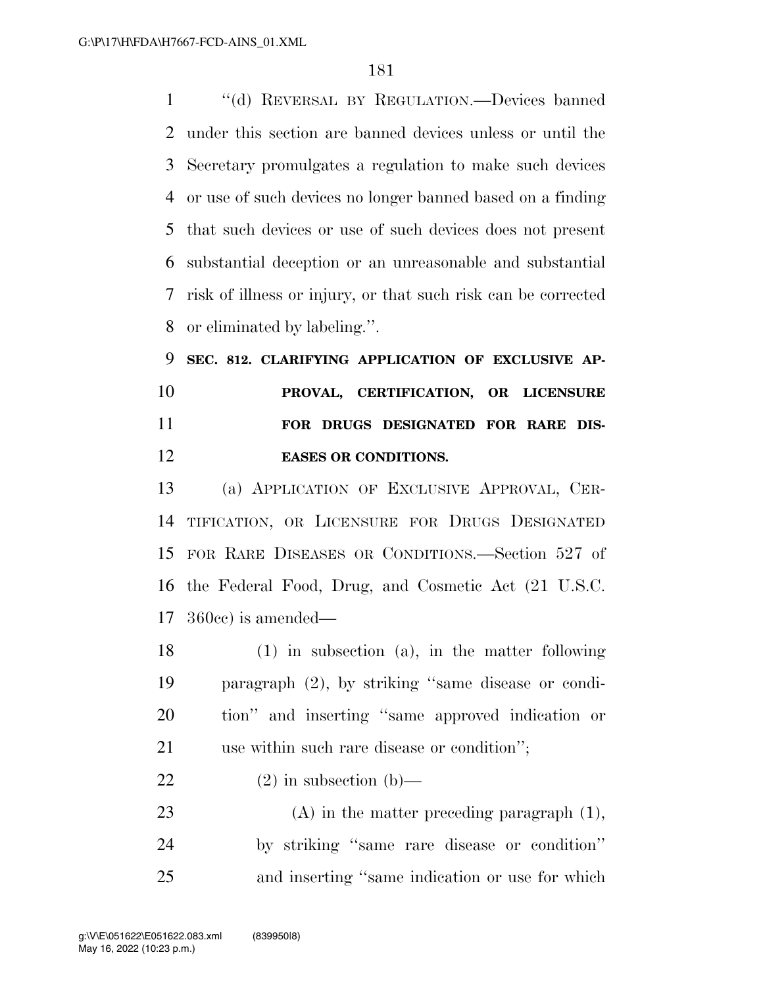''(d) REVERSAL BY REGULATION.—Devices banned under this section are banned devices unless or until the Secretary promulgates a regulation to make such devices or use of such devices no longer banned based on a finding that such devices or use of such devices does not present substantial deception or an unreasonable and substantial risk of illness or injury, or that such risk can be corrected or eliminated by labeling.''.

 **SEC. 812. CLARIFYING APPLICATION OF EXCLUSIVE AP- PROVAL, CERTIFICATION, OR LICENSURE FOR DRUGS DESIGNATED FOR RARE DIS-EASES OR CONDITIONS.** 

 (a) APPLICATION OF EXCLUSIVE APPROVAL, CER- TIFICATION, OR LICENSURE FOR DRUGS DESIGNATED FOR RARE DISEASES OR CONDITIONS.—Section 527 of the Federal Food, Drug, and Cosmetic Act (21 U.S.C. 360cc) is amended—

 (1) in subsection (a), in the matter following paragraph (2), by striking ''same disease or condi- tion'' and inserting ''same approved indication or use within such rare disease or condition'';

## 22 (2) in subsection (b)—

 (A) in the matter preceding paragraph (1), by striking ''same rare disease or condition'' and inserting ''same indication or use for which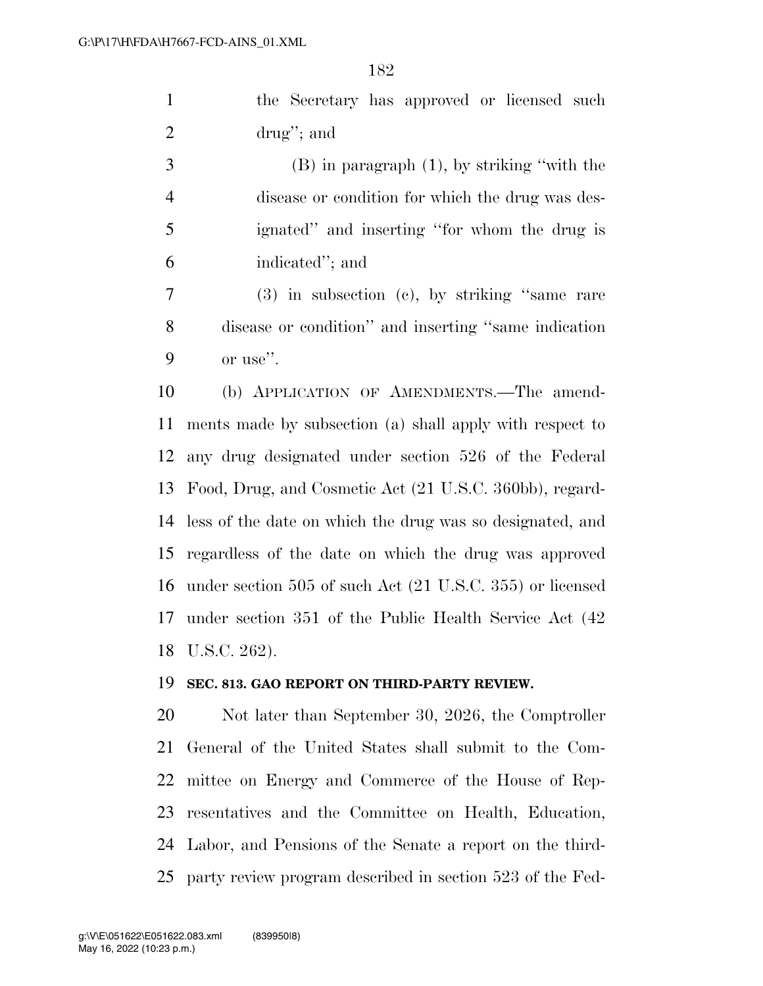the Secretary has approved or licensed such drug''; and

 (B) in paragraph (1), by striking ''with the disease or condition for which the drug was des- ignated'' and inserting ''for whom the drug is indicated''; and

 (3) in subsection (c), by striking ''same rare disease or condition'' and inserting ''same indication or use''.

 (b) APPLICATION OF AMENDMENTS.—The amend- ments made by subsection (a) shall apply with respect to any drug designated under section 526 of the Federal Food, Drug, and Cosmetic Act (21 U.S.C. 360bb), regard- less of the date on which the drug was so designated, and regardless of the date on which the drug was approved under section 505 of such Act (21 U.S.C. 355) or licensed under section 351 of the Public Health Service Act (42 U.S.C. 262).

## **SEC. 813. GAO REPORT ON THIRD-PARTY REVIEW.**

 Not later than September 30, 2026, the Comptroller General of the United States shall submit to the Com- mittee on Energy and Commerce of the House of Rep- resentatives and the Committee on Health, Education, Labor, and Pensions of the Senate a report on the third-party review program described in section 523 of the Fed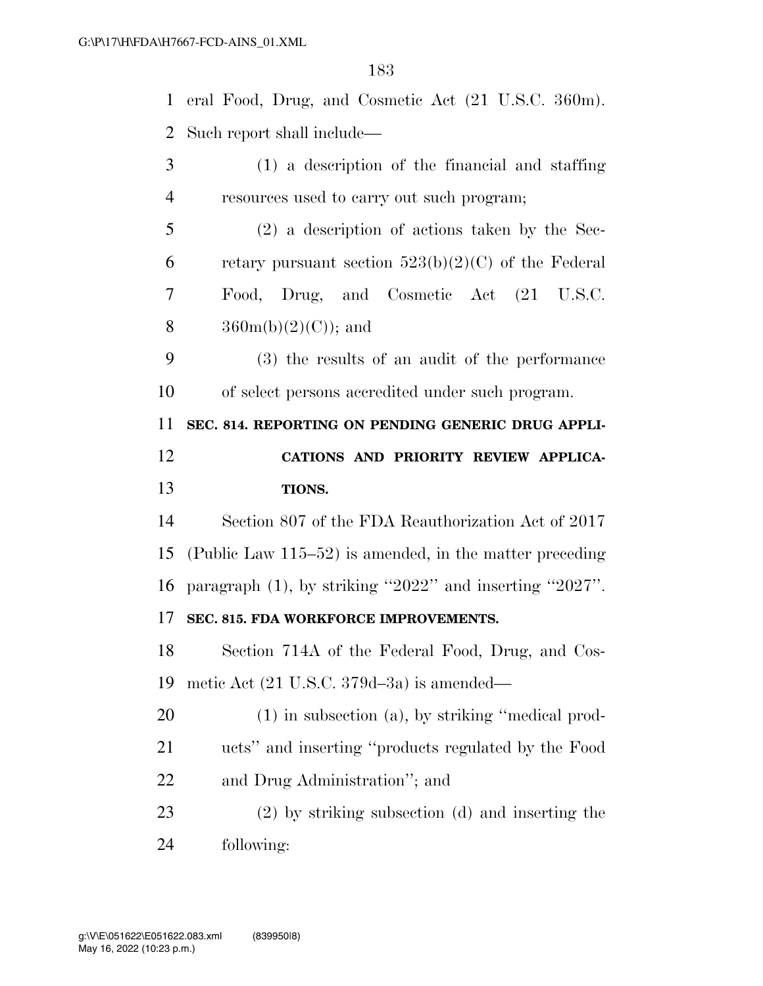| $\mathbf{1}$   | eral Food, Drug, and Cosmetic Act (21 U.S.C. 360m).        |
|----------------|------------------------------------------------------------|
| $\overline{2}$ | Such report shall include—                                 |
| 3              | (1) a description of the financial and staffing            |
| $\overline{4}$ | resources used to carry out such program;                  |
| 5              | $(2)$ a description of actions taken by the Sec-           |
| 6              | retary pursuant section $523(b)(2)(C)$ of the Federal      |
| 7              | Food, Drug, and Cosmetic Act (21 U.S.C.                    |
| 8              | $360m(b)(2)(C)$ ; and                                      |
| 9              | (3) the results of an audit of the performance             |
| 10             | of select persons accredited under such program.           |
| 11             | SEC. 814. REPORTING ON PENDING GENERIC DRUG APPLI-         |
| 12             | CATIONS AND PRIORITY REVIEW APPLICA-                       |
|                |                                                            |
| 13             | TIONS.                                                     |
| 14             | Section 807 of the FDA Reauthorization Act of 2017         |
| 15             | (Public Law $115-52$ ) is amended, in the matter preceding |
| 16             | paragraph $(1)$ , by striking "2022" and inserting "2027". |
| 17             | SEC. 815. FDA WORKFORCE IMPROVEMENTS.                      |
| 18             | Section 714A of the Federal Food, Drug, and Cos-           |
| 19             | metic Act $(21 \text{ U.S.C. } 379d - 3a)$ is amended—     |
| 20             | $(1)$ in subsection $(a)$ , by striking "medical prod-     |
| 21             | ucts" and inserting "products regulated by the Food        |
| 22             | and Drug Administration"; and                              |
| 23             | (2) by striking subsection (d) and inserting the           |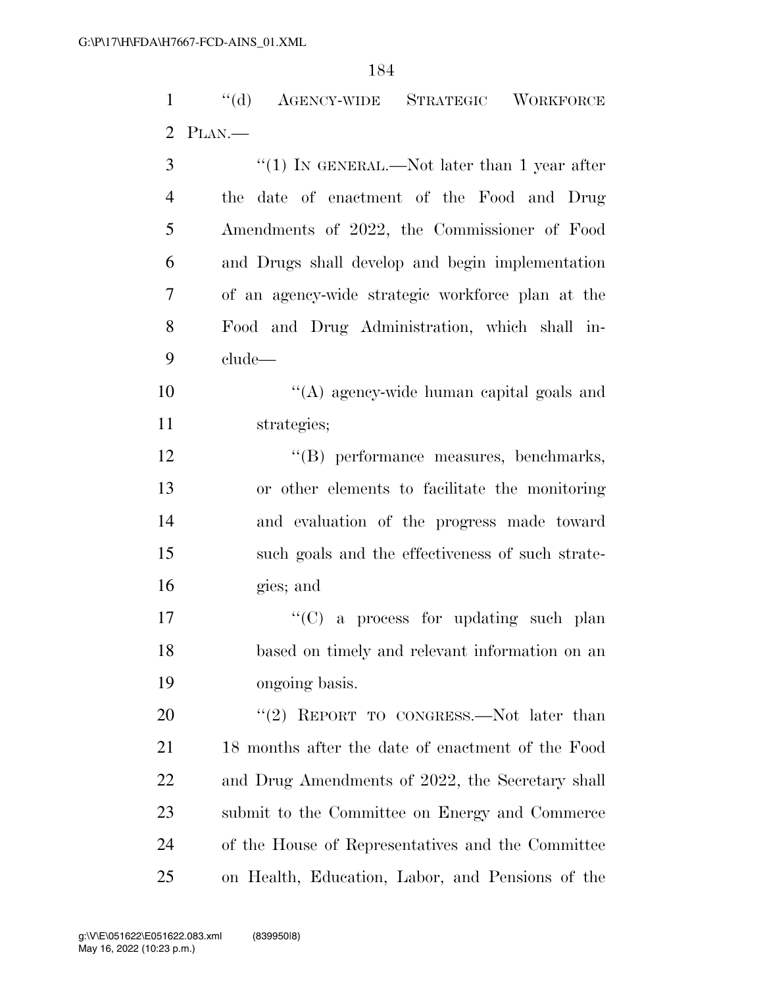''(d) AGENCY-WIDE STRATEGIC WORKFORCE

 PLAN.— 3 "(1) IN GENERAL.—Not later than 1 year after the date of enactment of the Food and Drug Amendments of 2022, the Commissioner of Food and Drugs shall develop and begin implementation of an agency-wide strategic workforce plan at the Food and Drug Administration, which shall in- clude— ''(A) agency-wide human capital goals and strategies;  $\langle G \rangle$  performance measures, benchmarks, or other elements to facilitate the monitoring and evaluation of the progress made toward such goals and the effectiveness of such strate- gies; and ''(C) a process for updating such plan based on timely and relevant information on an ongoing basis. 20 "(2) REPORT TO CONGRESS.—Not later than 18 months after the date of enactment of the Food and Drug Amendments of 2022, the Secretary shall submit to the Committee on Energy and Commerce of the House of Representatives and the Committee on Health, Education, Labor, and Pensions of the